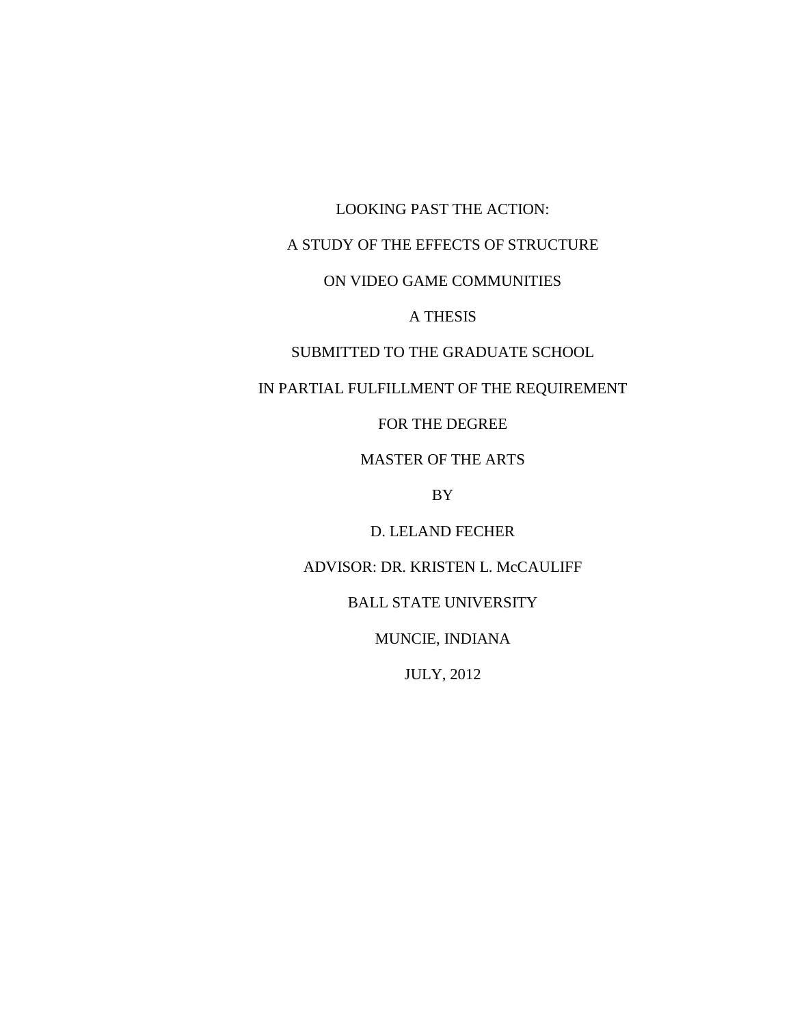LOOKING PAST THE ACTION:

# A STUDY OF THE EFFECTS OF STRUCTURE

# ON VIDEO GAME COMMUNITIES

# A THESIS

# SUBMITTED TO THE GRADUATE SCHOOL

## IN PARTIAL FULFILLMENT OF THE REQUIREMENT

# FOR THE DEGREE

## MASTER OF THE ARTS

# BY

## D. LELAND FECHER

# ADVISOR: DR. KRISTEN L. McCAULIFF

### BALL STATE UNIVERSITY

## MUNCIE, INDIANA

## JULY, 2012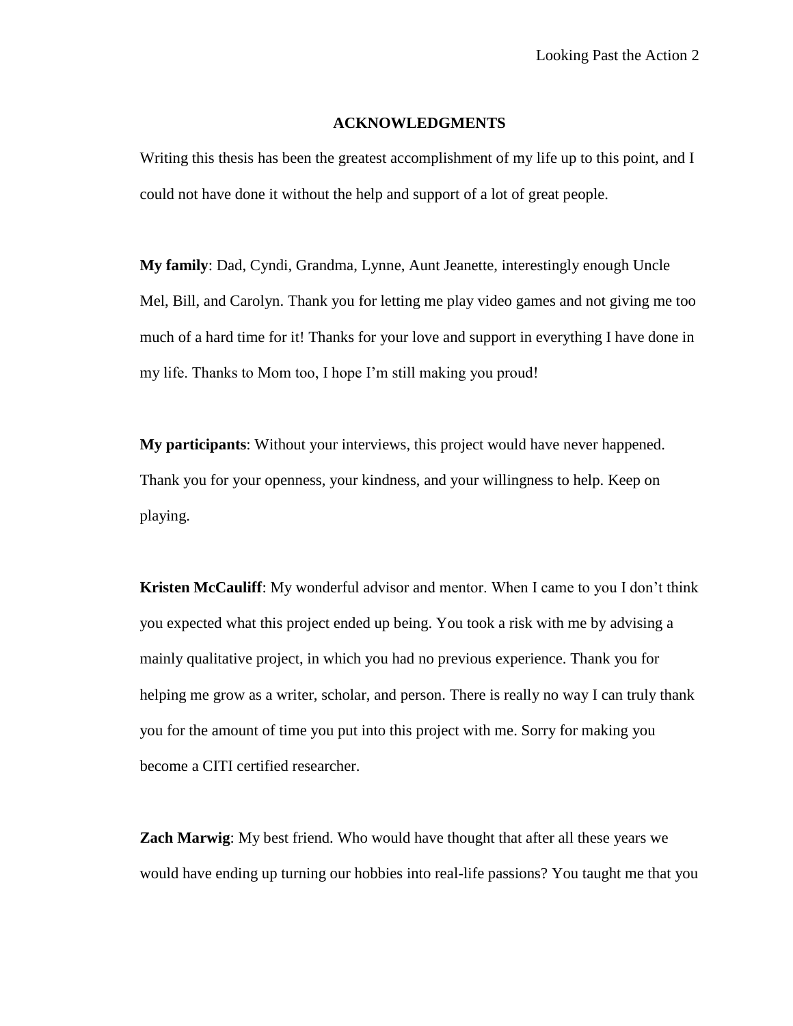#### **ACKNOWLEDGMENTS**

Writing this thesis has been the greatest accomplishment of my life up to this point, and I could not have done it without the help and support of a lot of great people.

**My family**: Dad, Cyndi, Grandma, Lynne, Aunt Jeanette, interestingly enough Uncle Mel, Bill, and Carolyn. Thank you for letting me play video games and not giving me too much of a hard time for it! Thanks for your love and support in everything I have done in my life. Thanks to Mom too, I hope I'm still making you proud!

**My participants**: Without your interviews, this project would have never happened. Thank you for your openness, your kindness, and your willingness to help. Keep on playing.

**Kristen McCauliff**: My wonderful advisor and mentor. When I came to you I don't think you expected what this project ended up being. You took a risk with me by advising a mainly qualitative project, in which you had no previous experience. Thank you for helping me grow as a writer, scholar, and person. There is really no way I can truly thank you for the amount of time you put into this project with me. Sorry for making you become a CITI certified researcher.

**Zach Marwig**: My best friend. Who would have thought that after all these years we would have ending up turning our hobbies into real-life passions? You taught me that you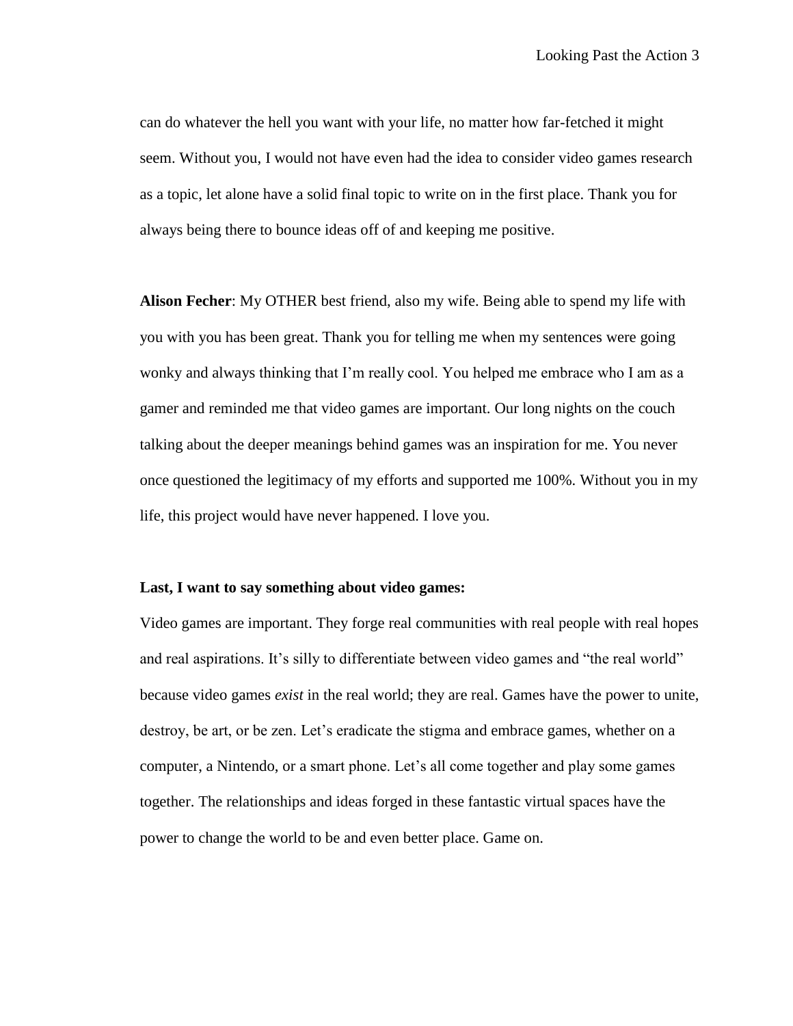can do whatever the hell you want with your life, no matter how far-fetched it might seem. Without you, I would not have even had the idea to consider video games research as a topic, let alone have a solid final topic to write on in the first place. Thank you for always being there to bounce ideas off of and keeping me positive.

**Alison Fecher**: My OTHER best friend, also my wife. Being able to spend my life with you with you has been great. Thank you for telling me when my sentences were going wonky and always thinking that I'm really cool. You helped me embrace who I am as a gamer and reminded me that video games are important. Our long nights on the couch talking about the deeper meanings behind games was an inspiration for me. You never once questioned the legitimacy of my efforts and supported me 100%. Without you in my life, this project would have never happened. I love you.

#### **Last, I want to say something about video games:**

Video games are important. They forge real communities with real people with real hopes and real aspirations. It's silly to differentiate between video games and "the real world" because video games *exist* in the real world; they are real. Games have the power to unite, destroy, be art, or be zen. Let's eradicate the stigma and embrace games, whether on a computer, a Nintendo, or a smart phone. Let's all come together and play some games together. The relationships and ideas forged in these fantastic virtual spaces have the power to change the world to be and even better place. Game on.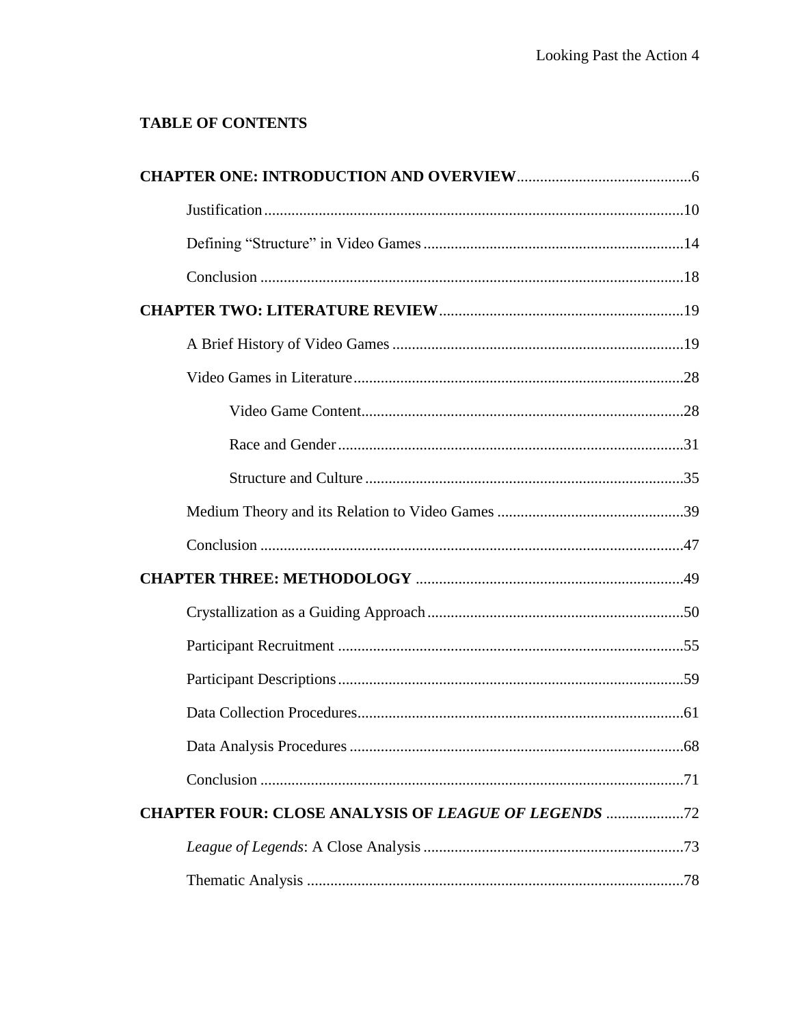# **TABLE OF CONTENTS**

|                                                           | .68 |
|-----------------------------------------------------------|-----|
|                                                           |     |
| <b>CHAPTER FOUR: CLOSE ANALYSIS OF LEAGUE OF LEGENDS </b> |     |
|                                                           |     |
|                                                           |     |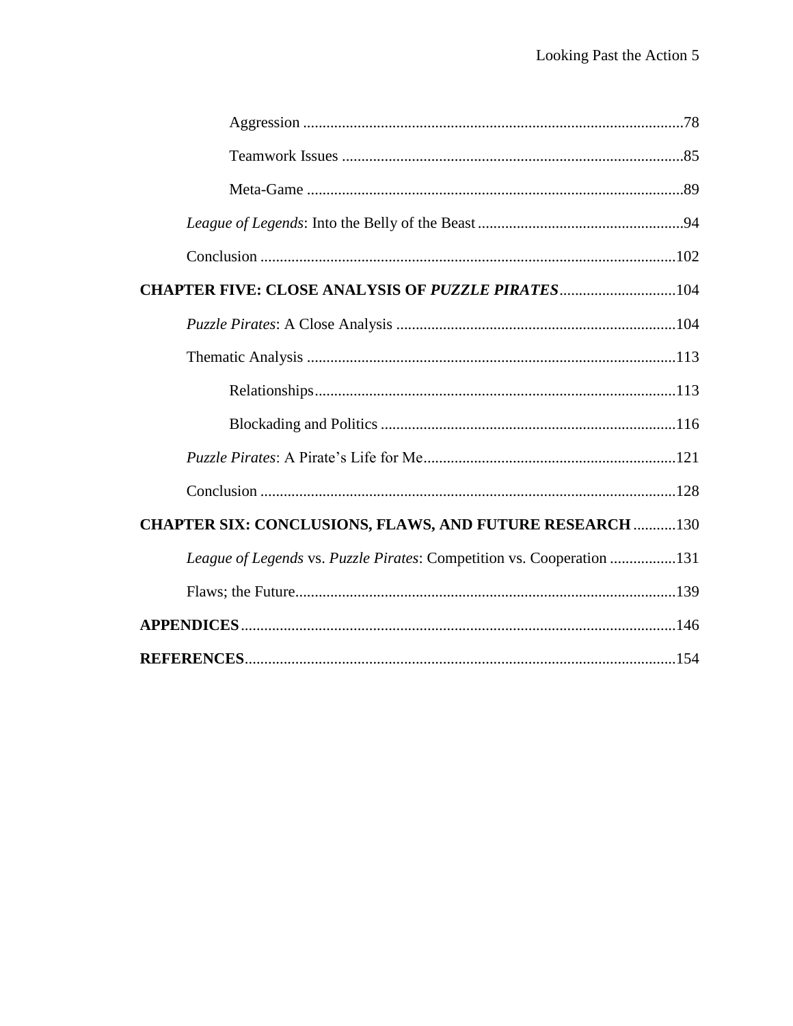| <b>CHAPTER FIVE: CLOSE ANALYSIS OF PUZZLE PIRATES104</b>              |
|-----------------------------------------------------------------------|
|                                                                       |
|                                                                       |
|                                                                       |
|                                                                       |
|                                                                       |
|                                                                       |
| <b>CHAPTER SIX: CONCLUSIONS, FLAWS, AND FUTURE RESEARCH  130</b>      |
| League of Legends vs. Puzzle Pirates: Competition vs. Cooperation 131 |
|                                                                       |
|                                                                       |
|                                                                       |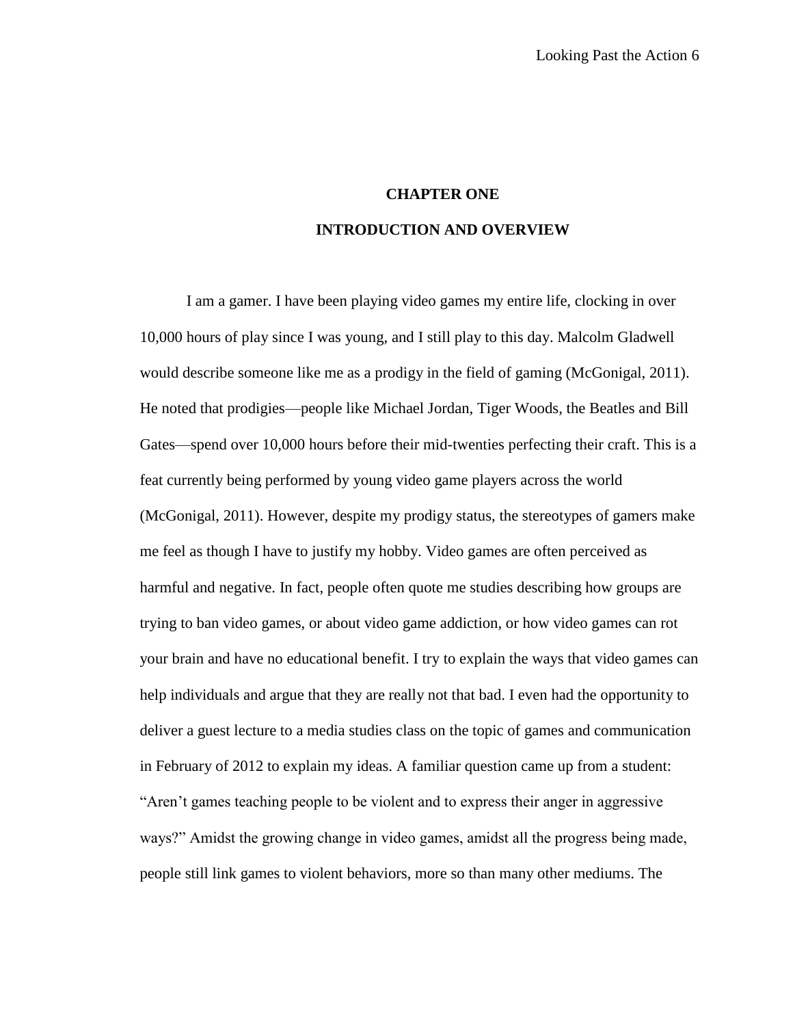### **CHAPTER ONE**

### **INTRODUCTION AND OVERVIEW**

I am a gamer. I have been playing video games my entire life, clocking in over 10,000 hours of play since I was young, and I still play to this day. Malcolm Gladwell would describe someone like me as a prodigy in the field of gaming (McGonigal, 2011). He noted that prodigies—people like Michael Jordan, Tiger Woods, the Beatles and Bill Gates—spend over 10,000 hours before their mid-twenties perfecting their craft. This is a feat currently being performed by young video game players across the world (McGonigal, 2011). However, despite my prodigy status, the stereotypes of gamers make me feel as though I have to justify my hobby. Video games are often perceived as harmful and negative. In fact, people often quote me studies describing how groups are trying to ban video games, or about video game addiction, or how video games can rot your brain and have no educational benefit. I try to explain the ways that video games can help individuals and argue that they are really not that bad. I even had the opportunity to deliver a guest lecture to a media studies class on the topic of games and communication in February of 2012 to explain my ideas. A familiar question came up from a student: "Aren't games teaching people to be violent and to express their anger in aggressive ways?" Amidst the growing change in video games, amidst all the progress being made, people still link games to violent behaviors, more so than many other mediums. The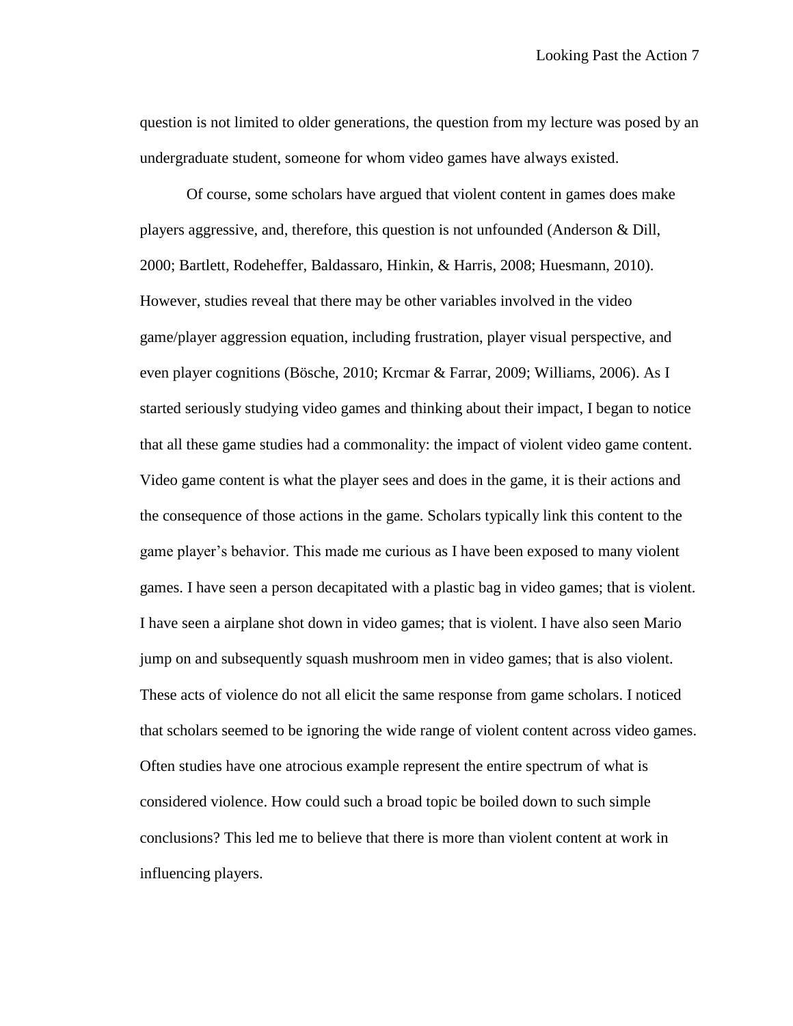question is not limited to older generations, the question from my lecture was posed by an undergraduate student, someone for whom video games have always existed.

Of course, some scholars have argued that violent content in games does make players aggressive, and, therefore, this question is not unfounded (Anderson & Dill, 2000; Bartlett, Rodeheffer, Baldassaro, Hinkin, & Harris, 2008; Huesmann, 2010). However, studies reveal that there may be other variables involved in the video game/player aggression equation, including frustration, player visual perspective, and even player cognitions (Bösche, 2010; Krcmar & Farrar, 2009; Williams, 2006). As I started seriously studying video games and thinking about their impact, I began to notice that all these game studies had a commonality: the impact of violent video game content. Video game content is what the player sees and does in the game, it is their actions and the consequence of those actions in the game. Scholars typically link this content to the game player's behavior. This made me curious as I have been exposed to many violent games. I have seen a person decapitated with a plastic bag in video games; that is violent. I have seen a airplane shot down in video games; that is violent. I have also seen Mario jump on and subsequently squash mushroom men in video games; that is also violent. These acts of violence do not all elicit the same response from game scholars. I noticed that scholars seemed to be ignoring the wide range of violent content across video games. Often studies have one atrocious example represent the entire spectrum of what is considered violence. How could such a broad topic be boiled down to such simple conclusions? This led me to believe that there is more than violent content at work in influencing players.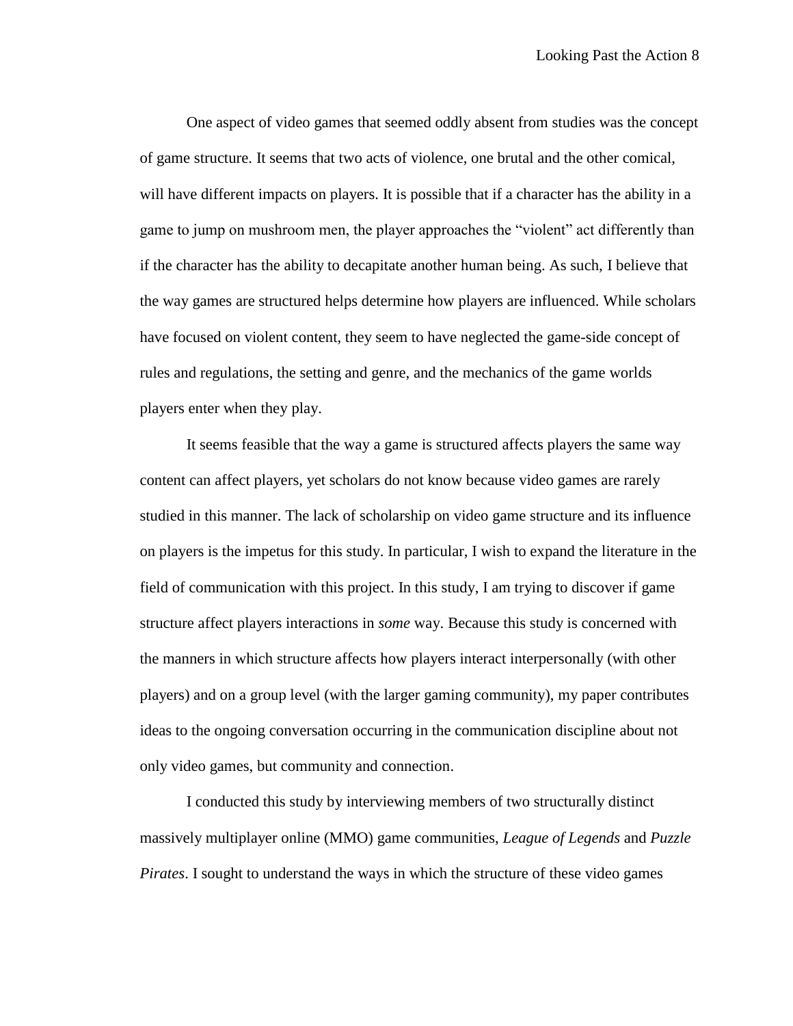One aspect of video games that seemed oddly absent from studies was the concept of game structure. It seems that two acts of violence, one brutal and the other comical, will have different impacts on players. It is possible that if a character has the ability in a game to jump on mushroom men, the player approaches the "violent" act differently than if the character has the ability to decapitate another human being. As such, I believe that the way games are structured helps determine how players are influenced. While scholars have focused on violent content, they seem to have neglected the game-side concept of rules and regulations, the setting and genre, and the mechanics of the game worlds players enter when they play.

It seems feasible that the way a game is structured affects players the same way content can affect players, yet scholars do not know because video games are rarely studied in this manner. The lack of scholarship on video game structure and its influence on players is the impetus for this study. In particular, I wish to expand the literature in the field of communication with this project. In this study, I am trying to discover if game structure affect players interactions in *some* way. Because this study is concerned with the manners in which structure affects how players interact interpersonally (with other players) and on a group level (with the larger gaming community), my paper contributes ideas to the ongoing conversation occurring in the communication discipline about not only video games, but community and connection.

I conducted this study by interviewing members of two structurally distinct massively multiplayer online (MMO) game communities, *League of Legends* and *Puzzle Pirates*. I sought to understand the ways in which the structure of these video games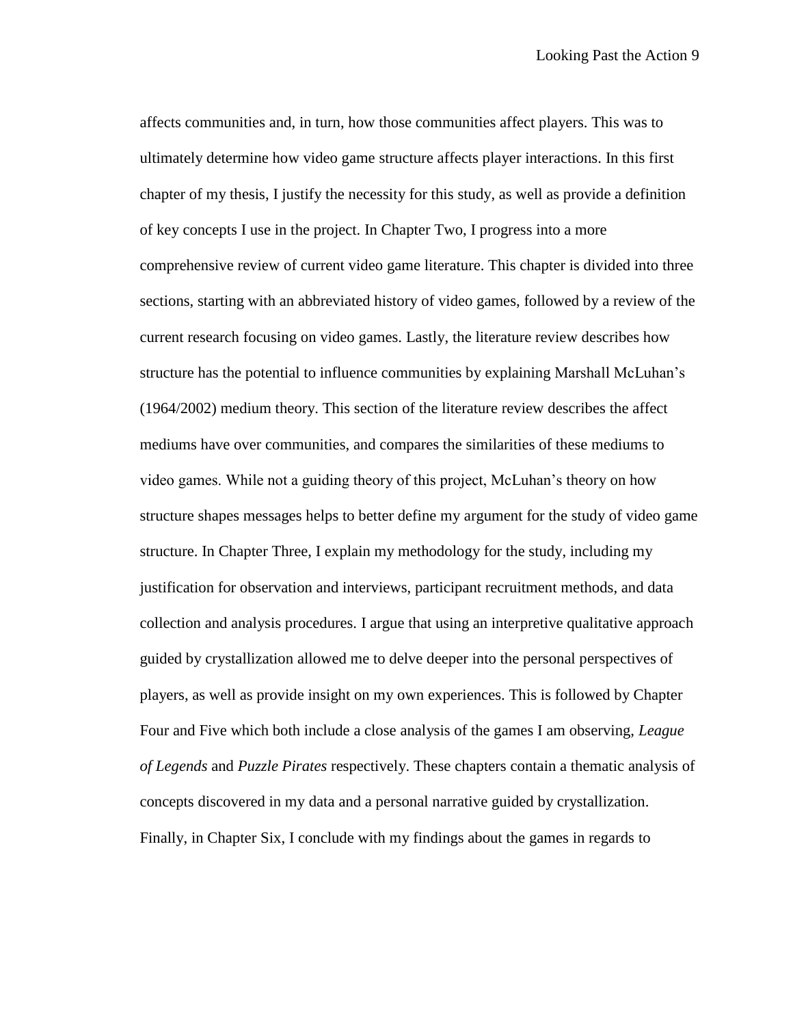affects communities and, in turn, how those communities affect players. This was to ultimately determine how video game structure affects player interactions. In this first chapter of my thesis, I justify the necessity for this study, as well as provide a definition of key concepts I use in the project. In Chapter Two, I progress into a more comprehensive review of current video game literature. This chapter is divided into three sections, starting with an abbreviated history of video games, followed by a review of the current research focusing on video games. Lastly, the literature review describes how structure has the potential to influence communities by explaining Marshall McLuhan's (1964/2002) medium theory. This section of the literature review describes the affect mediums have over communities, and compares the similarities of these mediums to video games. While not a guiding theory of this project, McLuhan's theory on how structure shapes messages helps to better define my argument for the study of video game structure. In Chapter Three, I explain my methodology for the study, including my justification for observation and interviews, participant recruitment methods, and data collection and analysis procedures. I argue that using an interpretive qualitative approach guided by crystallization allowed me to delve deeper into the personal perspectives of players, as well as provide insight on my own experiences. This is followed by Chapter Four and Five which both include a close analysis of the games I am observing, *League of Legends* and *Puzzle Pirates* respectively. These chapters contain a thematic analysis of concepts discovered in my data and a personal narrative guided by crystallization. Finally, in Chapter Six, I conclude with my findings about the games in regards to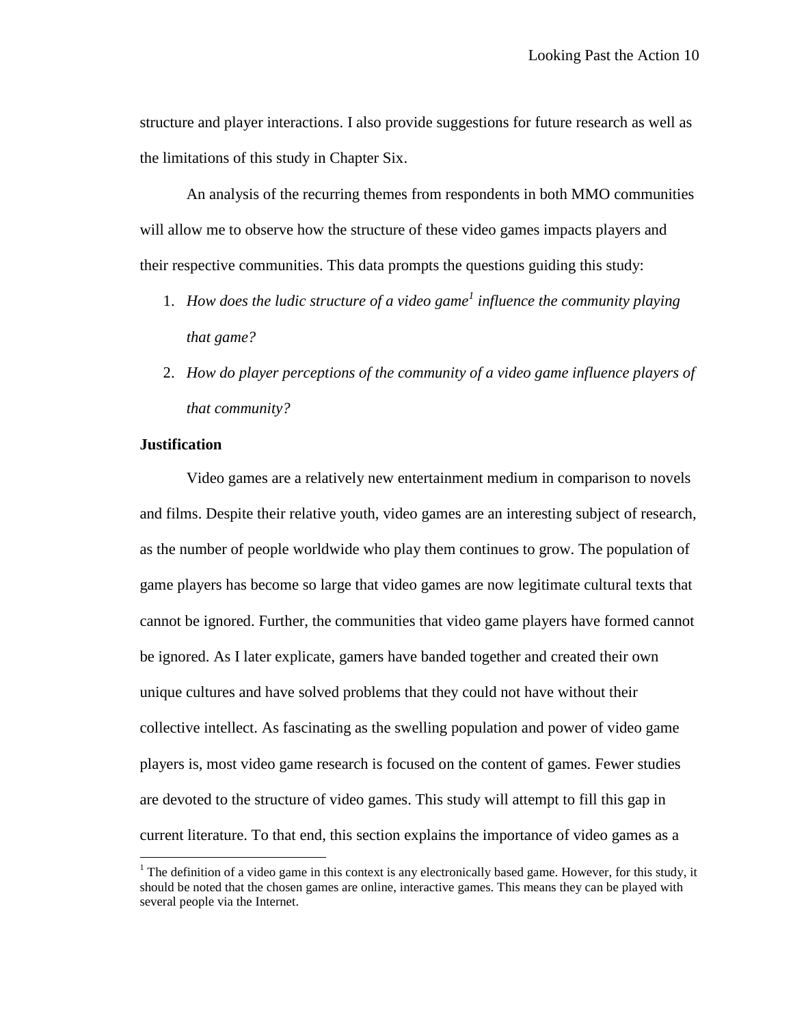structure and player interactions. I also provide suggestions for future research as well as the limitations of this study in Chapter Six.

An analysis of the recurring themes from respondents in both MMO communities will allow me to observe how the structure of these video games impacts players and their respective communities. This data prompts the questions guiding this study:

- 1. *How does the ludic structure of a video game<sup>1</sup> influence the community playing that game?*
- 2. *How do player perceptions of the community of a video game influence players of that community?*

## **Justification**

 $\overline{a}$ 

Video games are a relatively new entertainment medium in comparison to novels and films. Despite their relative youth, video games are an interesting subject of research, as the number of people worldwide who play them continues to grow. The population of game players has become so large that video games are now legitimate cultural texts that cannot be ignored. Further, the communities that video game players have formed cannot be ignored. As I later explicate, gamers have banded together and created their own unique cultures and have solved problems that they could not have without their collective intellect. As fascinating as the swelling population and power of video game players is, most video game research is focused on the content of games. Fewer studies are devoted to the structure of video games. This study will attempt to fill this gap in current literature. To that end, this section explains the importance of video games as a

<sup>&</sup>lt;sup>1</sup> The definition of a video game in this context is any electronically based game. However, for this study, it should be noted that the chosen games are online, interactive games. This means they can be played with several people via the Internet.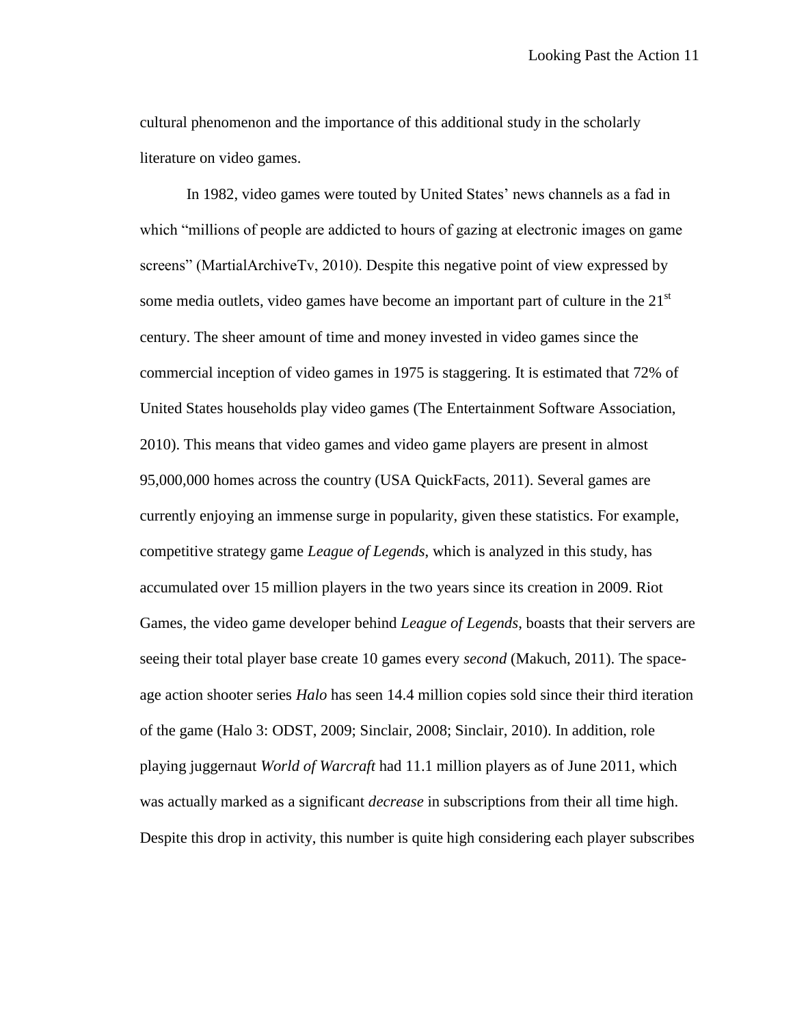cultural phenomenon and the importance of this additional study in the scholarly literature on video games.

In 1982, video games were touted by United States' news channels as a fad in which "millions of people are addicted to hours of gazing at electronic images on game screens" (MartialArchiveTv, 2010). Despite this negative point of view expressed by some media outlets, video games have become an important part of culture in the  $21<sup>st</sup>$ century. The sheer amount of time and money invested in video games since the commercial inception of video games in 1975 is staggering. It is estimated that 72% of United States households play video games (The Entertainment Software Association, 2010). This means that video games and video game players are present in almost 95,000,000 homes across the country (USA QuickFacts, 2011). Several games are currently enjoying an immense surge in popularity, given these statistics. For example, competitive strategy game *League of Legends*, which is analyzed in this study, has accumulated over 15 million players in the two years since its creation in 2009. Riot Games, the video game developer behind *League of Legends*, boasts that their servers are seeing their total player base create 10 games every *second* (Makuch, 2011). The spaceage action shooter series *Halo* has seen 14.4 million copies sold since their third iteration of the game (Halo 3: ODST, 2009; Sinclair, 2008; Sinclair, 2010). In addition, role playing juggernaut *World of Warcraft* had 11.1 million players as of June 2011, which was actually marked as a significant *decrease* in subscriptions from their all time high. Despite this drop in activity, this number is quite high considering each player subscribes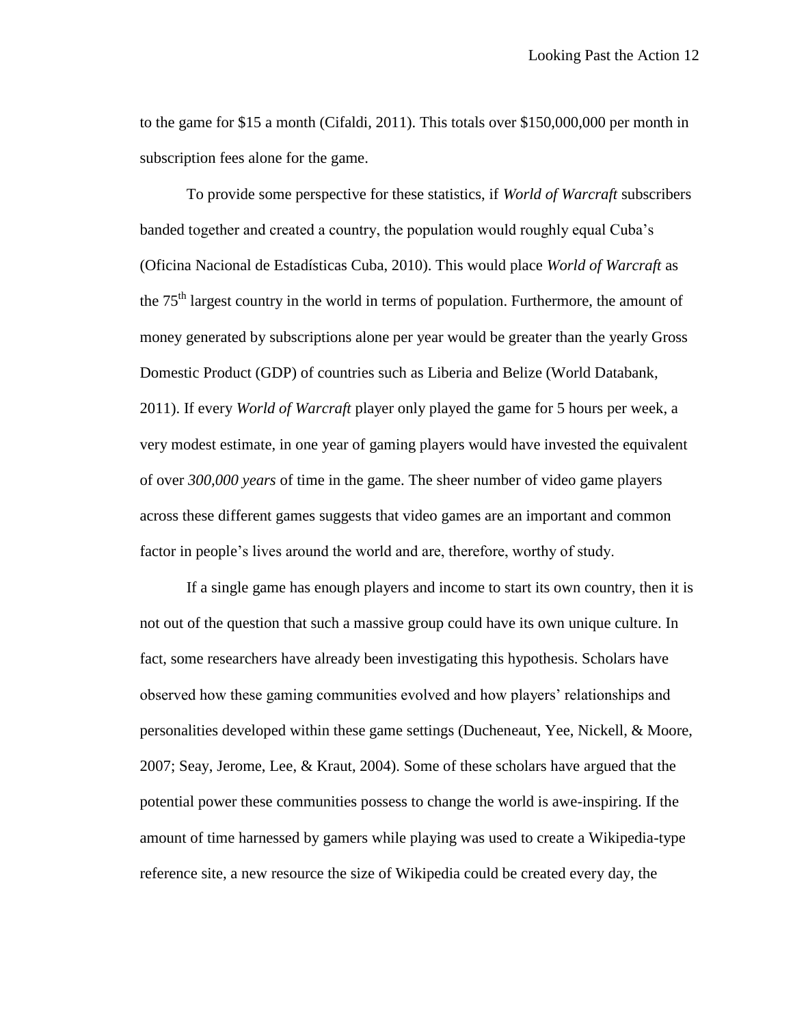to the game for \$15 a month (Cifaldi, 2011). This totals over \$150,000,000 per month in subscription fees alone for the game.

To provide some perspective for these statistics, if *World of Warcraft* subscribers banded together and created a country, the population would roughly equal Cuba's (Oficina Nacional de Estadísticas Cuba, 2010). This would place *World of Warcraft* as the  $75<sup>th</sup>$  largest country in the world in terms of population. Furthermore, the amount of money generated by subscriptions alone per year would be greater than the yearly Gross Domestic Product (GDP) of countries such as Liberia and Belize (World Databank, 2011). If every *World of Warcraft* player only played the game for 5 hours per week, a very modest estimate, in one year of gaming players would have invested the equivalent of over *300,000 years* of time in the game. The sheer number of video game players across these different games suggests that video games are an important and common factor in people's lives around the world and are, therefore, worthy of study.

If a single game has enough players and income to start its own country, then it is not out of the question that such a massive group could have its own unique culture. In fact, some researchers have already been investigating this hypothesis. Scholars have observed how these gaming communities evolved and how players' relationships and personalities developed within these game settings (Ducheneaut, Yee, Nickell, & Moore, 2007; Seay, Jerome, Lee, & Kraut, 2004). Some of these scholars have argued that the potential power these communities possess to change the world is awe-inspiring. If the amount of time harnessed by gamers while playing was used to create a Wikipedia-type reference site, a new resource the size of Wikipedia could be created every day, the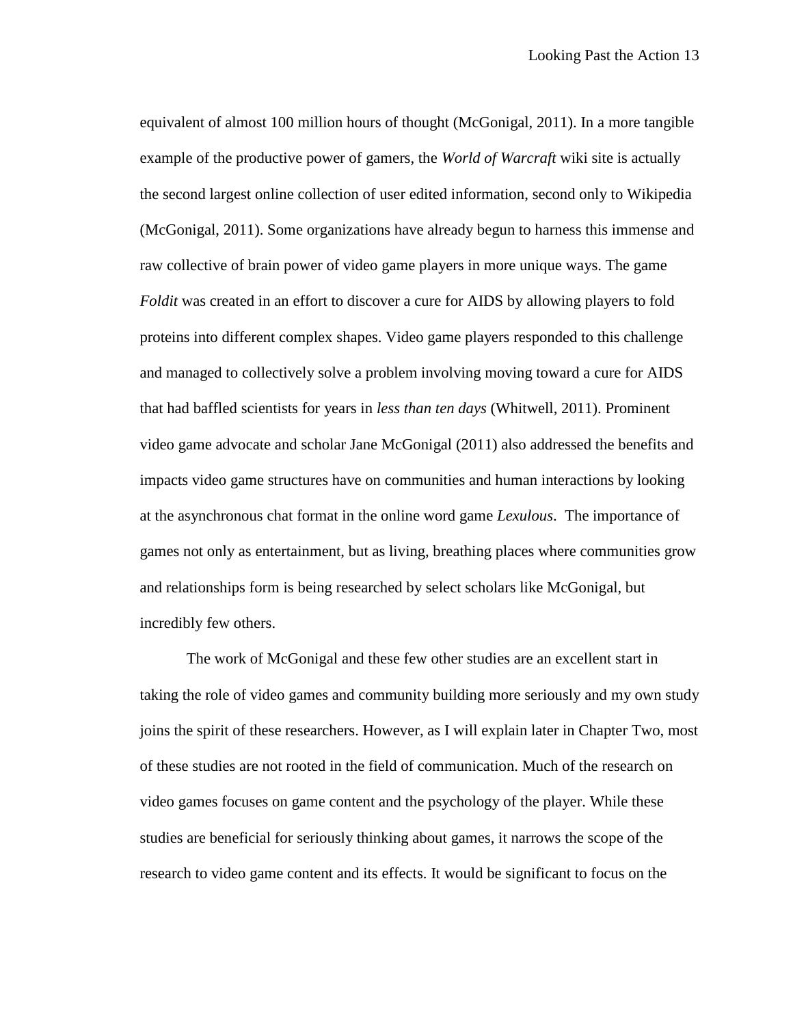equivalent of almost 100 million hours of thought (McGonigal, 2011). In a more tangible example of the productive power of gamers, the *World of Warcraft* wiki site is actually the second largest online collection of user edited information, second only to Wikipedia (McGonigal, 2011). Some organizations have already begun to harness this immense and raw collective of brain power of video game players in more unique ways. The game *Foldit* was created in an effort to discover a cure for AIDS by allowing players to fold proteins into different complex shapes. Video game players responded to this challenge and managed to collectively solve a problem involving moving toward a cure for AIDS that had baffled scientists for years in *less than ten days* (Whitwell, 2011). Prominent video game advocate and scholar Jane McGonigal (2011) also addressed the benefits and impacts video game structures have on communities and human interactions by looking at the asynchronous chat format in the online word game *Lexulous*. The importance of games not only as entertainment, but as living, breathing places where communities grow and relationships form is being researched by select scholars like McGonigal, but incredibly few others.

The work of McGonigal and these few other studies are an excellent start in taking the role of video games and community building more seriously and my own study joins the spirit of these researchers. However, as I will explain later in Chapter Two, most of these studies are not rooted in the field of communication. Much of the research on video games focuses on game content and the psychology of the player. While these studies are beneficial for seriously thinking about games, it narrows the scope of the research to video game content and its effects. It would be significant to focus on the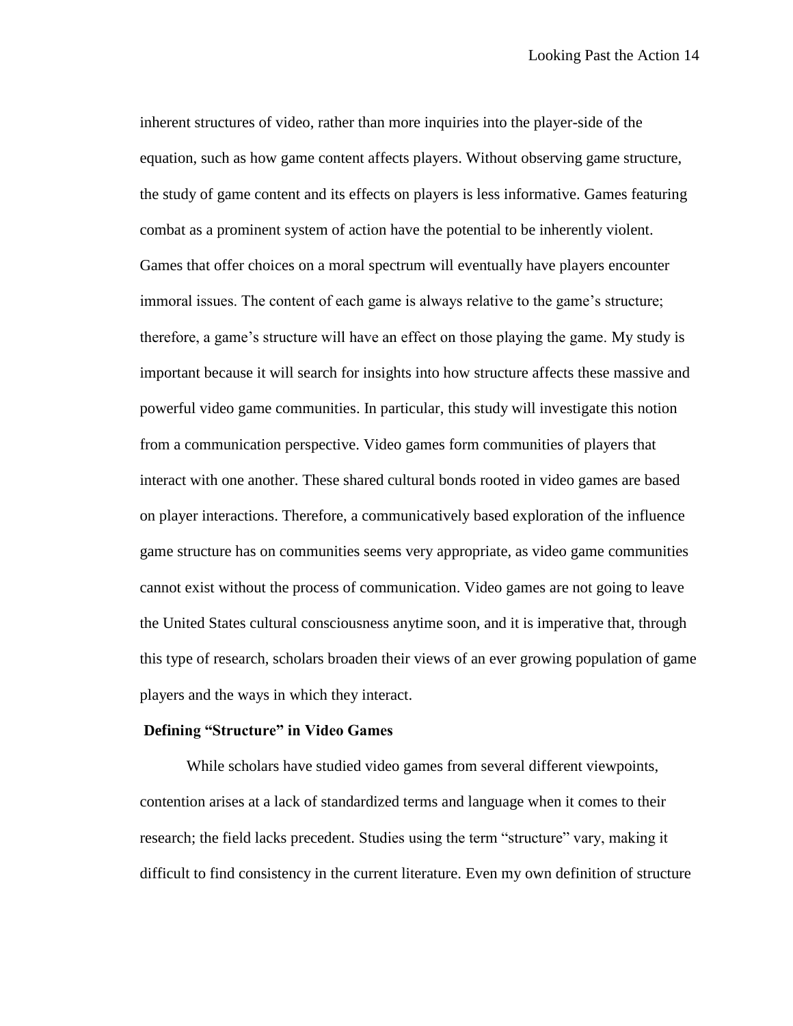inherent structures of video, rather than more inquiries into the player-side of the equation, such as how game content affects players. Without observing game structure, the study of game content and its effects on players is less informative. Games featuring combat as a prominent system of action have the potential to be inherently violent. Games that offer choices on a moral spectrum will eventually have players encounter immoral issues. The content of each game is always relative to the game's structure; therefore, a game's structure will have an effect on those playing the game. My study is important because it will search for insights into how structure affects these massive and powerful video game communities. In particular, this study will investigate this notion from a communication perspective. Video games form communities of players that interact with one another. These shared cultural bonds rooted in video games are based on player interactions. Therefore, a communicatively based exploration of the influence game structure has on communities seems very appropriate, as video game communities cannot exist without the process of communication. Video games are not going to leave the United States cultural consciousness anytime soon, and it is imperative that, through this type of research, scholars broaden their views of an ever growing population of game players and the ways in which they interact.

#### **Defining "Structure" in Video Games**

While scholars have studied video games from several different viewpoints, contention arises at a lack of standardized terms and language when it comes to their research; the field lacks precedent. Studies using the term "structure" vary, making it difficult to find consistency in the current literature. Even my own definition of structure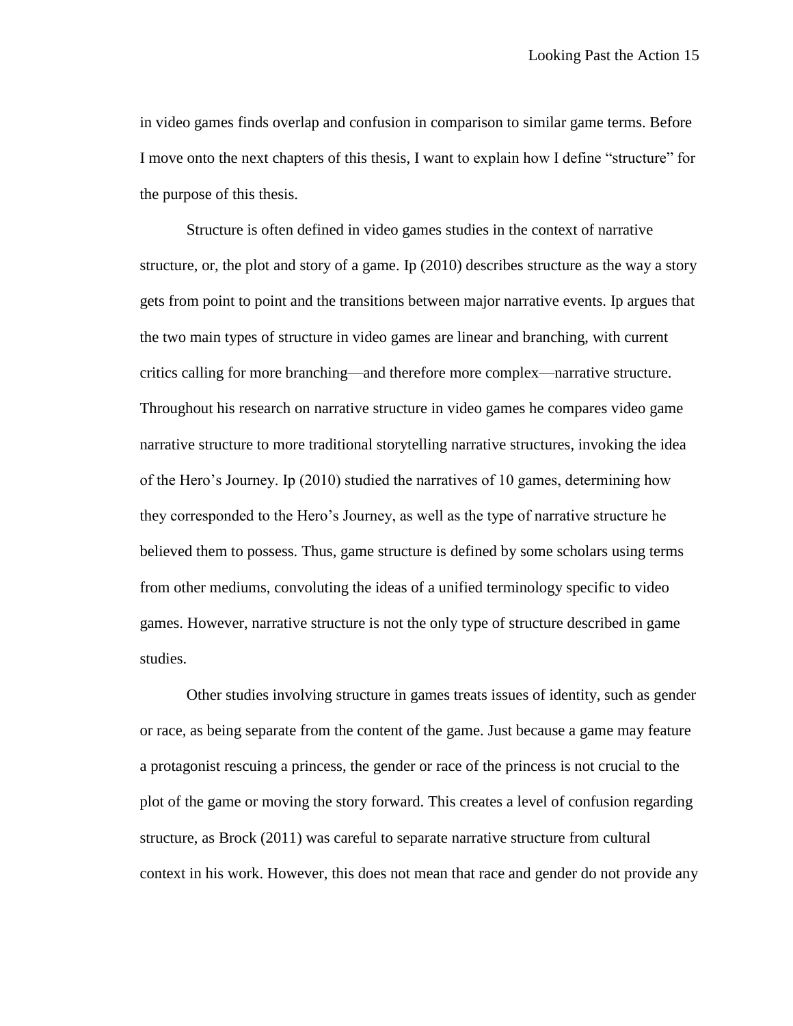in video games finds overlap and confusion in comparison to similar game terms. Before I move onto the next chapters of this thesis, I want to explain how I define "structure" for the purpose of this thesis.

Structure is often defined in video games studies in the context of narrative structure, or, the plot and story of a game. Ip (2010) describes structure as the way a story gets from point to point and the transitions between major narrative events. Ip argues that the two main types of structure in video games are linear and branching, with current critics calling for more branching—and therefore more complex—narrative structure. Throughout his research on narrative structure in video games he compares video game narrative structure to more traditional storytelling narrative structures, invoking the idea of the Hero's Journey. Ip (2010) studied the narratives of 10 games, determining how they corresponded to the Hero's Journey, as well as the type of narrative structure he believed them to possess. Thus, game structure is defined by some scholars using terms from other mediums, convoluting the ideas of a unified terminology specific to video games. However, narrative structure is not the only type of structure described in game studies.

Other studies involving structure in games treats issues of identity, such as gender or race, as being separate from the content of the game. Just because a game may feature a protagonist rescuing a princess, the gender or race of the princess is not crucial to the plot of the game or moving the story forward. This creates a level of confusion regarding structure, as Brock (2011) was careful to separate narrative structure from cultural context in his work. However, this does not mean that race and gender do not provide any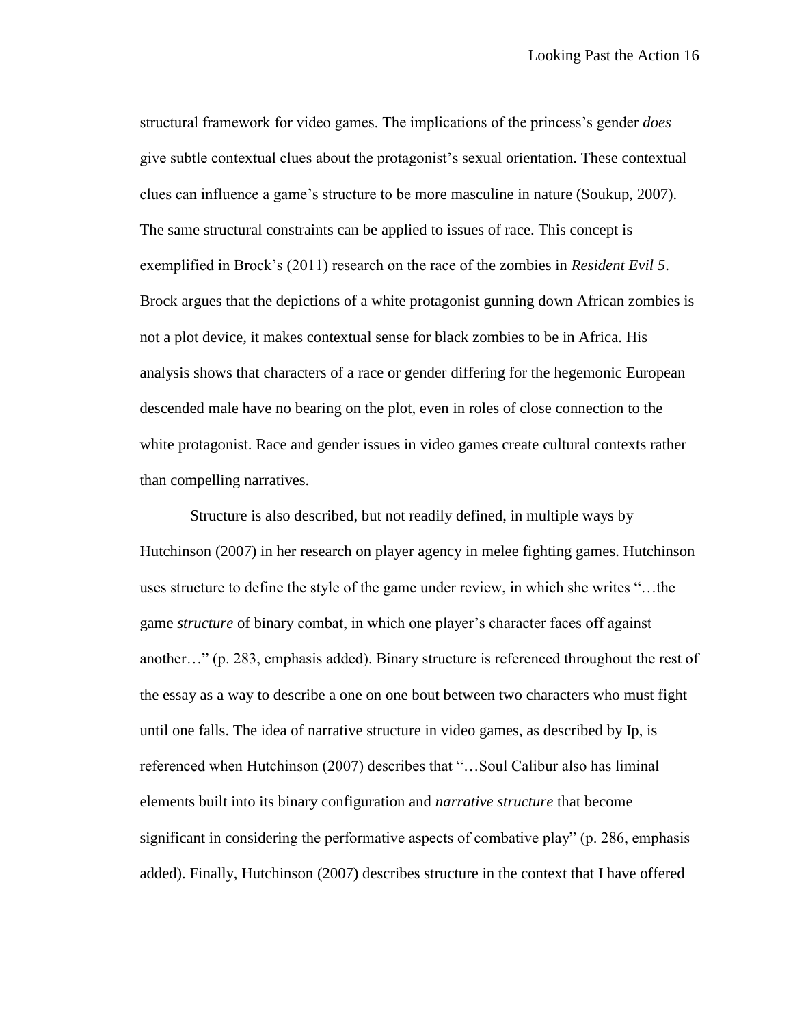structural framework for video games. The implications of the princess's gender *does* give subtle contextual clues about the protagonist's sexual orientation. These contextual clues can influence a game's structure to be more masculine in nature (Soukup, 2007). The same structural constraints can be applied to issues of race. This concept is exemplified in Brock's (2011) research on the race of the zombies in *Resident Evil 5*. Brock argues that the depictions of a white protagonist gunning down African zombies is not a plot device, it makes contextual sense for black zombies to be in Africa. His analysis shows that characters of a race or gender differing for the hegemonic European descended male have no bearing on the plot, even in roles of close connection to the white protagonist. Race and gender issues in video games create cultural contexts rather than compelling narratives.

Structure is also described, but not readily defined, in multiple ways by Hutchinson (2007) in her research on player agency in melee fighting games. Hutchinson uses structure to define the style of the game under review, in which she writes "…the game *structure* of binary combat, in which one player's character faces off against another…" (p. 283, emphasis added). Binary structure is referenced throughout the rest of the essay as a way to describe a one on one bout between two characters who must fight until one falls. The idea of narrative structure in video games, as described by Ip, is referenced when Hutchinson (2007) describes that "…Soul Calibur also has liminal elements built into its binary configuration and *narrative structure* that become significant in considering the performative aspects of combative play" (p. 286, emphasis added). Finally, Hutchinson (2007) describes structure in the context that I have offered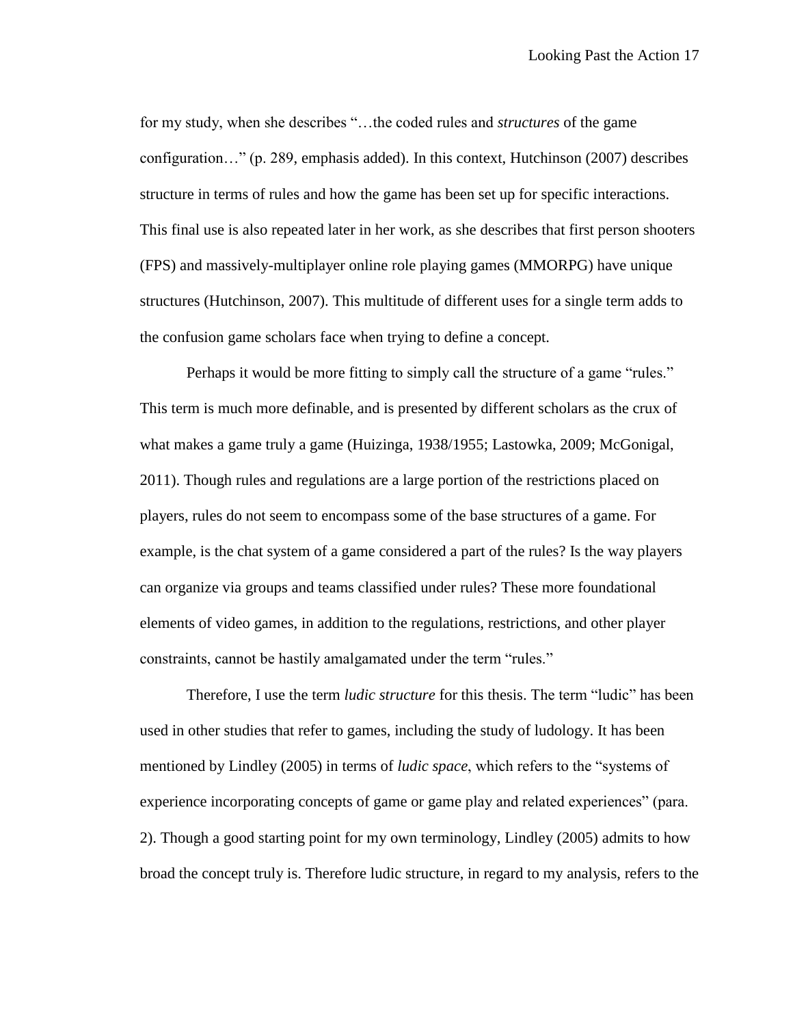for my study, when she describes "…the coded rules and *structures* of the game configuration…" (p. 289, emphasis added). In this context, Hutchinson (2007) describes structure in terms of rules and how the game has been set up for specific interactions. This final use is also repeated later in her work, as she describes that first person shooters (FPS) and massively-multiplayer online role playing games (MMORPG) have unique structures (Hutchinson, 2007). This multitude of different uses for a single term adds to the confusion game scholars face when trying to define a concept.

Perhaps it would be more fitting to simply call the structure of a game "rules." This term is much more definable, and is presented by different scholars as the crux of what makes a game truly a game (Huizinga, 1938/1955; Lastowka, 2009; McGonigal, 2011). Though rules and regulations are a large portion of the restrictions placed on players, rules do not seem to encompass some of the base structures of a game. For example, is the chat system of a game considered a part of the rules? Is the way players can organize via groups and teams classified under rules? These more foundational elements of video games, in addition to the regulations, restrictions, and other player constraints, cannot be hastily amalgamated under the term "rules."

Therefore, I use the term *ludic structure* for this thesis. The term "ludic" has been used in other studies that refer to games, including the study of ludology. It has been mentioned by Lindley (2005) in terms of *ludic space*, which refers to the "systems of experience incorporating concepts of game or game play and related experiences" (para. 2). Though a good starting point for my own terminology, Lindley (2005) admits to how broad the concept truly is. Therefore ludic structure, in regard to my analysis, refers to the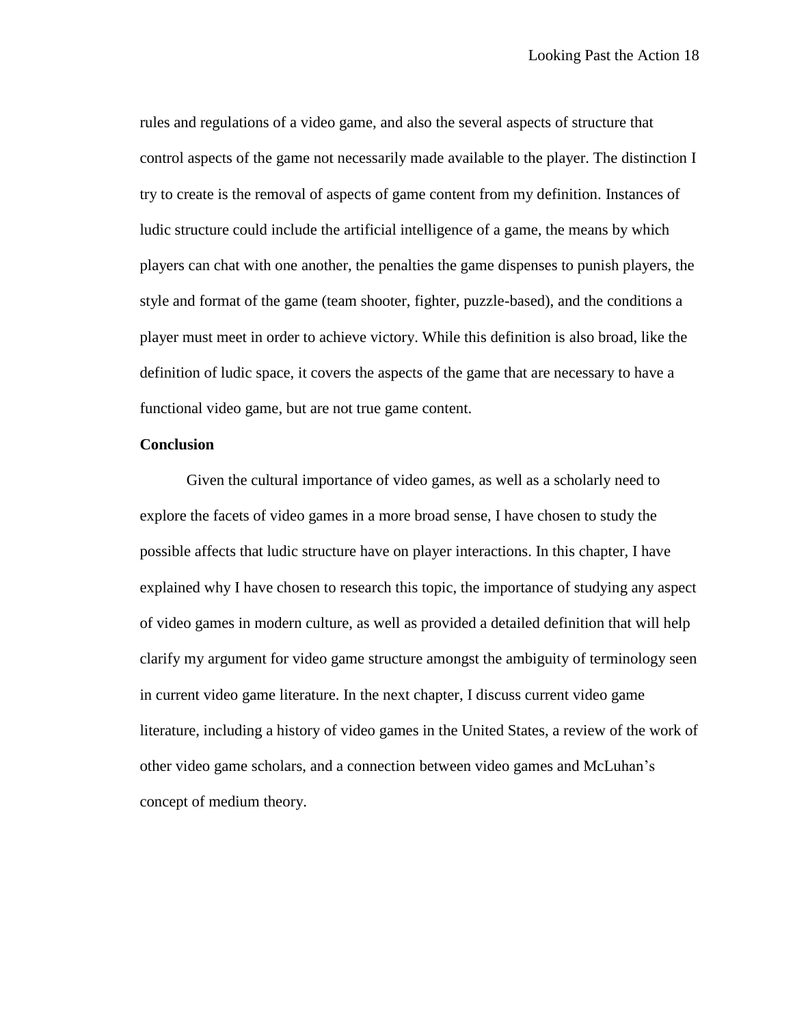rules and regulations of a video game, and also the several aspects of structure that control aspects of the game not necessarily made available to the player. The distinction I try to create is the removal of aspects of game content from my definition. Instances of ludic structure could include the artificial intelligence of a game, the means by which players can chat with one another, the penalties the game dispenses to punish players, the style and format of the game (team shooter, fighter, puzzle-based), and the conditions a player must meet in order to achieve victory. While this definition is also broad, like the definition of ludic space, it covers the aspects of the game that are necessary to have a functional video game, but are not true game content.

#### **Conclusion**

Given the cultural importance of video games, as well as a scholarly need to explore the facets of video games in a more broad sense, I have chosen to study the possible affects that ludic structure have on player interactions. In this chapter, I have explained why I have chosen to research this topic, the importance of studying any aspect of video games in modern culture, as well as provided a detailed definition that will help clarify my argument for video game structure amongst the ambiguity of terminology seen in current video game literature. In the next chapter, I discuss current video game literature, including a history of video games in the United States, a review of the work of other video game scholars, and a connection between video games and McLuhan's concept of medium theory.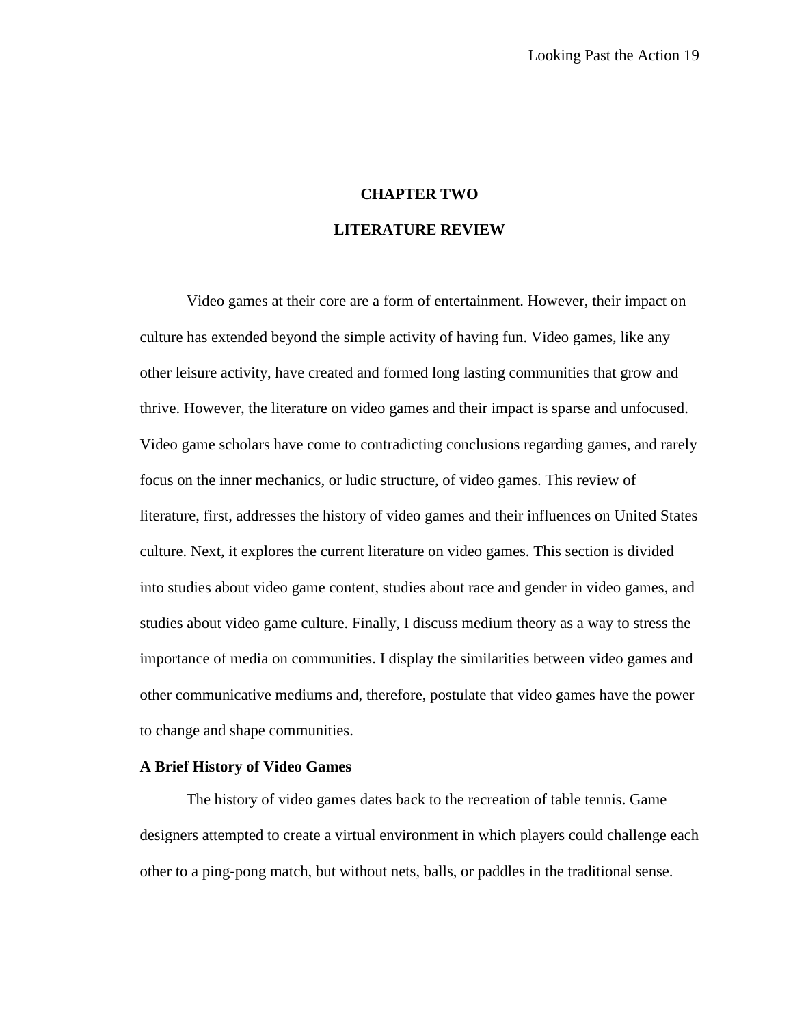### **CHAPTER TWO**

### **LITERATURE REVIEW**

Video games at their core are a form of entertainment. However, their impact on culture has extended beyond the simple activity of having fun. Video games, like any other leisure activity, have created and formed long lasting communities that grow and thrive. However, the literature on video games and their impact is sparse and unfocused. Video game scholars have come to contradicting conclusions regarding games, and rarely focus on the inner mechanics, or ludic structure, of video games. This review of literature, first, addresses the history of video games and their influences on United States culture. Next, it explores the current literature on video games. This section is divided into studies about video game content, studies about race and gender in video games, and studies about video game culture. Finally, I discuss medium theory as a way to stress the importance of media on communities. I display the similarities between video games and other communicative mediums and, therefore, postulate that video games have the power to change and shape communities.

#### **A Brief History of Video Games**

The history of video games dates back to the recreation of table tennis. Game designers attempted to create a virtual environment in which players could challenge each other to a ping-pong match, but without nets, balls, or paddles in the traditional sense.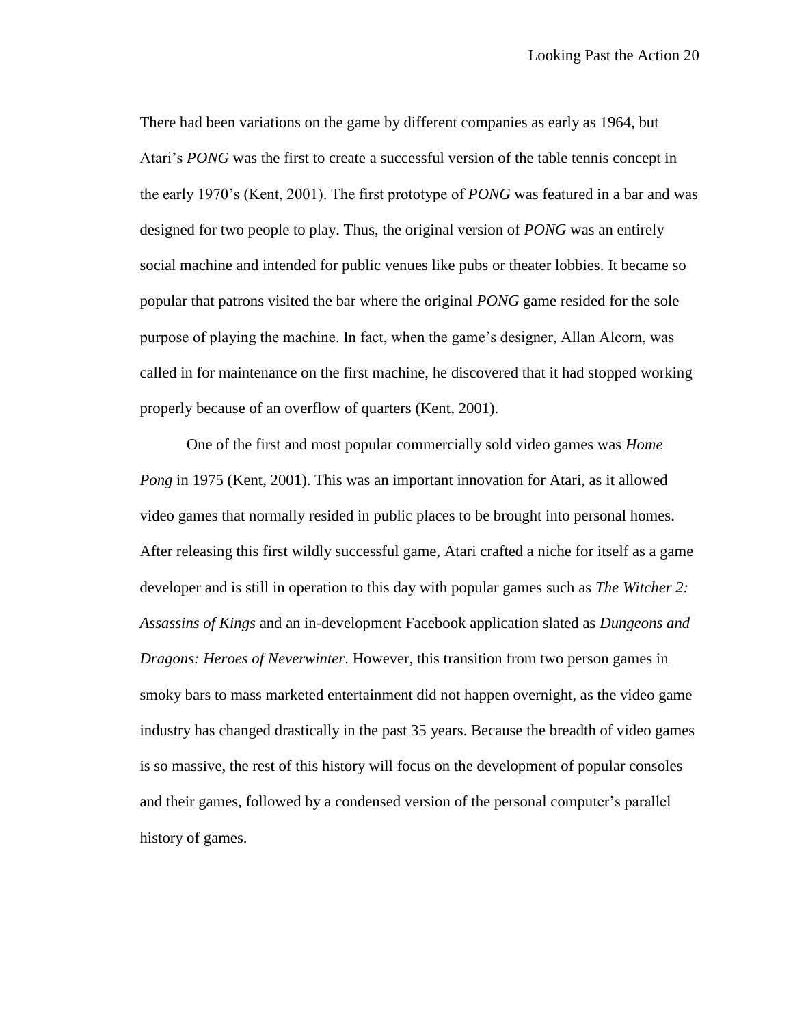There had been variations on the game by different companies as early as 1964, but Atari's *PONG* was the first to create a successful version of the table tennis concept in the early 1970's (Kent, 2001). The first prototype of *PONG* was featured in a bar and was designed for two people to play. Thus, the original version of *PONG* was an entirely social machine and intended for public venues like pubs or theater lobbies. It became so popular that patrons visited the bar where the original *PONG* game resided for the sole purpose of playing the machine. In fact, when the game's designer, Allan Alcorn, was called in for maintenance on the first machine, he discovered that it had stopped working properly because of an overflow of quarters (Kent, 2001).

One of the first and most popular commercially sold video games was *Home Pong* in 1975 (Kent, 2001). This was an important innovation for Atari, as it allowed video games that normally resided in public places to be brought into personal homes. After releasing this first wildly successful game, Atari crafted a niche for itself as a game developer and is still in operation to this day with popular games such as *The Witcher 2: Assassins of Kings* and an in-development Facebook application slated as *Dungeons and Dragons: Heroes of Neverwinter*. However, this transition from two person games in smoky bars to mass marketed entertainment did not happen overnight, as the video game industry has changed drastically in the past 35 years. Because the breadth of video games is so massive, the rest of this history will focus on the development of popular consoles and their games, followed by a condensed version of the personal computer's parallel history of games.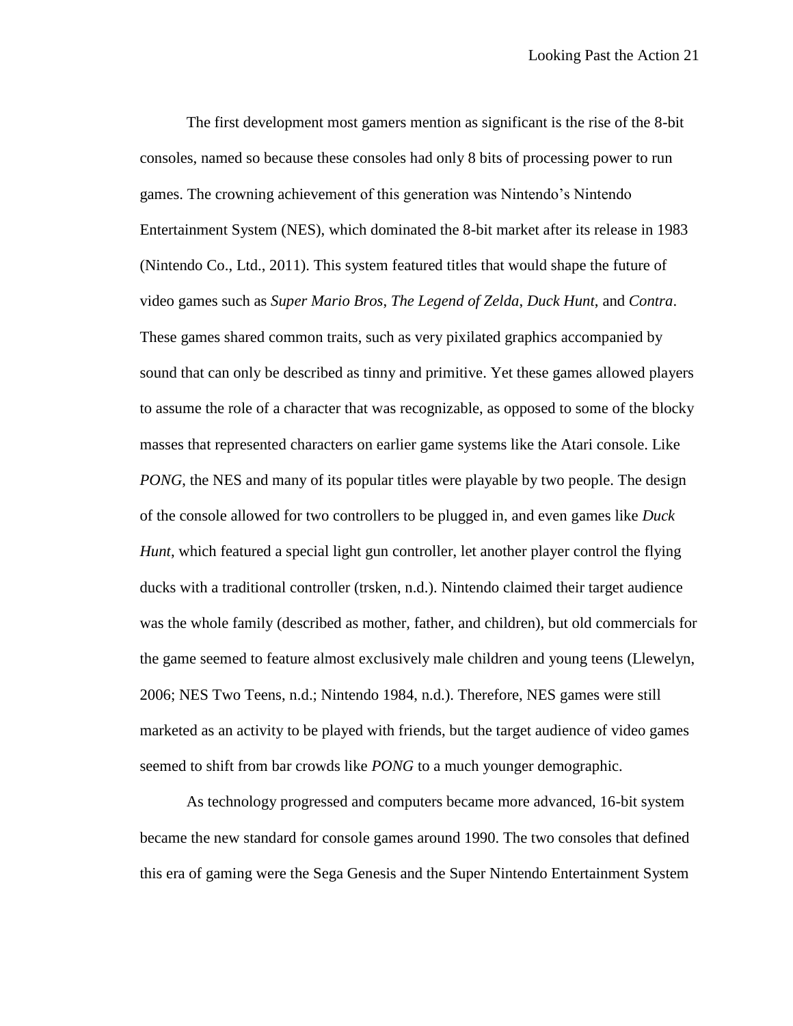The first development most gamers mention as significant is the rise of the 8-bit consoles, named so because these consoles had only 8 bits of processing power to run games. The crowning achievement of this generation was Nintendo's Nintendo Entertainment System (NES), which dominated the 8-bit market after its release in 1983 (Nintendo Co., Ltd., 2011). This system featured titles that would shape the future of video games such as *Super Mario Bros*, *The Legend of Zelda*, *Duck Hunt*, and *Contra*. These games shared common traits, such as very pixilated graphics accompanied by sound that can only be described as tinny and primitive. Yet these games allowed players to assume the role of a character that was recognizable, as opposed to some of the blocky masses that represented characters on earlier game systems like the Atari console. Like *PONG*, the NES and many of its popular titles were playable by two people. The design of the console allowed for two controllers to be plugged in, and even games like *Duck Hunt*, which featured a special light gun controller, let another player control the flying ducks with a traditional controller (trsken, n.d.). Nintendo claimed their target audience was the whole family (described as mother, father, and children), but old commercials for the game seemed to feature almost exclusively male children and young teens (Llewelyn, 2006; NES Two Teens, n.d.; Nintendo 1984, n.d.). Therefore, NES games were still marketed as an activity to be played with friends, but the target audience of video games seemed to shift from bar crowds like *PONG* to a much younger demographic.

As technology progressed and computers became more advanced, 16-bit system became the new standard for console games around 1990. The two consoles that defined this era of gaming were the Sega Genesis and the Super Nintendo Entertainment System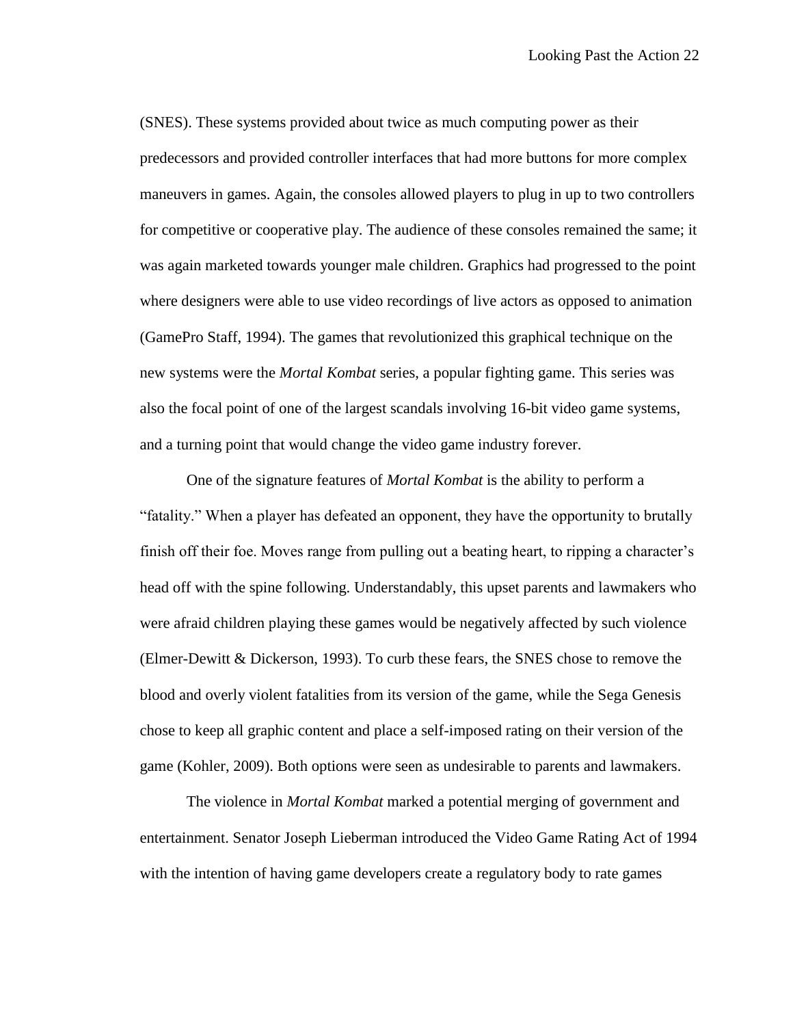(SNES). These systems provided about twice as much computing power as their predecessors and provided controller interfaces that had more buttons for more complex maneuvers in games. Again, the consoles allowed players to plug in up to two controllers for competitive or cooperative play. The audience of these consoles remained the same; it was again marketed towards younger male children. Graphics had progressed to the point where designers were able to use video recordings of live actors as opposed to animation (GamePro Staff, 1994). The games that revolutionized this graphical technique on the new systems were the *Mortal Kombat* series, a popular fighting game. This series was also the focal point of one of the largest scandals involving 16-bit video game systems, and a turning point that would change the video game industry forever.

One of the signature features of *Mortal Kombat* is the ability to perform a "fatality." When a player has defeated an opponent, they have the opportunity to brutally finish off their foe. Moves range from pulling out a beating heart, to ripping a character's head off with the spine following. Understandably, this upset parents and lawmakers who were afraid children playing these games would be negatively affected by such violence (Elmer-Dewitt & Dickerson, 1993). To curb these fears, the SNES chose to remove the blood and overly violent fatalities from its version of the game, while the Sega Genesis chose to keep all graphic content and place a self-imposed rating on their version of the game (Kohler, 2009). Both options were seen as undesirable to parents and lawmakers.

The violence in *Mortal Kombat* marked a potential merging of government and entertainment. Senator Joseph Lieberman introduced the Video Game Rating Act of 1994 with the intention of having game developers create a regulatory body to rate games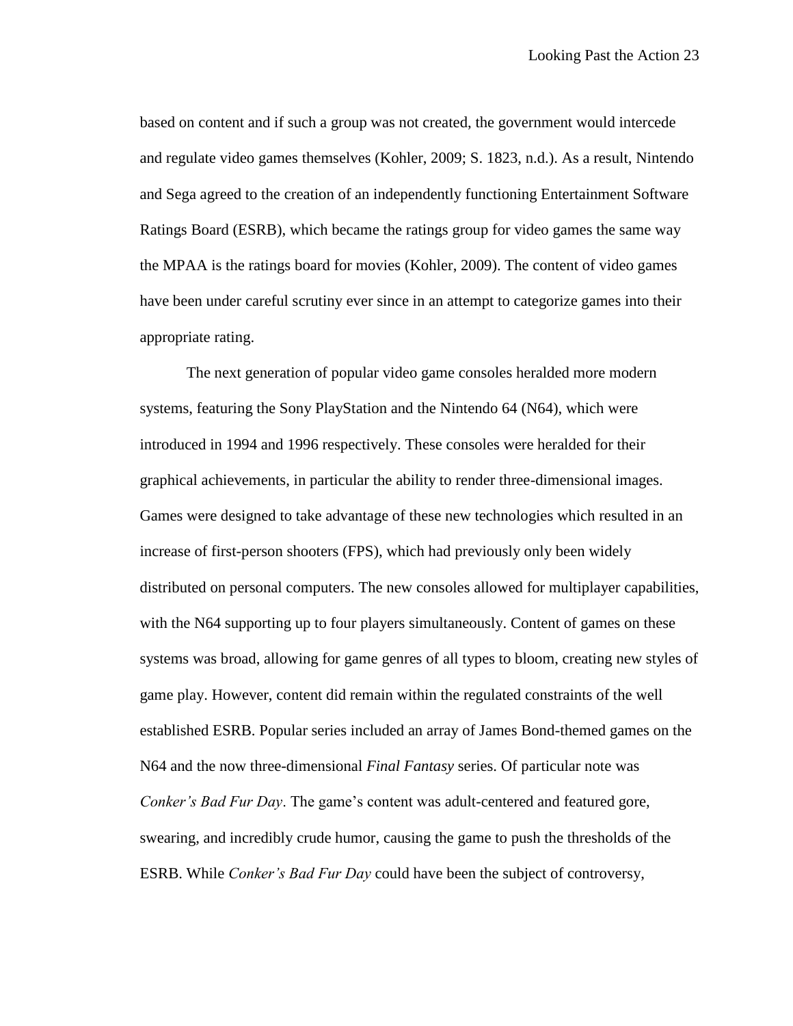based on content and if such a group was not created, the government would intercede and regulate video games themselves (Kohler, 2009; S. 1823, n.d.). As a result, Nintendo and Sega agreed to the creation of an independently functioning Entertainment Software Ratings Board (ESRB), which became the ratings group for video games the same way the MPAA is the ratings board for movies (Kohler, 2009). The content of video games have been under careful scrutiny ever since in an attempt to categorize games into their appropriate rating.

The next generation of popular video game consoles heralded more modern systems, featuring the Sony PlayStation and the Nintendo 64 (N64), which were introduced in 1994 and 1996 respectively. These consoles were heralded for their graphical achievements, in particular the ability to render three-dimensional images. Games were designed to take advantage of these new technologies which resulted in an increase of first-person shooters (FPS), which had previously only been widely distributed on personal computers. The new consoles allowed for multiplayer capabilities, with the N64 supporting up to four players simultaneously. Content of games on these systems was broad, allowing for game genres of all types to bloom, creating new styles of game play. However, content did remain within the regulated constraints of the well established ESRB. Popular series included an array of James Bond-themed games on the N64 and the now three-dimensional *Final Fantasy* series. Of particular note was *Conker's Bad Fur Day*. The game's content was adult-centered and featured gore, swearing, and incredibly crude humor, causing the game to push the thresholds of the ESRB. While *Conker's Bad Fur Day* could have been the subject of controversy,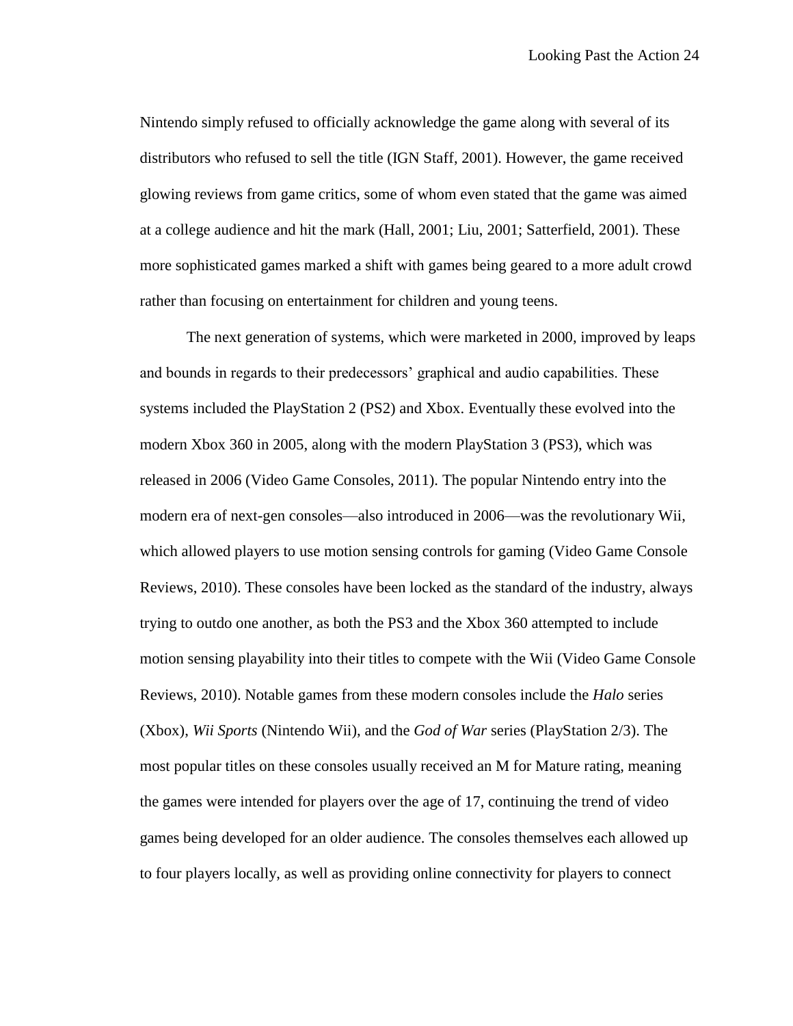Nintendo simply refused to officially acknowledge the game along with several of its distributors who refused to sell the title (IGN Staff, 2001). However, the game received glowing reviews from game critics, some of whom even stated that the game was aimed at a college audience and hit the mark (Hall, 2001; Liu, 2001; Satterfield, 2001). These more sophisticated games marked a shift with games being geared to a more adult crowd rather than focusing on entertainment for children and young teens.

The next generation of systems, which were marketed in 2000, improved by leaps and bounds in regards to their predecessors' graphical and audio capabilities. These systems included the PlayStation 2 (PS2) and Xbox. Eventually these evolved into the modern Xbox 360 in 2005, along with the modern PlayStation 3 (PS3), which was released in 2006 (Video Game Consoles, 2011). The popular Nintendo entry into the modern era of next-gen consoles—also introduced in 2006—was the revolutionary Wii, which allowed players to use motion sensing controls for gaming (Video Game Console Reviews, 2010). These consoles have been locked as the standard of the industry, always trying to outdo one another, as both the PS3 and the Xbox 360 attempted to include motion sensing playability into their titles to compete with the Wii (Video Game Console Reviews, 2010). Notable games from these modern consoles include the *Halo* series (Xbox), *Wii Sports* (Nintendo Wii), and the *God of War* series (PlayStation 2/3). The most popular titles on these consoles usually received an M for Mature rating, meaning the games were intended for players over the age of 17, continuing the trend of video games being developed for an older audience. The consoles themselves each allowed up to four players locally, as well as providing online connectivity for players to connect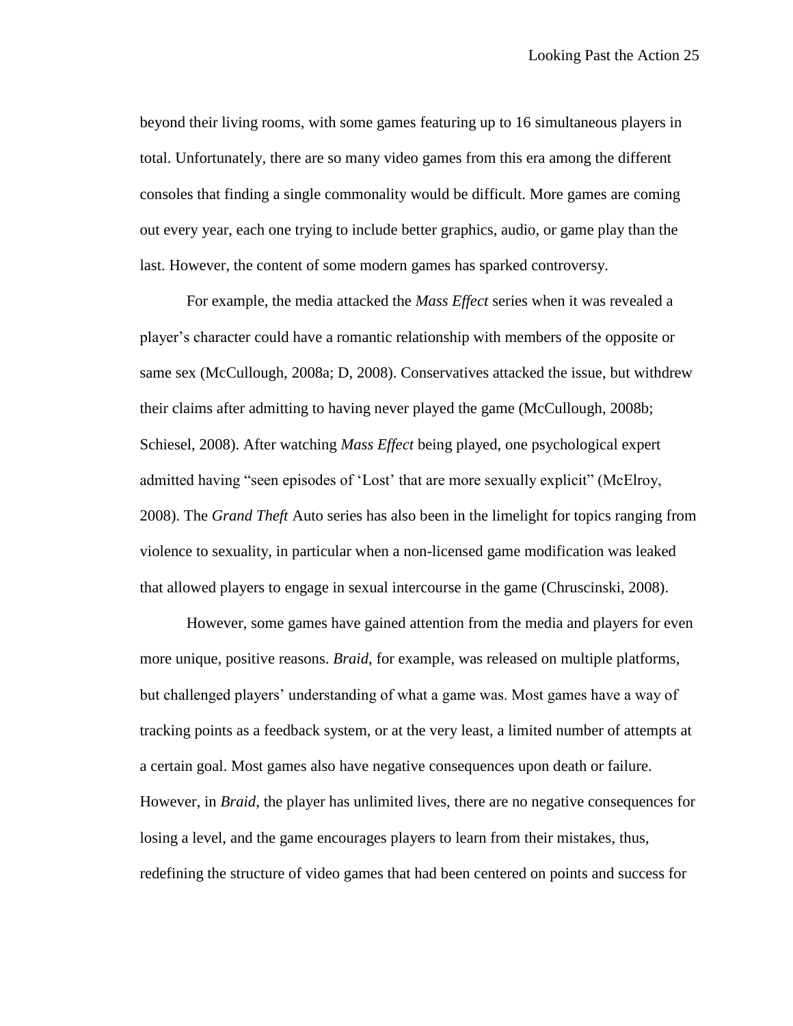beyond their living rooms, with some games featuring up to 16 simultaneous players in total. Unfortunately, there are so many video games from this era among the different consoles that finding a single commonality would be difficult. More games are coming out every year, each one trying to include better graphics, audio, or game play than the last. However, the content of some modern games has sparked controversy.

For example, the media attacked the *Mass Effect* series when it was revealed a player's character could have a romantic relationship with members of the opposite or same sex (McCullough, 2008a; D, 2008). Conservatives attacked the issue, but withdrew their claims after admitting to having never played the game (McCullough, 2008b; Schiesel, 2008). After watching *Mass Effect* being played, one psychological expert admitted having "seen episodes of 'Lost' that are more sexually explicit" (McElroy, 2008). The *Grand Theft* Auto series has also been in the limelight for topics ranging from violence to sexuality, in particular when a non-licensed game modification was leaked that allowed players to engage in sexual intercourse in the game (Chruscinski, 2008).

However, some games have gained attention from the media and players for even more unique, positive reasons. *Braid*, for example, was released on multiple platforms, but challenged players' understanding of what a game was. Most games have a way of tracking points as a feedback system, or at the very least, a limited number of attempts at a certain goal. Most games also have negative consequences upon death or failure. However, in *Braid*, the player has unlimited lives, there are no negative consequences for losing a level, and the game encourages players to learn from their mistakes, thus, redefining the structure of video games that had been centered on points and success for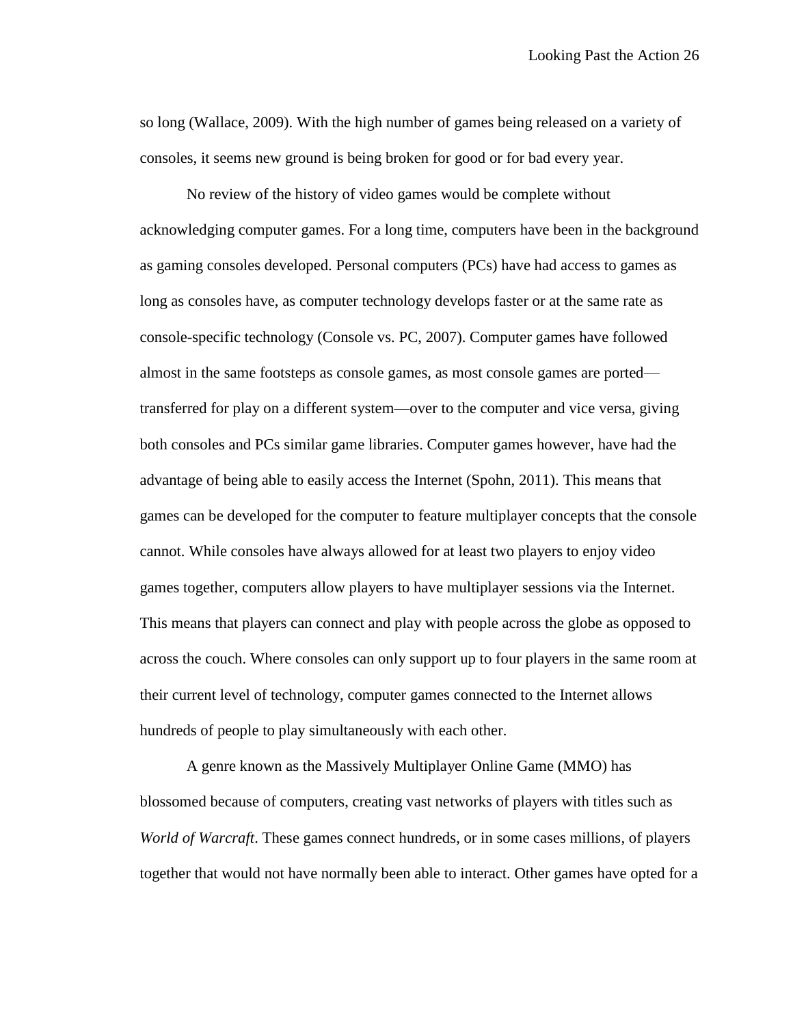so long (Wallace, 2009). With the high number of games being released on a variety of consoles, it seems new ground is being broken for good or for bad every year.

No review of the history of video games would be complete without acknowledging computer games. For a long time, computers have been in the background as gaming consoles developed. Personal computers (PCs) have had access to games as long as consoles have, as computer technology develops faster or at the same rate as console-specific technology (Console vs. PC, 2007). Computer games have followed almost in the same footsteps as console games, as most console games are ported transferred for play on a different system—over to the computer and vice versa, giving both consoles and PCs similar game libraries. Computer games however, have had the advantage of being able to easily access the Internet (Spohn, 2011). This means that games can be developed for the computer to feature multiplayer concepts that the console cannot. While consoles have always allowed for at least two players to enjoy video games together, computers allow players to have multiplayer sessions via the Internet. This means that players can connect and play with people across the globe as opposed to across the couch. Where consoles can only support up to four players in the same room at their current level of technology, computer games connected to the Internet allows hundreds of people to play simultaneously with each other.

A genre known as the Massively Multiplayer Online Game (MMO) has blossomed because of computers, creating vast networks of players with titles such as *World of Warcraft*. These games connect hundreds, or in some cases millions, of players together that would not have normally been able to interact. Other games have opted for a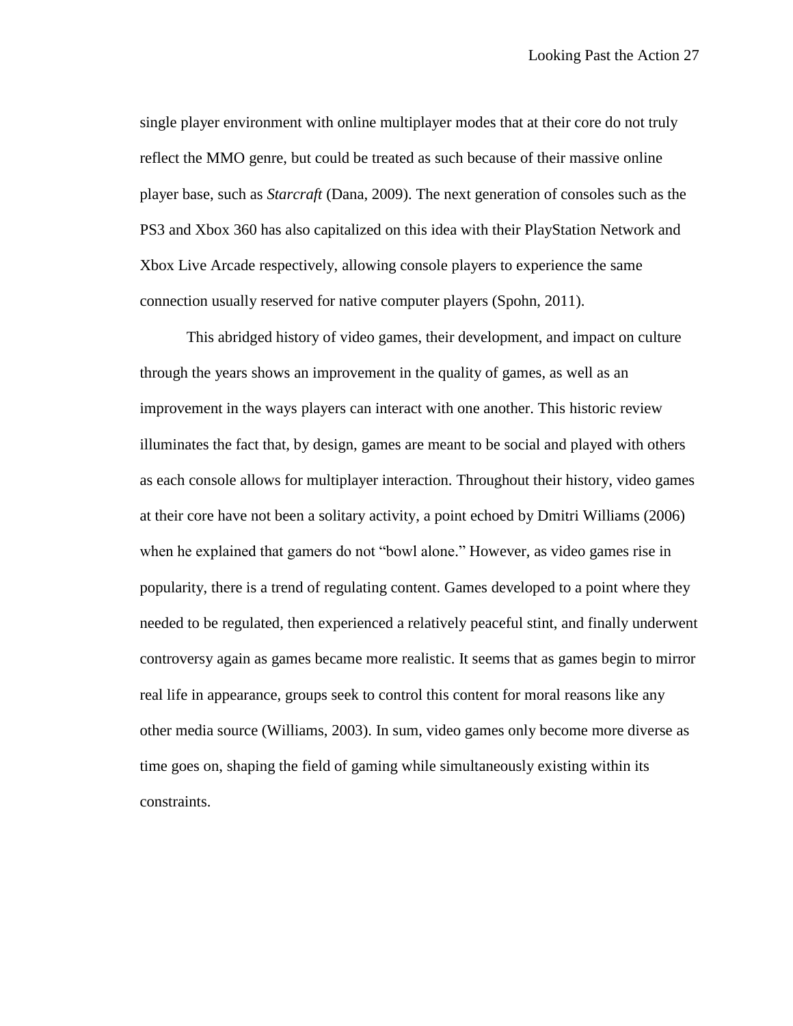single player environment with online multiplayer modes that at their core do not truly reflect the MMO genre, but could be treated as such because of their massive online player base, such as *Starcraft* (Dana, 2009). The next generation of consoles such as the PS3 and Xbox 360 has also capitalized on this idea with their PlayStation Network and Xbox Live Arcade respectively, allowing console players to experience the same connection usually reserved for native computer players (Spohn, 2011).

This abridged history of video games, their development, and impact on culture through the years shows an improvement in the quality of games, as well as an improvement in the ways players can interact with one another. This historic review illuminates the fact that, by design, games are meant to be social and played with others as each console allows for multiplayer interaction. Throughout their history, video games at their core have not been a solitary activity, a point echoed by Dmitri Williams (2006) when he explained that gamers do not "bowl alone." However, as video games rise in popularity, there is a trend of regulating content. Games developed to a point where they needed to be regulated, then experienced a relatively peaceful stint, and finally underwent controversy again as games became more realistic. It seems that as games begin to mirror real life in appearance, groups seek to control this content for moral reasons like any other media source (Williams, 2003). In sum, video games only become more diverse as time goes on, shaping the field of gaming while simultaneously existing within its constraints.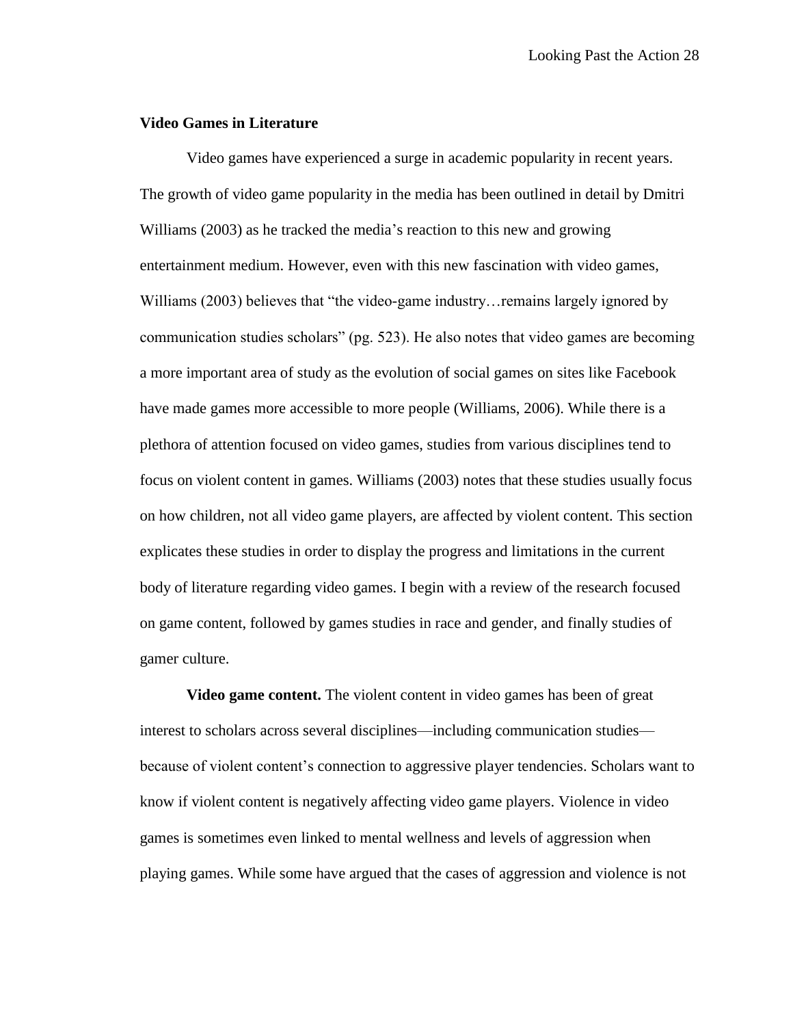### **Video Games in Literature**

Video games have experienced a surge in academic popularity in recent years. The growth of video game popularity in the media has been outlined in detail by Dmitri Williams (2003) as he tracked the media's reaction to this new and growing entertainment medium. However, even with this new fascination with video games, Williams (2003) believes that "the video-game industry... remains largely ignored by communication studies scholars" (pg. 523). He also notes that video games are becoming a more important area of study as the evolution of social games on sites like Facebook have made games more accessible to more people (Williams, 2006). While there is a plethora of attention focused on video games, studies from various disciplines tend to focus on violent content in games. Williams (2003) notes that these studies usually focus on how children, not all video game players, are affected by violent content. This section explicates these studies in order to display the progress and limitations in the current body of literature regarding video games. I begin with a review of the research focused on game content, followed by games studies in race and gender, and finally studies of gamer culture.

**Video game content.** The violent content in video games has been of great interest to scholars across several disciplines—including communication studies because of violent content's connection to aggressive player tendencies. Scholars want to know if violent content is negatively affecting video game players. Violence in video games is sometimes even linked to mental wellness and levels of aggression when playing games. While some have argued that the cases of aggression and violence is not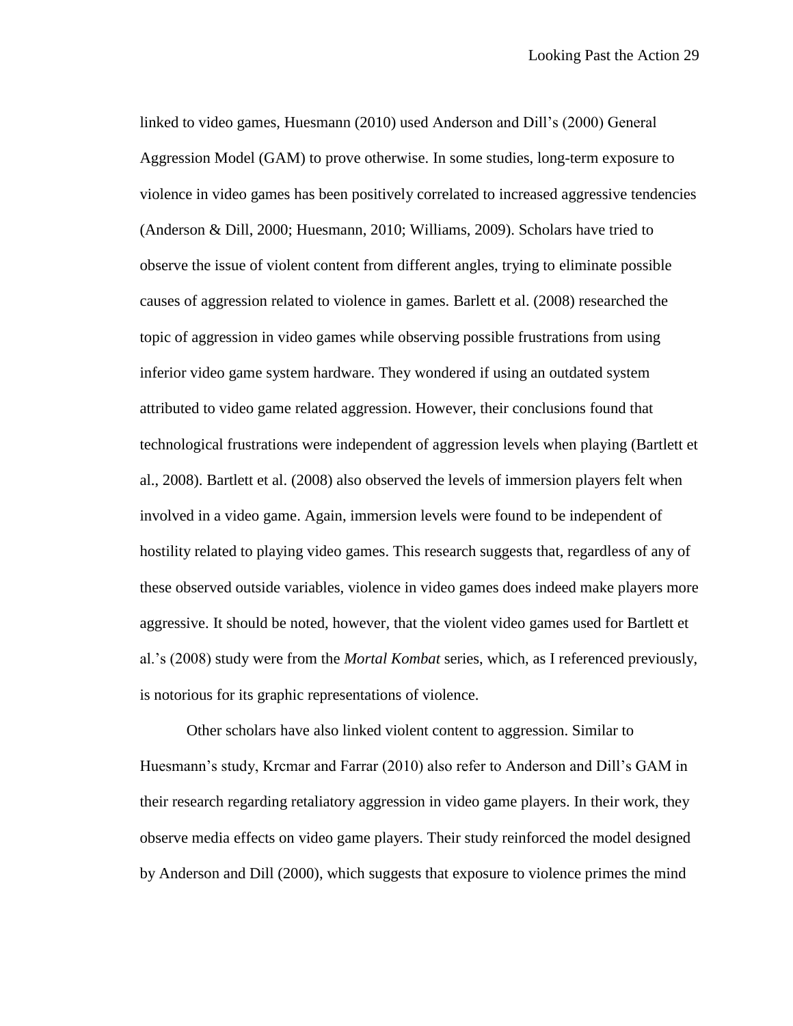linked to video games, Huesmann (2010) used Anderson and Dill's (2000) General Aggression Model (GAM) to prove otherwise. In some studies, long-term exposure to violence in video games has been positively correlated to increased aggressive tendencies (Anderson & Dill, 2000; Huesmann, 2010; Williams, 2009). Scholars have tried to observe the issue of violent content from different angles, trying to eliminate possible causes of aggression related to violence in games. Barlett et al. (2008) researched the topic of aggression in video games while observing possible frustrations from using inferior video game system hardware. They wondered if using an outdated system attributed to video game related aggression. However, their conclusions found that technological frustrations were independent of aggression levels when playing (Bartlett et al., 2008). Bartlett et al. (2008) also observed the levels of immersion players felt when involved in a video game. Again, immersion levels were found to be independent of hostility related to playing video games. This research suggests that, regardless of any of these observed outside variables, violence in video games does indeed make players more aggressive. It should be noted, however, that the violent video games used for Bartlett et al.'s (2008) study were from the *Mortal Kombat* series, which, as I referenced previously, is notorious for its graphic representations of violence.

Other scholars have also linked violent content to aggression. Similar to Huesmann's study, Krcmar and Farrar (2010) also refer to Anderson and Dill's GAM in their research regarding retaliatory aggression in video game players. In their work, they observe media effects on video game players. Their study reinforced the model designed by Anderson and Dill (2000), which suggests that exposure to violence primes the mind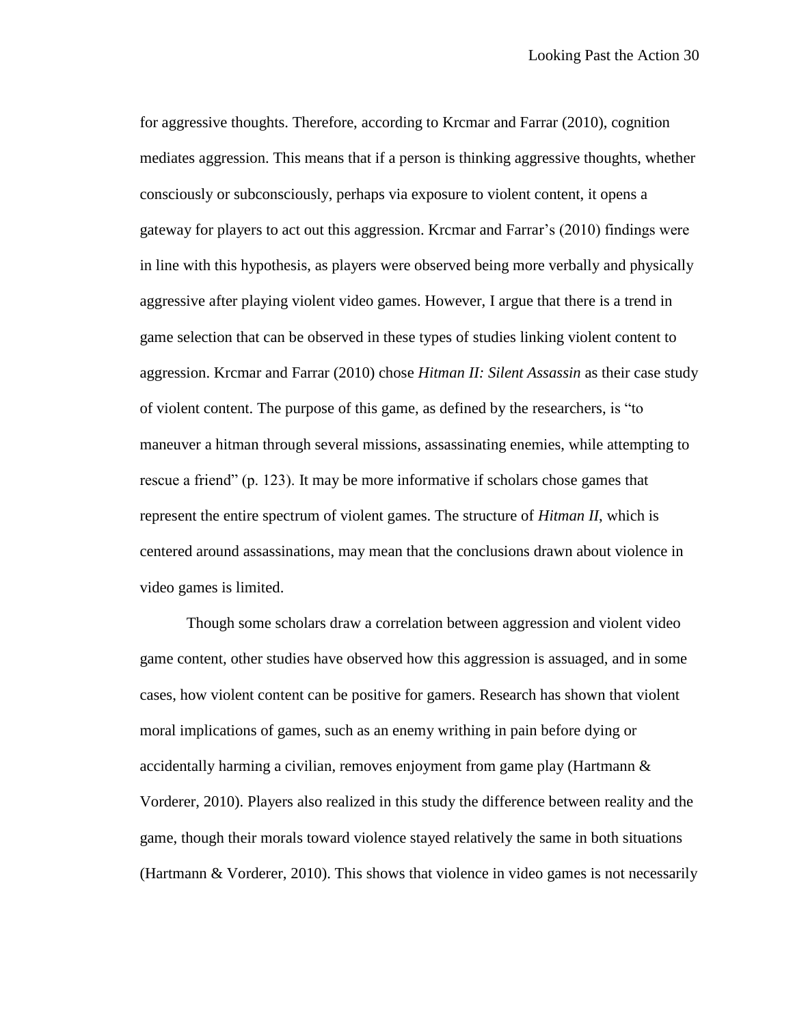for aggressive thoughts. Therefore, according to Krcmar and Farrar (2010), cognition mediates aggression. This means that if a person is thinking aggressive thoughts, whether consciously or subconsciously, perhaps via exposure to violent content, it opens a gateway for players to act out this aggression. Krcmar and Farrar's (2010) findings were in line with this hypothesis, as players were observed being more verbally and physically aggressive after playing violent video games. However, I argue that there is a trend in game selection that can be observed in these types of studies linking violent content to aggression. Krcmar and Farrar (2010) chose *Hitman II: Silent Assassin* as their case study of violent content. The purpose of this game, as defined by the researchers, is "to maneuver a hitman through several missions, assassinating enemies, while attempting to rescue a friend" (p. 123). It may be more informative if scholars chose games that represent the entire spectrum of violent games. The structure of *Hitman II*, which is centered around assassinations, may mean that the conclusions drawn about violence in video games is limited.

Though some scholars draw a correlation between aggression and violent video game content, other studies have observed how this aggression is assuaged, and in some cases, how violent content can be positive for gamers. Research has shown that violent moral implications of games, such as an enemy writhing in pain before dying or accidentally harming a civilian, removes enjoyment from game play (Hartmann  $\&$ Vorderer, 2010). Players also realized in this study the difference between reality and the game, though their morals toward violence stayed relatively the same in both situations (Hartmann & Vorderer, 2010). This shows that violence in video games is not necessarily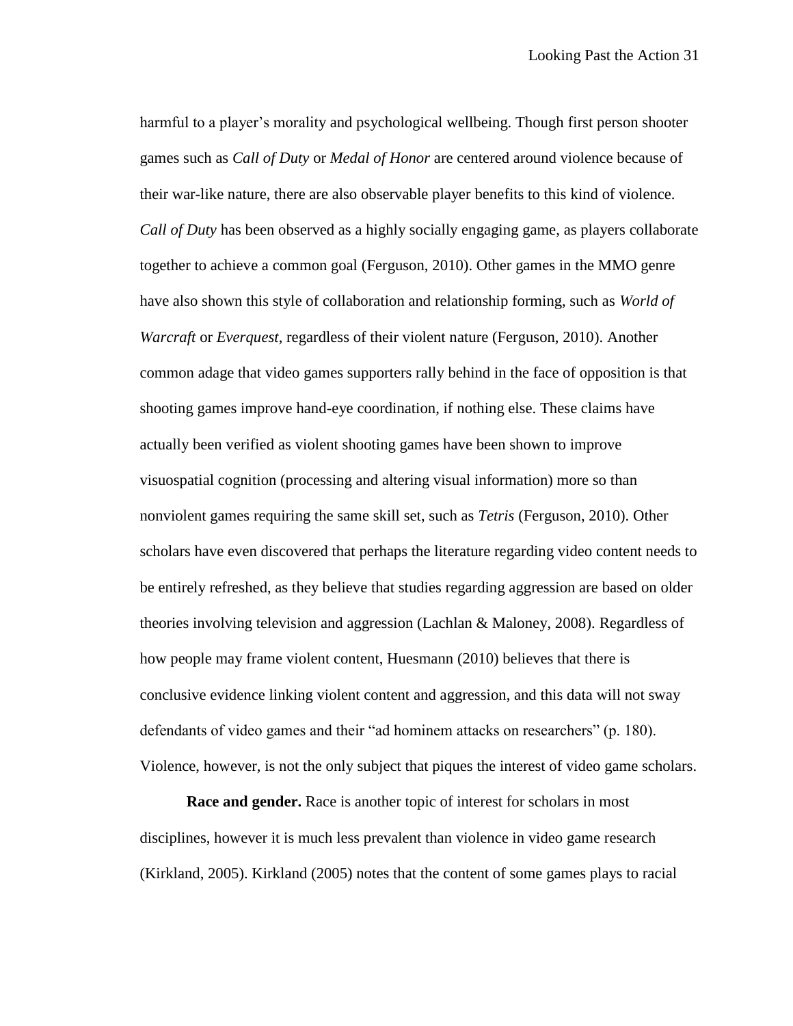harmful to a player's morality and psychological wellbeing. Though first person shooter games such as *Call of Duty* or *Medal of Honor* are centered around violence because of their war-like nature, there are also observable player benefits to this kind of violence. *Call of Duty* has been observed as a highly socially engaging game, as players collaborate together to achieve a common goal (Ferguson, 2010). Other games in the MMO genre have also shown this style of collaboration and relationship forming, such as *World of Warcraft* or *Everquest*, regardless of their violent nature (Ferguson, 2010). Another common adage that video games supporters rally behind in the face of opposition is that shooting games improve hand-eye coordination, if nothing else. These claims have actually been verified as violent shooting games have been shown to improve visuospatial cognition (processing and altering visual information) more so than nonviolent games requiring the same skill set, such as *Tetris* (Ferguson, 2010). Other scholars have even discovered that perhaps the literature regarding video content needs to be entirely refreshed, as they believe that studies regarding aggression are based on older theories involving television and aggression (Lachlan & Maloney, 2008). Regardless of how people may frame violent content, Huesmann (2010) believes that there is conclusive evidence linking violent content and aggression, and this data will not sway defendants of video games and their "ad hominem attacks on researchers" (p. 180). Violence, however, is not the only subject that piques the interest of video game scholars.

**Race and gender.** Race is another topic of interest for scholars in most disciplines, however it is much less prevalent than violence in video game research (Kirkland, 2005). Kirkland (2005) notes that the content of some games plays to racial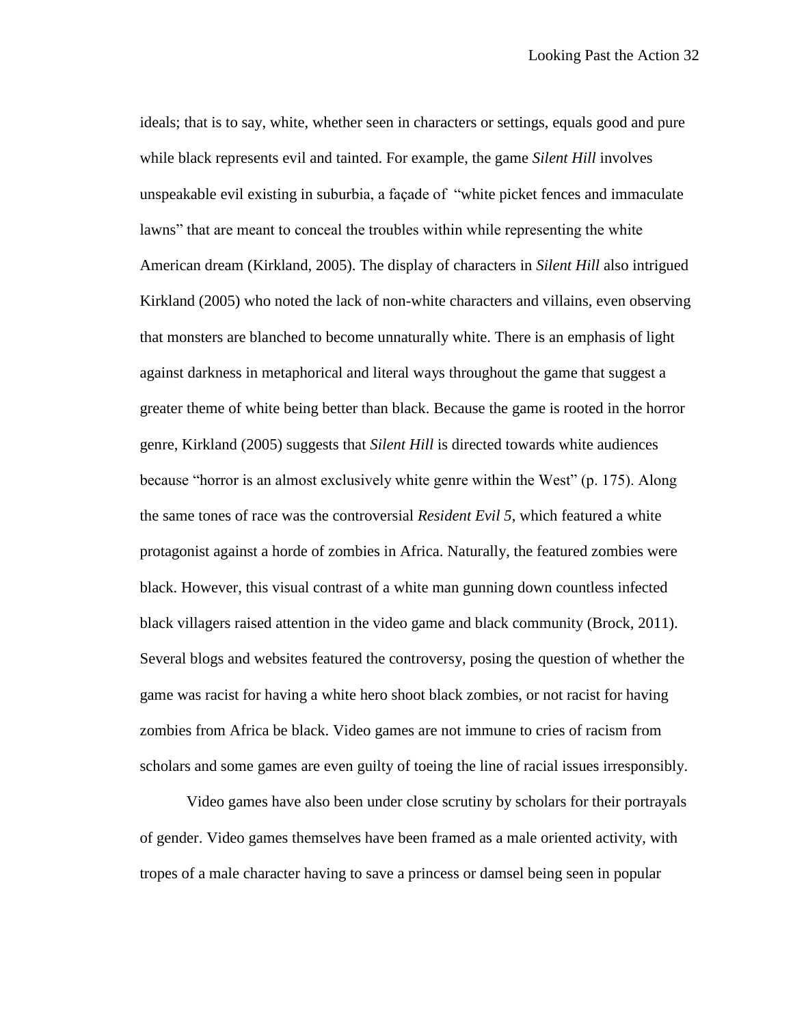ideals; that is to say, white, whether seen in characters or settings, equals good and pure while black represents evil and tainted. For example, the game *Silent Hill* involves unspeakable evil existing in suburbia, a façade of "white picket fences and immaculate lawns" that are meant to conceal the troubles within while representing the white American dream (Kirkland, 2005). The display of characters in *Silent Hill* also intrigued Kirkland (2005) who noted the lack of non-white characters and villains, even observing that monsters are blanched to become unnaturally white. There is an emphasis of light against darkness in metaphorical and literal ways throughout the game that suggest a greater theme of white being better than black. Because the game is rooted in the horror genre, Kirkland (2005) suggests that *Silent Hill* is directed towards white audiences because "horror is an almost exclusively white genre within the West" (p. 175). Along the same tones of race was the controversial *Resident Evil 5*, which featured a white protagonist against a horde of zombies in Africa. Naturally, the featured zombies were black. However, this visual contrast of a white man gunning down countless infected black villagers raised attention in the video game and black community (Brock, 2011). Several blogs and websites featured the controversy, posing the question of whether the game was racist for having a white hero shoot black zombies, or not racist for having zombies from Africa be black. Video games are not immune to cries of racism from scholars and some games are even guilty of toeing the line of racial issues irresponsibly.

Video games have also been under close scrutiny by scholars for their portrayals of gender. Video games themselves have been framed as a male oriented activity, with tropes of a male character having to save a princess or damsel being seen in popular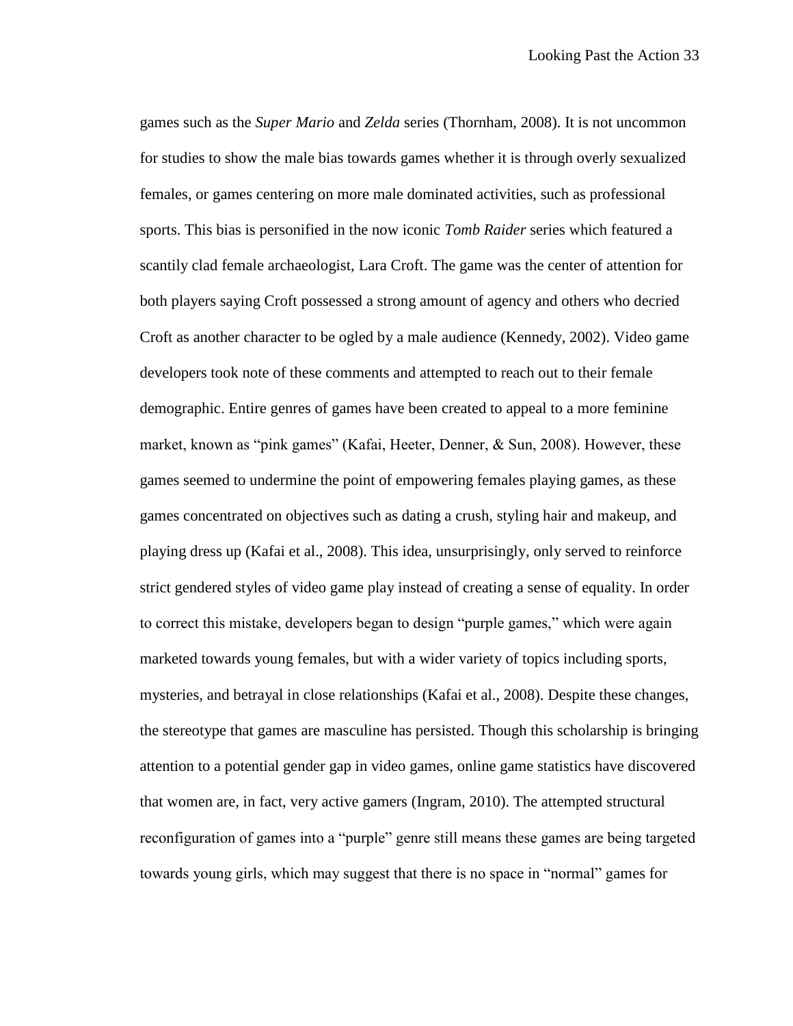games such as the *Super Mario* and *Zelda* series (Thornham, 2008). It is not uncommon for studies to show the male bias towards games whether it is through overly sexualized females, or games centering on more male dominated activities, such as professional sports. This bias is personified in the now iconic *Tomb Raider* series which featured a scantily clad female archaeologist, Lara Croft. The game was the center of attention for both players saying Croft possessed a strong amount of agency and others who decried Croft as another character to be ogled by a male audience (Kennedy, 2002). Video game developers took note of these comments and attempted to reach out to their female demographic. Entire genres of games have been created to appeal to a more feminine market, known as "pink games" (Kafai, Heeter, Denner, & Sun, 2008). However, these games seemed to undermine the point of empowering females playing games, as these games concentrated on objectives such as dating a crush, styling hair and makeup, and playing dress up (Kafai et al., 2008). This idea, unsurprisingly, only served to reinforce strict gendered styles of video game play instead of creating a sense of equality. In order to correct this mistake, developers began to design "purple games," which were again marketed towards young females, but with a wider variety of topics including sports, mysteries, and betrayal in close relationships (Kafai et al., 2008). Despite these changes, the stereotype that games are masculine has persisted. Though this scholarship is bringing attention to a potential gender gap in video games, online game statistics have discovered that women are, in fact, very active gamers (Ingram, 2010). The attempted structural reconfiguration of games into a "purple" genre still means these games are being targeted towards young girls, which may suggest that there is no space in "normal" games for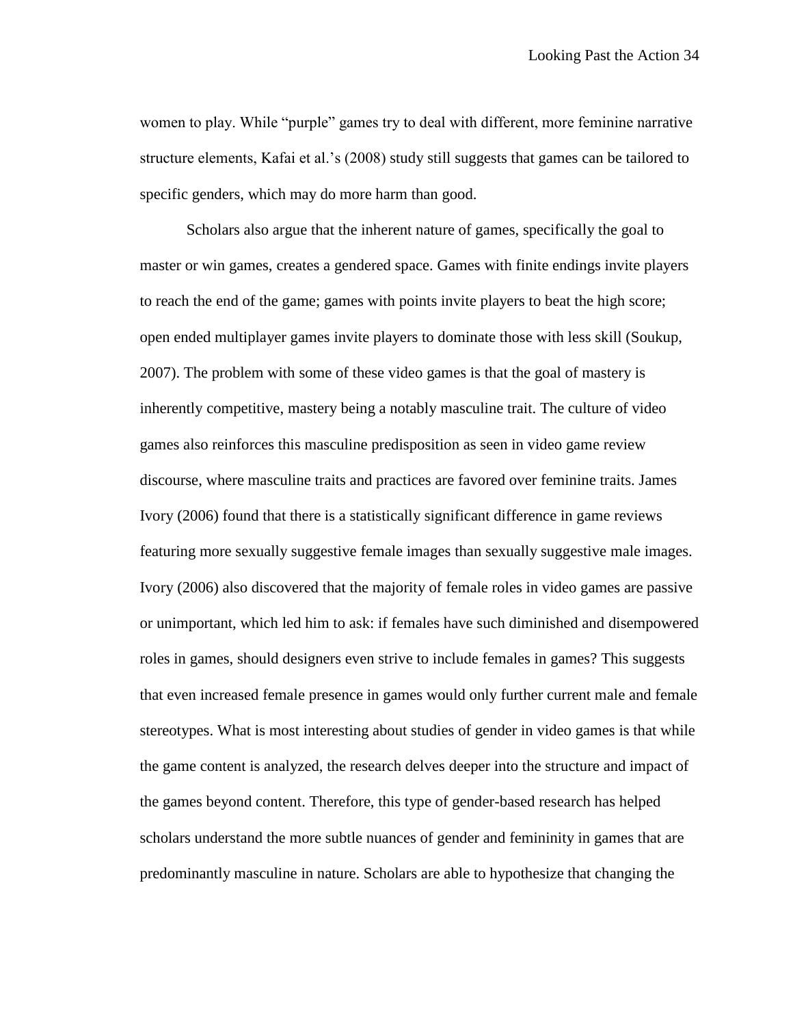women to play. While "purple" games try to deal with different, more feminine narrative structure elements, Kafai et al.'s (2008) study still suggests that games can be tailored to specific genders, which may do more harm than good.

Scholars also argue that the inherent nature of games, specifically the goal to master or win games, creates a gendered space. Games with finite endings invite players to reach the end of the game; games with points invite players to beat the high score; open ended multiplayer games invite players to dominate those with less skill (Soukup, 2007). The problem with some of these video games is that the goal of mastery is inherently competitive, mastery being a notably masculine trait. The culture of video games also reinforces this masculine predisposition as seen in video game review discourse, where masculine traits and practices are favored over feminine traits. James Ivory (2006) found that there is a statistically significant difference in game reviews featuring more sexually suggestive female images than sexually suggestive male images. Ivory (2006) also discovered that the majority of female roles in video games are passive or unimportant, which led him to ask: if females have such diminished and disempowered roles in games, should designers even strive to include females in games? This suggests that even increased female presence in games would only further current male and female stereotypes. What is most interesting about studies of gender in video games is that while the game content is analyzed, the research delves deeper into the structure and impact of the games beyond content. Therefore, this type of gender-based research has helped scholars understand the more subtle nuances of gender and femininity in games that are predominantly masculine in nature. Scholars are able to hypothesize that changing the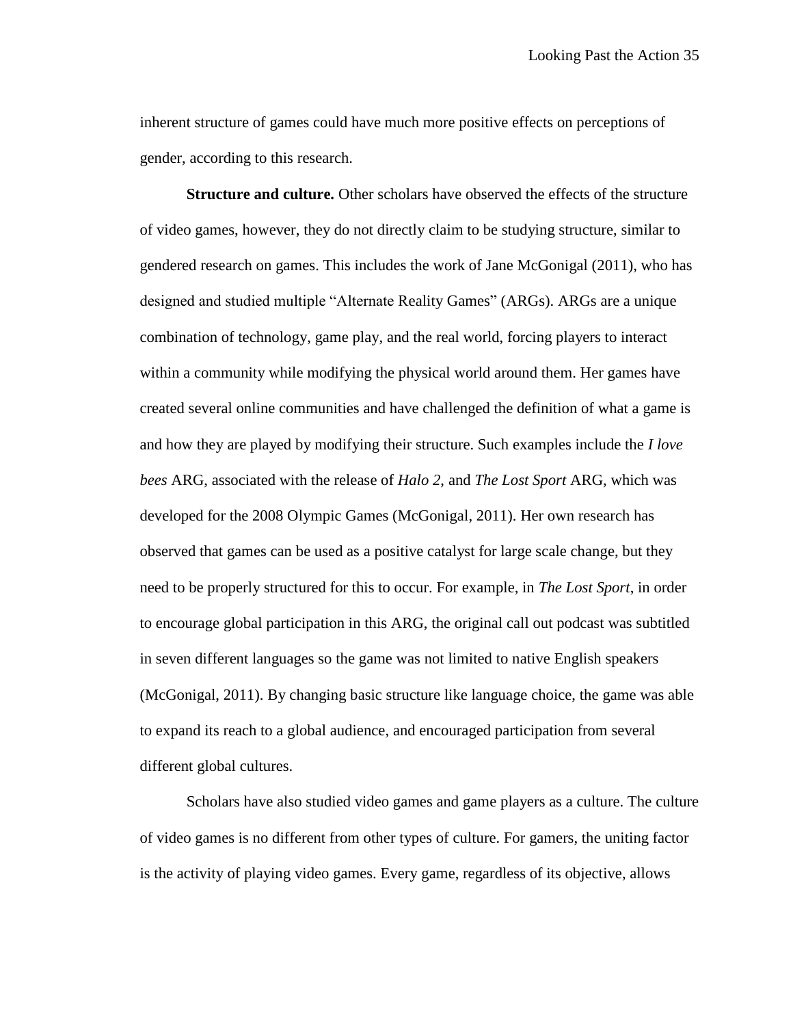inherent structure of games could have much more positive effects on perceptions of gender, according to this research.

**Structure and culture.** Other scholars have observed the effects of the structure of video games, however, they do not directly claim to be studying structure, similar to gendered research on games. This includes the work of Jane McGonigal (2011), who has designed and studied multiple "Alternate Reality Games" (ARGs). ARGs are a unique combination of technology, game play, and the real world, forcing players to interact within a community while modifying the physical world around them. Her games have created several online communities and have challenged the definition of what a game is and how they are played by modifying their structure. Such examples include the *I love bees* ARG, associated with the release of *Halo 2*, and *The Lost Sport* ARG, which was developed for the 2008 Olympic Games (McGonigal, 2011). Her own research has observed that games can be used as a positive catalyst for large scale change, but they need to be properly structured for this to occur. For example, in *The Lost Sport*, in order to encourage global participation in this ARG, the original call out podcast was subtitled in seven different languages so the game was not limited to native English speakers (McGonigal, 2011). By changing basic structure like language choice, the game was able to expand its reach to a global audience, and encouraged participation from several different global cultures.

Scholars have also studied video games and game players as a culture. The culture of video games is no different from other types of culture. For gamers, the uniting factor is the activity of playing video games. Every game, regardless of its objective, allows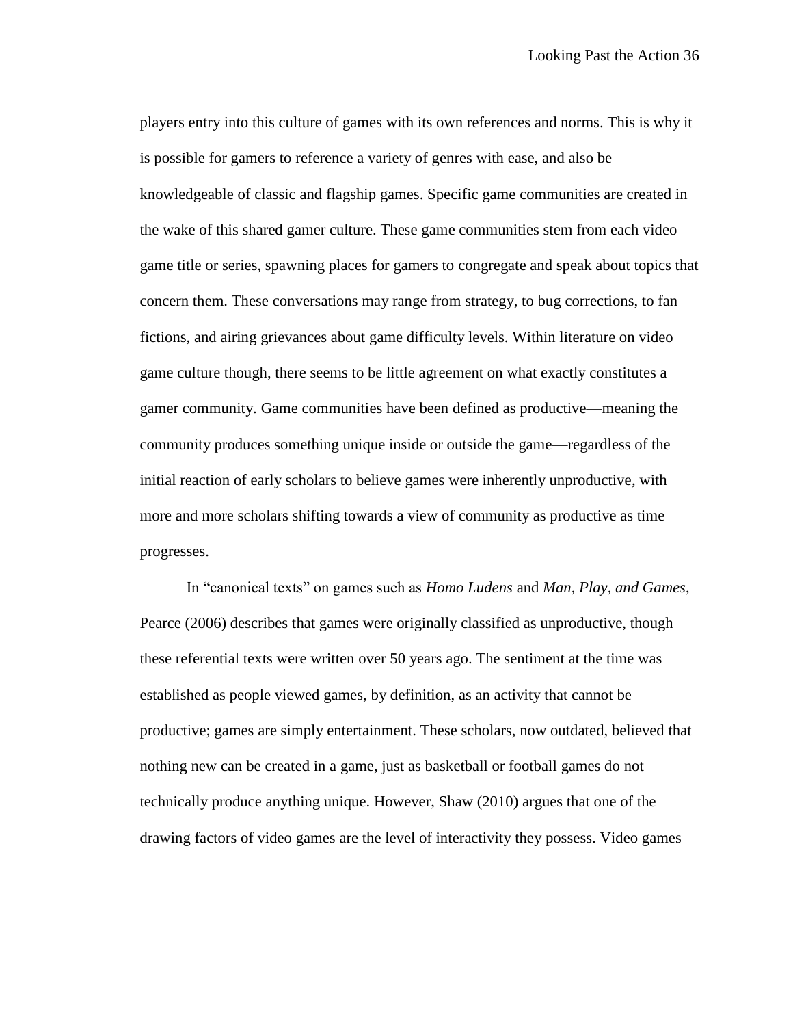players entry into this culture of games with its own references and norms. This is why it is possible for gamers to reference a variety of genres with ease, and also be knowledgeable of classic and flagship games. Specific game communities are created in the wake of this shared gamer culture. These game communities stem from each video game title or series, spawning places for gamers to congregate and speak about topics that concern them. These conversations may range from strategy, to bug corrections, to fan fictions, and airing grievances about game difficulty levels. Within literature on video game culture though, there seems to be little agreement on what exactly constitutes a gamer community. Game communities have been defined as productive—meaning the community produces something unique inside or outside the game—regardless of the initial reaction of early scholars to believe games were inherently unproductive, with more and more scholars shifting towards a view of community as productive as time progresses.

In "canonical texts" on games such as *Homo Ludens* and *Man, Play, and Games*, Pearce (2006) describes that games were originally classified as unproductive, though these referential texts were written over 50 years ago. The sentiment at the time was established as people viewed games, by definition, as an activity that cannot be productive; games are simply entertainment. These scholars, now outdated, believed that nothing new can be created in a game, just as basketball or football games do not technically produce anything unique. However, Shaw (2010) argues that one of the drawing factors of video games are the level of interactivity they possess. Video games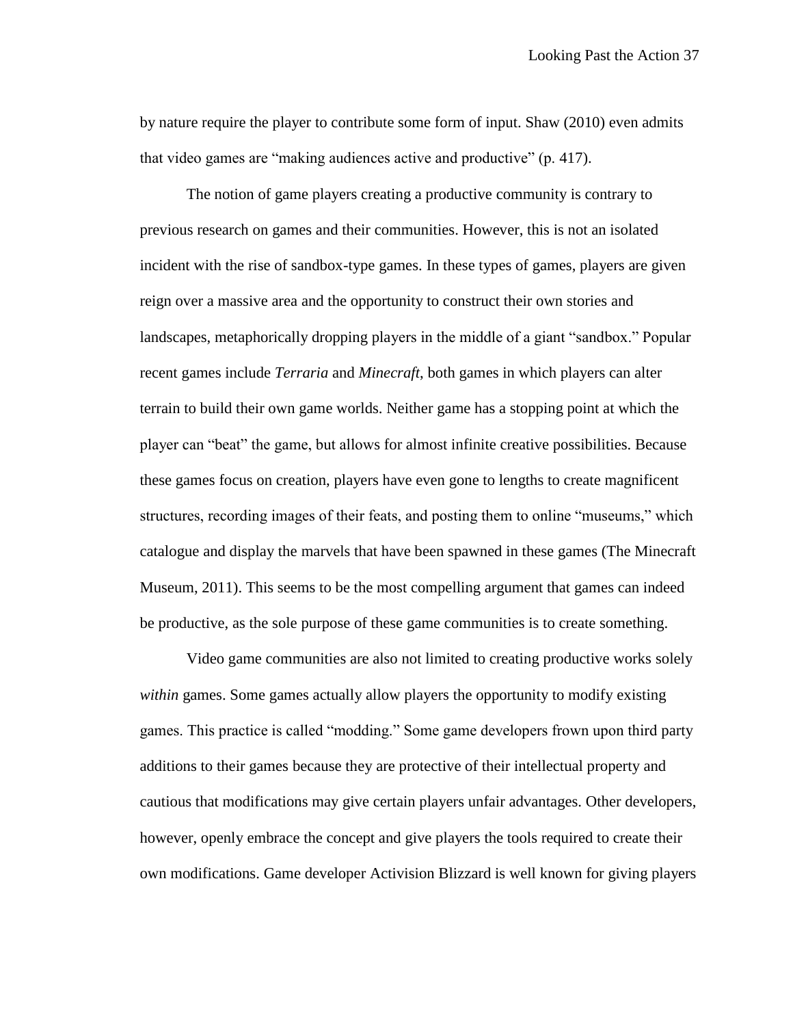by nature require the player to contribute some form of input. Shaw (2010) even admits that video games are "making audiences active and productive" (p. 417).

The notion of game players creating a productive community is contrary to previous research on games and their communities. However, this is not an isolated incident with the rise of sandbox-type games. In these types of games, players are given reign over a massive area and the opportunity to construct their own stories and landscapes, metaphorically dropping players in the middle of a giant "sandbox." Popular recent games include *Terraria* and *Minecraft*, both games in which players can alter terrain to build their own game worlds. Neither game has a stopping point at which the player can "beat" the game, but allows for almost infinite creative possibilities. Because these games focus on creation, players have even gone to lengths to create magnificent structures, recording images of their feats, and posting them to online "museums," which catalogue and display the marvels that have been spawned in these games (The Minecraft Museum, 2011). This seems to be the most compelling argument that games can indeed be productive, as the sole purpose of these game communities is to create something.

Video game communities are also not limited to creating productive works solely *within* games. Some games actually allow players the opportunity to modify existing games. This practice is called "modding." Some game developers frown upon third party additions to their games because they are protective of their intellectual property and cautious that modifications may give certain players unfair advantages. Other developers, however, openly embrace the concept and give players the tools required to create their own modifications. Game developer Activision Blizzard is well known for giving players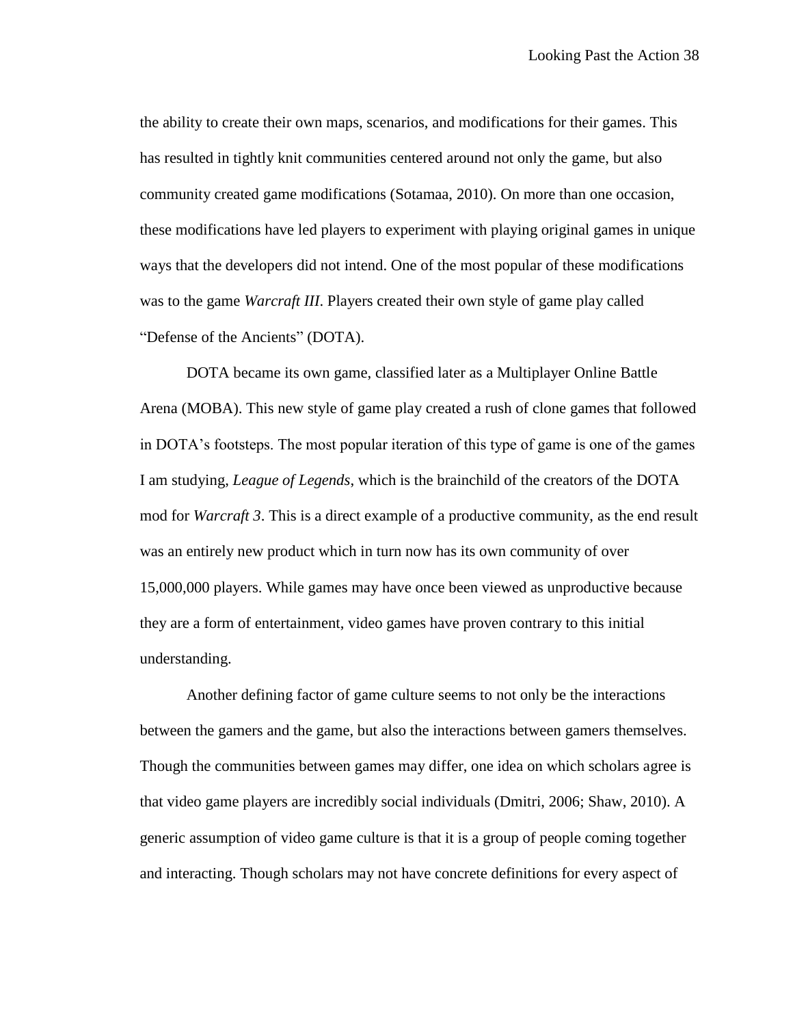the ability to create their own maps, scenarios, and modifications for their games. This has resulted in tightly knit communities centered around not only the game, but also community created game modifications (Sotamaa, 2010). On more than one occasion, these modifications have led players to experiment with playing original games in unique ways that the developers did not intend. One of the most popular of these modifications was to the game *Warcraft III*. Players created their own style of game play called "Defense of the Ancients" (DOTA).

DOTA became its own game, classified later as a Multiplayer Online Battle Arena (MOBA). This new style of game play created a rush of clone games that followed in DOTA's footsteps. The most popular iteration of this type of game is one of the games I am studying, *League of Legends*, which is the brainchild of the creators of the DOTA mod for *Warcraft 3*. This is a direct example of a productive community, as the end result was an entirely new product which in turn now has its own community of over 15,000,000 players. While games may have once been viewed as unproductive because they are a form of entertainment, video games have proven contrary to this initial understanding.

Another defining factor of game culture seems to not only be the interactions between the gamers and the game, but also the interactions between gamers themselves. Though the communities between games may differ, one idea on which scholars agree is that video game players are incredibly social individuals (Dmitri, 2006; Shaw, 2010). A generic assumption of video game culture is that it is a group of people coming together and interacting. Though scholars may not have concrete definitions for every aspect of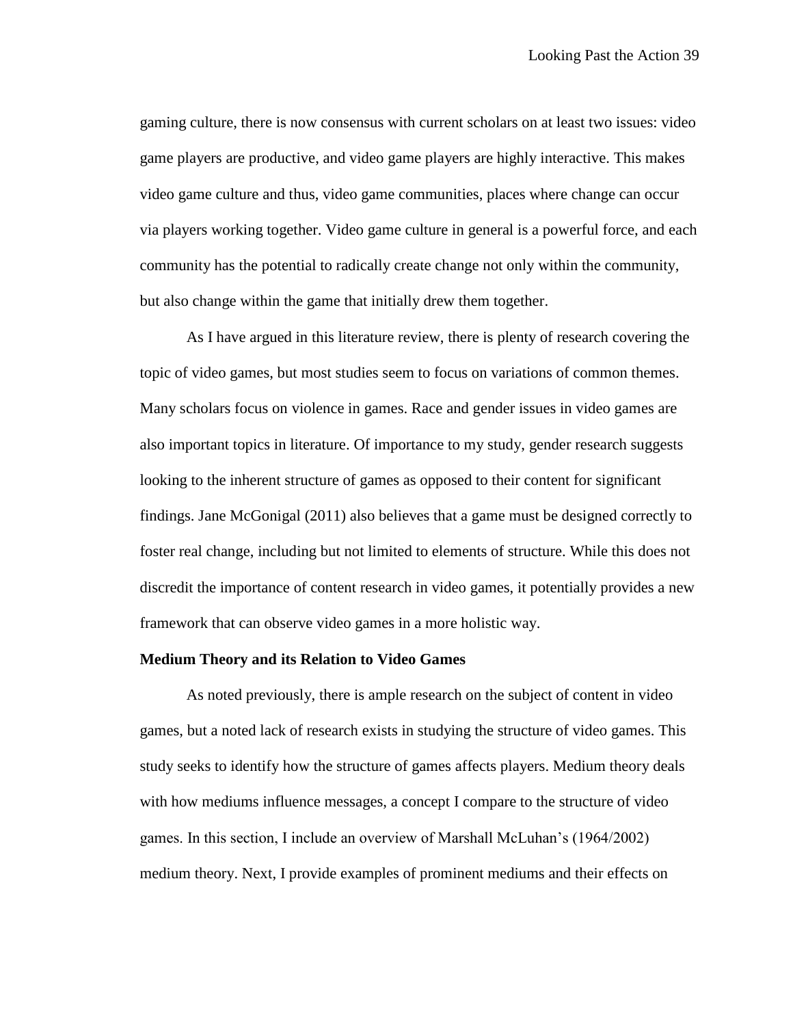gaming culture, there is now consensus with current scholars on at least two issues: video game players are productive, and video game players are highly interactive. This makes video game culture and thus, video game communities, places where change can occur via players working together. Video game culture in general is a powerful force, and each community has the potential to radically create change not only within the community, but also change within the game that initially drew them together.

As I have argued in this literature review, there is plenty of research covering the topic of video games, but most studies seem to focus on variations of common themes. Many scholars focus on violence in games. Race and gender issues in video games are also important topics in literature. Of importance to my study, gender research suggests looking to the inherent structure of games as opposed to their content for significant findings. Jane McGonigal (2011) also believes that a game must be designed correctly to foster real change, including but not limited to elements of structure. While this does not discredit the importance of content research in video games, it potentially provides a new framework that can observe video games in a more holistic way.

#### **Medium Theory and its Relation to Video Games**

As noted previously, there is ample research on the subject of content in video games, but a noted lack of research exists in studying the structure of video games. This study seeks to identify how the structure of games affects players. Medium theory deals with how mediums influence messages, a concept I compare to the structure of video games. In this section, I include an overview of Marshall McLuhan's (1964/2002) medium theory. Next, I provide examples of prominent mediums and their effects on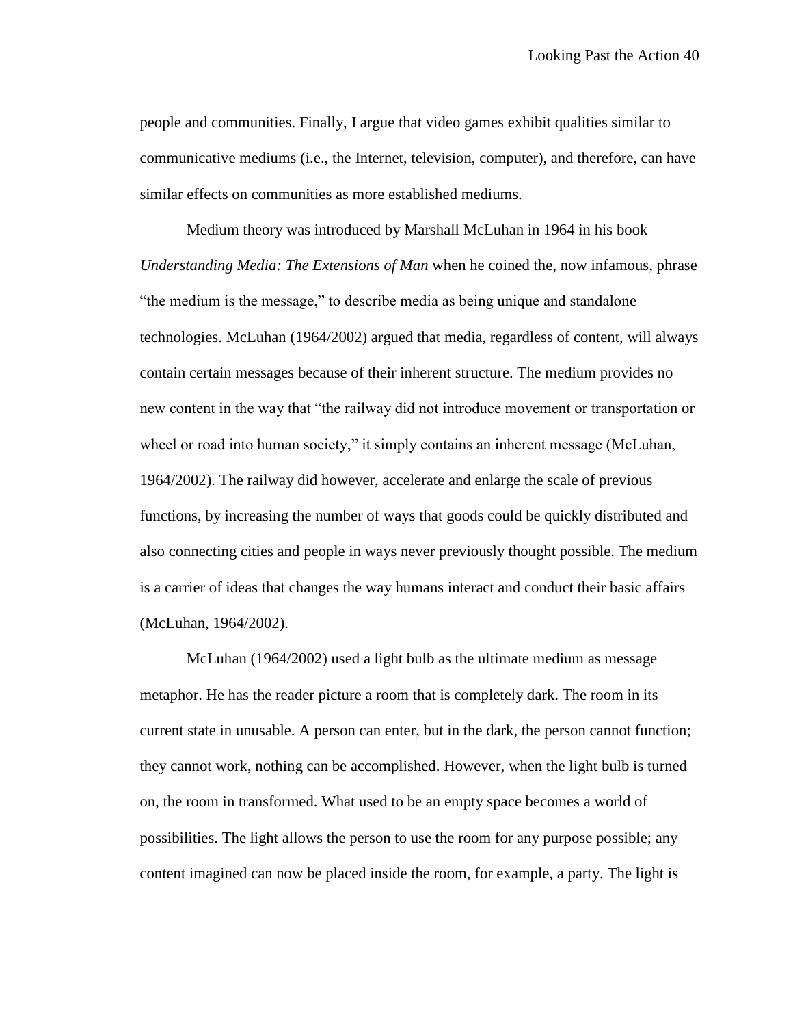people and communities. Finally, I argue that video games exhibit qualities similar to communicative mediums (i.e., the Internet, television, computer), and therefore, can have similar effects on communities as more established mediums.

Medium theory was introduced by Marshall McLuhan in 1964 in his book *Understanding Media: The Extensions of Man* when he coined the, now infamous, phrase "the medium is the message," to describe media as being unique and standalone technologies. McLuhan (1964/2002) argued that media, regardless of content, will always contain certain messages because of their inherent structure. The medium provides no new content in the way that "the railway did not introduce movement or transportation or wheel or road into human society," it simply contains an inherent message (McLuhan, 1964/2002). The railway did however, accelerate and enlarge the scale of previous functions, by increasing the number of ways that goods could be quickly distributed and also connecting cities and people in ways never previously thought possible. The medium is a carrier of ideas that changes the way humans interact and conduct their basic affairs (McLuhan, 1964/2002).

McLuhan (1964/2002) used a light bulb as the ultimate medium as message metaphor. He has the reader picture a room that is completely dark. The room in its current state in unusable. A person can enter, but in the dark, the person cannot function; they cannot work, nothing can be accomplished. However, when the light bulb is turned on, the room in transformed. What used to be an empty space becomes a world of possibilities. The light allows the person to use the room for any purpose possible; any content imagined can now be placed inside the room, for example, a party. The light is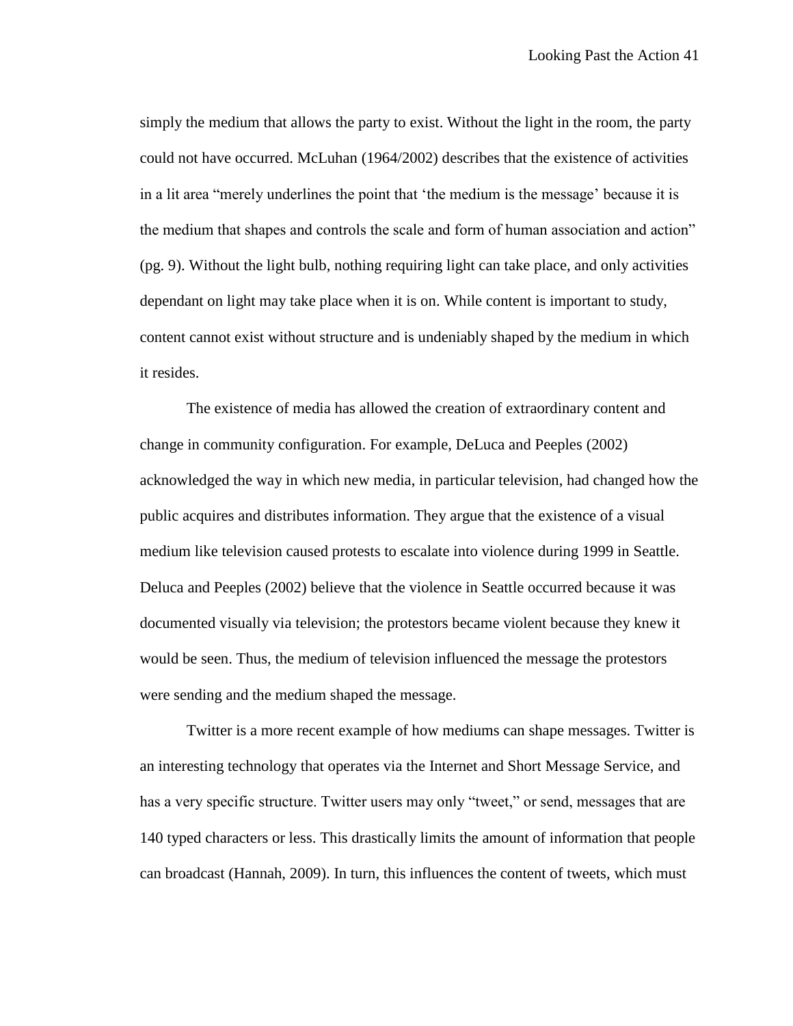simply the medium that allows the party to exist. Without the light in the room, the party could not have occurred. McLuhan (1964/2002) describes that the existence of activities in a lit area "merely underlines the point that 'the medium is the message' because it is the medium that shapes and controls the scale and form of human association and action" (pg. 9). Without the light bulb, nothing requiring light can take place, and only activities dependant on light may take place when it is on. While content is important to study, content cannot exist without structure and is undeniably shaped by the medium in which it resides.

The existence of media has allowed the creation of extraordinary content and change in community configuration. For example, DeLuca and Peeples (2002) acknowledged the way in which new media, in particular television, had changed how the public acquires and distributes information. They argue that the existence of a visual medium like television caused protests to escalate into violence during 1999 in Seattle. Deluca and Peeples (2002) believe that the violence in Seattle occurred because it was documented visually via television; the protestors became violent because they knew it would be seen. Thus, the medium of television influenced the message the protestors were sending and the medium shaped the message.

Twitter is a more recent example of how mediums can shape messages. Twitter is an interesting technology that operates via the Internet and Short Message Service, and has a very specific structure. Twitter users may only "tweet," or send, messages that are 140 typed characters or less. This drastically limits the amount of information that people can broadcast (Hannah, 2009). In turn, this influences the content of tweets, which must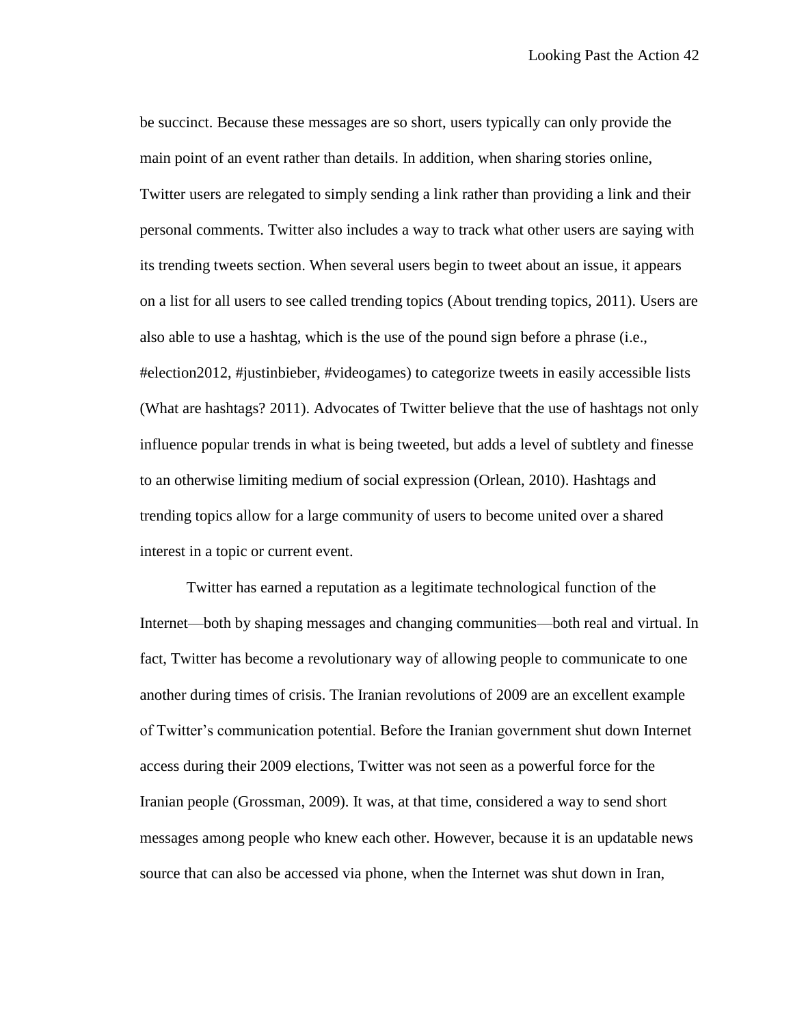be succinct. Because these messages are so short, users typically can only provide the main point of an event rather than details. In addition, when sharing stories online, Twitter users are relegated to simply sending a link rather than providing a link and their personal comments. Twitter also includes a way to track what other users are saying with its trending tweets section. When several users begin to tweet about an issue, it appears on a list for all users to see called trending topics (About trending topics, 2011). Users are also able to use a hashtag, which is the use of the pound sign before a phrase (i.e., #election2012, #justinbieber, #videogames) to categorize tweets in easily accessible lists (What are hashtags? 2011). Advocates of Twitter believe that the use of hashtags not only influence popular trends in what is being tweeted, but adds a level of subtlety and finesse to an otherwise limiting medium of social expression (Orlean, 2010). Hashtags and trending topics allow for a large community of users to become united over a shared interest in a topic or current event.

Twitter has earned a reputation as a legitimate technological function of the Internet—both by shaping messages and changing communities—both real and virtual. In fact, Twitter has become a revolutionary way of allowing people to communicate to one another during times of crisis. The Iranian revolutions of 2009 are an excellent example of Twitter's communication potential. Before the Iranian government shut down Internet access during their 2009 elections, Twitter was not seen as a powerful force for the Iranian people (Grossman, 2009). It was, at that time, considered a way to send short messages among people who knew each other. However, because it is an updatable news source that can also be accessed via phone, when the Internet was shut down in Iran,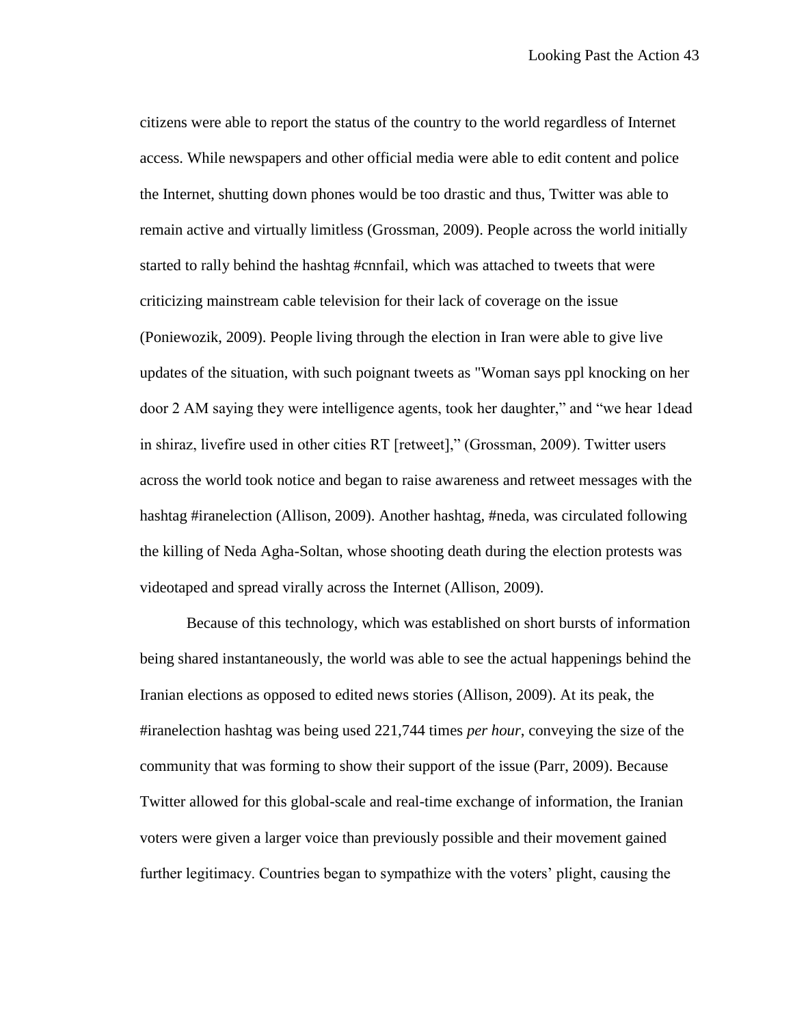citizens were able to report the status of the country to the world regardless of Internet access. While newspapers and other official media were able to edit content and police the Internet, shutting down phones would be too drastic and thus, Twitter was able to remain active and virtually limitless (Grossman, 2009). People across the world initially started to rally behind the hashtag #cnnfail, which was attached to tweets that were criticizing mainstream cable television for their lack of coverage on the issue (Poniewozik, 2009). People living through the election in Iran were able to give live updates of the situation, with such poignant tweets as "Woman says ppl knocking on her door 2 AM saying they were intelligence agents, took her daughter," and "we hear 1dead in shiraz, livefire used in other cities RT [retweet]," (Grossman, 2009). Twitter users across the world took notice and began to raise awareness and retweet messages with the hashtag #iranelection (Allison, 2009). Another hashtag, #neda, was circulated following the killing of Neda Agha-Soltan, whose shooting death during the election protests was videotaped and spread virally across the Internet (Allison, 2009).

Because of this technology, which was established on short bursts of information being shared instantaneously, the world was able to see the actual happenings behind the Iranian elections as opposed to edited news stories (Allison, 2009). At its peak, the #iranelection hashtag was being used 221,744 times *per hour*, conveying the size of the community that was forming to show their support of the issue (Parr, 2009). Because Twitter allowed for this global-scale and real-time exchange of information, the Iranian voters were given a larger voice than previously possible and their movement gained further legitimacy. Countries began to sympathize with the voters' plight, causing the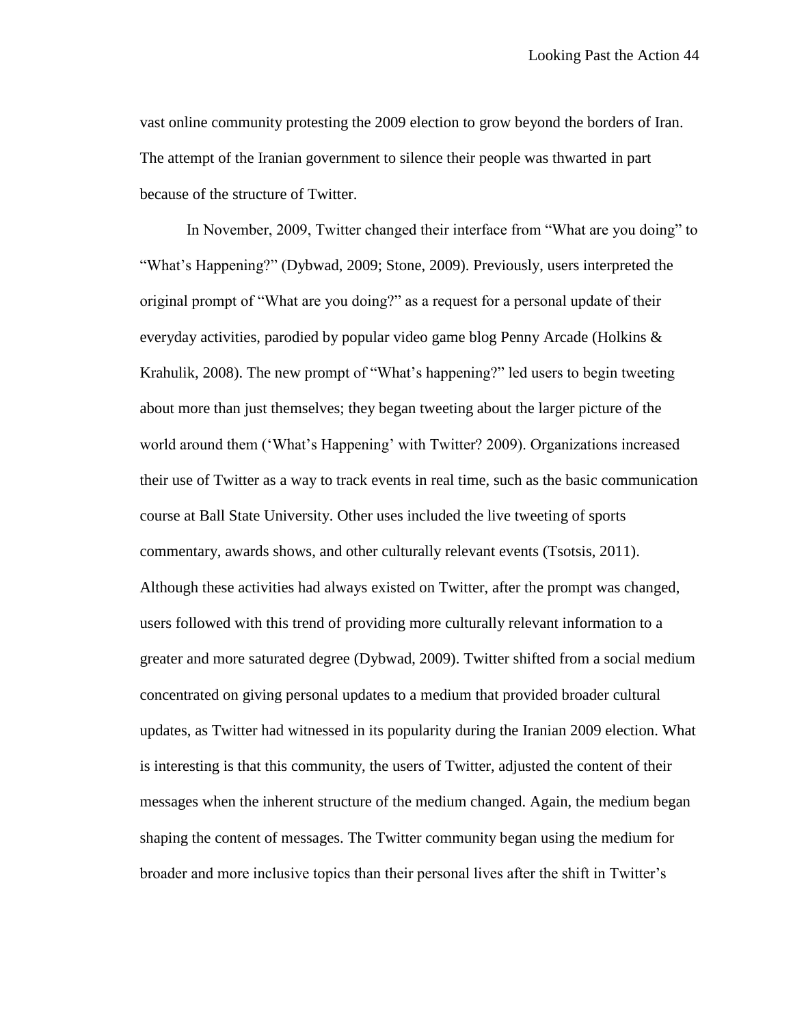vast online community protesting the 2009 election to grow beyond the borders of Iran. The attempt of the Iranian government to silence their people was thwarted in part because of the structure of Twitter.

In November, 2009, Twitter changed their interface from "What are you doing" to "What's Happening?" (Dybwad, 2009; Stone, 2009). Previously, users interpreted the original prompt of "What are you doing?" as a request for a personal update of their everyday activities, parodied by popular video game blog Penny Arcade (Holkins & Krahulik, 2008). The new prompt of "What's happening?" led users to begin tweeting about more than just themselves; they began tweeting about the larger picture of the world around them ('What's Happening' with Twitter? 2009). Organizations increased their use of Twitter as a way to track events in real time, such as the basic communication course at Ball State University. Other uses included the live tweeting of sports commentary, awards shows, and other culturally relevant events (Tsotsis, 2011). Although these activities had always existed on Twitter, after the prompt was changed, users followed with this trend of providing more culturally relevant information to a greater and more saturated degree (Dybwad, 2009). Twitter shifted from a social medium concentrated on giving personal updates to a medium that provided broader cultural updates, as Twitter had witnessed in its popularity during the Iranian 2009 election. What is interesting is that this community, the users of Twitter, adjusted the content of their messages when the inherent structure of the medium changed. Again, the medium began shaping the content of messages. The Twitter community began using the medium for broader and more inclusive topics than their personal lives after the shift in Twitter's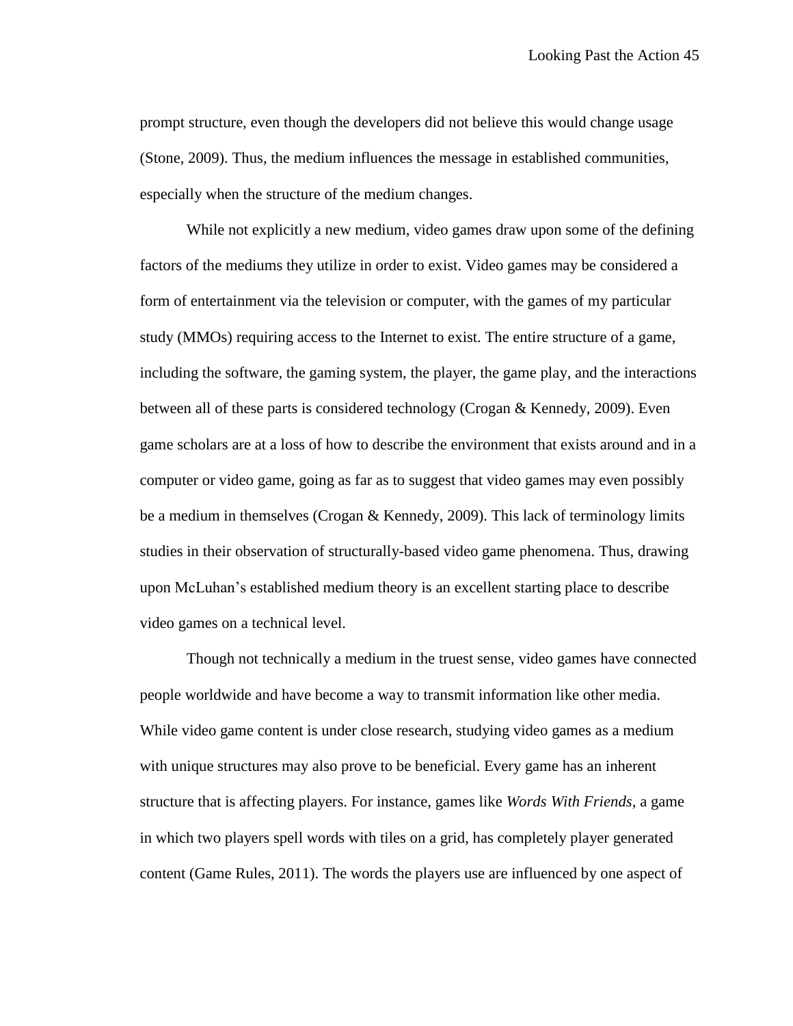prompt structure, even though the developers did not believe this would change usage (Stone, 2009). Thus, the medium influences the message in established communities, especially when the structure of the medium changes.

While not explicitly a new medium, video games draw upon some of the defining factors of the mediums they utilize in order to exist. Video games may be considered a form of entertainment via the television or computer, with the games of my particular study (MMOs) requiring access to the Internet to exist. The entire structure of a game, including the software, the gaming system, the player, the game play, and the interactions between all of these parts is considered technology (Crogan & Kennedy, 2009). Even game scholars are at a loss of how to describe the environment that exists around and in a computer or video game, going as far as to suggest that video games may even possibly be a medium in themselves (Crogan & Kennedy, 2009). This lack of terminology limits studies in their observation of structurally-based video game phenomena. Thus, drawing upon McLuhan's established medium theory is an excellent starting place to describe video games on a technical level.

Though not technically a medium in the truest sense, video games have connected people worldwide and have become a way to transmit information like other media. While video game content is under close research, studying video games as a medium with unique structures may also prove to be beneficial. Every game has an inherent structure that is affecting players. For instance, games like *Words With Friends*, a game in which two players spell words with tiles on a grid, has completely player generated content (Game Rules, 2011). The words the players use are influenced by one aspect of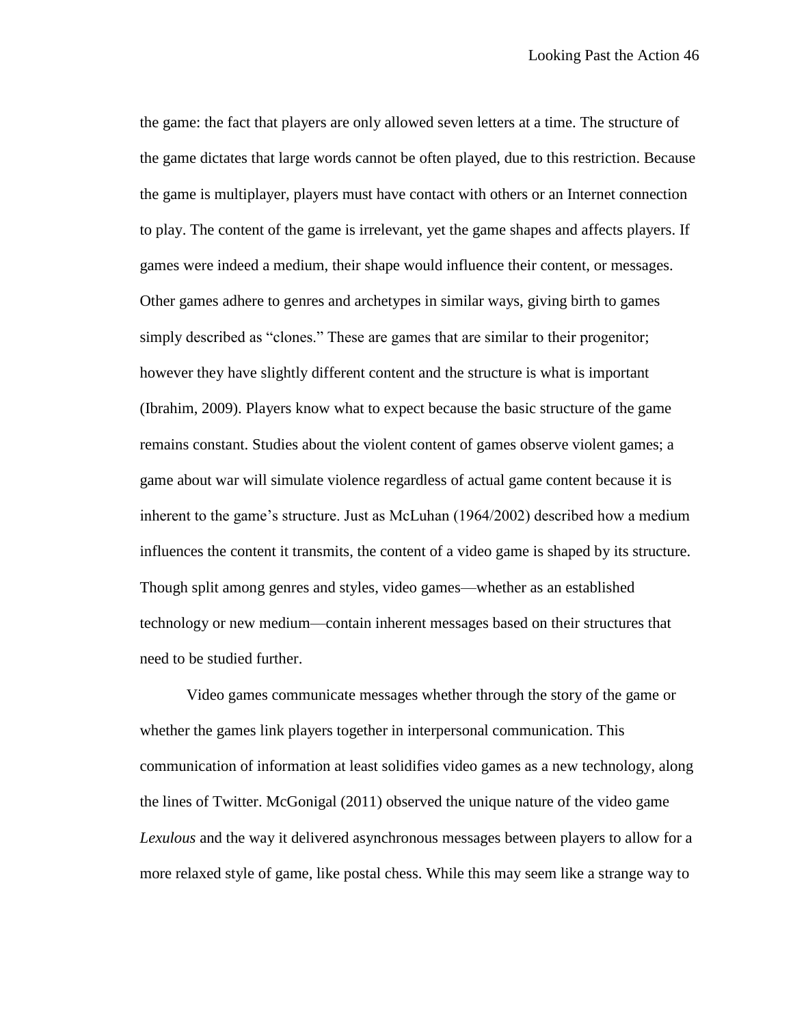the game: the fact that players are only allowed seven letters at a time. The structure of the game dictates that large words cannot be often played, due to this restriction. Because the game is multiplayer, players must have contact with others or an Internet connection to play. The content of the game is irrelevant, yet the game shapes and affects players. If games were indeed a medium, their shape would influence their content, or messages. Other games adhere to genres and archetypes in similar ways, giving birth to games simply described as "clones." These are games that are similar to their progenitor; however they have slightly different content and the structure is what is important (Ibrahim, 2009). Players know what to expect because the basic structure of the game remains constant. Studies about the violent content of games observe violent games; a game about war will simulate violence regardless of actual game content because it is inherent to the game's structure. Just as McLuhan (1964/2002) described how a medium influences the content it transmits, the content of a video game is shaped by its structure. Though split among genres and styles, video games—whether as an established technology or new medium—contain inherent messages based on their structures that need to be studied further.

Video games communicate messages whether through the story of the game or whether the games link players together in interpersonal communication. This communication of information at least solidifies video games as a new technology, along the lines of Twitter. McGonigal (2011) observed the unique nature of the video game *Lexulous* and the way it delivered asynchronous messages between players to allow for a more relaxed style of game, like postal chess. While this may seem like a strange way to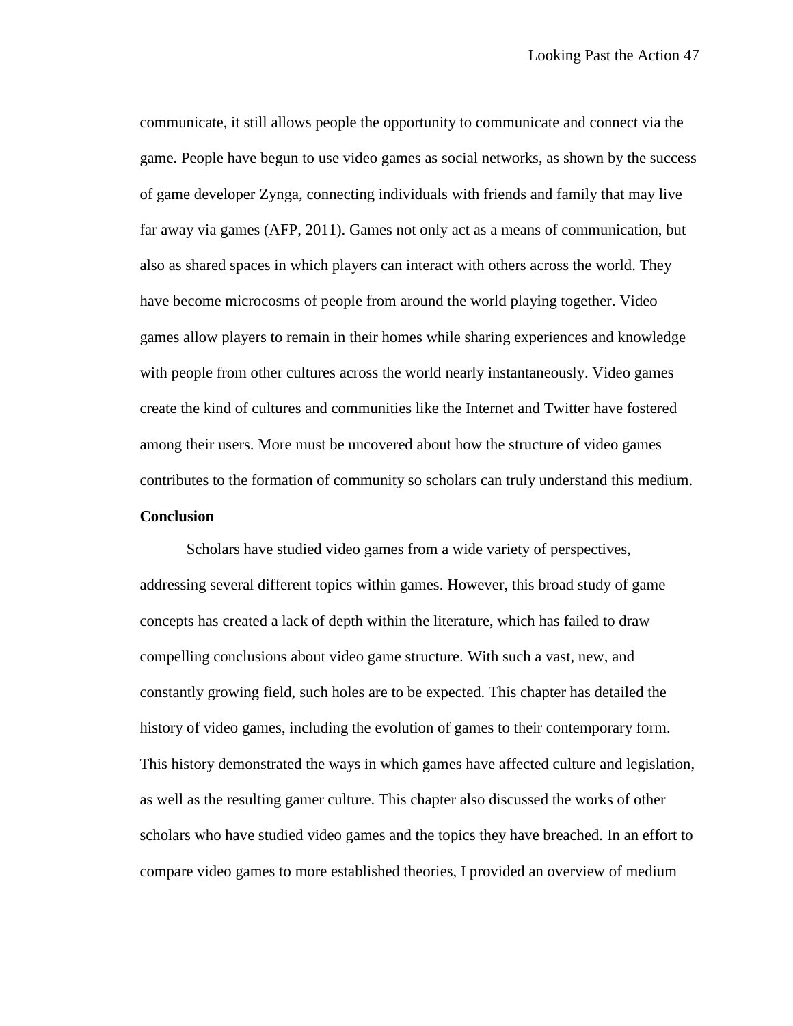communicate, it still allows people the opportunity to communicate and connect via the game. People have begun to use video games as social networks, as shown by the success of game developer Zynga, connecting individuals with friends and family that may live far away via games (AFP, 2011). Games not only act as a means of communication, but also as shared spaces in which players can interact with others across the world. They have become microcosms of people from around the world playing together. Video games allow players to remain in their homes while sharing experiences and knowledge with people from other cultures across the world nearly instantaneously. Video games create the kind of cultures and communities like the Internet and Twitter have fostered among their users. More must be uncovered about how the structure of video games contributes to the formation of community so scholars can truly understand this medium.

## **Conclusion**

Scholars have studied video games from a wide variety of perspectives, addressing several different topics within games. However, this broad study of game concepts has created a lack of depth within the literature, which has failed to draw compelling conclusions about video game structure. With such a vast, new, and constantly growing field, such holes are to be expected. This chapter has detailed the history of video games, including the evolution of games to their contemporary form. This history demonstrated the ways in which games have affected culture and legislation, as well as the resulting gamer culture. This chapter also discussed the works of other scholars who have studied video games and the topics they have breached. In an effort to compare video games to more established theories, I provided an overview of medium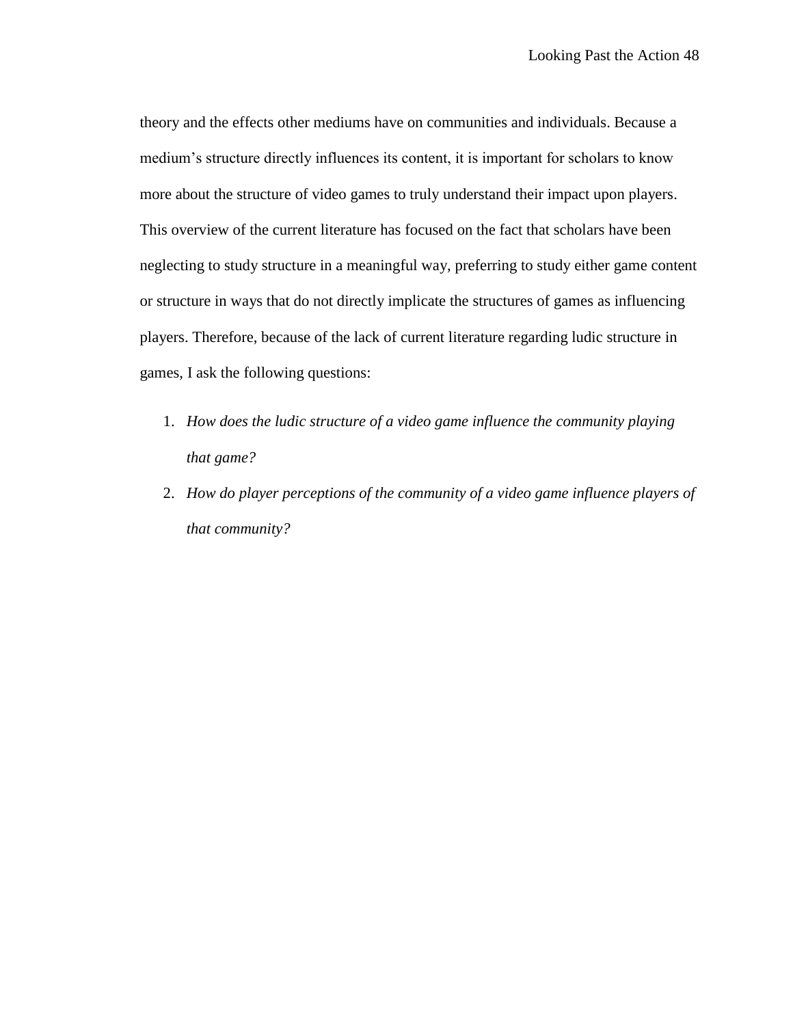theory and the effects other mediums have on communities and individuals. Because a medium's structure directly influences its content, it is important for scholars to know more about the structure of video games to truly understand their impact upon players. This overview of the current literature has focused on the fact that scholars have been neglecting to study structure in a meaningful way, preferring to study either game content or structure in ways that do not directly implicate the structures of games as influencing players. Therefore, because of the lack of current literature regarding ludic structure in games, I ask the following questions:

- 1. *How does the ludic structure of a video game influence the community playing that game?*
- 2. *How do player perceptions of the community of a video game influence players of that community?*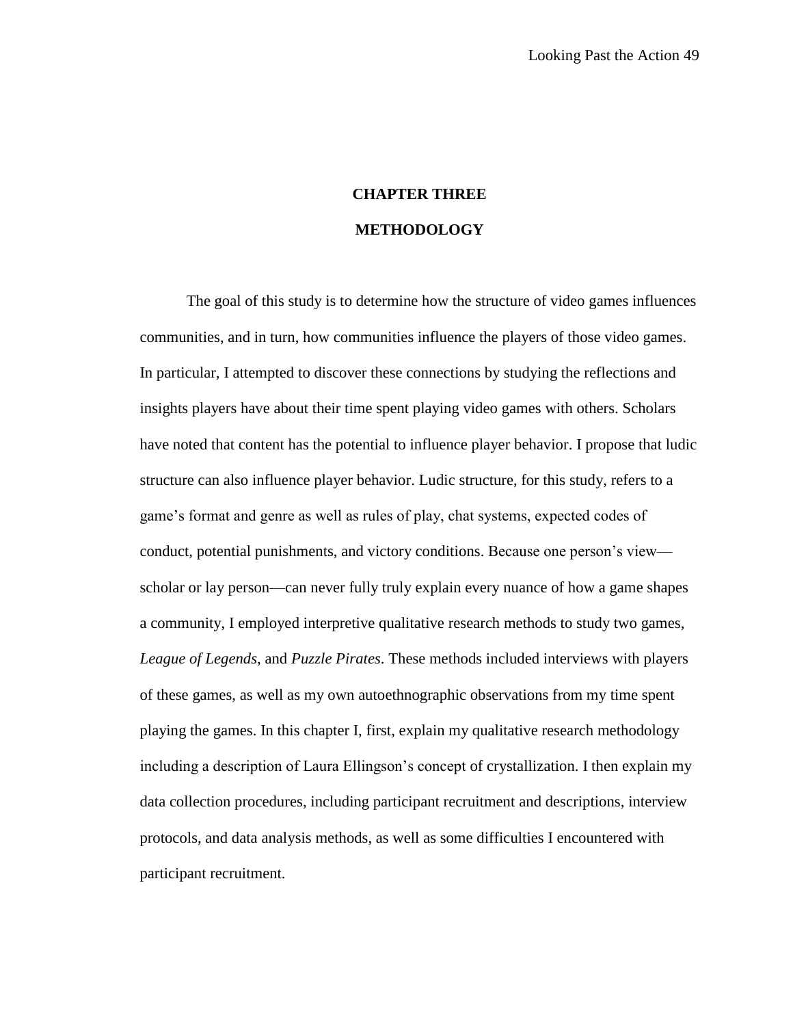# **CHAPTER THREE METHODOLOGY**

The goal of this study is to determine how the structure of video games influences communities, and in turn, how communities influence the players of those video games. In particular, I attempted to discover these connections by studying the reflections and insights players have about their time spent playing video games with others. Scholars have noted that content has the potential to influence player behavior. I propose that ludic structure can also influence player behavior. Ludic structure, for this study, refers to a game's format and genre as well as rules of play, chat systems, expected codes of conduct, potential punishments, and victory conditions. Because one person's view scholar or lay person—can never fully truly explain every nuance of how a game shapes a community, I employed interpretive qualitative research methods to study two games, *League of Legends*, and *Puzzle Pirates*. These methods included interviews with players of these games, as well as my own autoethnographic observations from my time spent playing the games. In this chapter I, first, explain my qualitative research methodology including a description of Laura Ellingson's concept of crystallization. I then explain my data collection procedures, including participant recruitment and descriptions, interview protocols, and data analysis methods, as well as some difficulties I encountered with participant recruitment.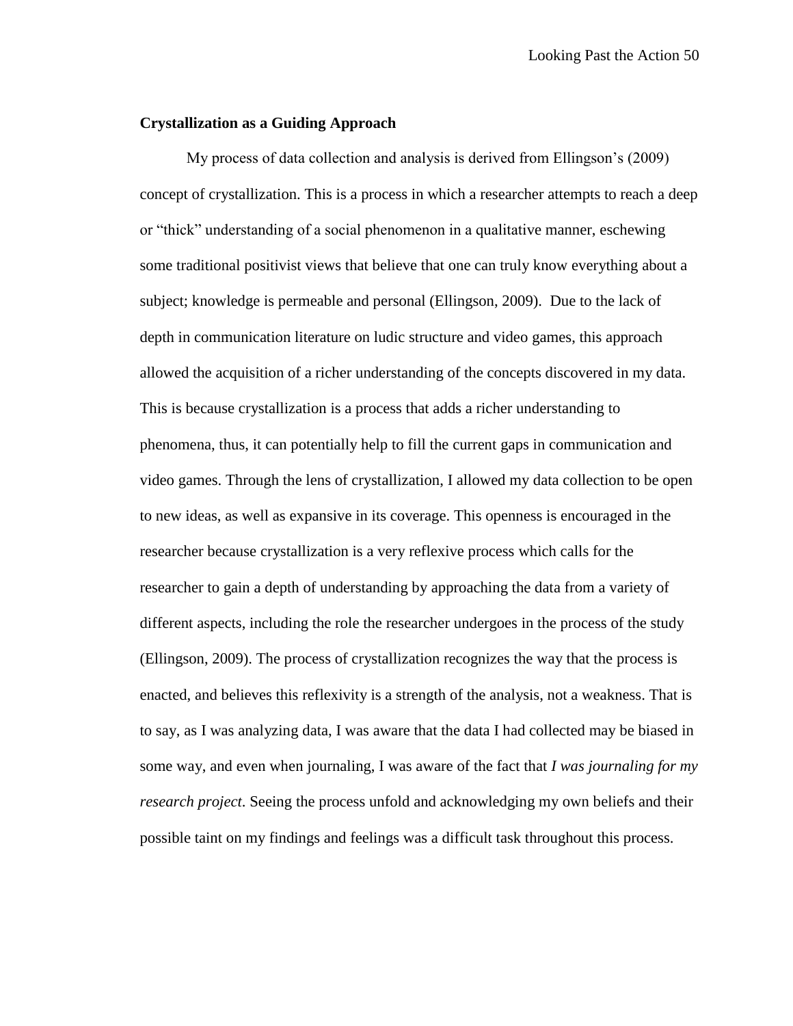## **Crystallization as a Guiding Approach**

My process of data collection and analysis is derived from Ellingson's (2009) concept of crystallization. This is a process in which a researcher attempts to reach a deep or "thick" understanding of a social phenomenon in a qualitative manner, eschewing some traditional positivist views that believe that one can truly know everything about a subject; knowledge is permeable and personal (Ellingson, 2009). Due to the lack of depth in communication literature on ludic structure and video games, this approach allowed the acquisition of a richer understanding of the concepts discovered in my data. This is because crystallization is a process that adds a richer understanding to phenomena, thus, it can potentially help to fill the current gaps in communication and video games. Through the lens of crystallization, I allowed my data collection to be open to new ideas, as well as expansive in its coverage. This openness is encouraged in the researcher because crystallization is a very reflexive process which calls for the researcher to gain a depth of understanding by approaching the data from a variety of different aspects, including the role the researcher undergoes in the process of the study (Ellingson, 2009). The process of crystallization recognizes the way that the process is enacted, and believes this reflexivity is a strength of the analysis, not a weakness. That is to say, as I was analyzing data, I was aware that the data I had collected may be biased in some way, and even when journaling, I was aware of the fact that *I was journaling for my research project*. Seeing the process unfold and acknowledging my own beliefs and their possible taint on my findings and feelings was a difficult task throughout this process.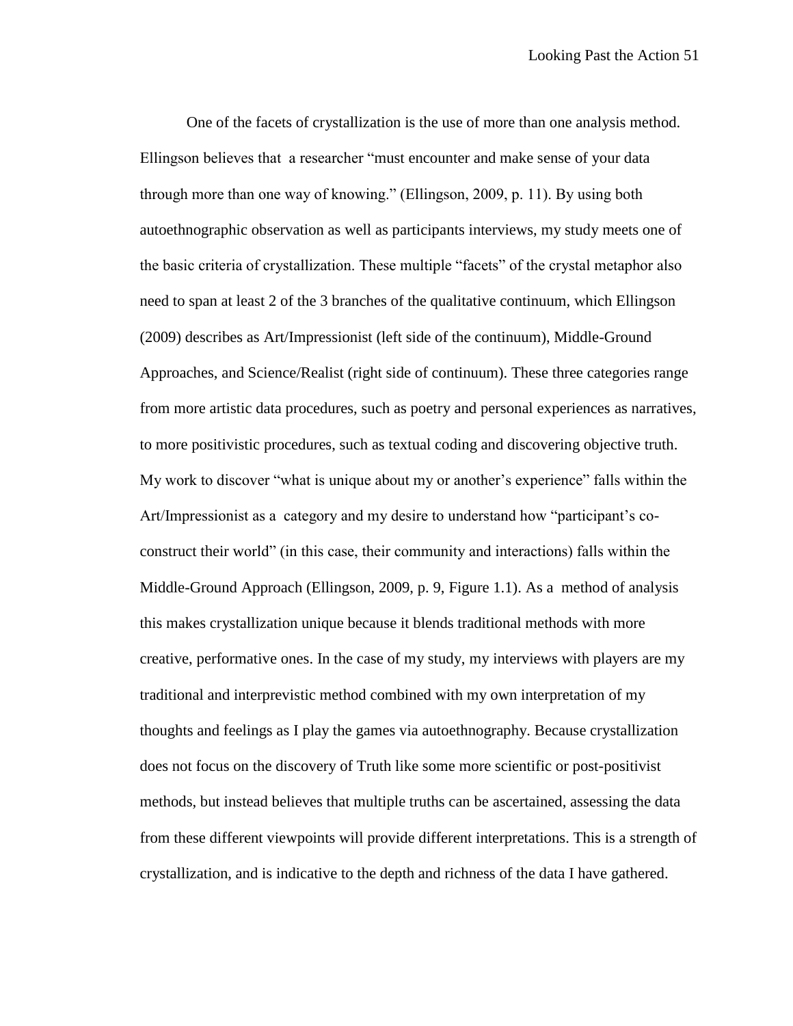One of the facets of crystallization is the use of more than one analysis method. Ellingson believes that a researcher "must encounter and make sense of your data through more than one way of knowing." (Ellingson, 2009, p. 11). By using both autoethnographic observation as well as participants interviews, my study meets one of the basic criteria of crystallization. These multiple "facets" of the crystal metaphor also need to span at least 2 of the 3 branches of the qualitative continuum, which Ellingson (2009) describes as Art/Impressionist (left side of the continuum), Middle-Ground Approaches, and Science/Realist (right side of continuum). These three categories range from more artistic data procedures, such as poetry and personal experiences as narratives, to more positivistic procedures, such as textual coding and discovering objective truth. My work to discover "what is unique about my or another's experience" falls within the Art/Impressionist as a category and my desire to understand how "participant's coconstruct their world" (in this case, their community and interactions) falls within the Middle-Ground Approach (Ellingson, 2009, p. 9, Figure 1.1). As a method of analysis this makes crystallization unique because it blends traditional methods with more creative, performative ones. In the case of my study, my interviews with players are my traditional and interprevistic method combined with my own interpretation of my thoughts and feelings as I play the games via autoethnography. Because crystallization does not focus on the discovery of Truth like some more scientific or post-positivist methods, but instead believes that multiple truths can be ascertained, assessing the data from these different viewpoints will provide different interpretations. This is a strength of crystallization, and is indicative to the depth and richness of the data I have gathered.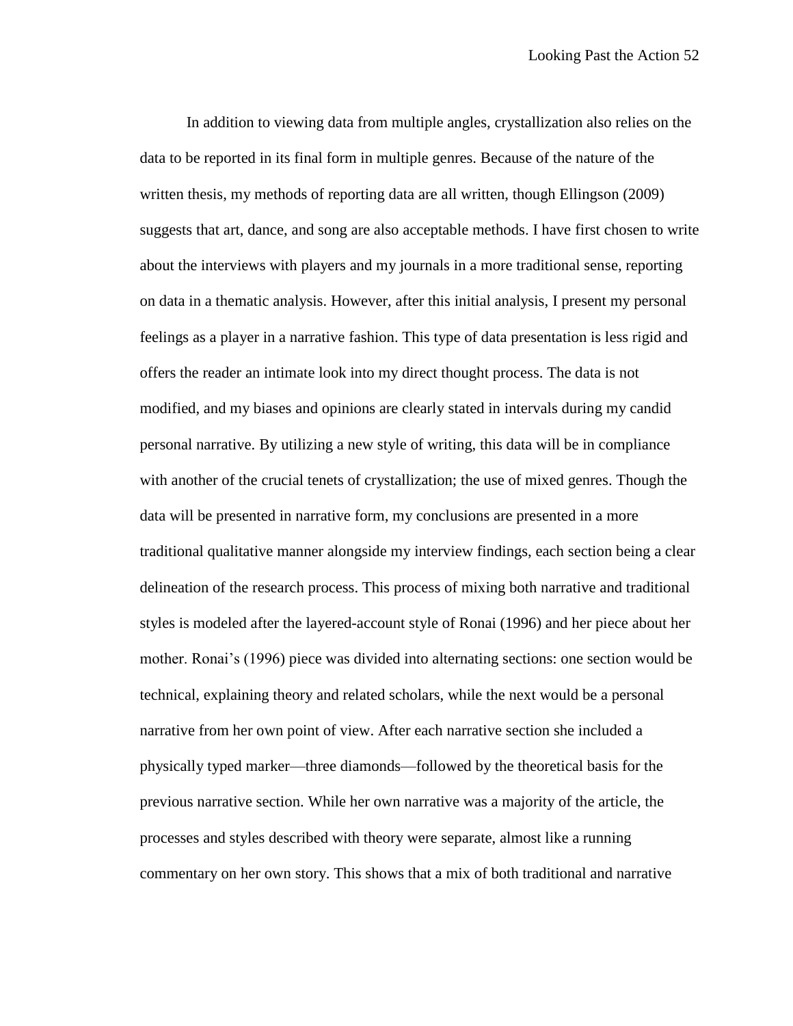In addition to viewing data from multiple angles, crystallization also relies on the data to be reported in its final form in multiple genres. Because of the nature of the written thesis, my methods of reporting data are all written, though Ellingson (2009) suggests that art, dance, and song are also acceptable methods. I have first chosen to write about the interviews with players and my journals in a more traditional sense, reporting on data in a thematic analysis. However, after this initial analysis, I present my personal feelings as a player in a narrative fashion. This type of data presentation is less rigid and offers the reader an intimate look into my direct thought process. The data is not modified, and my biases and opinions are clearly stated in intervals during my candid personal narrative. By utilizing a new style of writing, this data will be in compliance with another of the crucial tenets of crystallization; the use of mixed genres. Though the data will be presented in narrative form, my conclusions are presented in a more traditional qualitative manner alongside my interview findings, each section being a clear delineation of the research process. This process of mixing both narrative and traditional styles is modeled after the layered-account style of Ronai (1996) and her piece about her mother. Ronai's (1996) piece was divided into alternating sections: one section would be technical, explaining theory and related scholars, while the next would be a personal narrative from her own point of view. After each narrative section she included a physically typed marker—three diamonds—followed by the theoretical basis for the previous narrative section. While her own narrative was a majority of the article, the processes and styles described with theory were separate, almost like a running commentary on her own story. This shows that a mix of both traditional and narrative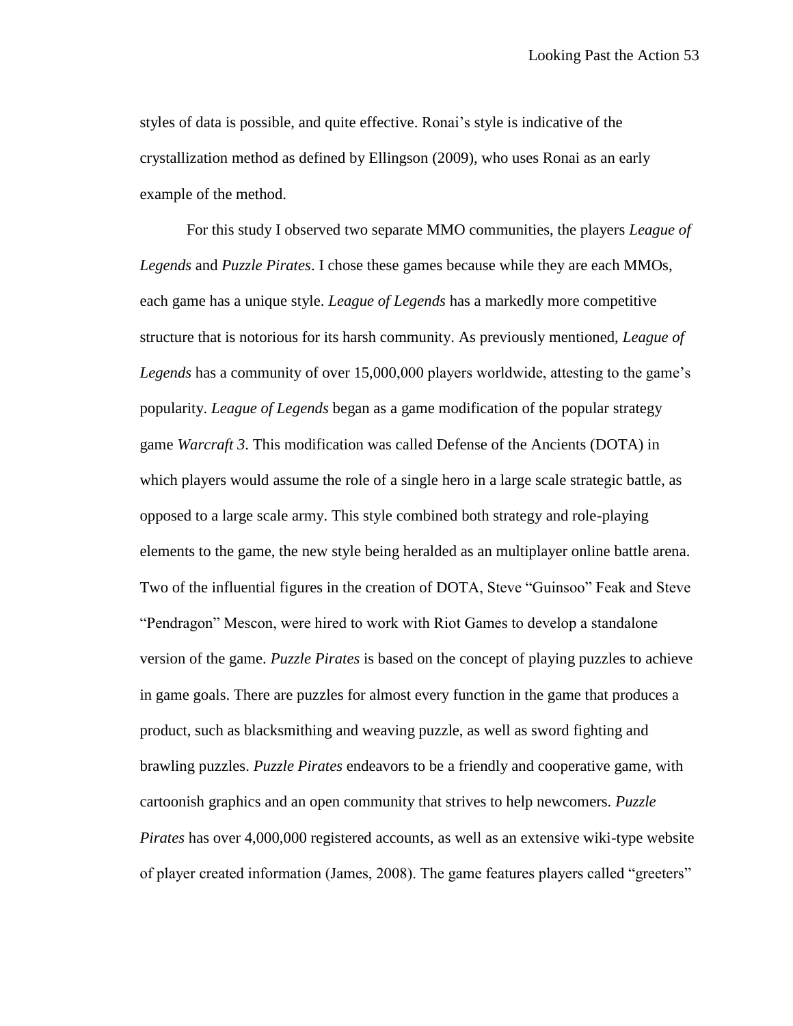styles of data is possible, and quite effective. Ronai's style is indicative of the crystallization method as defined by Ellingson (2009), who uses Ronai as an early example of the method.

For this study I observed two separate MMO communities, the players *League of Legends* and *Puzzle Pirates*. I chose these games because while they are each MMOs, each game has a unique style. *League of Legends* has a markedly more competitive structure that is notorious for its harsh community. As previously mentioned, *League of Legends* has a community of over 15,000,000 players worldwide, attesting to the game's popularity. *League of Legends* began as a game modification of the popular strategy game *Warcraft 3*. This modification was called Defense of the Ancients (DOTA) in which players would assume the role of a single hero in a large scale strategic battle, as opposed to a large scale army. This style combined both strategy and role-playing elements to the game, the new style being heralded as an multiplayer online battle arena. Two of the influential figures in the creation of DOTA, Steve "Guinsoo" Feak and Steve "Pendragon" Mescon, were hired to work with Riot Games to develop a standalone version of the game. *Puzzle Pirates* is based on the concept of playing puzzles to achieve in game goals. There are puzzles for almost every function in the game that produces a product, such as blacksmithing and weaving puzzle, as well as sword fighting and brawling puzzles. *Puzzle Pirates* endeavors to be a friendly and cooperative game, with cartoonish graphics and an open community that strives to help newcomers. *Puzzle Pirates* has over 4,000,000 registered accounts, as well as an extensive wiki-type website of player created information (James, 2008). The game features players called "greeters"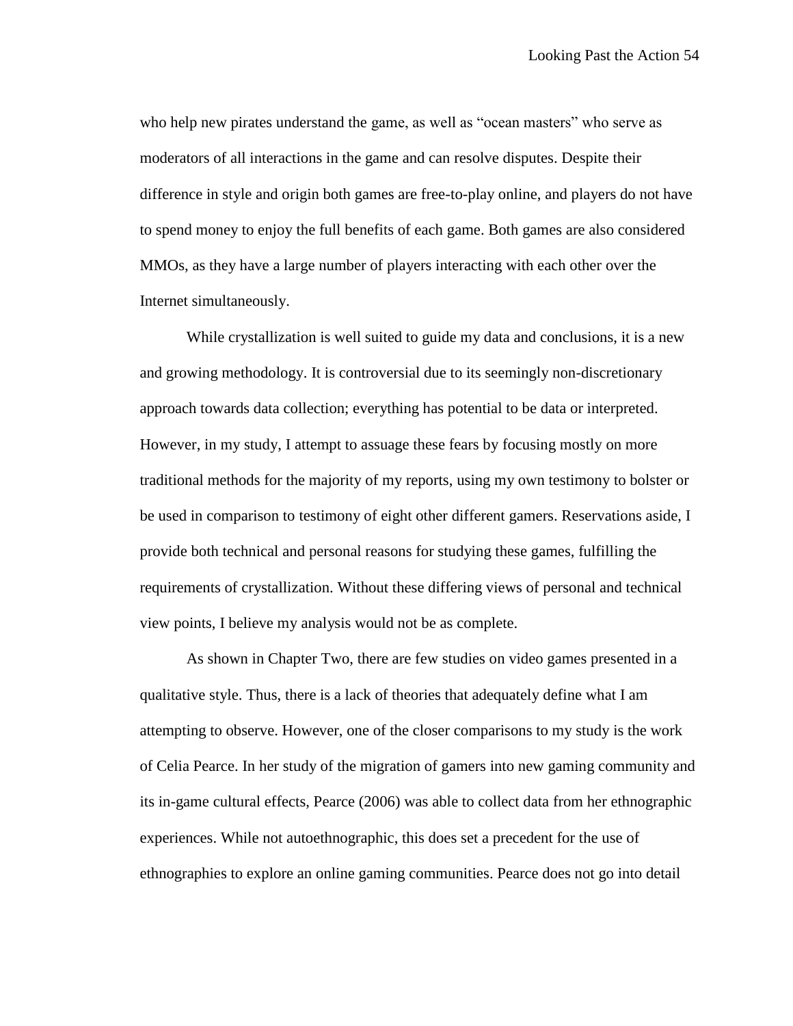who help new pirates understand the game, as well as "ocean masters" who serve as moderators of all interactions in the game and can resolve disputes. Despite their difference in style and origin both games are free-to-play online, and players do not have to spend money to enjoy the full benefits of each game. Both games are also considered MMOs, as they have a large number of players interacting with each other over the Internet simultaneously.

While crystallization is well suited to guide my data and conclusions, it is a new and growing methodology. It is controversial due to its seemingly non-discretionary approach towards data collection; everything has potential to be data or interpreted. However, in my study, I attempt to assuage these fears by focusing mostly on more traditional methods for the majority of my reports, using my own testimony to bolster or be used in comparison to testimony of eight other different gamers. Reservations aside, I provide both technical and personal reasons for studying these games, fulfilling the requirements of crystallization. Without these differing views of personal and technical view points, I believe my analysis would not be as complete.

As shown in Chapter Two, there are few studies on video games presented in a qualitative style. Thus, there is a lack of theories that adequately define what I am attempting to observe. However, one of the closer comparisons to my study is the work of Celia Pearce. In her study of the migration of gamers into new gaming community and its in-game cultural effects, Pearce (2006) was able to collect data from her ethnographic experiences. While not autoethnographic, this does set a precedent for the use of ethnographies to explore an online gaming communities. Pearce does not go into detail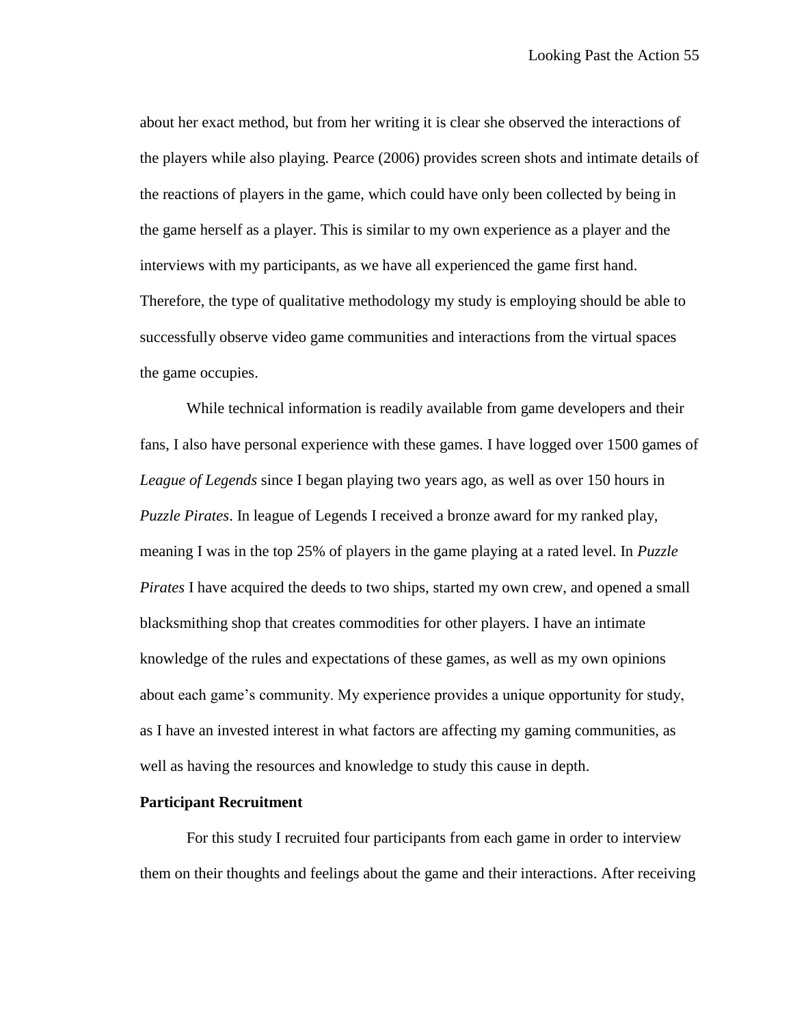about her exact method, but from her writing it is clear she observed the interactions of the players while also playing. Pearce (2006) provides screen shots and intimate details of the reactions of players in the game, which could have only been collected by being in the game herself as a player. This is similar to my own experience as a player and the interviews with my participants, as we have all experienced the game first hand. Therefore, the type of qualitative methodology my study is employing should be able to successfully observe video game communities and interactions from the virtual spaces the game occupies.

While technical information is readily available from game developers and their fans, I also have personal experience with these games. I have logged over 1500 games of *League of Legends* since I began playing two years ago, as well as over 150 hours in *Puzzle Pirates*. In league of Legends I received a bronze award for my ranked play, meaning I was in the top 25% of players in the game playing at a rated level. In *Puzzle Pirates* I have acquired the deeds to two ships, started my own crew, and opened a small blacksmithing shop that creates commodities for other players. I have an intimate knowledge of the rules and expectations of these games, as well as my own opinions about each game's community. My experience provides a unique opportunity for study, as I have an invested interest in what factors are affecting my gaming communities, as well as having the resources and knowledge to study this cause in depth.

### **Participant Recruitment**

For this study I recruited four participants from each game in order to interview them on their thoughts and feelings about the game and their interactions. After receiving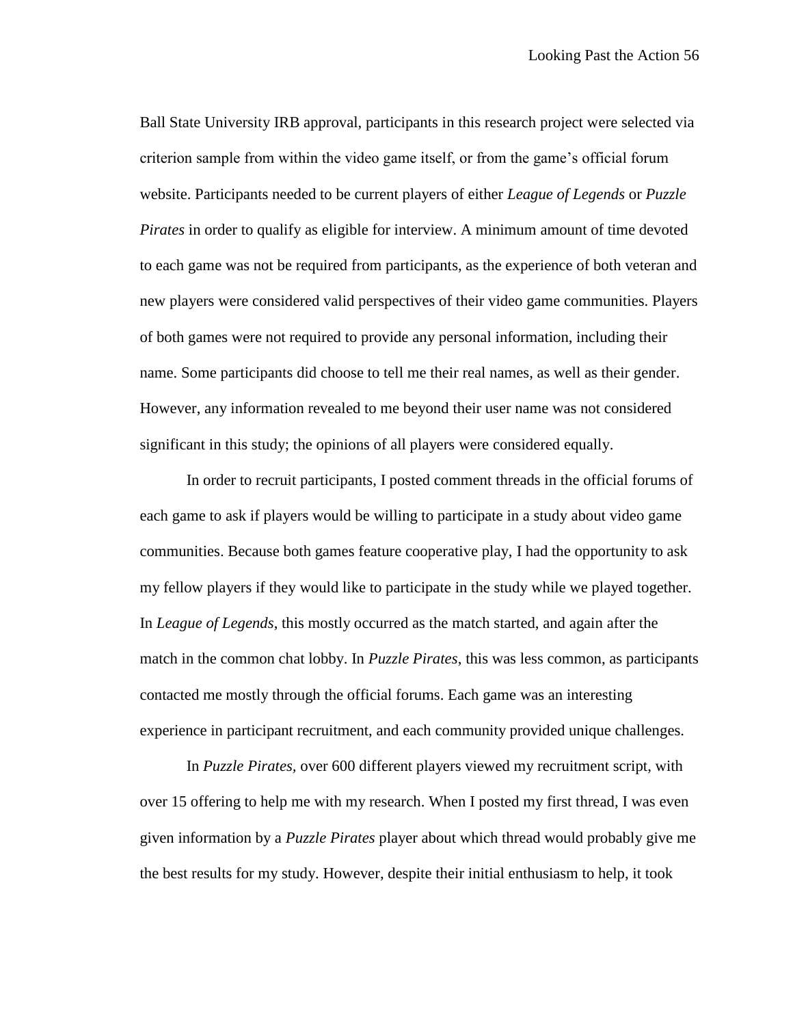Ball State University IRB approval, participants in this research project were selected via criterion sample from within the video game itself, or from the game's official forum website. Participants needed to be current players of either *League of Legends* or *Puzzle Pirates* in order to qualify as eligible for interview. A minimum amount of time devoted to each game was not be required from participants, as the experience of both veteran and new players were considered valid perspectives of their video game communities. Players of both games were not required to provide any personal information, including their name. Some participants did choose to tell me their real names, as well as their gender. However, any information revealed to me beyond their user name was not considered significant in this study; the opinions of all players were considered equally.

In order to recruit participants, I posted comment threads in the official forums of each game to ask if players would be willing to participate in a study about video game communities. Because both games feature cooperative play, I had the opportunity to ask my fellow players if they would like to participate in the study while we played together. In *League of Legends*, this mostly occurred as the match started, and again after the match in the common chat lobby. In *Puzzle Pirates*, this was less common, as participants contacted me mostly through the official forums. Each game was an interesting experience in participant recruitment, and each community provided unique challenges.

In *Puzzle Pirates,* over 600 different players viewed my recruitment script, with over 15 offering to help me with my research. When I posted my first thread, I was even given information by a *Puzzle Pirates* player about which thread would probably give me the best results for my study. However, despite their initial enthusiasm to help, it took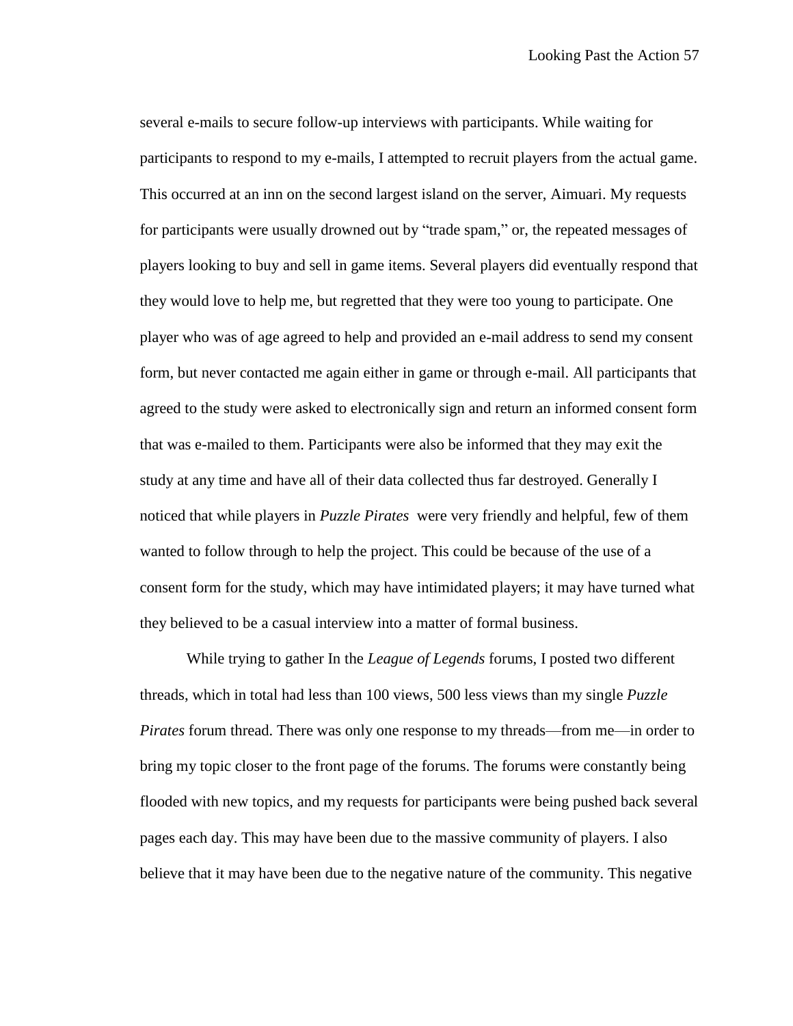several e-mails to secure follow-up interviews with participants. While waiting for participants to respond to my e-mails, I attempted to recruit players from the actual game. This occurred at an inn on the second largest island on the server, Aimuari. My requests for participants were usually drowned out by "trade spam," or, the repeated messages of players looking to buy and sell in game items. Several players did eventually respond that they would love to help me, but regretted that they were too young to participate. One player who was of age agreed to help and provided an e-mail address to send my consent form, but never contacted me again either in game or through e-mail. All participants that agreed to the study were asked to electronically sign and return an informed consent form that was e-mailed to them. Participants were also be informed that they may exit the study at any time and have all of their data collected thus far destroyed. Generally I noticed that while players in *Puzzle Pirates* were very friendly and helpful, few of them wanted to follow through to help the project. This could be because of the use of a consent form for the study, which may have intimidated players; it may have turned what they believed to be a casual interview into a matter of formal business.

While trying to gather In the *League of Legends* forums, I posted two different threads, which in total had less than 100 views, 500 less views than my single *Puzzle Pirates* forum thread. There was only one response to my threads—from me—in order to bring my topic closer to the front page of the forums. The forums were constantly being flooded with new topics, and my requests for participants were being pushed back several pages each day. This may have been due to the massive community of players. I also believe that it may have been due to the negative nature of the community. This negative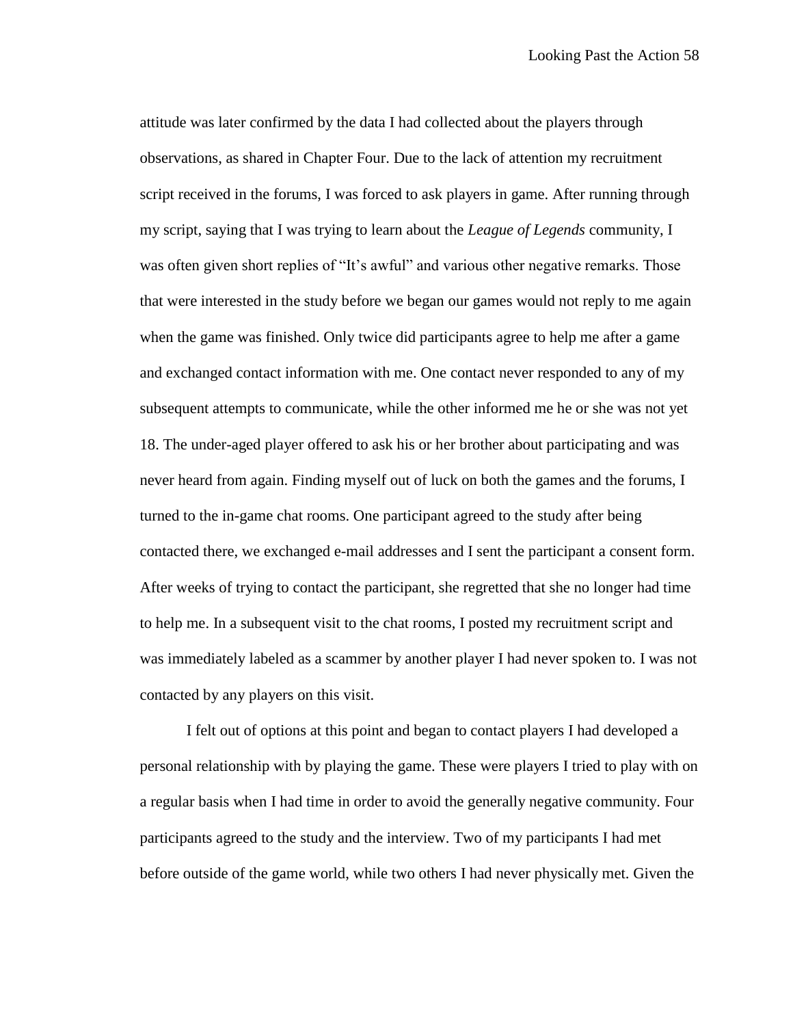attitude was later confirmed by the data I had collected about the players through observations, as shared in Chapter Four. Due to the lack of attention my recruitment script received in the forums, I was forced to ask players in game. After running through my script, saying that I was trying to learn about the *League of Legends* community, I was often given short replies of "It's awful" and various other negative remarks. Those that were interested in the study before we began our games would not reply to me again when the game was finished. Only twice did participants agree to help me after a game and exchanged contact information with me. One contact never responded to any of my subsequent attempts to communicate, while the other informed me he or she was not yet 18. The under-aged player offered to ask his or her brother about participating and was never heard from again. Finding myself out of luck on both the games and the forums, I turned to the in-game chat rooms. One participant agreed to the study after being contacted there, we exchanged e-mail addresses and I sent the participant a consent form. After weeks of trying to contact the participant, she regretted that she no longer had time to help me. In a subsequent visit to the chat rooms, I posted my recruitment script and was immediately labeled as a scammer by another player I had never spoken to. I was not contacted by any players on this visit.

I felt out of options at this point and began to contact players I had developed a personal relationship with by playing the game. These were players I tried to play with on a regular basis when I had time in order to avoid the generally negative community. Four participants agreed to the study and the interview. Two of my participants I had met before outside of the game world, while two others I had never physically met. Given the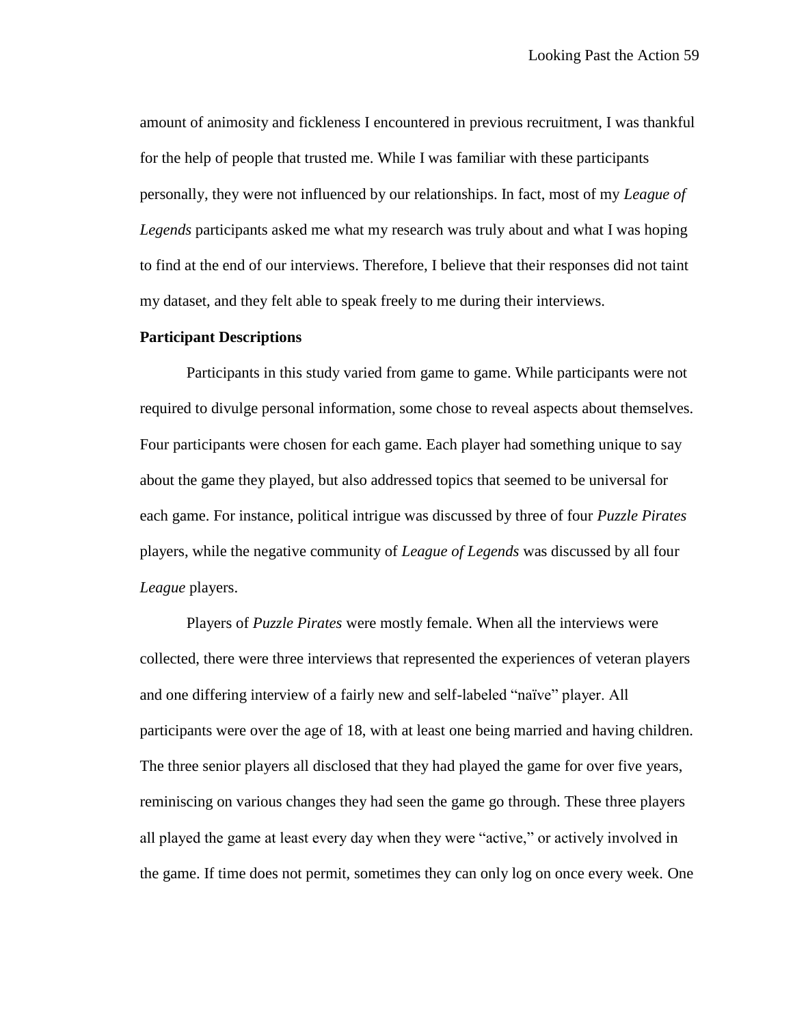amount of animosity and fickleness I encountered in previous recruitment, I was thankful for the help of people that trusted me. While I was familiar with these participants personally, they were not influenced by our relationships. In fact, most of my *League of Legends* participants asked me what my research was truly about and what I was hoping to find at the end of our interviews. Therefore, I believe that their responses did not taint my dataset, and they felt able to speak freely to me during their interviews.

## **Participant Descriptions**

Participants in this study varied from game to game. While participants were not required to divulge personal information, some chose to reveal aspects about themselves. Four participants were chosen for each game. Each player had something unique to say about the game they played, but also addressed topics that seemed to be universal for each game. For instance, political intrigue was discussed by three of four *Puzzle Pirates* players, while the negative community of *League of Legends* was discussed by all four *League* players.

Players of *Puzzle Pirates* were mostly female. When all the interviews were collected, there were three interviews that represented the experiences of veteran players and one differing interview of a fairly new and self-labeled "naïve" player. All participants were over the age of 18, with at least one being married and having children. The three senior players all disclosed that they had played the game for over five years, reminiscing on various changes they had seen the game go through. These three players all played the game at least every day when they were "active," or actively involved in the game. If time does not permit, sometimes they can only log on once every week. One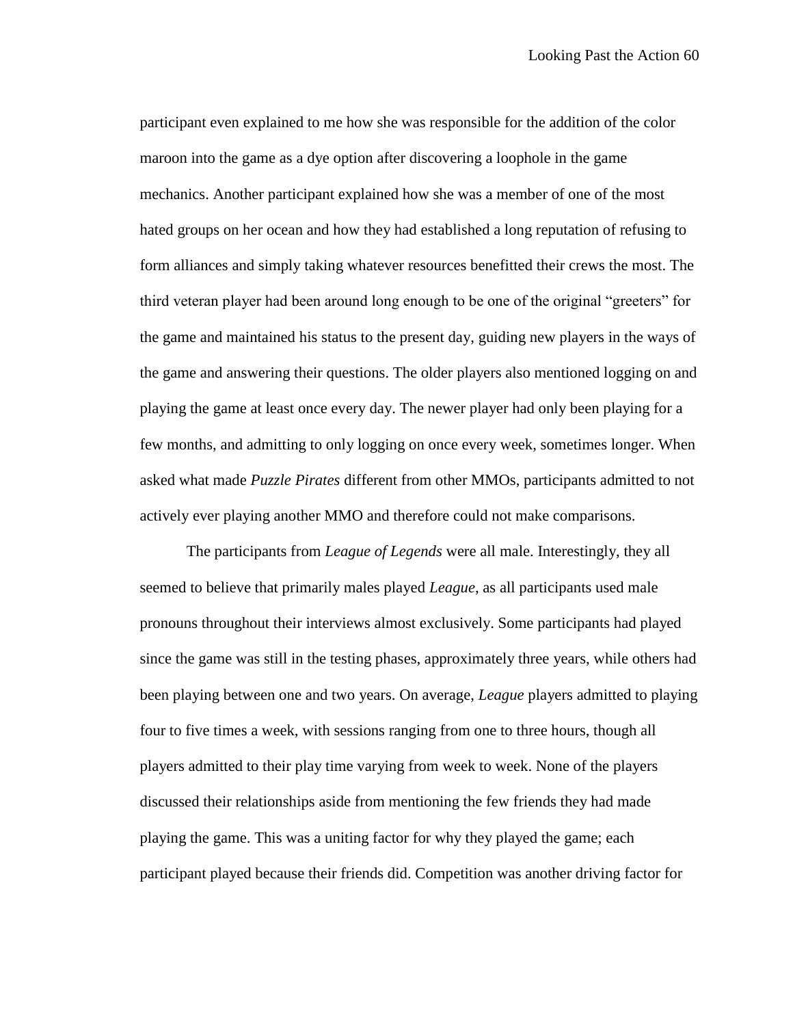participant even explained to me how she was responsible for the addition of the color maroon into the game as a dye option after discovering a loophole in the game mechanics. Another participant explained how she was a member of one of the most hated groups on her ocean and how they had established a long reputation of refusing to form alliances and simply taking whatever resources benefitted their crews the most. The third veteran player had been around long enough to be one of the original "greeters" for the game and maintained his status to the present day, guiding new players in the ways of the game and answering their questions. The older players also mentioned logging on and playing the game at least once every day. The newer player had only been playing for a few months, and admitting to only logging on once every week, sometimes longer. When asked what made *Puzzle Pirates* different from other MMOs, participants admitted to not actively ever playing another MMO and therefore could not make comparisons.

The participants from *League of Legends* were all male. Interestingly, they all seemed to believe that primarily males played *League*, as all participants used male pronouns throughout their interviews almost exclusively. Some participants had played since the game was still in the testing phases, approximately three years, while others had been playing between one and two years. On average, *League* players admitted to playing four to five times a week, with sessions ranging from one to three hours, though all players admitted to their play time varying from week to week. None of the players discussed their relationships aside from mentioning the few friends they had made playing the game. This was a uniting factor for why they played the game; each participant played because their friends did. Competition was another driving factor for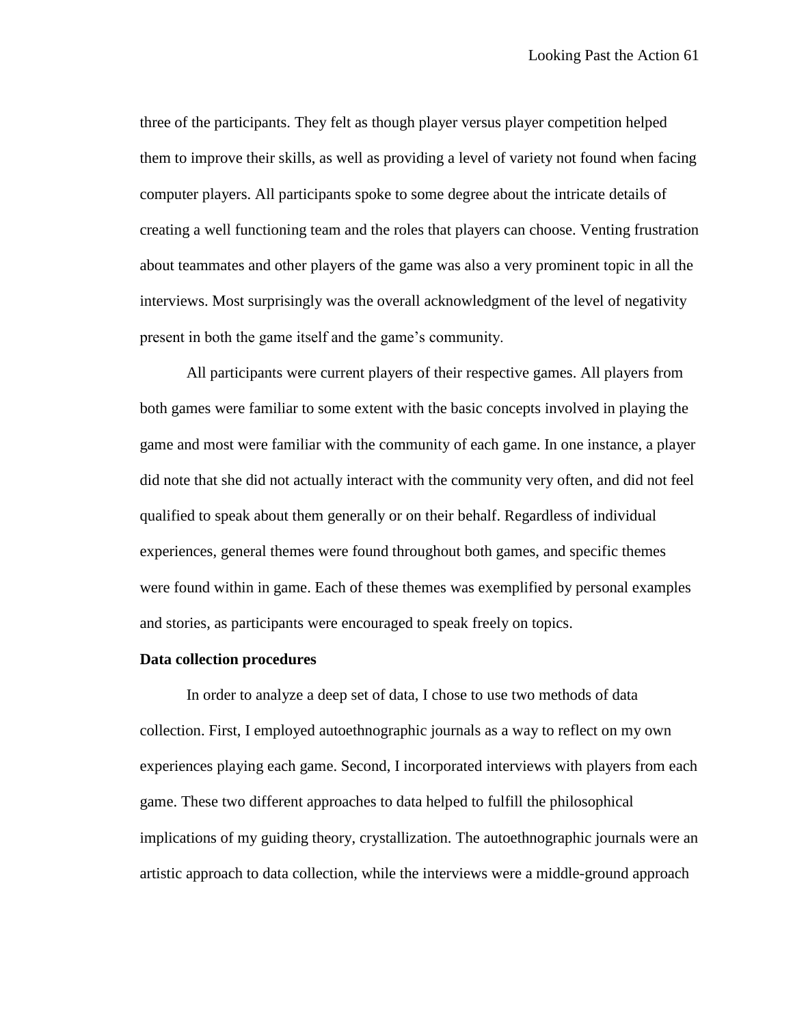three of the participants. They felt as though player versus player competition helped them to improve their skills, as well as providing a level of variety not found when facing computer players. All participants spoke to some degree about the intricate details of creating a well functioning team and the roles that players can choose. Venting frustration about teammates and other players of the game was also a very prominent topic in all the interviews. Most surprisingly was the overall acknowledgment of the level of negativity present in both the game itself and the game's community.

All participants were current players of their respective games. All players from both games were familiar to some extent with the basic concepts involved in playing the game and most were familiar with the community of each game. In one instance, a player did note that she did not actually interact with the community very often, and did not feel qualified to speak about them generally or on their behalf. Regardless of individual experiences, general themes were found throughout both games, and specific themes were found within in game. Each of these themes was exemplified by personal examples and stories, as participants were encouraged to speak freely on topics.

#### **Data collection procedures**

In order to analyze a deep set of data, I chose to use two methods of data collection. First, I employed autoethnographic journals as a way to reflect on my own experiences playing each game. Second, I incorporated interviews with players from each game. These two different approaches to data helped to fulfill the philosophical implications of my guiding theory, crystallization. The autoethnographic journals were an artistic approach to data collection, while the interviews were a middle-ground approach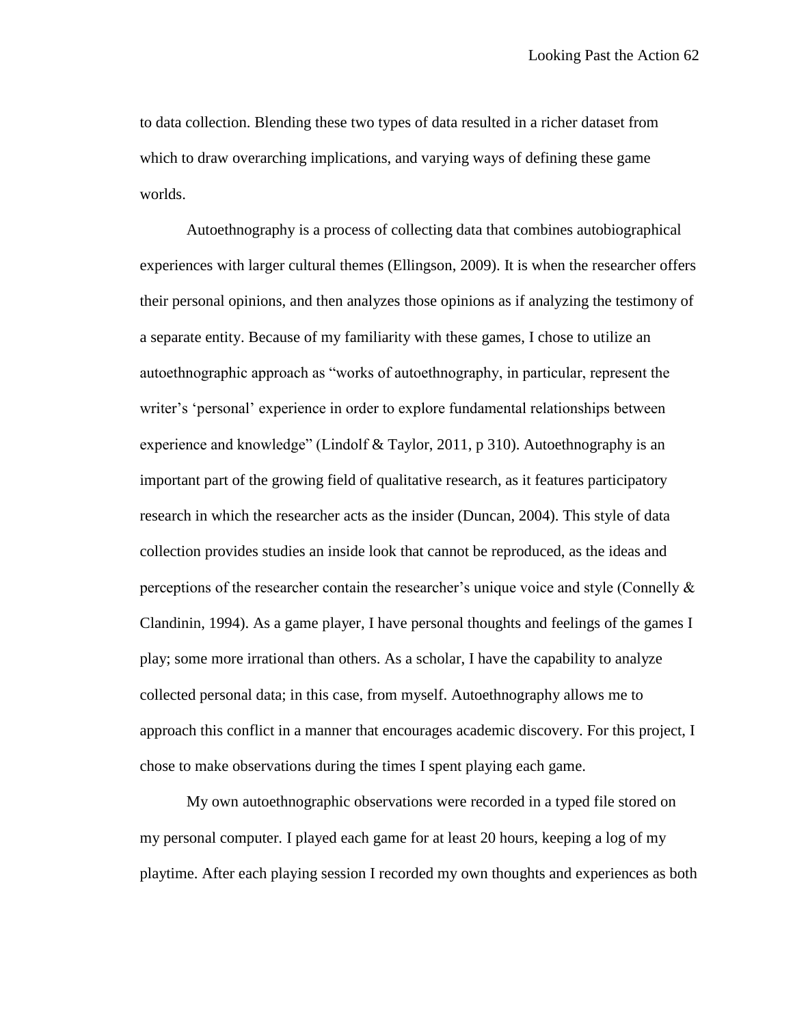to data collection. Blending these two types of data resulted in a richer dataset from which to draw overarching implications, and varying ways of defining these game worlds.

Autoethnography is a process of collecting data that combines autobiographical experiences with larger cultural themes (Ellingson, 2009). It is when the researcher offers their personal opinions, and then analyzes those opinions as if analyzing the testimony of a separate entity. Because of my familiarity with these games, I chose to utilize an autoethnographic approach as "works of autoethnography, in particular, represent the writer's 'personal' experience in order to explore fundamental relationships between experience and knowledge" (Lindolf & Taylor, 2011, p 310). Autoethnography is an important part of the growing field of qualitative research, as it features participatory research in which the researcher acts as the insider (Duncan, 2004). This style of data collection provides studies an inside look that cannot be reproduced, as the ideas and perceptions of the researcher contain the researcher's unique voice and style (Connelly  $\&$ Clandinin, 1994). As a game player, I have personal thoughts and feelings of the games I play; some more irrational than others. As a scholar, I have the capability to analyze collected personal data; in this case, from myself. Autoethnography allows me to approach this conflict in a manner that encourages academic discovery. For this project, I chose to make observations during the times I spent playing each game.

My own autoethnographic observations were recorded in a typed file stored on my personal computer. I played each game for at least 20 hours, keeping a log of my playtime. After each playing session I recorded my own thoughts and experiences as both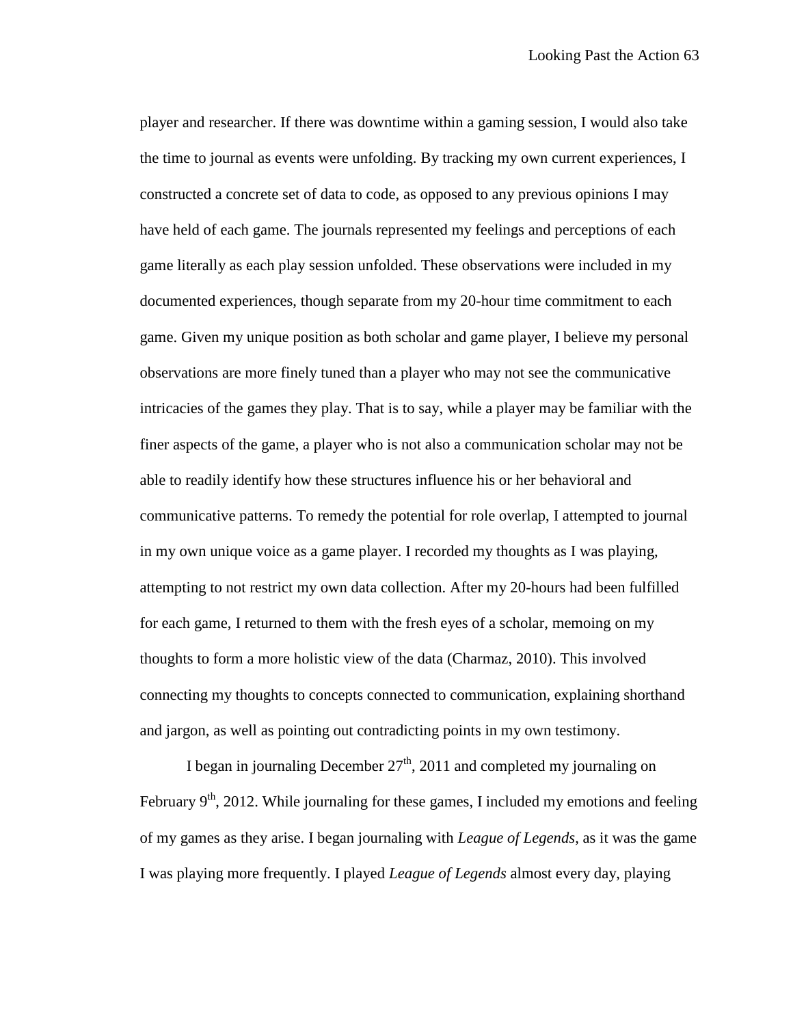player and researcher. If there was downtime within a gaming session, I would also take the time to journal as events were unfolding. By tracking my own current experiences, I constructed a concrete set of data to code, as opposed to any previous opinions I may have held of each game. The journals represented my feelings and perceptions of each game literally as each play session unfolded. These observations were included in my documented experiences, though separate from my 20-hour time commitment to each game. Given my unique position as both scholar and game player, I believe my personal observations are more finely tuned than a player who may not see the communicative intricacies of the games they play. That is to say, while a player may be familiar with the finer aspects of the game, a player who is not also a communication scholar may not be able to readily identify how these structures influence his or her behavioral and communicative patterns. To remedy the potential for role overlap, I attempted to journal in my own unique voice as a game player. I recorded my thoughts as I was playing, attempting to not restrict my own data collection. After my 20-hours had been fulfilled for each game, I returned to them with the fresh eyes of a scholar, memoing on my thoughts to form a more holistic view of the data (Charmaz, 2010). This involved connecting my thoughts to concepts connected to communication, explaining shorthand and jargon, as well as pointing out contradicting points in my own testimony.

I began in journaling December  $27<sup>th</sup>$ , 2011 and completed my journaling on February  $9<sup>th</sup>$ , 2012. While journaling for these games, I included my emotions and feeling of my games as they arise. I began journaling with *League of Legends*, as it was the game I was playing more frequently. I played *League of Legends* almost every day, playing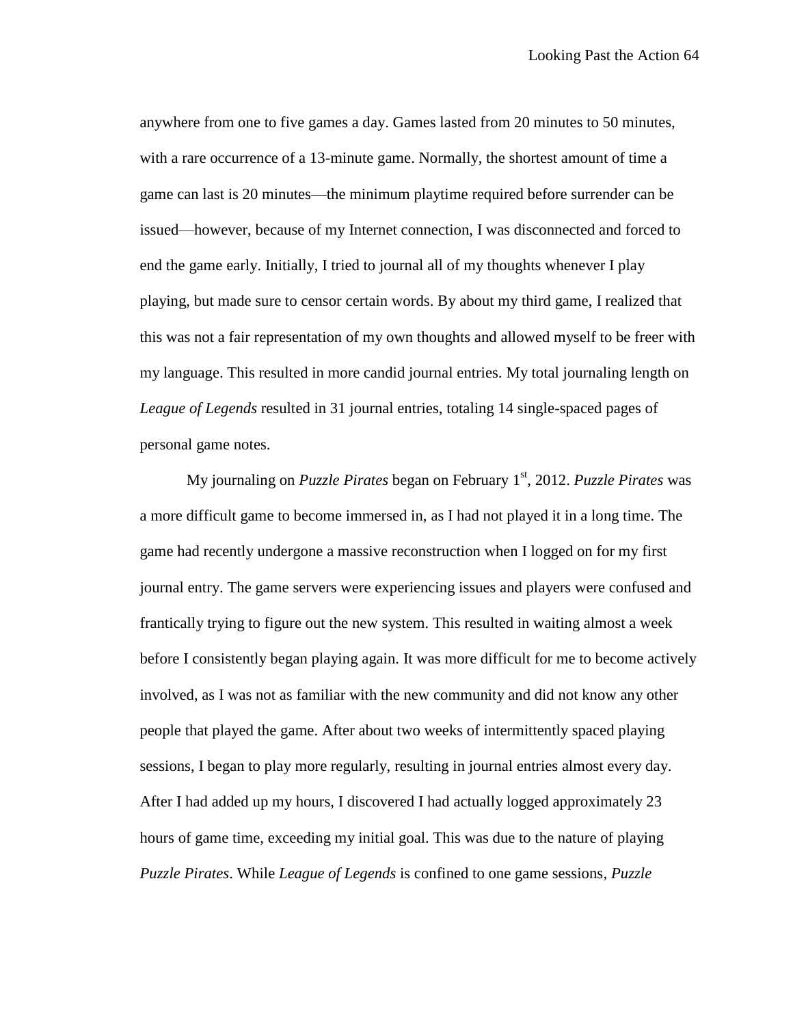anywhere from one to five games a day. Games lasted from 20 minutes to 50 minutes, with a rare occurrence of a 13-minute game. Normally, the shortest amount of time a game can last is 20 minutes—the minimum playtime required before surrender can be issued—however, because of my Internet connection, I was disconnected and forced to end the game early. Initially, I tried to journal all of my thoughts whenever I play playing, but made sure to censor certain words. By about my third game, I realized that this was not a fair representation of my own thoughts and allowed myself to be freer with my language. This resulted in more candid journal entries. My total journaling length on *League of Legends* resulted in 31 journal entries, totaling 14 single-spaced pages of personal game notes.

My journaling on *Puzzle Pirates* began on February 1st, 2012. *Puzzle Pirates* was a more difficult game to become immersed in, as I had not played it in a long time. The game had recently undergone a massive reconstruction when I logged on for my first journal entry. The game servers were experiencing issues and players were confused and frantically trying to figure out the new system. This resulted in waiting almost a week before I consistently began playing again. It was more difficult for me to become actively involved, as I was not as familiar with the new community and did not know any other people that played the game. After about two weeks of intermittently spaced playing sessions, I began to play more regularly, resulting in journal entries almost every day. After I had added up my hours, I discovered I had actually logged approximately 23 hours of game time, exceeding my initial goal. This was due to the nature of playing *Puzzle Pirates*. While *League of Legends* is confined to one game sessions, *Puzzle*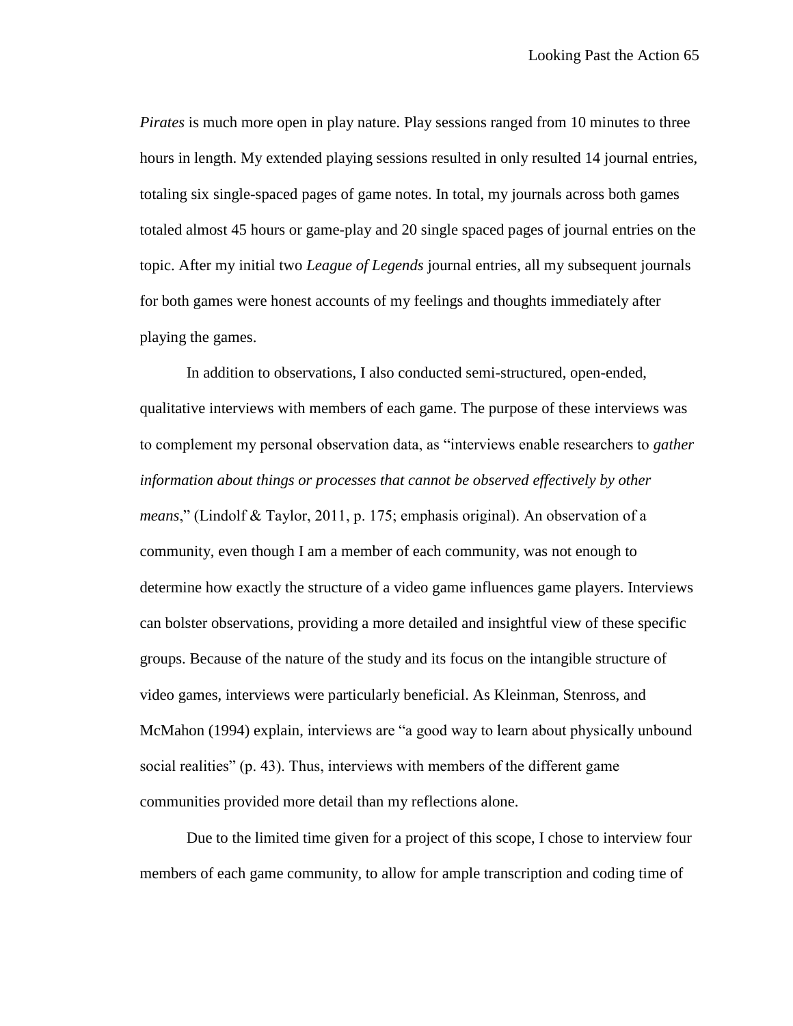*Pirates* is much more open in play nature. Play sessions ranged from 10 minutes to three hours in length. My extended playing sessions resulted in only resulted 14 journal entries, totaling six single-spaced pages of game notes. In total, my journals across both games totaled almost 45 hours or game-play and 20 single spaced pages of journal entries on the topic. After my initial two *League of Legends* journal entries, all my subsequent journals for both games were honest accounts of my feelings and thoughts immediately after playing the games.

In addition to observations, I also conducted semi-structured, open-ended, qualitative interviews with members of each game. The purpose of these interviews was to complement my personal observation data, as "interviews enable researchers to *gather information about things or processes that cannot be observed effectively by other means*," (Lindolf & Taylor, 2011, p. 175; emphasis original). An observation of a community, even though I am a member of each community, was not enough to determine how exactly the structure of a video game influences game players. Interviews can bolster observations, providing a more detailed and insightful view of these specific groups. Because of the nature of the study and its focus on the intangible structure of video games, interviews were particularly beneficial. As Kleinman, Stenross, and McMahon (1994) explain, interviews are "a good way to learn about physically unbound social realities" (p. 43). Thus, interviews with members of the different game communities provided more detail than my reflections alone.

Due to the limited time given for a project of this scope, I chose to interview four members of each game community, to allow for ample transcription and coding time of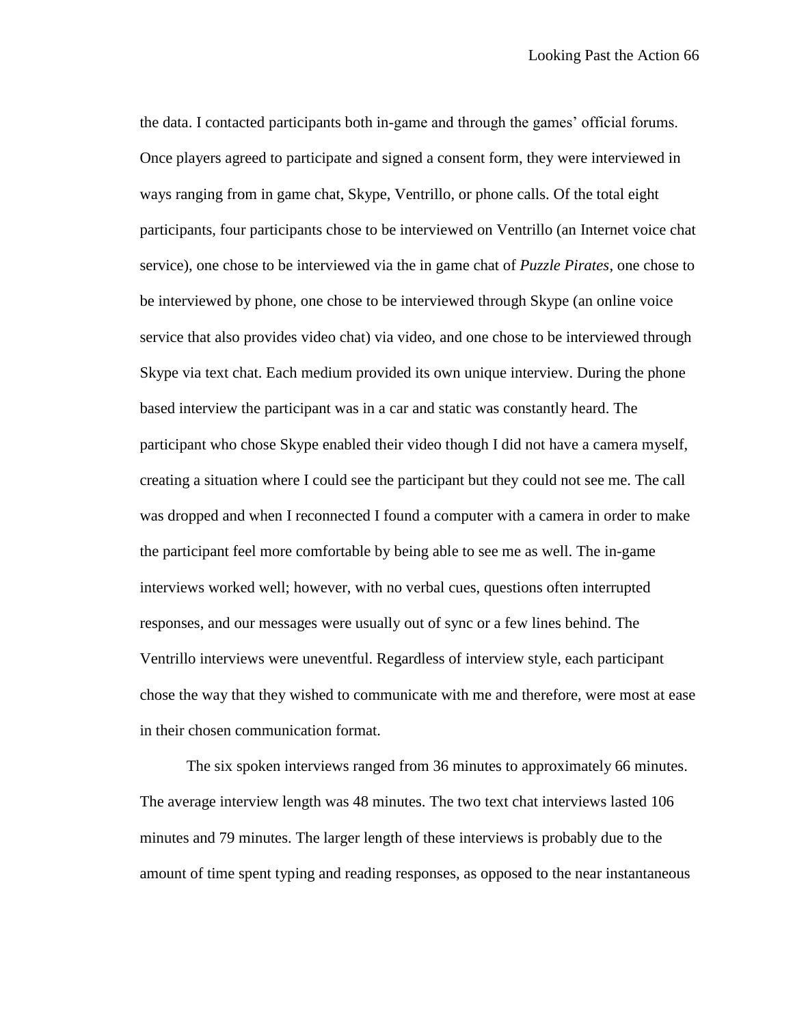the data. I contacted participants both in-game and through the games' official forums. Once players agreed to participate and signed a consent form, they were interviewed in ways ranging from in game chat, Skype, Ventrillo, or phone calls. Of the total eight participants, four participants chose to be interviewed on Ventrillo (an Internet voice chat service), one chose to be interviewed via the in game chat of *Puzzle Pirates*, one chose to be interviewed by phone, one chose to be interviewed through Skype (an online voice service that also provides video chat) via video, and one chose to be interviewed through Skype via text chat. Each medium provided its own unique interview. During the phone based interview the participant was in a car and static was constantly heard. The participant who chose Skype enabled their video though I did not have a camera myself, creating a situation where I could see the participant but they could not see me. The call was dropped and when I reconnected I found a computer with a camera in order to make the participant feel more comfortable by being able to see me as well. The in-game interviews worked well; however, with no verbal cues, questions often interrupted responses, and our messages were usually out of sync or a few lines behind. The Ventrillo interviews were uneventful. Regardless of interview style, each participant chose the way that they wished to communicate with me and therefore, were most at ease in their chosen communication format.

The six spoken interviews ranged from 36 minutes to approximately 66 minutes. The average interview length was 48 minutes. The two text chat interviews lasted 106 minutes and 79 minutes. The larger length of these interviews is probably due to the amount of time spent typing and reading responses, as opposed to the near instantaneous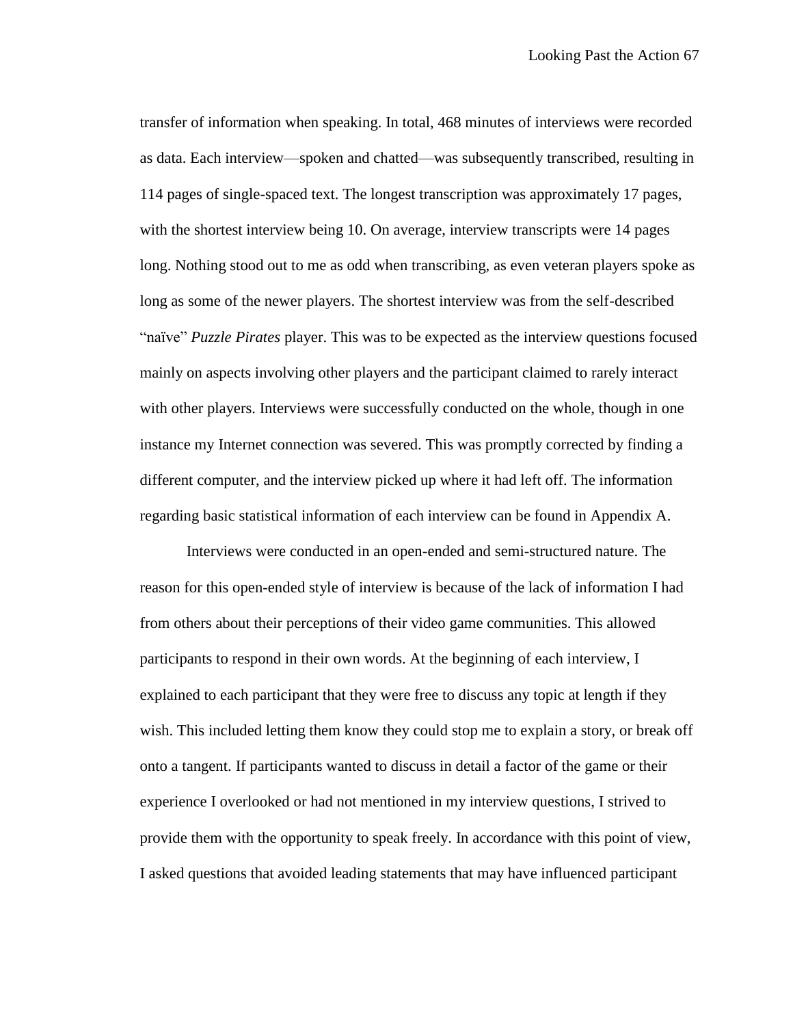transfer of information when speaking. In total, 468 minutes of interviews were recorded as data. Each interview—spoken and chatted—was subsequently transcribed, resulting in 114 pages of single-spaced text. The longest transcription was approximately 17 pages, with the shortest interview being 10. On average, interview transcripts were 14 pages long. Nothing stood out to me as odd when transcribing, as even veteran players spoke as long as some of the newer players. The shortest interview was from the self-described "naïve" *Puzzle Pirates* player. This was to be expected as the interview questions focused mainly on aspects involving other players and the participant claimed to rarely interact with other players. Interviews were successfully conducted on the whole, though in one instance my Internet connection was severed. This was promptly corrected by finding a different computer, and the interview picked up where it had left off. The information regarding basic statistical information of each interview can be found in Appendix A.

Interviews were conducted in an open-ended and semi-structured nature. The reason for this open-ended style of interview is because of the lack of information I had from others about their perceptions of their video game communities. This allowed participants to respond in their own words. At the beginning of each interview, I explained to each participant that they were free to discuss any topic at length if they wish. This included letting them know they could stop me to explain a story, or break off onto a tangent. If participants wanted to discuss in detail a factor of the game or their experience I overlooked or had not mentioned in my interview questions, I strived to provide them with the opportunity to speak freely. In accordance with this point of view, I asked questions that avoided leading statements that may have influenced participant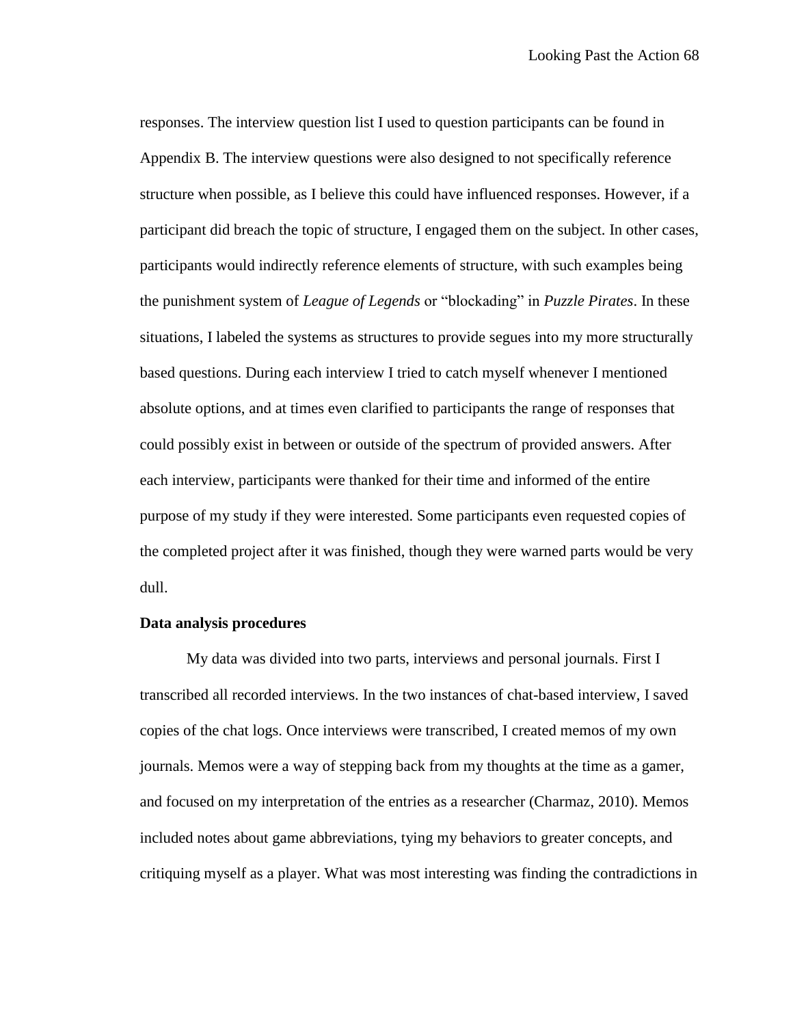responses. The interview question list I used to question participants can be found in Appendix B. The interview questions were also designed to not specifically reference structure when possible, as I believe this could have influenced responses. However, if a participant did breach the topic of structure, I engaged them on the subject. In other cases, participants would indirectly reference elements of structure, with such examples being the punishment system of *League of Legends* or "blockading" in *Puzzle Pirates*. In these situations, I labeled the systems as structures to provide segues into my more structurally based questions. During each interview I tried to catch myself whenever I mentioned absolute options, and at times even clarified to participants the range of responses that could possibly exist in between or outside of the spectrum of provided answers. After each interview, participants were thanked for their time and informed of the entire purpose of my study if they were interested. Some participants even requested copies of the completed project after it was finished, though they were warned parts would be very dull.

#### **Data analysis procedures**

My data was divided into two parts, interviews and personal journals. First I transcribed all recorded interviews. In the two instances of chat-based interview, I saved copies of the chat logs. Once interviews were transcribed, I created memos of my own journals. Memos were a way of stepping back from my thoughts at the time as a gamer, and focused on my interpretation of the entries as a researcher (Charmaz, 2010). Memos included notes about game abbreviations, tying my behaviors to greater concepts, and critiquing myself as a player. What was most interesting was finding the contradictions in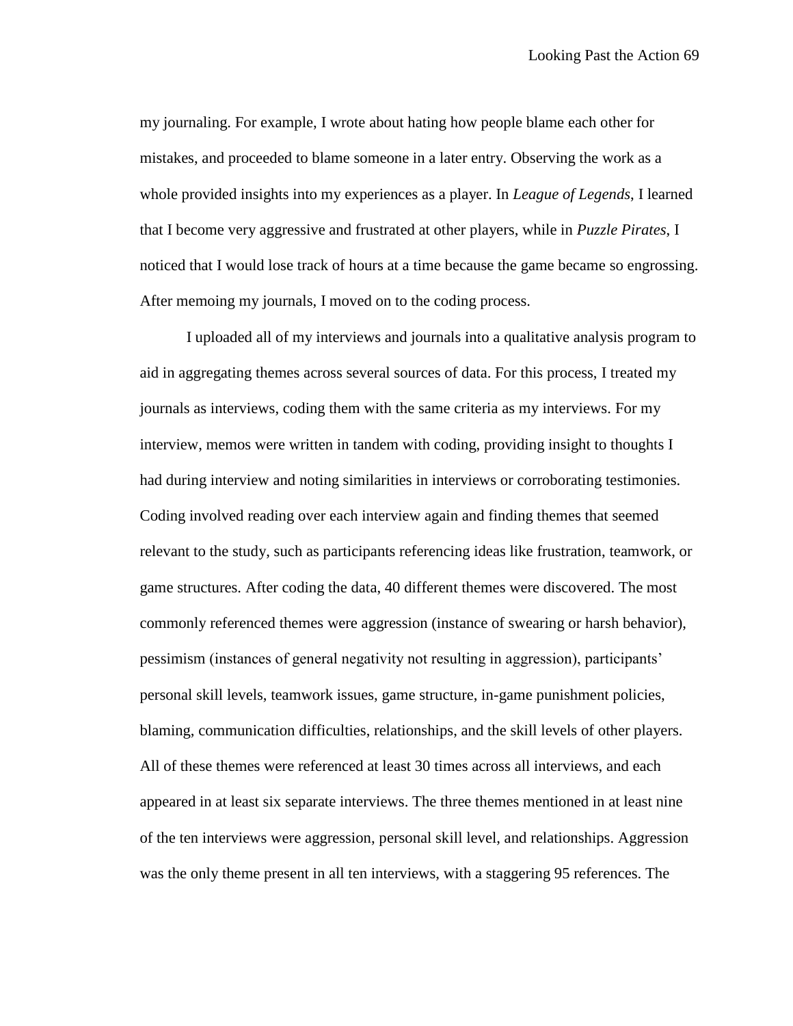my journaling. For example, I wrote about hating how people blame each other for mistakes, and proceeded to blame someone in a later entry. Observing the work as a whole provided insights into my experiences as a player. In *League of Legends*, I learned that I become very aggressive and frustrated at other players, while in *Puzzle Pirates*, I noticed that I would lose track of hours at a time because the game became so engrossing. After memoing my journals, I moved on to the coding process.

I uploaded all of my interviews and journals into a qualitative analysis program to aid in aggregating themes across several sources of data. For this process, I treated my journals as interviews, coding them with the same criteria as my interviews. For my interview, memos were written in tandem with coding, providing insight to thoughts I had during interview and noting similarities in interviews or corroborating testimonies. Coding involved reading over each interview again and finding themes that seemed relevant to the study, such as participants referencing ideas like frustration, teamwork, or game structures. After coding the data, 40 different themes were discovered. The most commonly referenced themes were aggression (instance of swearing or harsh behavior), pessimism (instances of general negativity not resulting in aggression), participants' personal skill levels, teamwork issues, game structure, in-game punishment policies, blaming, communication difficulties, relationships, and the skill levels of other players. All of these themes were referenced at least 30 times across all interviews, and each appeared in at least six separate interviews. The three themes mentioned in at least nine of the ten interviews were aggression, personal skill level, and relationships. Aggression was the only theme present in all ten interviews, with a staggering 95 references. The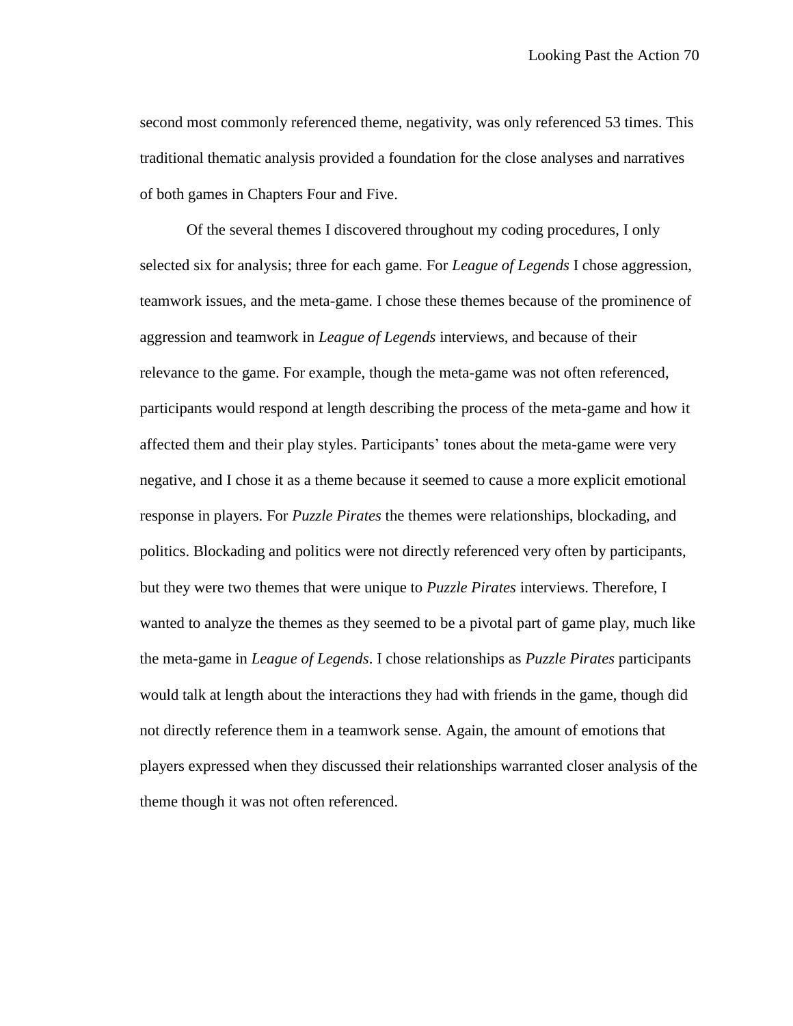second most commonly referenced theme, negativity, was only referenced 53 times. This traditional thematic analysis provided a foundation for the close analyses and narratives of both games in Chapters Four and Five.

Of the several themes I discovered throughout my coding procedures, I only selected six for analysis; three for each game. For *League of Legends* I chose aggression, teamwork issues, and the meta-game. I chose these themes because of the prominence of aggression and teamwork in *League of Legends* interviews, and because of their relevance to the game. For example, though the meta-game was not often referenced, participants would respond at length describing the process of the meta-game and how it affected them and their play styles. Participants' tones about the meta-game were very negative, and I chose it as a theme because it seemed to cause a more explicit emotional response in players. For *Puzzle Pirates* the themes were relationships, blockading, and politics. Blockading and politics were not directly referenced very often by participants, but they were two themes that were unique to *Puzzle Pirates* interviews. Therefore, I wanted to analyze the themes as they seemed to be a pivotal part of game play, much like the meta-game in *League of Legends*. I chose relationships as *Puzzle Pirates* participants would talk at length about the interactions they had with friends in the game, though did not directly reference them in a teamwork sense. Again, the amount of emotions that players expressed when they discussed their relationships warranted closer analysis of the theme though it was not often referenced.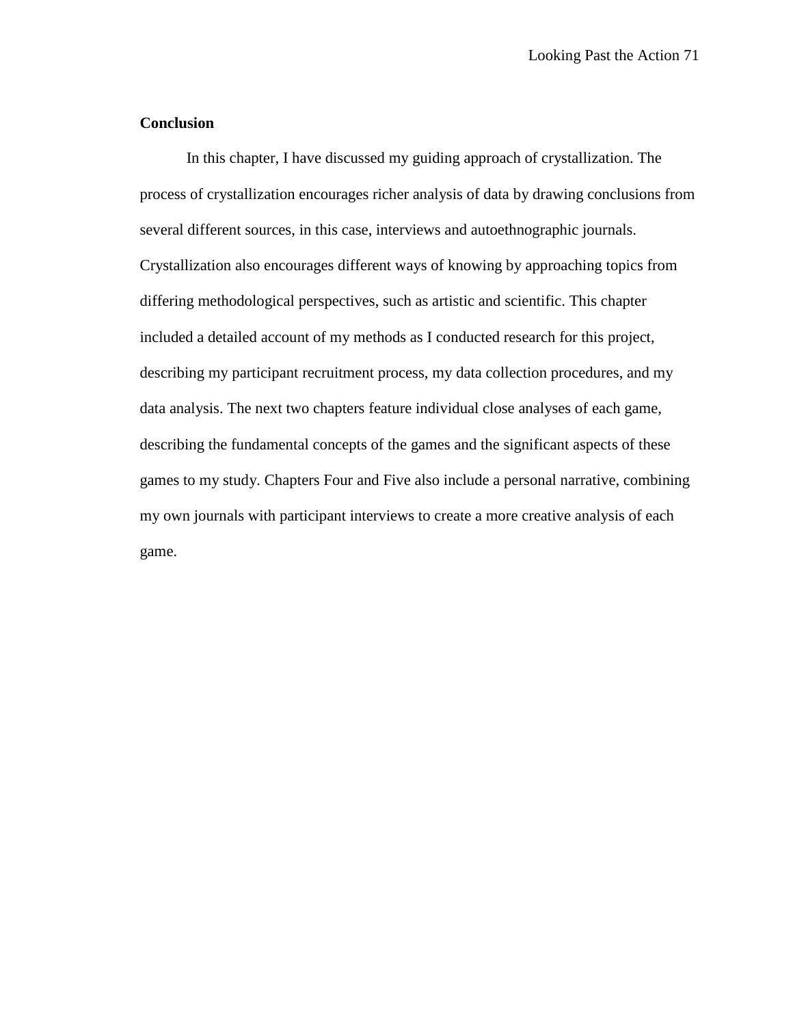## **Conclusion**

In this chapter, I have discussed my guiding approach of crystallization. The process of crystallization encourages richer analysis of data by drawing conclusions from several different sources, in this case, interviews and autoethnographic journals. Crystallization also encourages different ways of knowing by approaching topics from differing methodological perspectives, such as artistic and scientific. This chapter included a detailed account of my methods as I conducted research for this project, describing my participant recruitment process, my data collection procedures, and my data analysis. The next two chapters feature individual close analyses of each game, describing the fundamental concepts of the games and the significant aspects of these games to my study. Chapters Four and Five also include a personal narrative, combining my own journals with participant interviews to create a more creative analysis of each game.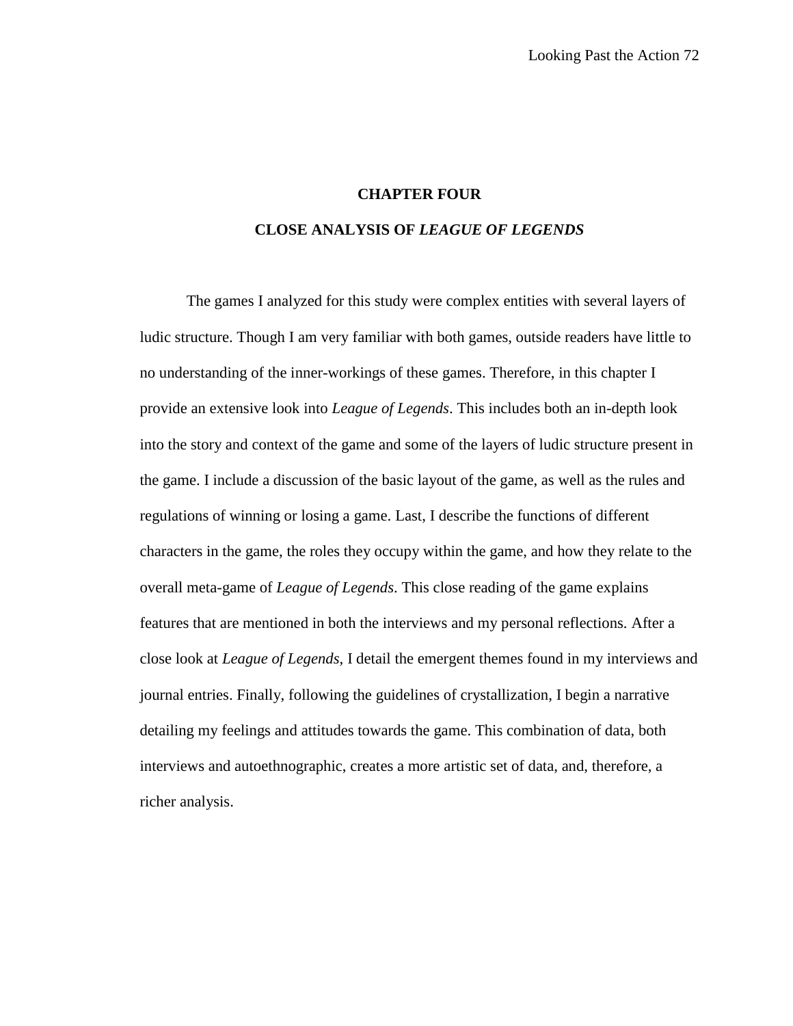#### **CHAPTER FOUR**

#### **CLOSE ANALYSIS OF** *LEAGUE OF LEGENDS*

The games I analyzed for this study were complex entities with several layers of ludic structure. Though I am very familiar with both games, outside readers have little to no understanding of the inner-workings of these games. Therefore, in this chapter I provide an extensive look into *League of Legends*. This includes both an in-depth look into the story and context of the game and some of the layers of ludic structure present in the game. I include a discussion of the basic layout of the game, as well as the rules and regulations of winning or losing a game. Last, I describe the functions of different characters in the game, the roles they occupy within the game, and how they relate to the overall meta-game of *League of Legends*. This close reading of the game explains features that are mentioned in both the interviews and my personal reflections. After a close look at *League of Legends*, I detail the emergent themes found in my interviews and journal entries. Finally, following the guidelines of crystallization, I begin a narrative detailing my feelings and attitudes towards the game. This combination of data, both interviews and autoethnographic, creates a more artistic set of data, and, therefore, a richer analysis.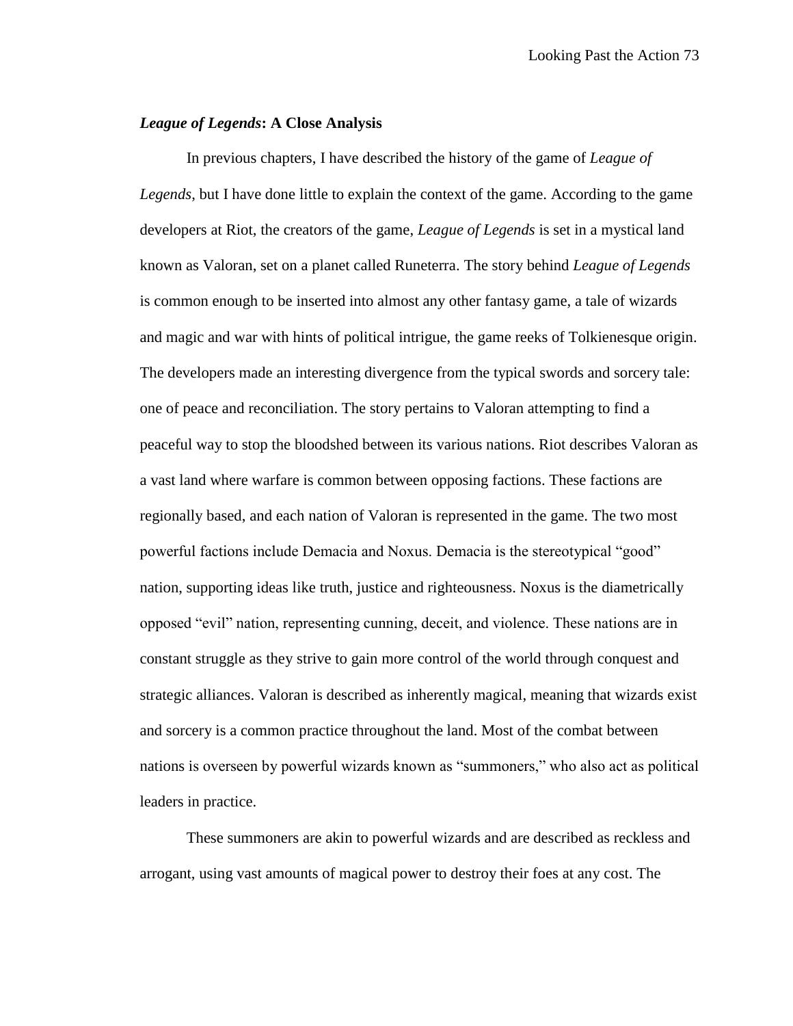### *League of Legends***: A Close Analysis**

In previous chapters, I have described the history of the game of *League of Legends*, but I have done little to explain the context of the game. According to the game developers at Riot, the creators of the game, *League of Legends* is set in a mystical land known as Valoran, set on a planet called Runeterra. The story behind *League of Legends* is common enough to be inserted into almost any other fantasy game, a tale of wizards and magic and war with hints of political intrigue, the game reeks of Tolkienesque origin. The developers made an interesting divergence from the typical swords and sorcery tale: one of peace and reconciliation. The story pertains to Valoran attempting to find a peaceful way to stop the bloodshed between its various nations. Riot describes Valoran as a vast land where warfare is common between opposing factions. These factions are regionally based, and each nation of Valoran is represented in the game. The two most powerful factions include Demacia and Noxus. Demacia is the stereotypical "good" nation, supporting ideas like truth, justice and righteousness. Noxus is the diametrically opposed "evil" nation, representing cunning, deceit, and violence. These nations are in constant struggle as they strive to gain more control of the world through conquest and strategic alliances. Valoran is described as inherently magical, meaning that wizards exist and sorcery is a common practice throughout the land. Most of the combat between nations is overseen by powerful wizards known as "summoners," who also act as political leaders in practice.

These summoners are akin to powerful wizards and are described as reckless and arrogant, using vast amounts of magical power to destroy their foes at any cost. The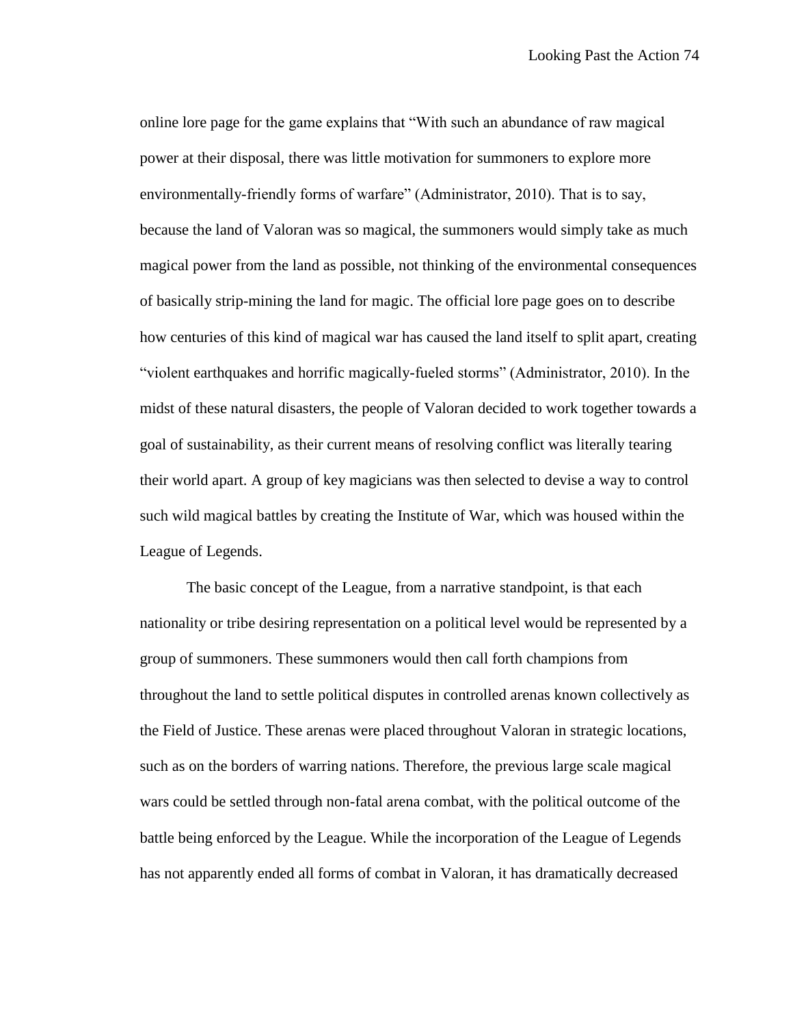online lore page for the game explains that "With such an abundance of raw magical power at their disposal, there was little motivation for summoners to explore more environmentally-friendly forms of warfare" (Administrator, 2010). That is to say, because the land of Valoran was so magical, the summoners would simply take as much magical power from the land as possible, not thinking of the environmental consequences of basically strip-mining the land for magic. The official lore page goes on to describe how centuries of this kind of magical war has caused the land itself to split apart, creating "violent earthquakes and horrific magically-fueled storms" (Administrator, 2010). In the midst of these natural disasters, the people of Valoran decided to work together towards a goal of sustainability, as their current means of resolving conflict was literally tearing their world apart. A group of key magicians was then selected to devise a way to control such wild magical battles by creating the Institute of War, which was housed within the League of Legends.

The basic concept of the League, from a narrative standpoint, is that each nationality or tribe desiring representation on a political level would be represented by a group of summoners. These summoners would then call forth champions from throughout the land to settle political disputes in controlled arenas known collectively as the Field of Justice. These arenas were placed throughout Valoran in strategic locations, such as on the borders of warring nations. Therefore, the previous large scale magical wars could be settled through non-fatal arena combat, with the political outcome of the battle being enforced by the League. While the incorporation of the League of Legends has not apparently ended all forms of combat in Valoran, it has dramatically decreased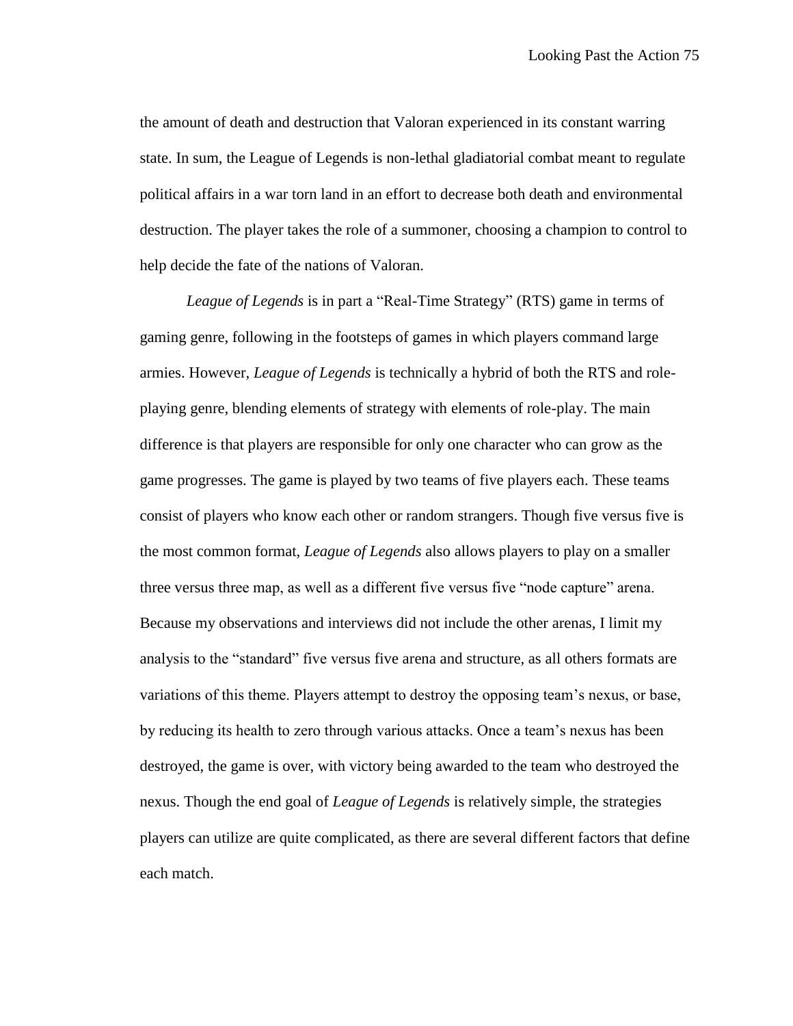the amount of death and destruction that Valoran experienced in its constant warring state. In sum, the League of Legends is non-lethal gladiatorial combat meant to regulate political affairs in a war torn land in an effort to decrease both death and environmental destruction. The player takes the role of a summoner, choosing a champion to control to help decide the fate of the nations of Valoran.

*League of Legends* is in part a "Real-Time Strategy" (RTS) game in terms of gaming genre, following in the footsteps of games in which players command large armies. However, *League of Legends* is technically a hybrid of both the RTS and roleplaying genre, blending elements of strategy with elements of role-play. The main difference is that players are responsible for only one character who can grow as the game progresses. The game is played by two teams of five players each. These teams consist of players who know each other or random strangers. Though five versus five is the most common format, *League of Legends* also allows players to play on a smaller three versus three map, as well as a different five versus five "node capture" arena. Because my observations and interviews did not include the other arenas, I limit my analysis to the "standard" five versus five arena and structure, as all others formats are variations of this theme. Players attempt to destroy the opposing team's nexus, or base, by reducing its health to zero through various attacks. Once a team's nexus has been destroyed, the game is over, with victory being awarded to the team who destroyed the nexus. Though the end goal of *League of Legends* is relatively simple, the strategies players can utilize are quite complicated, as there are several different factors that define each match.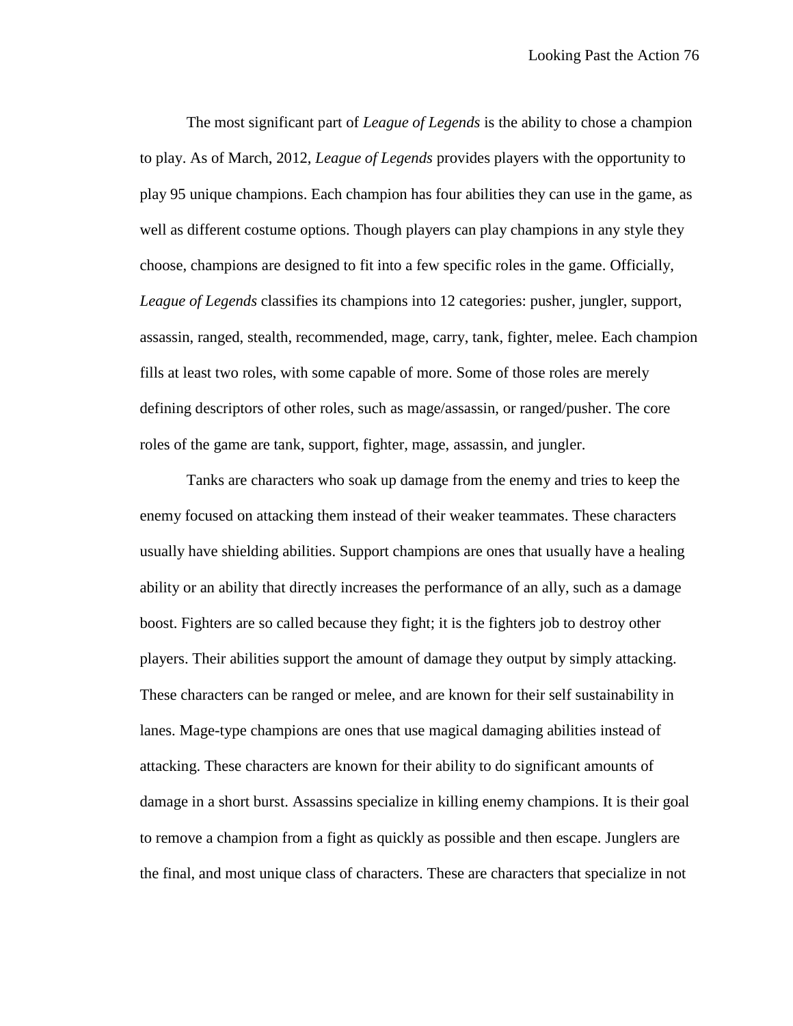The most significant part of *League of Legends* is the ability to chose a champion to play. As of March, 2012, *League of Legends* provides players with the opportunity to play 95 unique champions. Each champion has four abilities they can use in the game, as well as different costume options. Though players can play champions in any style they choose, champions are designed to fit into a few specific roles in the game. Officially, *League of Legends* classifies its champions into 12 categories: pusher, jungler, support, assassin, ranged, stealth, recommended, mage, carry, tank, fighter, melee. Each champion fills at least two roles, with some capable of more. Some of those roles are merely defining descriptors of other roles, such as mage/assassin, or ranged/pusher. The core roles of the game are tank, support, fighter, mage, assassin, and jungler.

Tanks are characters who soak up damage from the enemy and tries to keep the enemy focused on attacking them instead of their weaker teammates. These characters usually have shielding abilities. Support champions are ones that usually have a healing ability or an ability that directly increases the performance of an ally, such as a damage boost. Fighters are so called because they fight; it is the fighters job to destroy other players. Their abilities support the amount of damage they output by simply attacking. These characters can be ranged or melee, and are known for their self sustainability in lanes. Mage-type champions are ones that use magical damaging abilities instead of attacking. These characters are known for their ability to do significant amounts of damage in a short burst. Assassins specialize in killing enemy champions. It is their goal to remove a champion from a fight as quickly as possible and then escape. Junglers are the final, and most unique class of characters. These are characters that specialize in not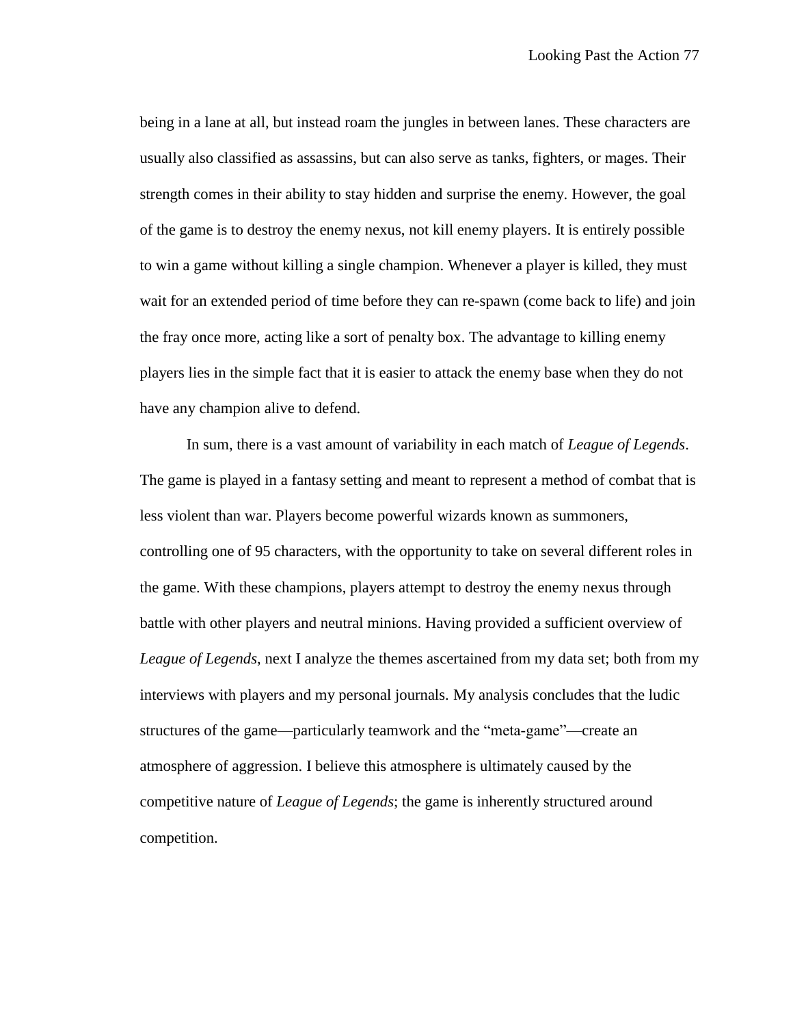being in a lane at all, but instead roam the jungles in between lanes. These characters are usually also classified as assassins, but can also serve as tanks, fighters, or mages. Their strength comes in their ability to stay hidden and surprise the enemy. However, the goal of the game is to destroy the enemy nexus, not kill enemy players. It is entirely possible to win a game without killing a single champion. Whenever a player is killed, they must wait for an extended period of time before they can re-spawn (come back to life) and join the fray once more, acting like a sort of penalty box. The advantage to killing enemy players lies in the simple fact that it is easier to attack the enemy base when they do not have any champion alive to defend.

In sum, there is a vast amount of variability in each match of *League of Legends*. The game is played in a fantasy setting and meant to represent a method of combat that is less violent than war. Players become powerful wizards known as summoners, controlling one of 95 characters, with the opportunity to take on several different roles in the game. With these champions, players attempt to destroy the enemy nexus through battle with other players and neutral minions. Having provided a sufficient overview of *League of Legends*, next I analyze the themes ascertained from my data set; both from my interviews with players and my personal journals. My analysis concludes that the ludic structures of the game—particularly teamwork and the "meta-game"—create an atmosphere of aggression. I believe this atmosphere is ultimately caused by the competitive nature of *League of Legends*; the game is inherently structured around competition.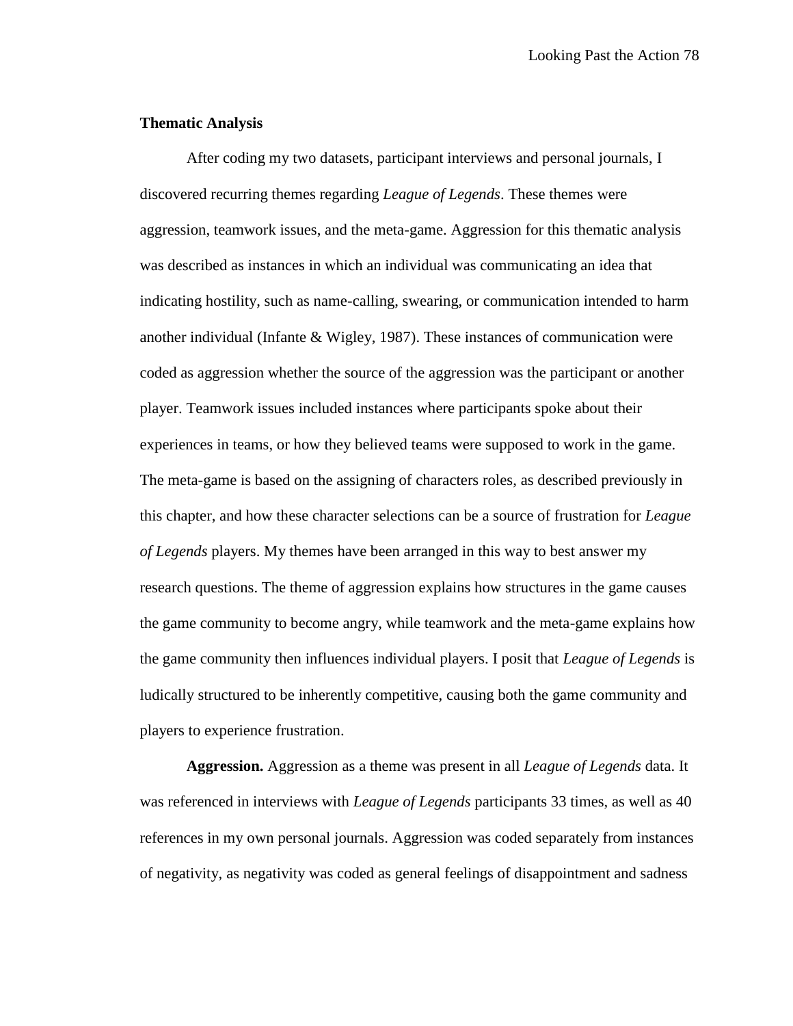# **Thematic Analysis**

After coding my two datasets, participant interviews and personal journals, I discovered recurring themes regarding *League of Legends*. These themes were aggression, teamwork issues, and the meta-game. Aggression for this thematic analysis was described as instances in which an individual was communicating an idea that indicating hostility, such as name-calling, swearing, or communication intended to harm another individual (Infante & Wigley, 1987). These instances of communication were coded as aggression whether the source of the aggression was the participant or another player. Teamwork issues included instances where participants spoke about their experiences in teams, or how they believed teams were supposed to work in the game. The meta-game is based on the assigning of characters roles, as described previously in this chapter, and how these character selections can be a source of frustration for *League of Legends* players. My themes have been arranged in this way to best answer my research questions. The theme of aggression explains how structures in the game causes the game community to become angry, while teamwork and the meta-game explains how the game community then influences individual players. I posit that *League of Legends* is ludically structured to be inherently competitive, causing both the game community and players to experience frustration.

**Aggression.** Aggression as a theme was present in all *League of Legends* data. It was referenced in interviews with *League of Legends* participants 33 times, as well as 40 references in my own personal journals. Aggression was coded separately from instances of negativity, as negativity was coded as general feelings of disappointment and sadness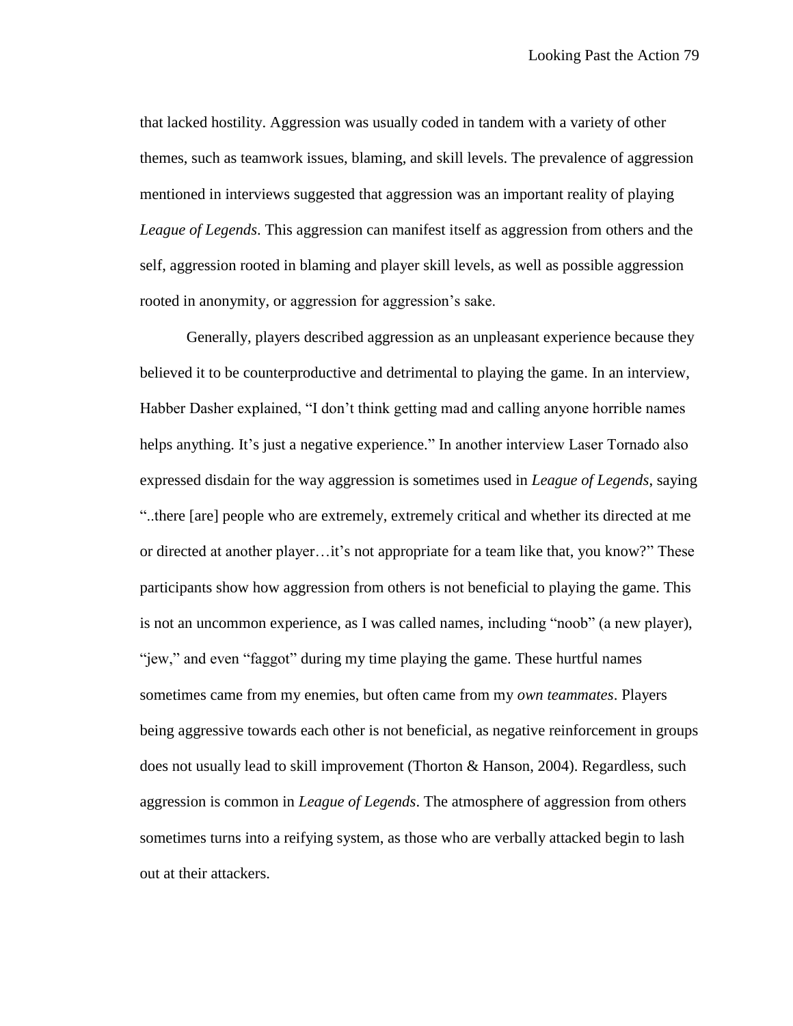that lacked hostility. Aggression was usually coded in tandem with a variety of other themes, such as teamwork issues, blaming, and skill levels. The prevalence of aggression mentioned in interviews suggested that aggression was an important reality of playing *League of Legends*. This aggression can manifest itself as aggression from others and the self, aggression rooted in blaming and player skill levels, as well as possible aggression rooted in anonymity, or aggression for aggression's sake.

Generally, players described aggression as an unpleasant experience because they believed it to be counterproductive and detrimental to playing the game. In an interview, Habber Dasher explained, "I don't think getting mad and calling anyone horrible names helps anything. It's just a negative experience." In another interview Laser Tornado also expressed disdain for the way aggression is sometimes used in *League of Legends*, saying "..there [are] people who are extremely, extremely critical and whether its directed at me or directed at another player…it's not appropriate for a team like that, you know?" These participants show how aggression from others is not beneficial to playing the game. This is not an uncommon experience, as I was called names, including "noob" (a new player), "jew," and even "faggot" during my time playing the game. These hurtful names sometimes came from my enemies, but often came from my *own teammates*. Players being aggressive towards each other is not beneficial, as negative reinforcement in groups does not usually lead to skill improvement (Thorton & Hanson, 2004). Regardless, such aggression is common in *League of Legends*. The atmosphere of aggression from others sometimes turns into a reifying system, as those who are verbally attacked begin to lash out at their attackers.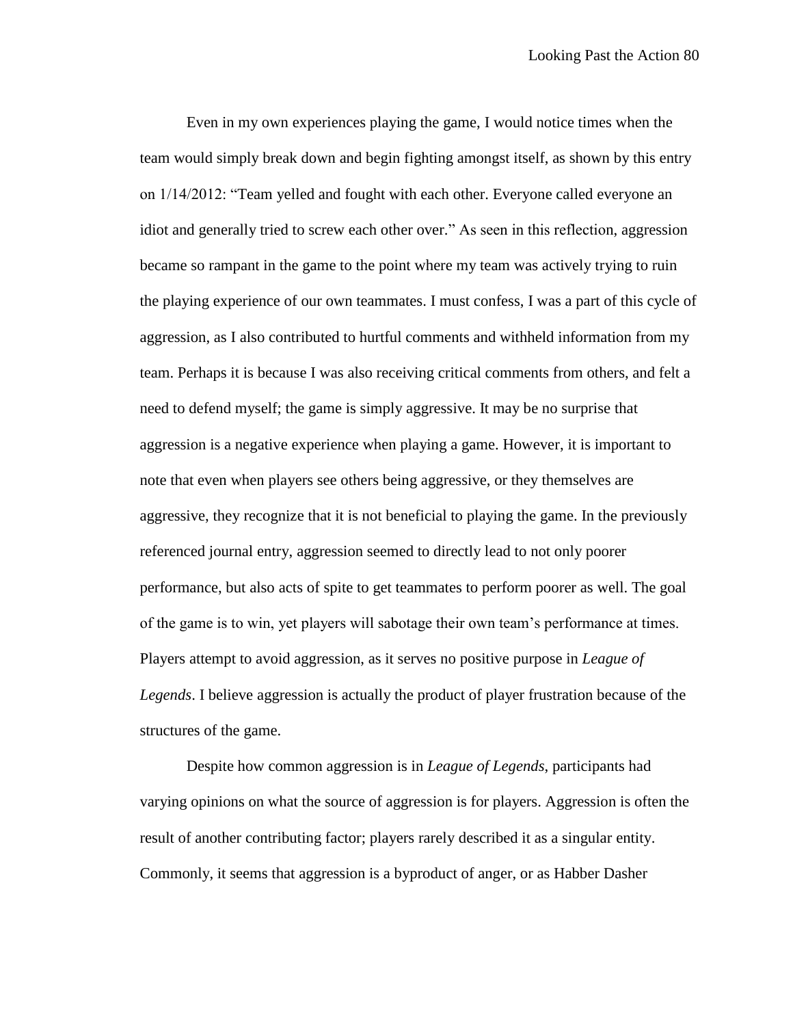Even in my own experiences playing the game, I would notice times when the team would simply break down and begin fighting amongst itself, as shown by this entry on 1/14/2012: "Team yelled and fought with each other. Everyone called everyone an idiot and generally tried to screw each other over." As seen in this reflection, aggression became so rampant in the game to the point where my team was actively trying to ruin the playing experience of our own teammates. I must confess, I was a part of this cycle of aggression, as I also contributed to hurtful comments and withheld information from my team. Perhaps it is because I was also receiving critical comments from others, and felt a need to defend myself; the game is simply aggressive. It may be no surprise that aggression is a negative experience when playing a game. However, it is important to note that even when players see others being aggressive, or they themselves are aggressive, they recognize that it is not beneficial to playing the game. In the previously referenced journal entry, aggression seemed to directly lead to not only poorer performance, but also acts of spite to get teammates to perform poorer as well. The goal of the game is to win, yet players will sabotage their own team's performance at times. Players attempt to avoid aggression, as it serves no positive purpose in *League of Legends*. I believe aggression is actually the product of player frustration because of the structures of the game.

Despite how common aggression is in *League of Legends*, participants had varying opinions on what the source of aggression is for players. Aggression is often the result of another contributing factor; players rarely described it as a singular entity. Commonly, it seems that aggression is a byproduct of anger, or as Habber Dasher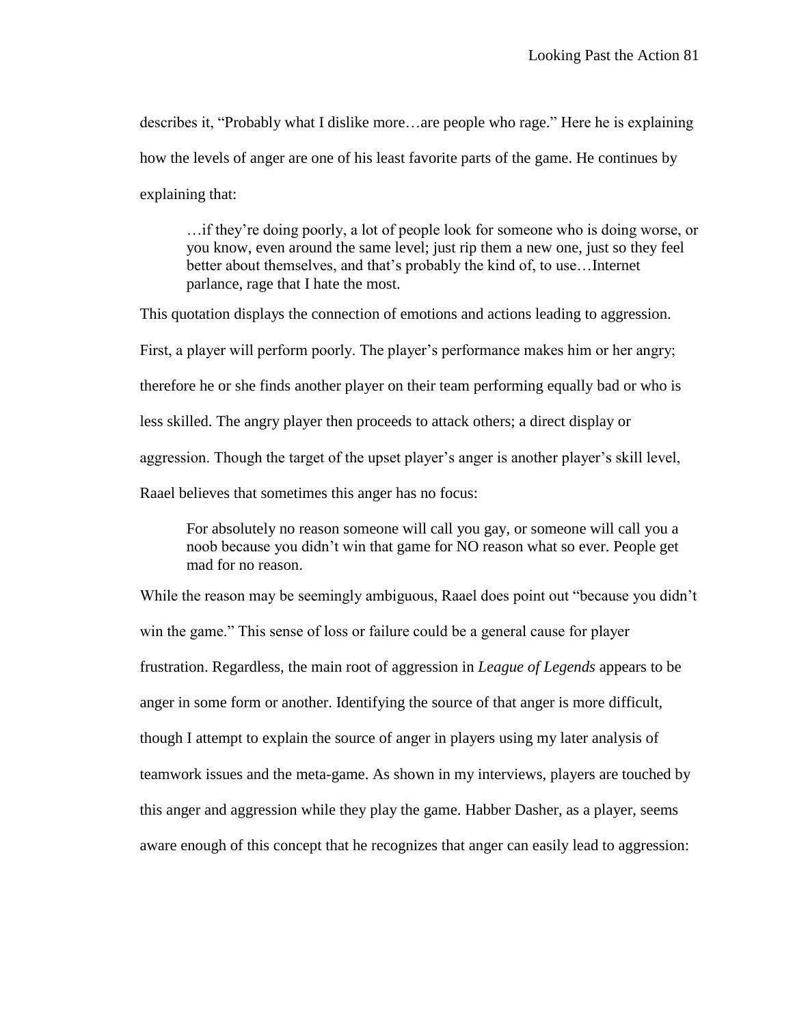describes it, "Probably what I dislike more…are people who rage." Here he is explaining how the levels of anger are one of his least favorite parts of the game. He continues by explaining that:

…if they're doing poorly, a lot of people look for someone who is doing worse, or you know, even around the same level; just rip them a new one, just so they feel better about themselves, and that's probably the kind of, to use…Internet parlance, rage that I hate the most.

This quotation displays the connection of emotions and actions leading to aggression. First, a player will perform poorly. The player's performance makes him or her angry; therefore he or she finds another player on their team performing equally bad or who is less skilled. The angry player then proceeds to attack others; a direct display or aggression. Though the target of the upset player's anger is another player's skill level, Raael believes that sometimes this anger has no focus:

For absolutely no reason someone will call you gay, or someone will call you a noob because you didn't win that game for NO reason what so ever. People get mad for no reason.

While the reason may be seemingly ambiguous, Raael does point out "because you didn't win the game." This sense of loss or failure could be a general cause for player frustration. Regardless, the main root of aggression in *League of Legends* appears to be anger in some form or another. Identifying the source of that anger is more difficult, though I attempt to explain the source of anger in players using my later analysis of teamwork issues and the meta-game. As shown in my interviews, players are touched by this anger and aggression while they play the game. Habber Dasher, as a player, seems aware enough of this concept that he recognizes that anger can easily lead to aggression: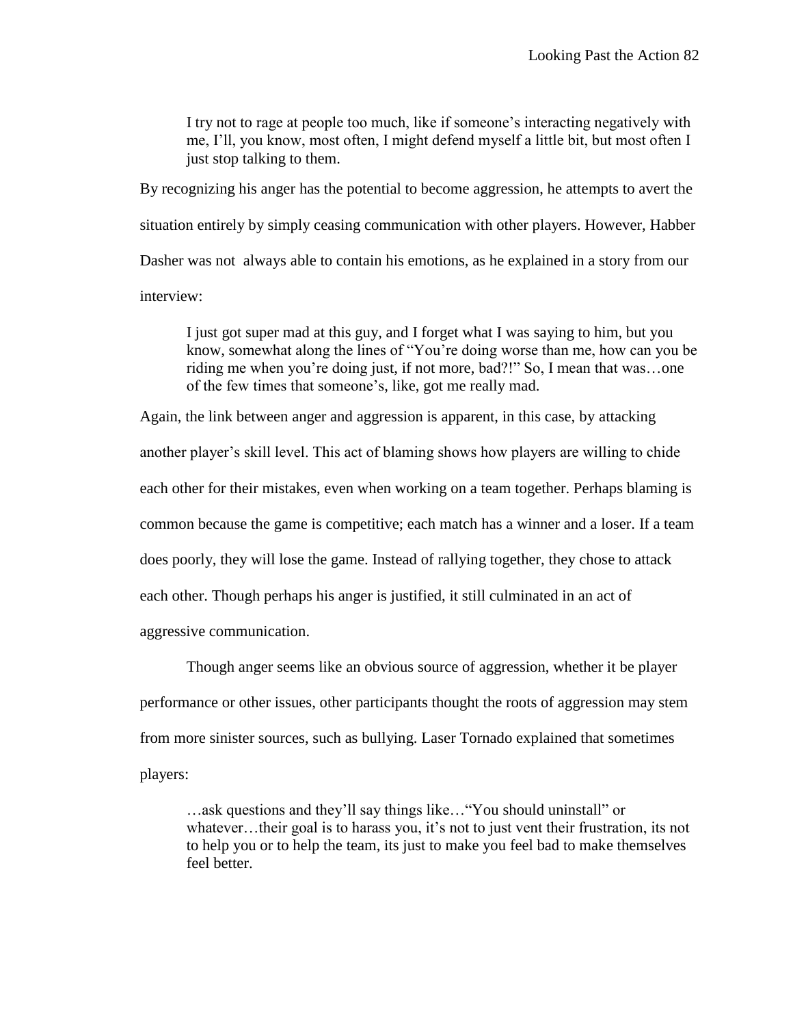I try not to rage at people too much, like if someone's interacting negatively with me, I'll, you know, most often, I might defend myself a little bit, but most often I just stop talking to them.

By recognizing his anger has the potential to become aggression, he attempts to avert the situation entirely by simply ceasing communication with other players. However, Habber Dasher was not always able to contain his emotions, as he explained in a story from our interview:

I just got super mad at this guy, and I forget what I was saying to him, but you know, somewhat along the lines of "You're doing worse than me, how can you be riding me when you're doing just, if not more, bad?!" So, I mean that was…one of the few times that someone's, like, got me really mad.

Again, the link between anger and aggression is apparent, in this case, by attacking another player's skill level. This act of blaming shows how players are willing to chide each other for their mistakes, even when working on a team together. Perhaps blaming is common because the game is competitive; each match has a winner and a loser. If a team does poorly, they will lose the game. Instead of rallying together, they chose to attack each other. Though perhaps his anger is justified, it still culminated in an act of aggressive communication.

Though anger seems like an obvious source of aggression, whether it be player performance or other issues, other participants thought the roots of aggression may stem from more sinister sources, such as bullying. Laser Tornado explained that sometimes players:

…ask questions and they'll say things like…"You should uninstall" or whatever...their goal is to harass you, it's not to just vent their frustration, its not to help you or to help the team, its just to make you feel bad to make themselves feel better.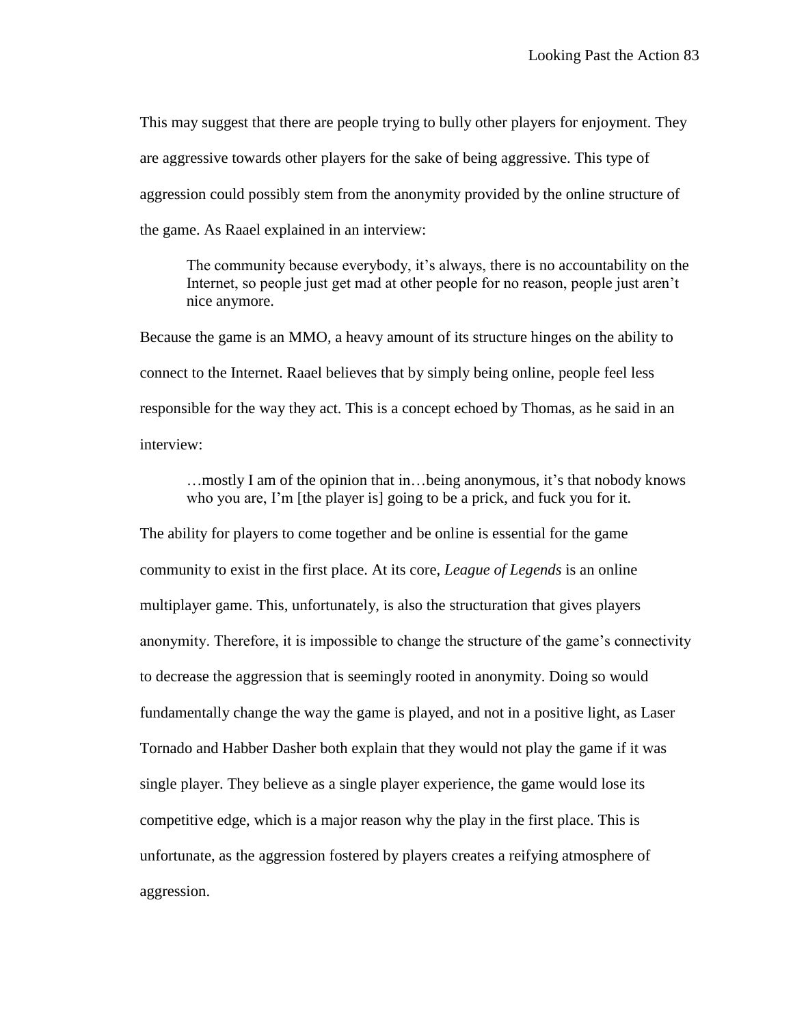This may suggest that there are people trying to bully other players for enjoyment. They are aggressive towards other players for the sake of being aggressive. This type of aggression could possibly stem from the anonymity provided by the online structure of the game. As Raael explained in an interview:

The community because everybody, it's always, there is no accountability on the Internet, so people just get mad at other people for no reason, people just aren't nice anymore.

Because the game is an MMO, a heavy amount of its structure hinges on the ability to connect to the Internet. Raael believes that by simply being online, people feel less responsible for the way they act. This is a concept echoed by Thomas, as he said in an interview:

…mostly I am of the opinion that in…being anonymous, it's that nobody knows who you are, I'm [the player is] going to be a prick, and fuck you for it.

The ability for players to come together and be online is essential for the game community to exist in the first place. At its core, *League of Legends* is an online multiplayer game. This, unfortunately, is also the structuration that gives players anonymity. Therefore, it is impossible to change the structure of the game's connectivity to decrease the aggression that is seemingly rooted in anonymity. Doing so would fundamentally change the way the game is played, and not in a positive light, as Laser Tornado and Habber Dasher both explain that they would not play the game if it was single player. They believe as a single player experience, the game would lose its competitive edge, which is a major reason why the play in the first place. This is unfortunate, as the aggression fostered by players creates a reifying atmosphere of aggression.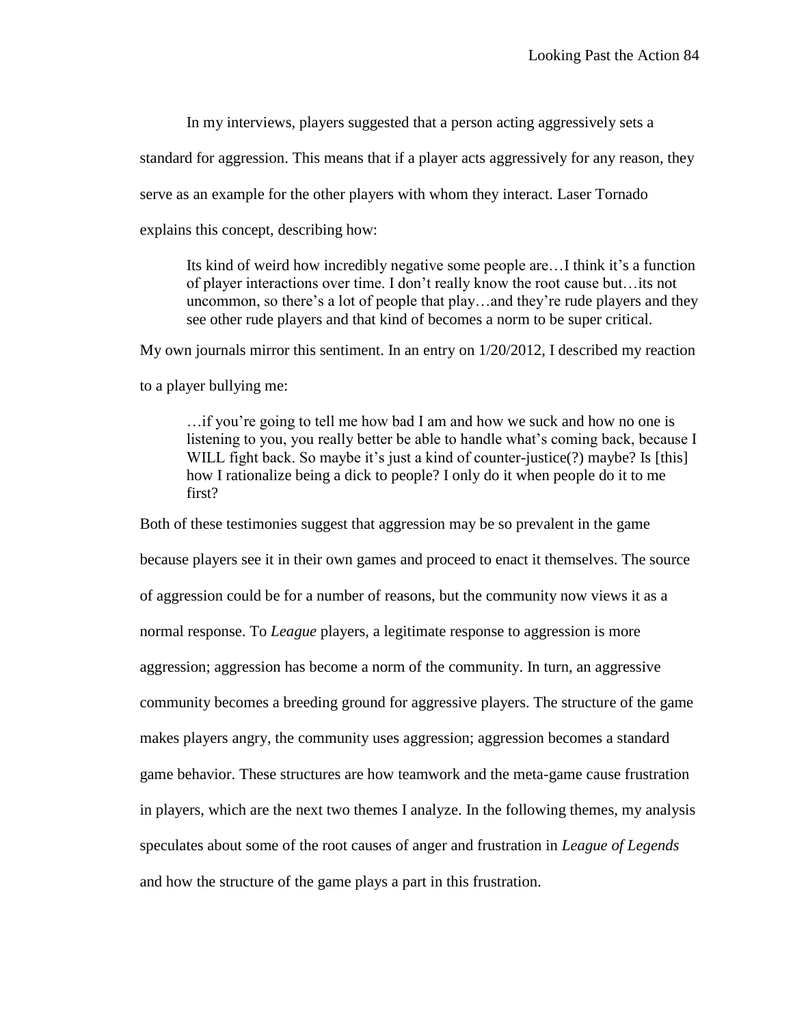In my interviews, players suggested that a person acting aggressively sets a

standard for aggression. This means that if a player acts aggressively for any reason, they

serve as an example for the other players with whom they interact. Laser Tornado

explains this concept, describing how:

Its kind of weird how incredibly negative some people are…I think it's a function of player interactions over time. I don't really know the root cause but…its not uncommon, so there's a lot of people that play…and they're rude players and they see other rude players and that kind of becomes a norm to be super critical.

My own journals mirror this sentiment. In an entry on 1/20/2012, I described my reaction

to a player bullying me:

…if you're going to tell me how bad I am and how we suck and how no one is listening to you, you really better be able to handle what's coming back, because I WILL fight back. So maybe it's just a kind of counter-justice(?) maybe? Is [this] how I rationalize being a dick to people? I only do it when people do it to me first?

Both of these testimonies suggest that aggression may be so prevalent in the game because players see it in their own games and proceed to enact it themselves. The source of aggression could be for a number of reasons, but the community now views it as a normal response. To *League* players, a legitimate response to aggression is more aggression; aggression has become a norm of the community. In turn, an aggressive community becomes a breeding ground for aggressive players. The structure of the game makes players angry, the community uses aggression; aggression becomes a standard game behavior. These structures are how teamwork and the meta-game cause frustration in players, which are the next two themes I analyze. In the following themes, my analysis speculates about some of the root causes of anger and frustration in *League of Legends* and how the structure of the game plays a part in this frustration.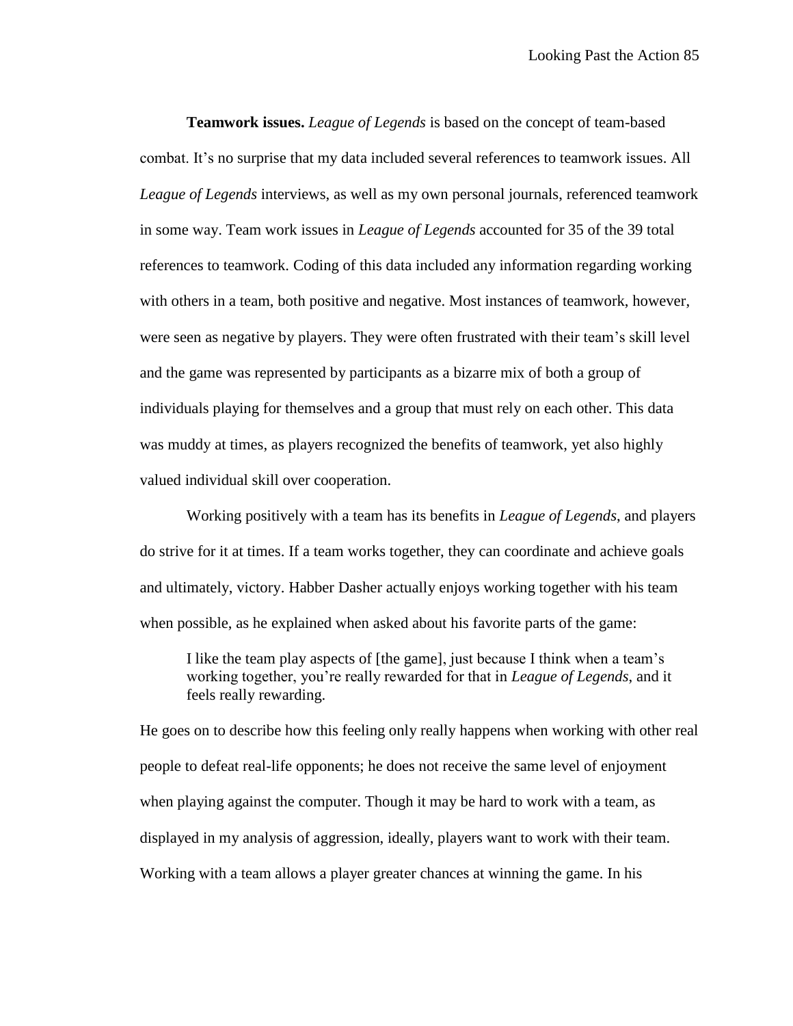**Teamwork issues.** *League of Legends* is based on the concept of team-based combat. It's no surprise that my data included several references to teamwork issues. All *League of Legends* interviews, as well as my own personal journals, referenced teamwork in some way. Team work issues in *League of Legends* accounted for 35 of the 39 total references to teamwork. Coding of this data included any information regarding working with others in a team, both positive and negative. Most instances of teamwork, however, were seen as negative by players. They were often frustrated with their team's skill level and the game was represented by participants as a bizarre mix of both a group of individuals playing for themselves and a group that must rely on each other. This data was muddy at times, as players recognized the benefits of teamwork, yet also highly valued individual skill over cooperation.

Working positively with a team has its benefits in *League of Legends*, and players do strive for it at times. If a team works together, they can coordinate and achieve goals and ultimately, victory. Habber Dasher actually enjoys working together with his team when possible, as he explained when asked about his favorite parts of the game:

I like the team play aspects of [the game], just because I think when a team's working together, you're really rewarded for that in *League of Legends*, and it feels really rewarding.

He goes on to describe how this feeling only really happens when working with other real people to defeat real-life opponents; he does not receive the same level of enjoyment when playing against the computer. Though it may be hard to work with a team, as displayed in my analysis of aggression, ideally, players want to work with their team. Working with a team allows a player greater chances at winning the game. In his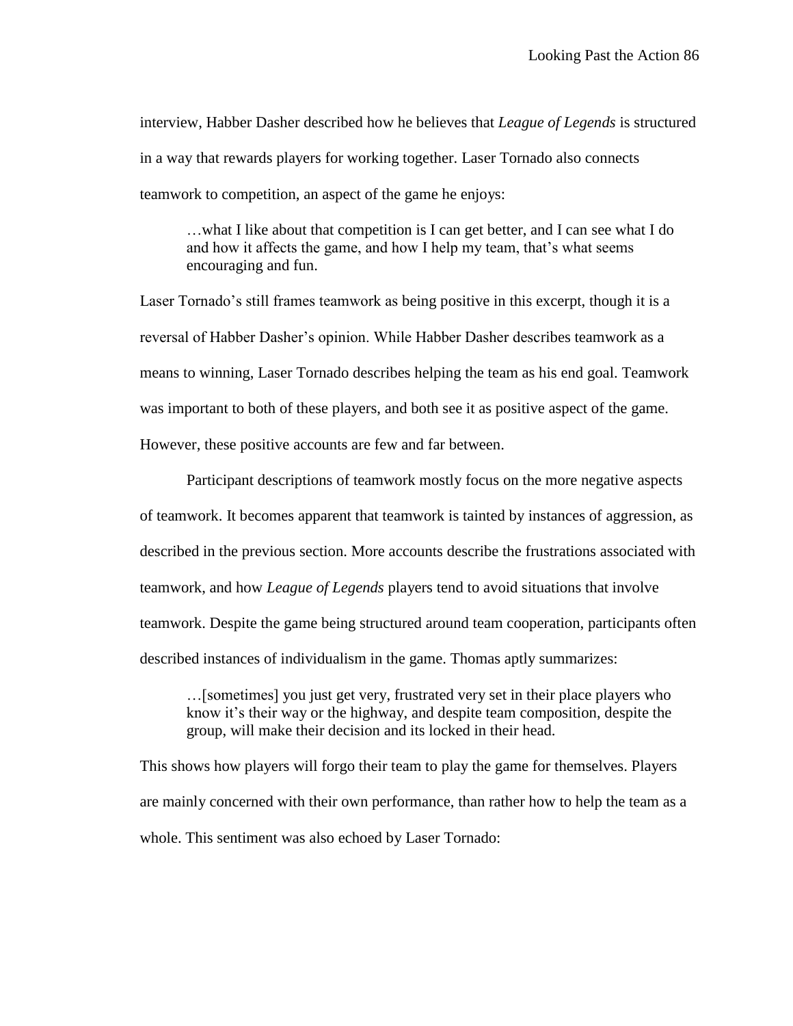interview, Habber Dasher described how he believes that *League of Legends* is structured in a way that rewards players for working together. Laser Tornado also connects teamwork to competition, an aspect of the game he enjoys:

…what I like about that competition is I can get better, and I can see what I do and how it affects the game, and how I help my team, that's what seems encouraging and fun.

Laser Tornado's still frames teamwork as being positive in this excerpt, though it is a reversal of Habber Dasher's opinion. While Habber Dasher describes teamwork as a means to winning, Laser Tornado describes helping the team as his end goal. Teamwork was important to both of these players, and both see it as positive aspect of the game. However, these positive accounts are few and far between.

Participant descriptions of teamwork mostly focus on the more negative aspects of teamwork. It becomes apparent that teamwork is tainted by instances of aggression, as described in the previous section. More accounts describe the frustrations associated with teamwork, and how *League of Legends* players tend to avoid situations that involve teamwork. Despite the game being structured around team cooperation, participants often described instances of individualism in the game. Thomas aptly summarizes:

…[sometimes] you just get very, frustrated very set in their place players who know it's their way or the highway, and despite team composition, despite the group, will make their decision and its locked in their head.

This shows how players will forgo their team to play the game for themselves. Players are mainly concerned with their own performance, than rather how to help the team as a whole. This sentiment was also echoed by Laser Tornado: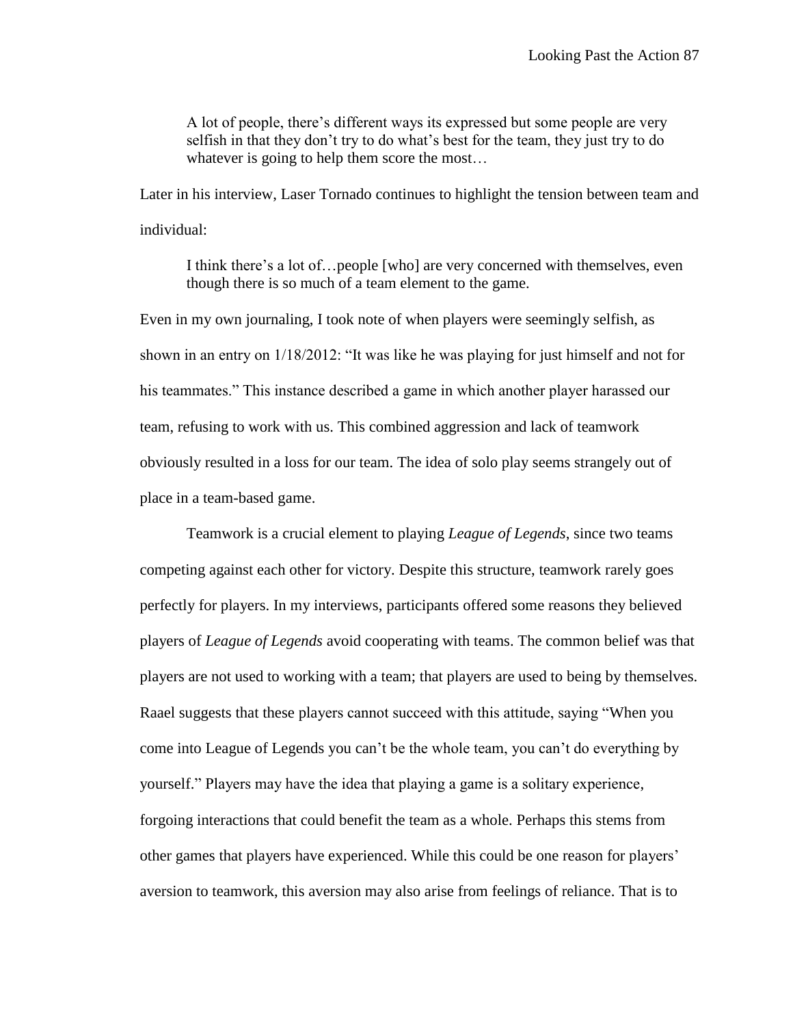A lot of people, there's different ways its expressed but some people are very selfish in that they don't try to do what's best for the team, they just try to do whatever is going to help them score the most...

Later in his interview, Laser Tornado continues to highlight the tension between team and individual:

I think there's a lot of…people [who] are very concerned with themselves, even though there is so much of a team element to the game.

Even in my own journaling, I took note of when players were seemingly selfish, as shown in an entry on 1/18/2012: "It was like he was playing for just himself and not for his teammates." This instance described a game in which another player harassed our team, refusing to work with us. This combined aggression and lack of teamwork obviously resulted in a loss for our team. The idea of solo play seems strangely out of place in a team-based game.

Teamwork is a crucial element to playing *League of Legends*, since two teams competing against each other for victory. Despite this structure, teamwork rarely goes perfectly for players. In my interviews, participants offered some reasons they believed players of *League of Legends* avoid cooperating with teams. The common belief was that players are not used to working with a team; that players are used to being by themselves. Raael suggests that these players cannot succeed with this attitude, saying "When you come into League of Legends you can't be the whole team, you can't do everything by yourself." Players may have the idea that playing a game is a solitary experience, forgoing interactions that could benefit the team as a whole. Perhaps this stems from other games that players have experienced. While this could be one reason for players' aversion to teamwork, this aversion may also arise from feelings of reliance. That is to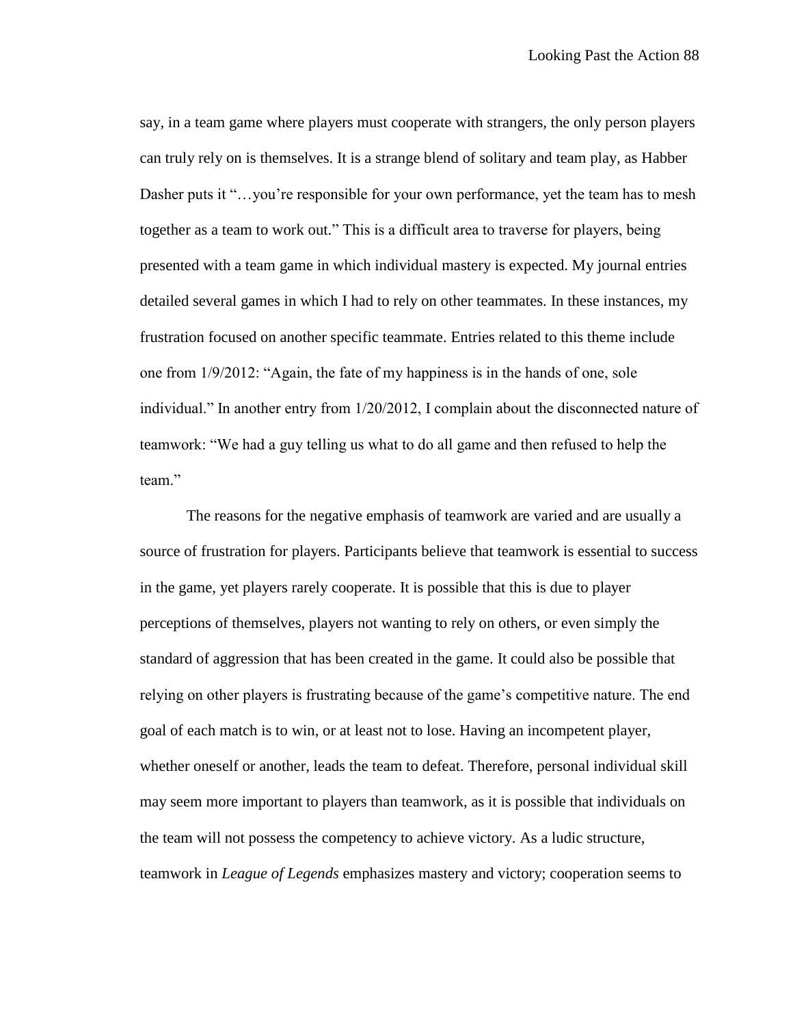say, in a team game where players must cooperate with strangers, the only person players can truly rely on is themselves. It is a strange blend of solitary and team play, as Habber Dasher puts it "...you're responsible for your own performance, yet the team has to mesh together as a team to work out." This is a difficult area to traverse for players, being presented with a team game in which individual mastery is expected. My journal entries detailed several games in which I had to rely on other teammates. In these instances, my frustration focused on another specific teammate. Entries related to this theme include one from 1/9/2012: "Again, the fate of my happiness is in the hands of one, sole individual." In another entry from 1/20/2012, I complain about the disconnected nature of teamwork: "We had a guy telling us what to do all game and then refused to help the team."

The reasons for the negative emphasis of teamwork are varied and are usually a source of frustration for players. Participants believe that teamwork is essential to success in the game, yet players rarely cooperate. It is possible that this is due to player perceptions of themselves, players not wanting to rely on others, or even simply the standard of aggression that has been created in the game. It could also be possible that relying on other players is frustrating because of the game's competitive nature. The end goal of each match is to win, or at least not to lose. Having an incompetent player, whether oneself or another, leads the team to defeat. Therefore, personal individual skill may seem more important to players than teamwork, as it is possible that individuals on the team will not possess the competency to achieve victory. As a ludic structure, teamwork in *League of Legends* emphasizes mastery and victory; cooperation seems to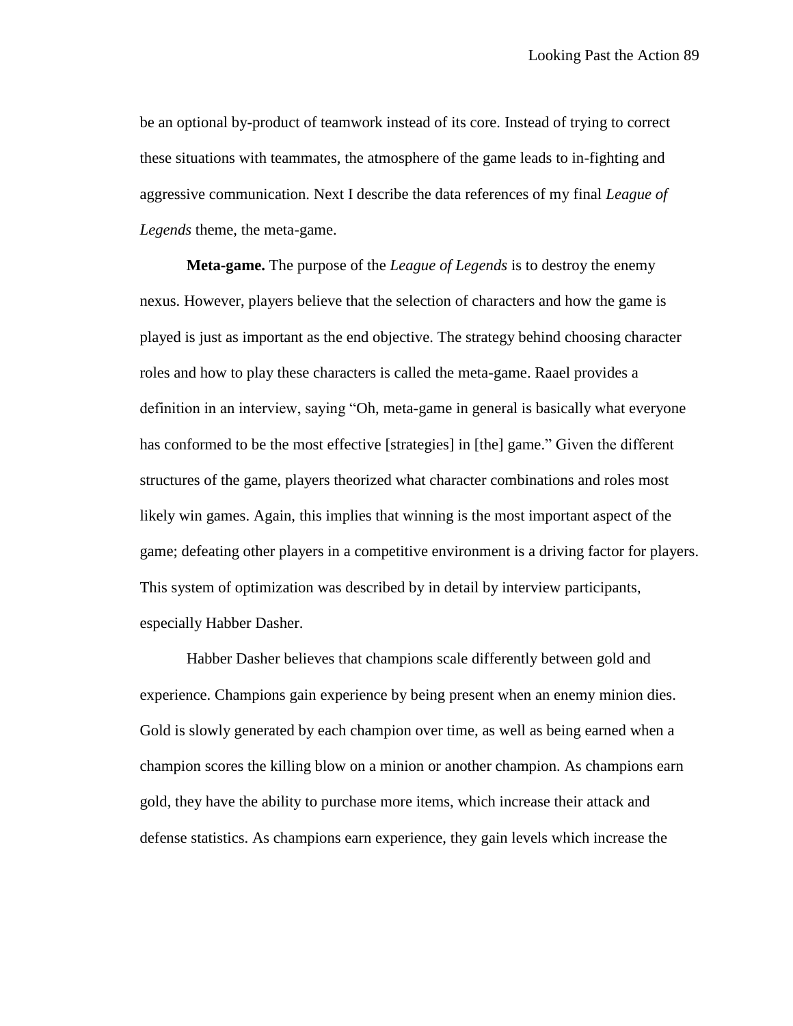be an optional by-product of teamwork instead of its core. Instead of trying to correct these situations with teammates, the atmosphere of the game leads to in-fighting and aggressive communication. Next I describe the data references of my final *League of Legends* theme, the meta-game.

**Meta-game.** The purpose of the *League of Legends* is to destroy the enemy nexus. However, players believe that the selection of characters and how the game is played is just as important as the end objective. The strategy behind choosing character roles and how to play these characters is called the meta-game. Raael provides a definition in an interview, saying "Oh, meta-game in general is basically what everyone has conformed to be the most effective [strategies] in [the] game." Given the different structures of the game, players theorized what character combinations and roles most likely win games. Again, this implies that winning is the most important aspect of the game; defeating other players in a competitive environment is a driving factor for players. This system of optimization was described by in detail by interview participants, especially Habber Dasher.

Habber Dasher believes that champions scale differently between gold and experience. Champions gain experience by being present when an enemy minion dies. Gold is slowly generated by each champion over time, as well as being earned when a champion scores the killing blow on a minion or another champion. As champions earn gold, they have the ability to purchase more items, which increase their attack and defense statistics. As champions earn experience, they gain levels which increase the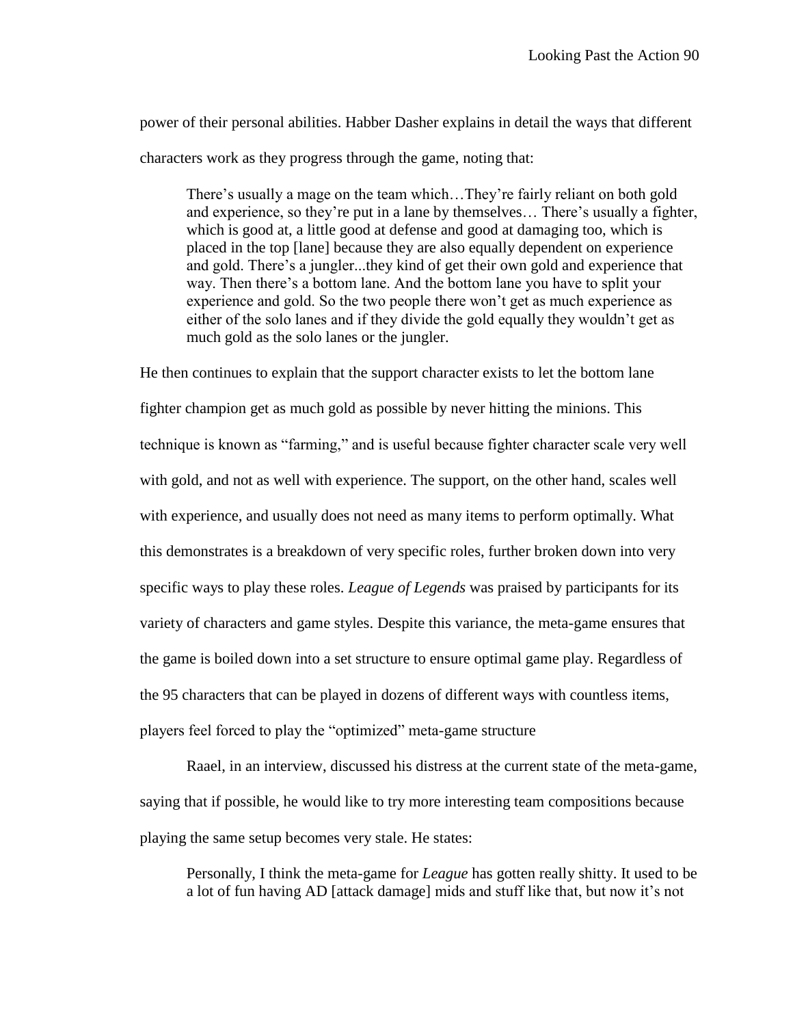power of their personal abilities. Habber Dasher explains in detail the ways that different characters work as they progress through the game, noting that:

There's usually a mage on the team which…They're fairly reliant on both gold and experience, so they're put in a lane by themselves… There's usually a fighter, which is good at, a little good at defense and good at damaging too, which is placed in the top [lane] because they are also equally dependent on experience and gold. There's a jungler...they kind of get their own gold and experience that way. Then there's a bottom lane. And the bottom lane you have to split your experience and gold. So the two people there won't get as much experience as either of the solo lanes and if they divide the gold equally they wouldn't get as much gold as the solo lanes or the jungler.

He then continues to explain that the support character exists to let the bottom lane fighter champion get as much gold as possible by never hitting the minions. This technique is known as "farming," and is useful because fighter character scale very well with gold, and not as well with experience. The support, on the other hand, scales well with experience, and usually does not need as many items to perform optimally. What this demonstrates is a breakdown of very specific roles, further broken down into very specific ways to play these roles. *League of Legends* was praised by participants for its variety of characters and game styles. Despite this variance, the meta-game ensures that the game is boiled down into a set structure to ensure optimal game play. Regardless of the 95 characters that can be played in dozens of different ways with countless items, players feel forced to play the "optimized" meta-game structure

Raael, in an interview, discussed his distress at the current state of the meta-game, saying that if possible, he would like to try more interesting team compositions because playing the same setup becomes very stale. He states:

Personally, I think the meta-game for *League* has gotten really shitty. It used to be a lot of fun having AD [attack damage] mids and stuff like that, but now it's not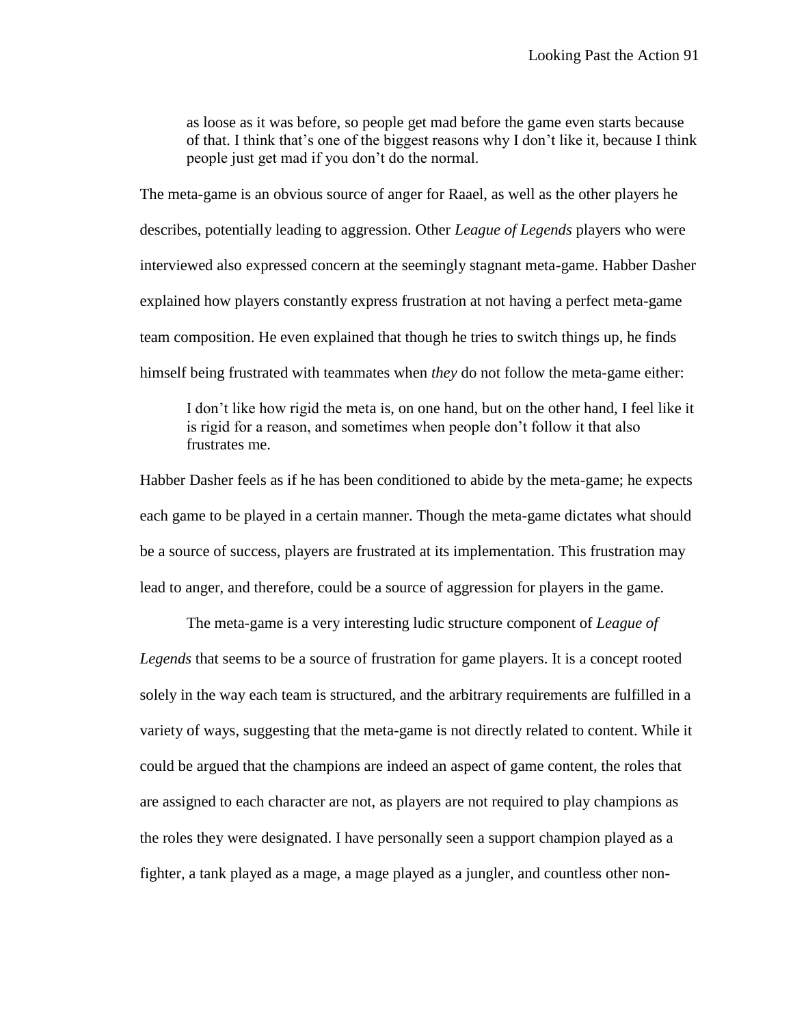as loose as it was before, so people get mad before the game even starts because of that. I think that's one of the biggest reasons why I don't like it, because I think people just get mad if you don't do the normal.

The meta-game is an obvious source of anger for Raael, as well as the other players he describes, potentially leading to aggression. Other *League of Legends* players who were interviewed also expressed concern at the seemingly stagnant meta-game. Habber Dasher explained how players constantly express frustration at not having a perfect meta-game team composition. He even explained that though he tries to switch things up, he finds himself being frustrated with teammates when *they* do not follow the meta-game either:

I don't like how rigid the meta is, on one hand, but on the other hand, I feel like it is rigid for a reason, and sometimes when people don't follow it that also frustrates me.

Habber Dasher feels as if he has been conditioned to abide by the meta-game; he expects each game to be played in a certain manner. Though the meta-game dictates what should be a source of success, players are frustrated at its implementation. This frustration may lead to anger, and therefore, could be a source of aggression for players in the game.

The meta-game is a very interesting ludic structure component of *League of Legends* that seems to be a source of frustration for game players. It is a concept rooted solely in the way each team is structured, and the arbitrary requirements are fulfilled in a variety of ways, suggesting that the meta-game is not directly related to content. While it could be argued that the champions are indeed an aspect of game content, the roles that are assigned to each character are not, as players are not required to play champions as the roles they were designated. I have personally seen a support champion played as a fighter, a tank played as a mage, a mage played as a jungler, and countless other non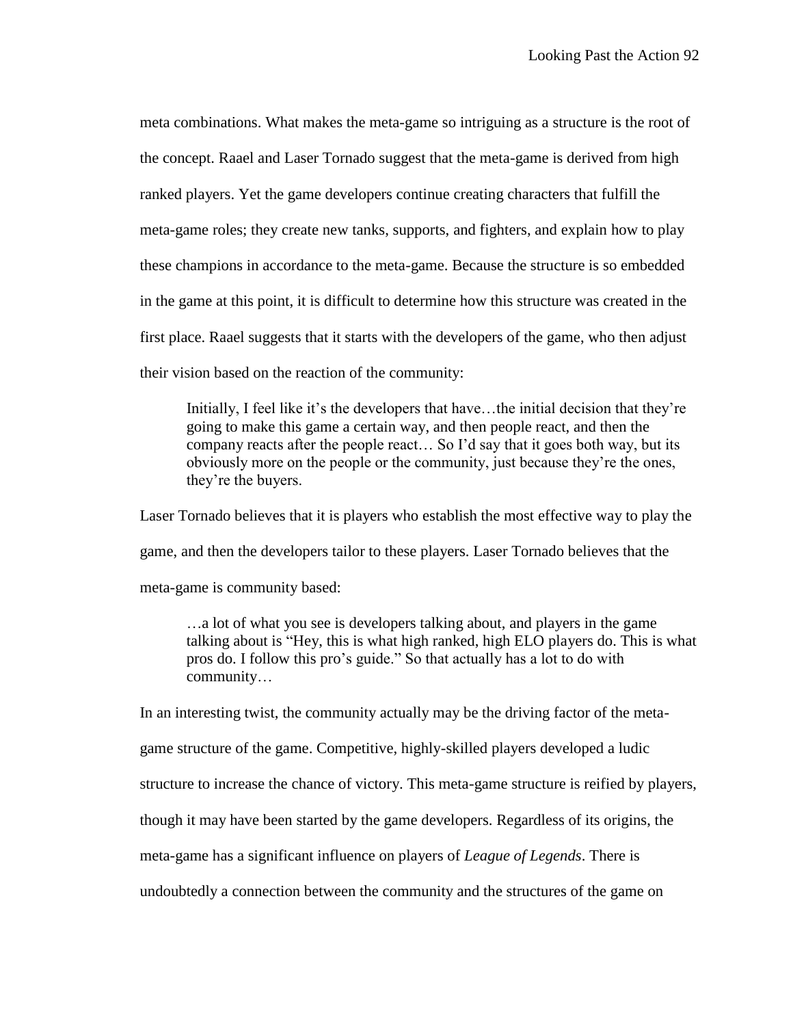meta combinations. What makes the meta-game so intriguing as a structure is the root of the concept. Raael and Laser Tornado suggest that the meta-game is derived from high ranked players. Yet the game developers continue creating characters that fulfill the meta-game roles; they create new tanks, supports, and fighters, and explain how to play these champions in accordance to the meta-game. Because the structure is so embedded in the game at this point, it is difficult to determine how this structure was created in the first place. Raael suggests that it starts with the developers of the game, who then adjust their vision based on the reaction of the community:

Initially, I feel like it's the developers that have…the initial decision that they're going to make this game a certain way, and then people react, and then the company reacts after the people react… So I'd say that it goes both way, but its obviously more on the people or the community, just because they're the ones, they're the buyers.

Laser Tornado believes that it is players who establish the most effective way to play the game, and then the developers tailor to these players. Laser Tornado believes that the meta-game is community based:

…a lot of what you see is developers talking about, and players in the game talking about is "Hey, this is what high ranked, high ELO players do. This is what pros do. I follow this pro's guide." So that actually has a lot to do with community…

In an interesting twist, the community actually may be the driving factor of the metagame structure of the game. Competitive, highly-skilled players developed a ludic structure to increase the chance of victory. This meta-game structure is reified by players, though it may have been started by the game developers. Regardless of its origins, the meta-game has a significant influence on players of *League of Legends*. There is undoubtedly a connection between the community and the structures of the game on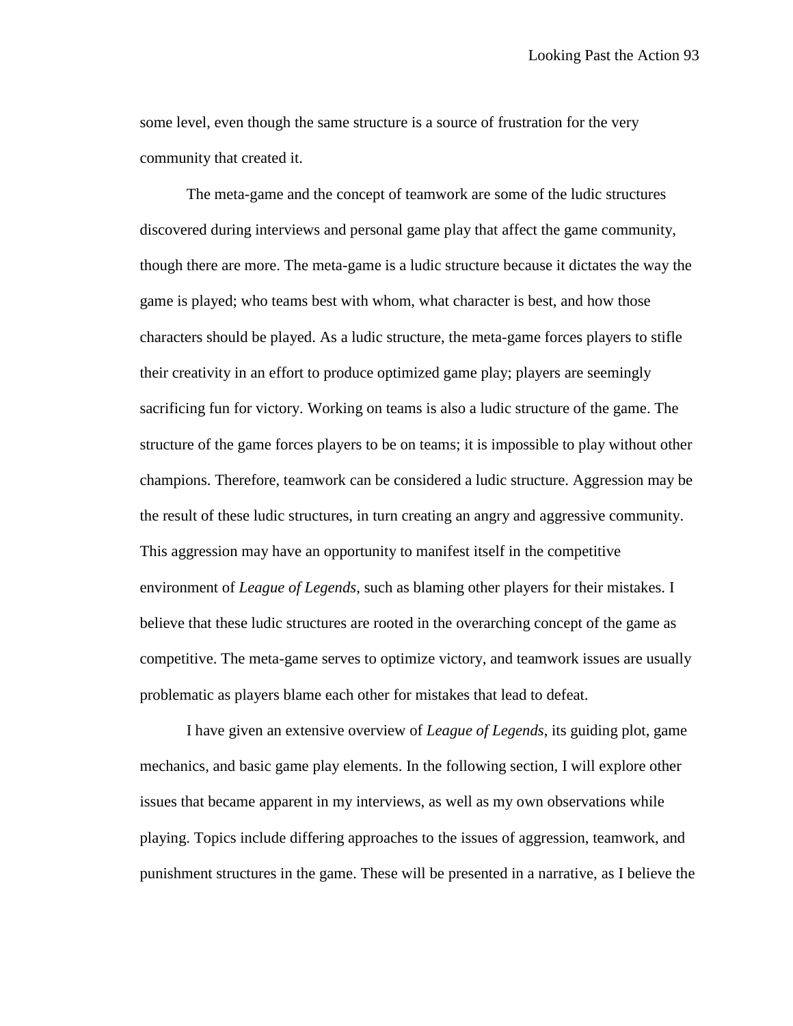some level, even though the same structure is a source of frustration for the very community that created it.

The meta-game and the concept of teamwork are some of the ludic structures discovered during interviews and personal game play that affect the game community, though there are more. The meta-game is a ludic structure because it dictates the way the game is played; who teams best with whom, what character is best, and how those characters should be played. As a ludic structure, the meta-game forces players to stifle their creativity in an effort to produce optimized game play; players are seemingly sacrificing fun for victory. Working on teams is also a ludic structure of the game. The structure of the game forces players to be on teams; it is impossible to play without other champions. Therefore, teamwork can be considered a ludic structure. Aggression may be the result of these ludic structures, in turn creating an angry and aggressive community. This aggression may have an opportunity to manifest itself in the competitive environment of *League of Legends*, such as blaming other players for their mistakes. I believe that these ludic structures are rooted in the overarching concept of the game as competitive. The meta-game serves to optimize victory, and teamwork issues are usually problematic as players blame each other for mistakes that lead to defeat.

I have given an extensive overview of *League of Legends*, its guiding plot, game mechanics, and basic game play elements. In the following section, I will explore other issues that became apparent in my interviews, as well as my own observations while playing. Topics include differing approaches to the issues of aggression, teamwork, and punishment structures in the game. These will be presented in a narrative, as I believe the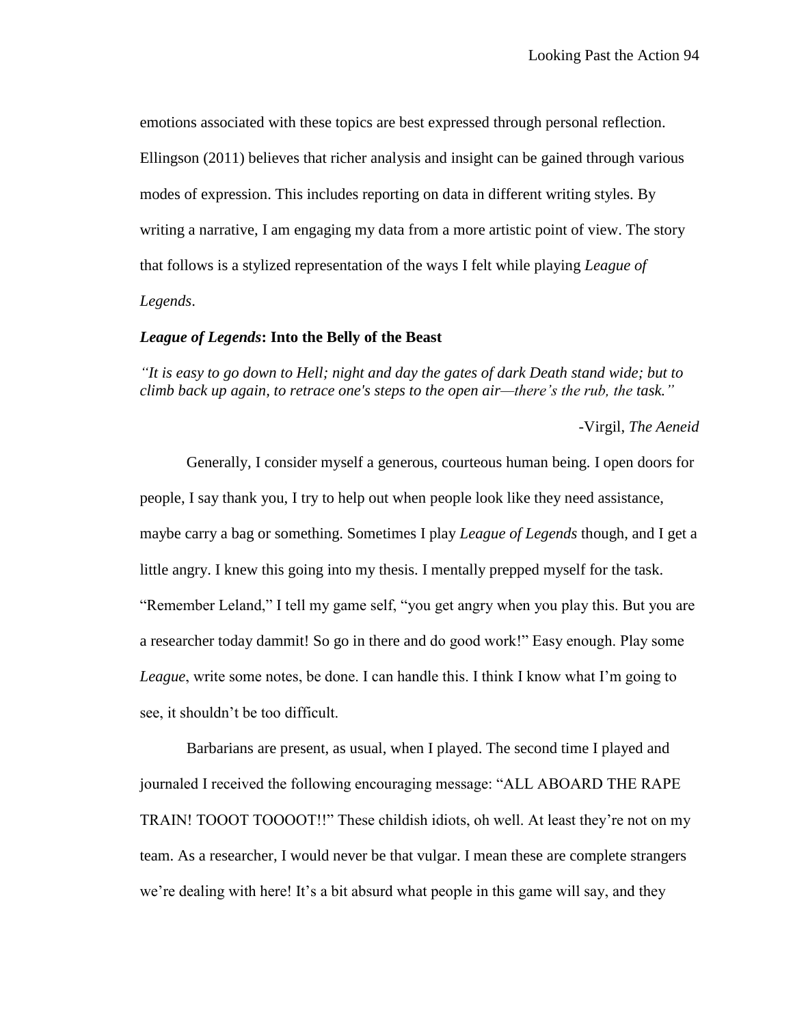emotions associated with these topics are best expressed through personal reflection. Ellingson (2011) believes that richer analysis and insight can be gained through various modes of expression. This includes reporting on data in different writing styles. By writing a narrative, I am engaging my data from a more artistic point of view. The story that follows is a stylized representation of the ways I felt while playing *League of Legends*.

### *League of Legends***: Into the Belly of the Beast**

*"It is easy to go down to Hell; night and day the gates of dark Death stand wide; but to climb back up again, to retrace one's steps to the open air—there's the rub, the task."*

-Virgil, *The Aeneid*

Generally, I consider myself a generous, courteous human being. I open doors for people, I say thank you, I try to help out when people look like they need assistance, maybe carry a bag or something. Sometimes I play *League of Legends* though, and I get a little angry. I knew this going into my thesis. I mentally prepped myself for the task. "Remember Leland," I tell my game self, "you get angry when you play this. But you are a researcher today dammit! So go in there and do good work!" Easy enough. Play some *League*, write some notes, be done. I can handle this. I think I know what I'm going to see, it shouldn't be too difficult.

Barbarians are present, as usual, when I played. The second time I played and journaled I received the following encouraging message: "ALL ABOARD THE RAPE TRAIN! TOOOT TOOOOT!!" These childish idiots, oh well. At least they're not on my team. As a researcher, I would never be that vulgar. I mean these are complete strangers we're dealing with here! It's a bit absurd what people in this game will say, and they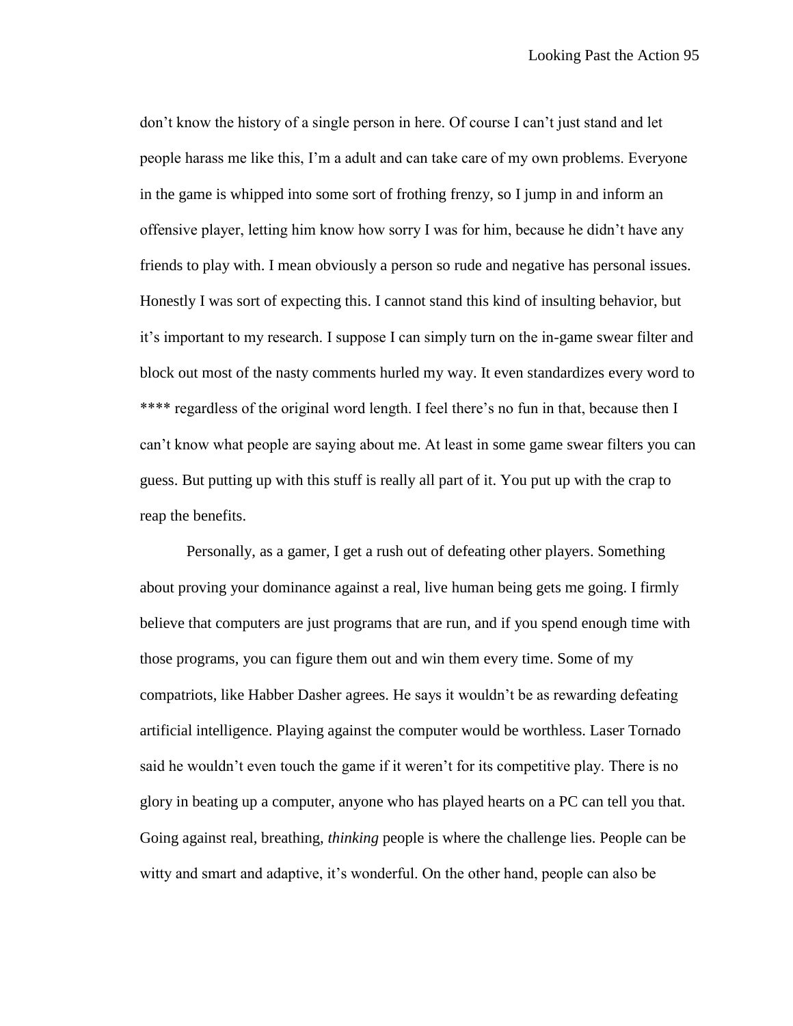don't know the history of a single person in here. Of course I can't just stand and let people harass me like this, I'm a adult and can take care of my own problems. Everyone in the game is whipped into some sort of frothing frenzy, so I jump in and inform an offensive player, letting him know how sorry I was for him, because he didn't have any friends to play with. I mean obviously a person so rude and negative has personal issues. Honestly I was sort of expecting this. I cannot stand this kind of insulting behavior, but it's important to my research. I suppose I can simply turn on the in-game swear filter and block out most of the nasty comments hurled my way. It even standardizes every word to \*\*\*\* regardless of the original word length. I feel there's no fun in that, because then I can't know what people are saying about me. At least in some game swear filters you can guess. But putting up with this stuff is really all part of it. You put up with the crap to reap the benefits.

Personally, as a gamer, I get a rush out of defeating other players. Something about proving your dominance against a real, live human being gets me going. I firmly believe that computers are just programs that are run, and if you spend enough time with those programs, you can figure them out and win them every time. Some of my compatriots, like Habber Dasher agrees. He says it wouldn't be as rewarding defeating artificial intelligence. Playing against the computer would be worthless. Laser Tornado said he wouldn't even touch the game if it weren't for its competitive play. There is no glory in beating up a computer, anyone who has played hearts on a PC can tell you that. Going against real, breathing, *thinking* people is where the challenge lies. People can be witty and smart and adaptive, it's wonderful. On the other hand, people can also be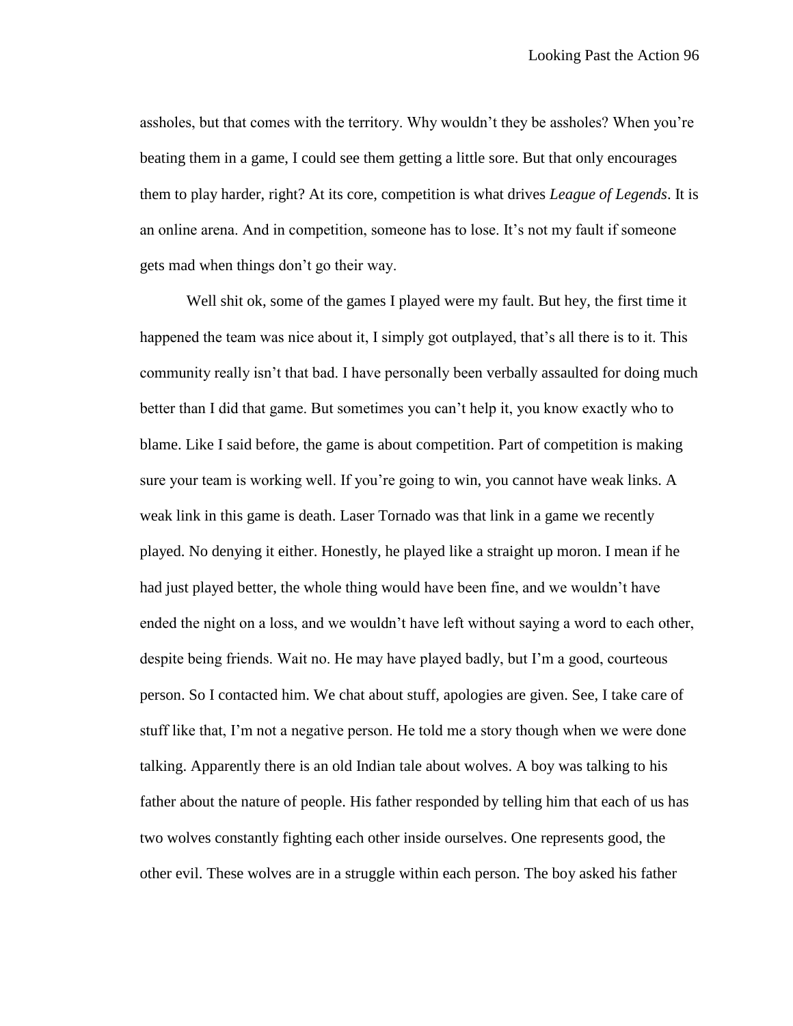assholes, but that comes with the territory. Why wouldn't they be assholes? When you're beating them in a game, I could see them getting a little sore. But that only encourages them to play harder, right? At its core, competition is what drives *League of Legends*. It is an online arena. And in competition, someone has to lose. It's not my fault if someone gets mad when things don't go their way.

Well shit ok, some of the games I played were my fault. But hey, the first time it happened the team was nice about it, I simply got outplayed, that's all there is to it. This community really isn't that bad. I have personally been verbally assaulted for doing much better than I did that game. But sometimes you can't help it, you know exactly who to blame. Like I said before, the game is about competition. Part of competition is making sure your team is working well. If you're going to win, you cannot have weak links. A weak link in this game is death. Laser Tornado was that link in a game we recently played. No denying it either. Honestly, he played like a straight up moron. I mean if he had just played better, the whole thing would have been fine, and we wouldn't have ended the night on a loss, and we wouldn't have left without saying a word to each other, despite being friends. Wait no. He may have played badly, but I'm a good, courteous person. So I contacted him. We chat about stuff, apologies are given. See, I take care of stuff like that, I'm not a negative person. He told me a story though when we were done talking. Apparently there is an old Indian tale about wolves. A boy was talking to his father about the nature of people. His father responded by telling him that each of us has two wolves constantly fighting each other inside ourselves. One represents good, the other evil. These wolves are in a struggle within each person. The boy asked his father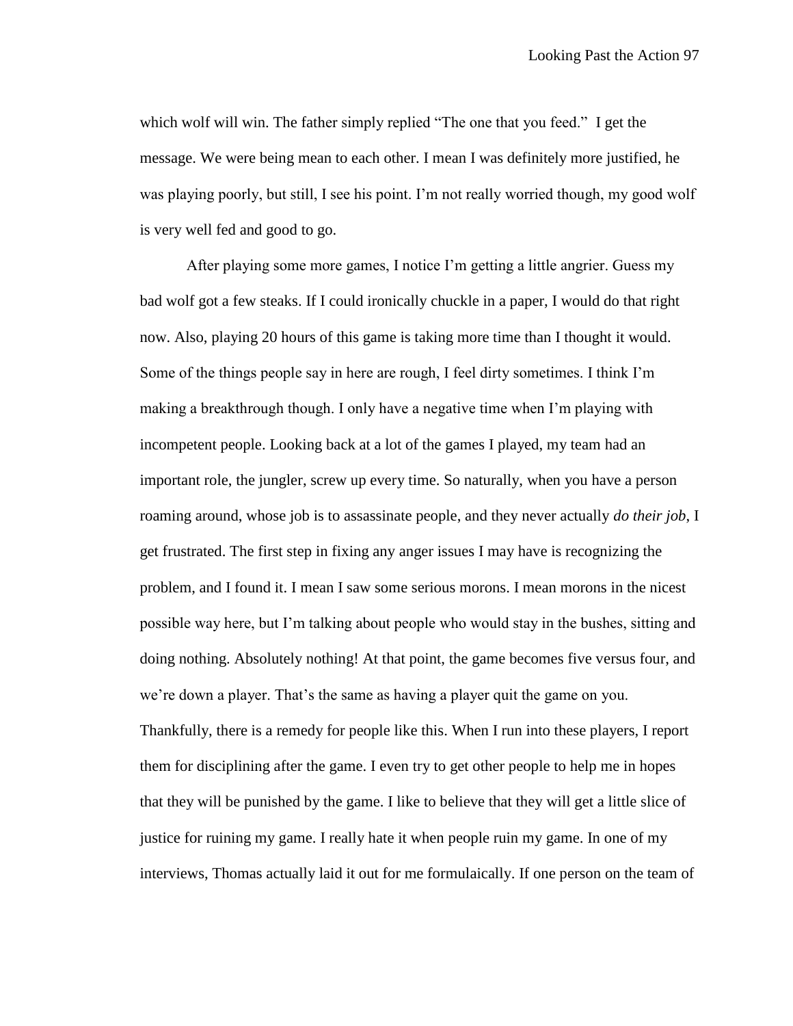which wolf will win. The father simply replied "The one that you feed." I get the message. We were being mean to each other. I mean I was definitely more justified, he was playing poorly, but still, I see his point. I'm not really worried though, my good wolf is very well fed and good to go.

After playing some more games, I notice I'm getting a little angrier. Guess my bad wolf got a few steaks. If I could ironically chuckle in a paper, I would do that right now. Also, playing 20 hours of this game is taking more time than I thought it would. Some of the things people say in here are rough, I feel dirty sometimes. I think I'm making a breakthrough though. I only have a negative time when I'm playing with incompetent people. Looking back at a lot of the games I played, my team had an important role, the jungler, screw up every time. So naturally, when you have a person roaming around, whose job is to assassinate people, and they never actually *do their job*, I get frustrated. The first step in fixing any anger issues I may have is recognizing the problem, and I found it. I mean I saw some serious morons. I mean morons in the nicest possible way here, but I'm talking about people who would stay in the bushes, sitting and doing nothing. Absolutely nothing! At that point, the game becomes five versus four, and we're down a player. That's the same as having a player quit the game on you. Thankfully, there is a remedy for people like this. When I run into these players, I report them for disciplining after the game. I even try to get other people to help me in hopes that they will be punished by the game. I like to believe that they will get a little slice of justice for ruining my game. I really hate it when people ruin my game. In one of my interviews, Thomas actually laid it out for me formulaically. If one person on the team of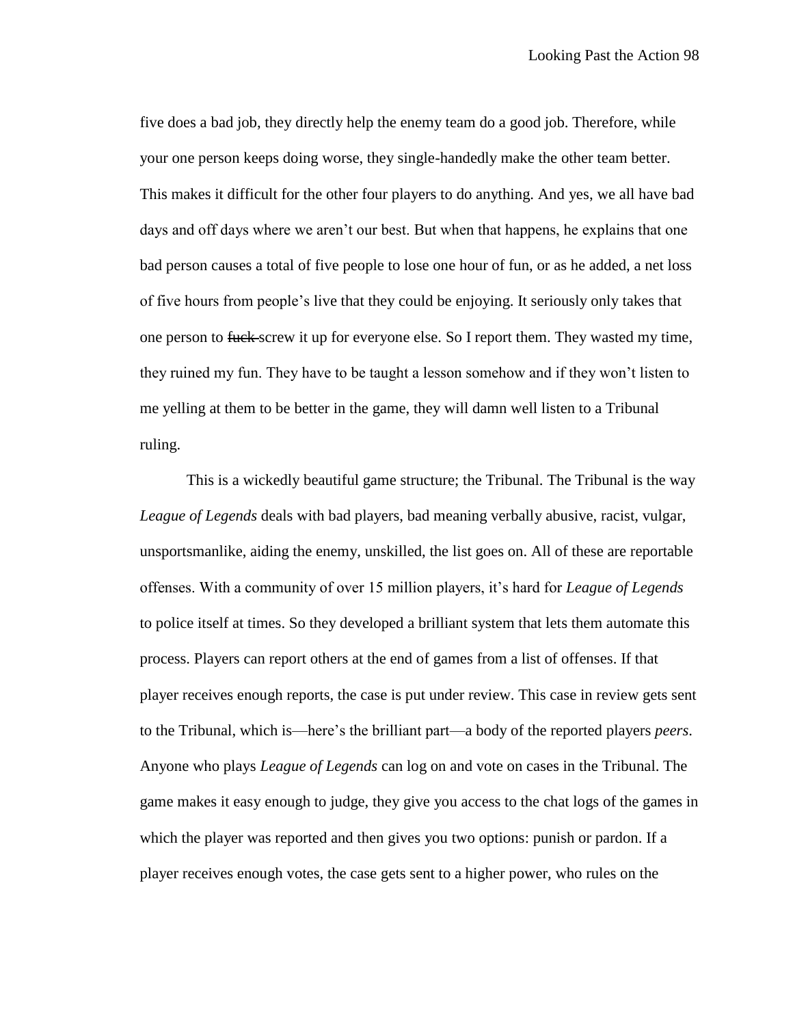five does a bad job, they directly help the enemy team do a good job. Therefore, while your one person keeps doing worse, they single-handedly make the other team better. This makes it difficult for the other four players to do anything. And yes, we all have bad days and off days where we aren't our best. But when that happens, he explains that one bad person causes a total of five people to lose one hour of fun, or as he added, a net loss of five hours from people's live that they could be enjoying. It seriously only takes that one person to fuck screw it up for everyone else. So I report them. They wasted my time, they ruined my fun. They have to be taught a lesson somehow and if they won't listen to me yelling at them to be better in the game, they will damn well listen to a Tribunal ruling.

This is a wickedly beautiful game structure; the Tribunal. The Tribunal is the way *League of Legends* deals with bad players, bad meaning verbally abusive, racist, vulgar, unsportsmanlike, aiding the enemy, unskilled, the list goes on. All of these are reportable offenses. With a community of over 15 million players, it's hard for *League of Legends*  to police itself at times. So they developed a brilliant system that lets them automate this process. Players can report others at the end of games from a list of offenses. If that player receives enough reports, the case is put under review. This case in review gets sent to the Tribunal, which is—here's the brilliant part—a body of the reported players *peers*. Anyone who plays *League of Legends* can log on and vote on cases in the Tribunal. The game makes it easy enough to judge, they give you access to the chat logs of the games in which the player was reported and then gives you two options: punish or pardon. If a player receives enough votes, the case gets sent to a higher power, who rules on the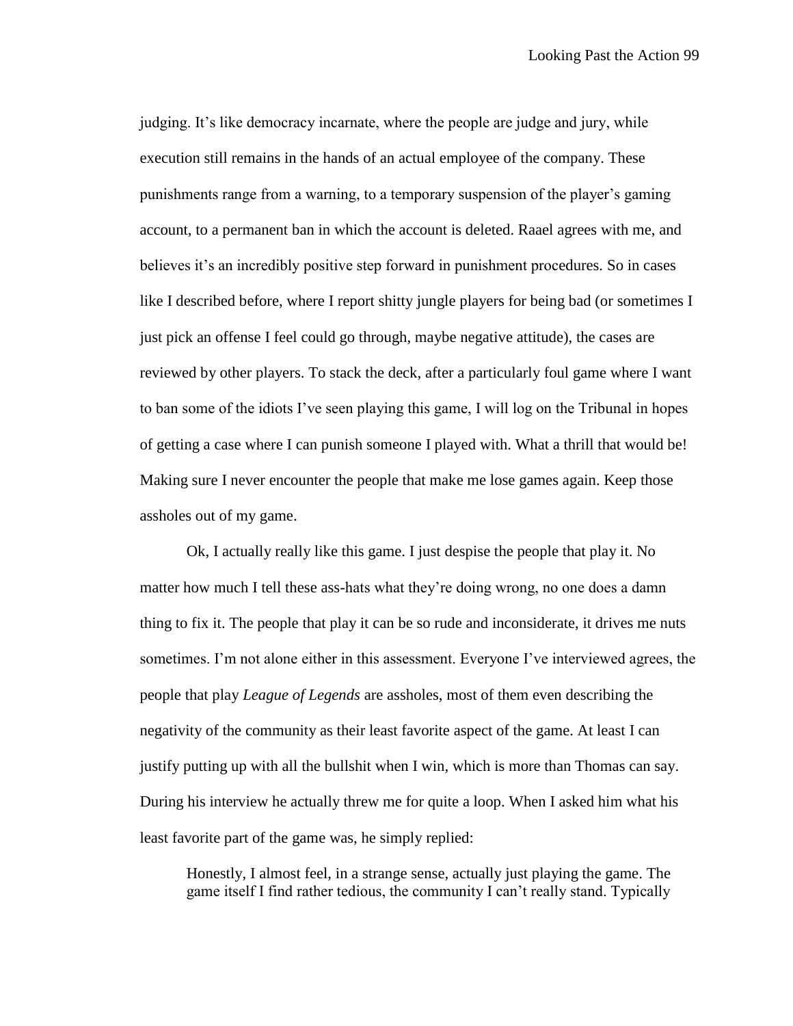judging. It's like democracy incarnate, where the people are judge and jury, while execution still remains in the hands of an actual employee of the company. These punishments range from a warning, to a temporary suspension of the player's gaming account, to a permanent ban in which the account is deleted. Raael agrees with me, and believes it's an incredibly positive step forward in punishment procedures. So in cases like I described before, where I report shitty jungle players for being bad (or sometimes I just pick an offense I feel could go through, maybe negative attitude), the cases are reviewed by other players. To stack the deck, after a particularly foul game where I want to ban some of the idiots I've seen playing this game, I will log on the Tribunal in hopes of getting a case where I can punish someone I played with. What a thrill that would be! Making sure I never encounter the people that make me lose games again. Keep those assholes out of my game.

Ok, I actually really like this game. I just despise the people that play it. No matter how much I tell these ass-hats what they're doing wrong, no one does a damn thing to fix it. The people that play it can be so rude and inconsiderate, it drives me nuts sometimes. I'm not alone either in this assessment. Everyone I've interviewed agrees, the people that play *League of Legends* are assholes, most of them even describing the negativity of the community as their least favorite aspect of the game. At least I can justify putting up with all the bullshit when I win, which is more than Thomas can say. During his interview he actually threw me for quite a loop. When I asked him what his least favorite part of the game was, he simply replied:

Honestly, I almost feel, in a strange sense, actually just playing the game. The game itself I find rather tedious, the community I can't really stand. Typically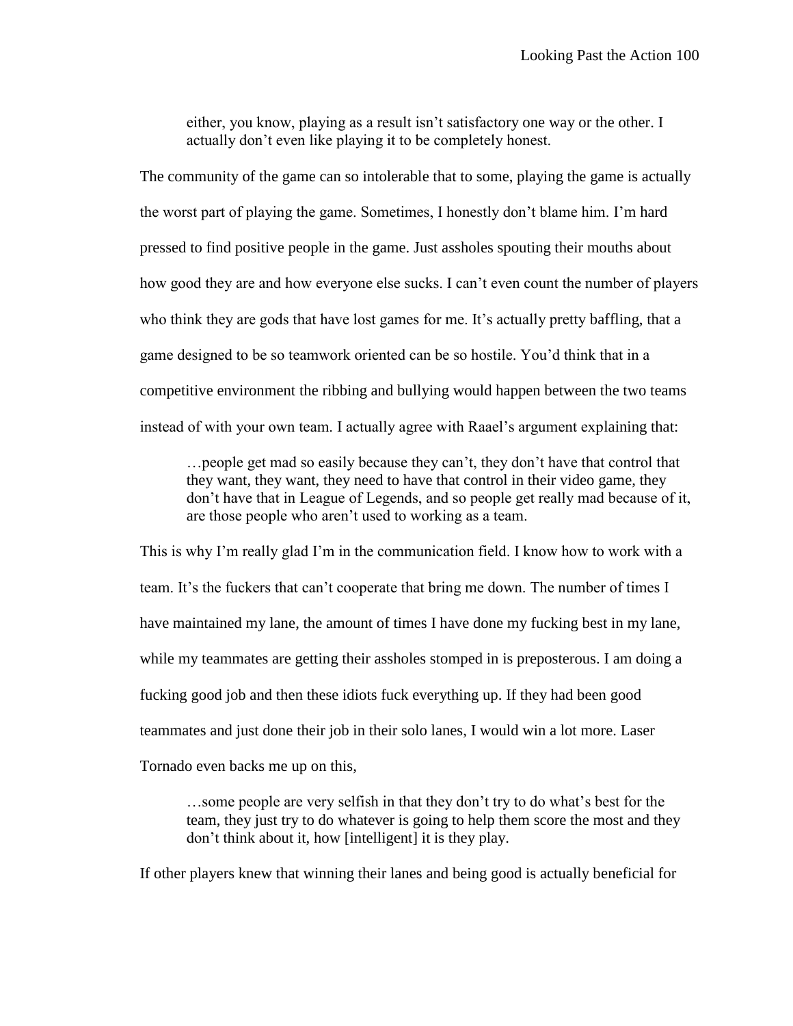either, you know, playing as a result isn't satisfactory one way or the other. I actually don't even like playing it to be completely honest.

The community of the game can so intolerable that to some, playing the game is actually the worst part of playing the game. Sometimes, I honestly don't blame him. I'm hard pressed to find positive people in the game. Just assholes spouting their mouths about how good they are and how everyone else sucks. I can't even count the number of players who think they are gods that have lost games for me. It's actually pretty baffling, that a game designed to be so teamwork oriented can be so hostile. You'd think that in a competitive environment the ribbing and bullying would happen between the two teams instead of with your own team. I actually agree with Raael's argument explaining that:

…people get mad so easily because they can't, they don't have that control that they want, they want, they need to have that control in their video game, they don't have that in League of Legends, and so people get really mad because of it, are those people who aren't used to working as a team.

This is why I'm really glad I'm in the communication field. I know how to work with a team. It's the fuckers that can't cooperate that bring me down. The number of times I have maintained my lane, the amount of times I have done my fucking best in my lane, while my teammates are getting their assholes stomped in is preposterous. I am doing a fucking good job and then these idiots fuck everything up. If they had been good teammates and just done their job in their solo lanes, I would win a lot more. Laser Tornado even backs me up on this,

…some people are very selfish in that they don't try to do what's best for the team, they just try to do whatever is going to help them score the most and they don't think about it, how [intelligent] it is they play.

If other players knew that winning their lanes and being good is actually beneficial for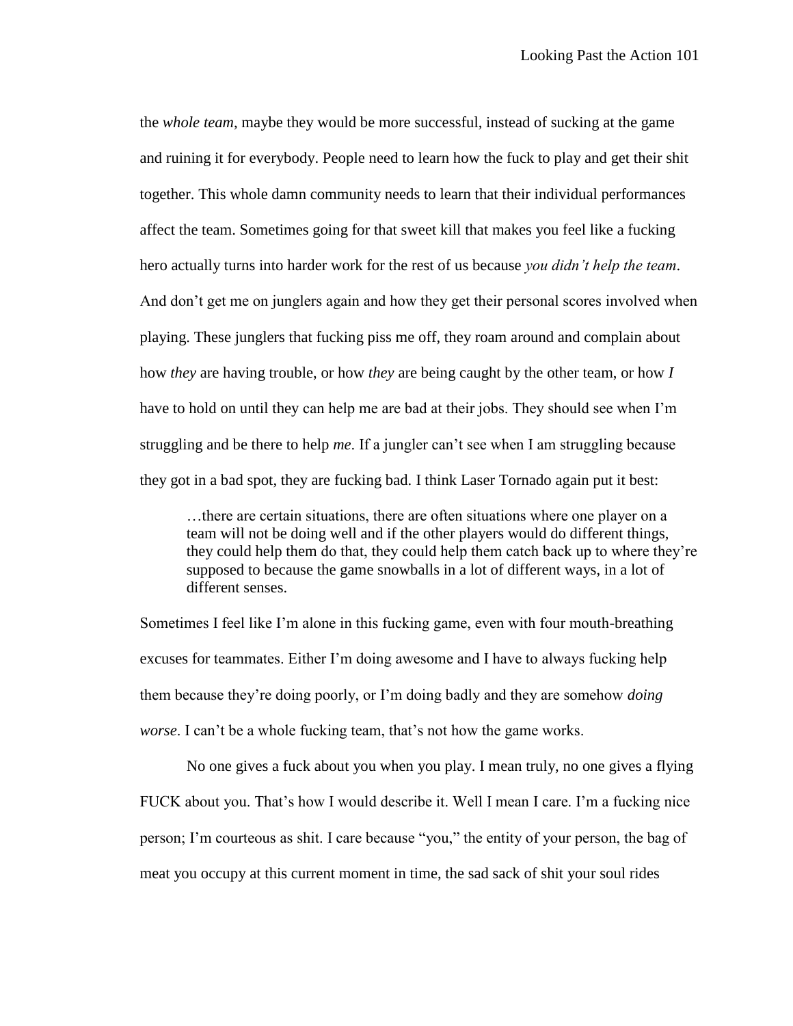the *whole team*, maybe they would be more successful, instead of sucking at the game and ruining it for everybody. People need to learn how the fuck to play and get their shit together. This whole damn community needs to learn that their individual performances affect the team. Sometimes going for that sweet kill that makes you feel like a fucking hero actually turns into harder work for the rest of us because *you didn't help the team*. And don't get me on junglers again and how they get their personal scores involved when playing. These junglers that fucking piss me off, they roam around and complain about how *they* are having trouble, or how *they* are being caught by the other team, or how *I* have to hold on until they can help me are bad at their jobs. They should see when I'm struggling and be there to help *me*. If a jungler can't see when I am struggling because they got in a bad spot, they are fucking bad. I think Laser Tornado again put it best:

…there are certain situations, there are often situations where one player on a team will not be doing well and if the other players would do different things, they could help them do that, they could help them catch back up to where they're supposed to because the game snowballs in a lot of different ways, in a lot of different senses.

Sometimes I feel like I'm alone in this fucking game, even with four mouth-breathing excuses for teammates. Either I'm doing awesome and I have to always fucking help them because they're doing poorly, or I'm doing badly and they are somehow *doing worse*. I can't be a whole fucking team, that's not how the game works.

No one gives a fuck about you when you play. I mean truly, no one gives a flying FUCK about you. That's how I would describe it. Well I mean I care. I'm a fucking nice person; I'm courteous as shit. I care because "you," the entity of your person, the bag of meat you occupy at this current moment in time, the sad sack of shit your soul rides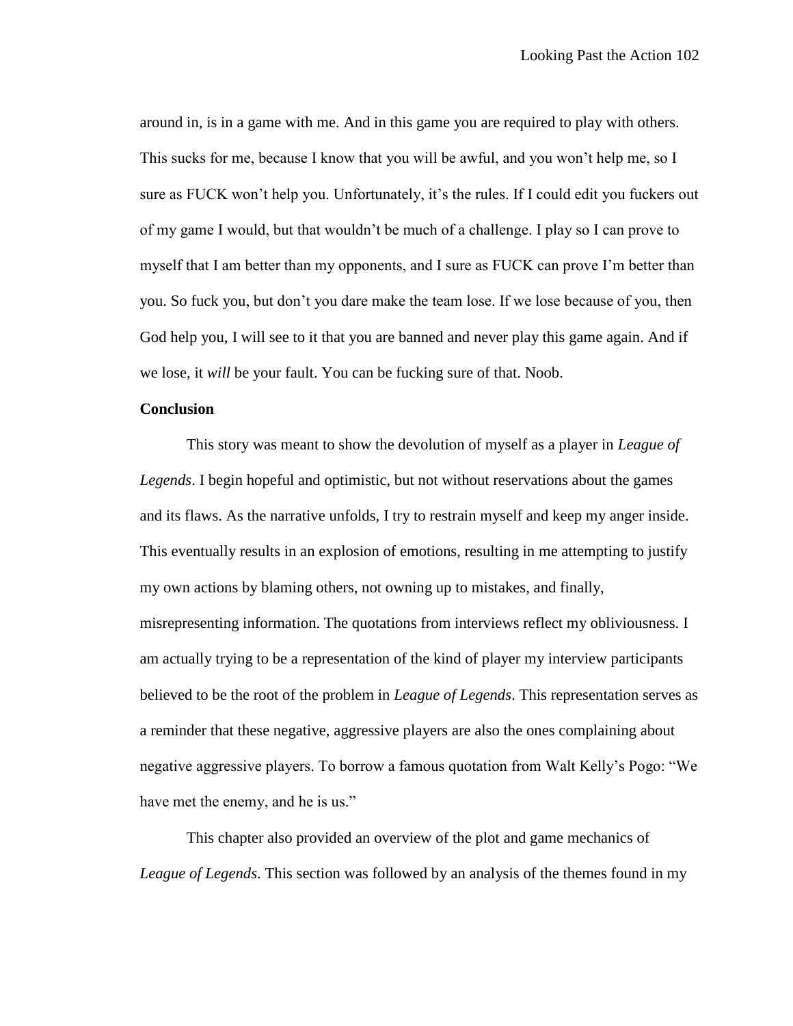around in, is in a game with me. And in this game you are required to play with others. This sucks for me, because I know that you will be awful, and you won't help me, so I sure as FUCK won't help you. Unfortunately, it's the rules. If I could edit you fuckers out of my game I would, but that wouldn't be much of a challenge. I play so I can prove to myself that I am better than my opponents, and I sure as FUCK can prove I'm better than you. So fuck you, but don't you dare make the team lose. If we lose because of you, then God help you, I will see to it that you are banned and never play this game again. And if we lose, it *will* be your fault. You can be fucking sure of that. Noob.

# **Conclusion**

This story was meant to show the devolution of myself as a player in *League of Legends*. I begin hopeful and optimistic, but not without reservations about the games and its flaws. As the narrative unfolds, I try to restrain myself and keep my anger inside. This eventually results in an explosion of emotions, resulting in me attempting to justify my own actions by blaming others, not owning up to mistakes, and finally, misrepresenting information. The quotations from interviews reflect my obliviousness. I am actually trying to be a representation of the kind of player my interview participants believed to be the root of the problem in *League of Legends*. This representation serves as a reminder that these negative, aggressive players are also the ones complaining about negative aggressive players. To borrow a famous quotation from Walt Kelly's Pogo: "We have met the enemy, and he is us."

This chapter also provided an overview of the plot and game mechanics of *League of Legends*. This section was followed by an analysis of the themes found in my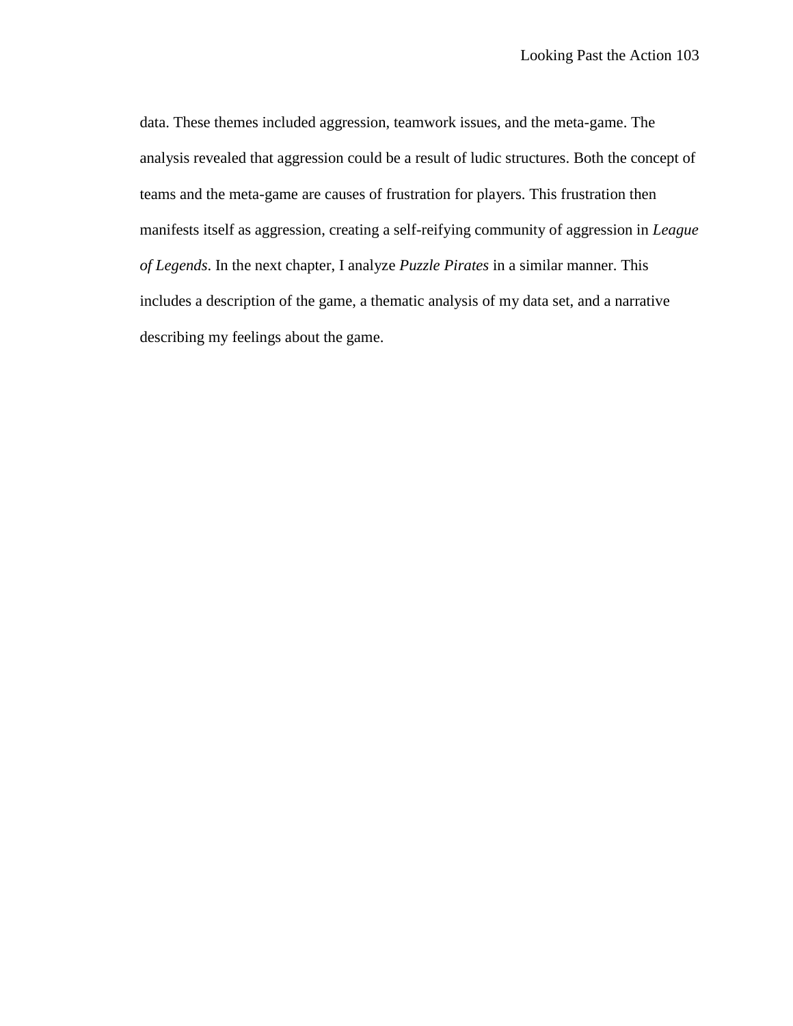data. These themes included aggression, teamwork issues, and the meta-game. The analysis revealed that aggression could be a result of ludic structures. Both the concept of teams and the meta-game are causes of frustration for players. This frustration then manifests itself as aggression, creating a self-reifying community of aggression in *League of Legends*. In the next chapter, I analyze *Puzzle Pirates* in a similar manner. This includes a description of the game, a thematic analysis of my data set, and a narrative describing my feelings about the game.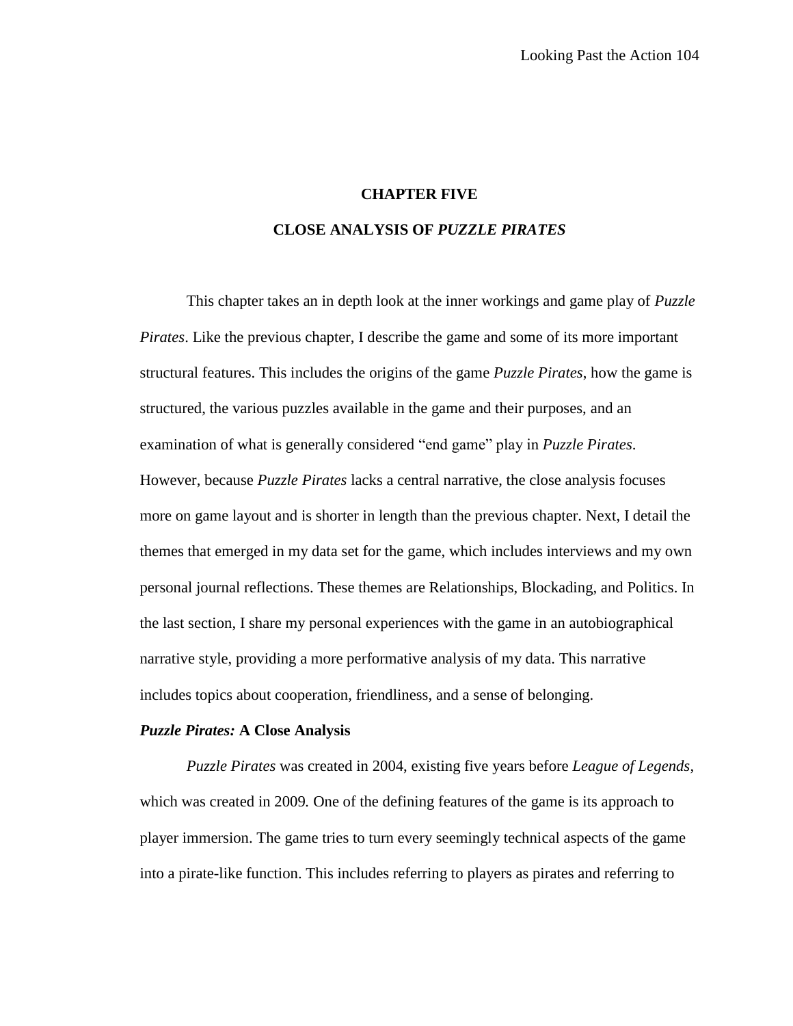# **CHAPTER FIVE**

# **CLOSE ANALYSIS OF** *PUZZLE PIRATES*

This chapter takes an in depth look at the inner workings and game play of *Puzzle Pirates*. Like the previous chapter, I describe the game and some of its more important structural features. This includes the origins of the game *Puzzle Pirates*, how the game is structured, the various puzzles available in the game and their purposes, and an examination of what is generally considered "end game" play in *Puzzle Pirates*. However, because *Puzzle Pirates* lacks a central narrative, the close analysis focuses more on game layout and is shorter in length than the previous chapter. Next, I detail the themes that emerged in my data set for the game, which includes interviews and my own personal journal reflections. These themes are Relationships, Blockading, and Politics. In the last section, I share my personal experiences with the game in an autobiographical narrative style, providing a more performative analysis of my data. This narrative includes topics about cooperation, friendliness, and a sense of belonging.

#### *Puzzle Pirates:* **A Close Analysis**

*Puzzle Pirates* was created in 2004, existing five years before *League of Legends*, which was created in 2009*.* One of the defining features of the game is its approach to player immersion. The game tries to turn every seemingly technical aspects of the game into a pirate-like function. This includes referring to players as pirates and referring to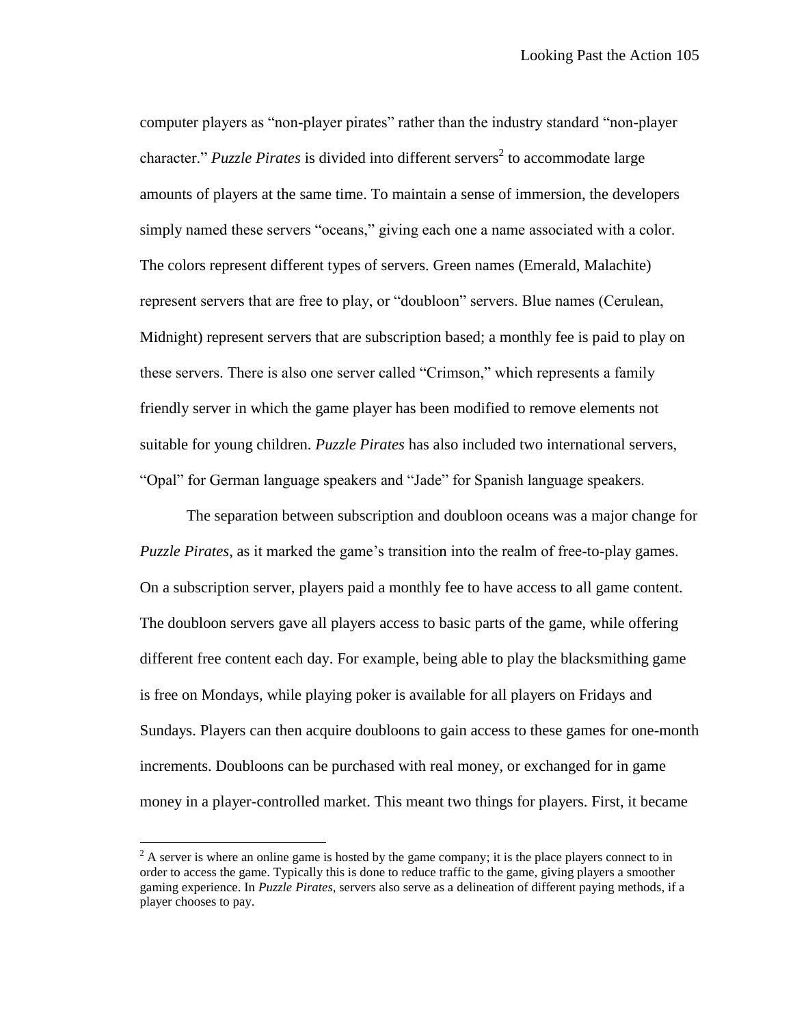computer players as "non-player pirates" rather than the industry standard "non-player character." *Puzzle Pirates* is divided into different servers<sup>2</sup> to accommodate large amounts of players at the same time. To maintain a sense of immersion, the developers simply named these servers "oceans," giving each one a name associated with a color. The colors represent different types of servers. Green names (Emerald, Malachite) represent servers that are free to play, or "doubloon" servers. Blue names (Cerulean, Midnight) represent servers that are subscription based; a monthly fee is paid to play on these servers. There is also one server called "Crimson," which represents a family friendly server in which the game player has been modified to remove elements not suitable for young children. *Puzzle Pirates* has also included two international servers, "Opal" for German language speakers and "Jade" for Spanish language speakers.

The separation between subscription and doubloon oceans was a major change for *Puzzle Pirates*, as it marked the game's transition into the realm of free-to-play games. On a subscription server, players paid a monthly fee to have access to all game content. The doubloon servers gave all players access to basic parts of the game, while offering different free content each day. For example, being able to play the blacksmithing game is free on Mondays, while playing poker is available for all players on Fridays and Sundays. Players can then acquire doubloons to gain access to these games for one-month increments. Doubloons can be purchased with real money, or exchanged for in game money in a player-controlled market. This meant two things for players. First, it became

 $\overline{a}$ 

 $2^2$  A server is where an online game is hosted by the game company; it is the place players connect to in order to access the game. Typically this is done to reduce traffic to the game, giving players a smoother gaming experience. In *Puzzle Pirates*, servers also serve as a delineation of different paying methods, if a player chooses to pay.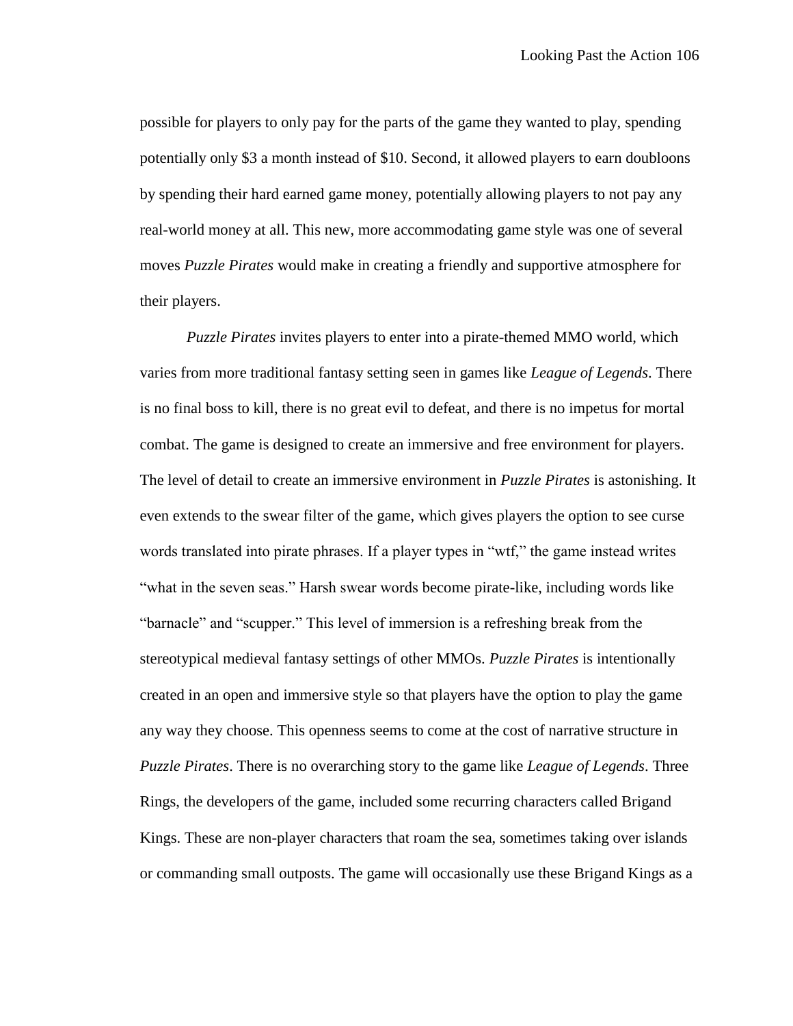possible for players to only pay for the parts of the game they wanted to play, spending potentially only \$3 a month instead of \$10. Second, it allowed players to earn doubloons by spending their hard earned game money, potentially allowing players to not pay any real-world money at all. This new, more accommodating game style was one of several moves *Puzzle Pirates* would make in creating a friendly and supportive atmosphere for their players.

*Puzzle Pirates* invites players to enter into a pirate-themed MMO world, which varies from more traditional fantasy setting seen in games like *League of Legends*. There is no final boss to kill, there is no great evil to defeat, and there is no impetus for mortal combat. The game is designed to create an immersive and free environment for players. The level of detail to create an immersive environment in *Puzzle Pirates* is astonishing. It even extends to the swear filter of the game, which gives players the option to see curse words translated into pirate phrases. If a player types in "wtf," the game instead writes "what in the seven seas." Harsh swear words become pirate-like, including words like "barnacle" and "scupper." This level of immersion is a refreshing break from the stereotypical medieval fantasy settings of other MMOs. *Puzzle Pirates* is intentionally created in an open and immersive style so that players have the option to play the game any way they choose. This openness seems to come at the cost of narrative structure in *Puzzle Pirates*. There is no overarching story to the game like *League of Legends*. Three Rings, the developers of the game, included some recurring characters called Brigand Kings. These are non-player characters that roam the sea, sometimes taking over islands or commanding small outposts. The game will occasionally use these Brigand Kings as a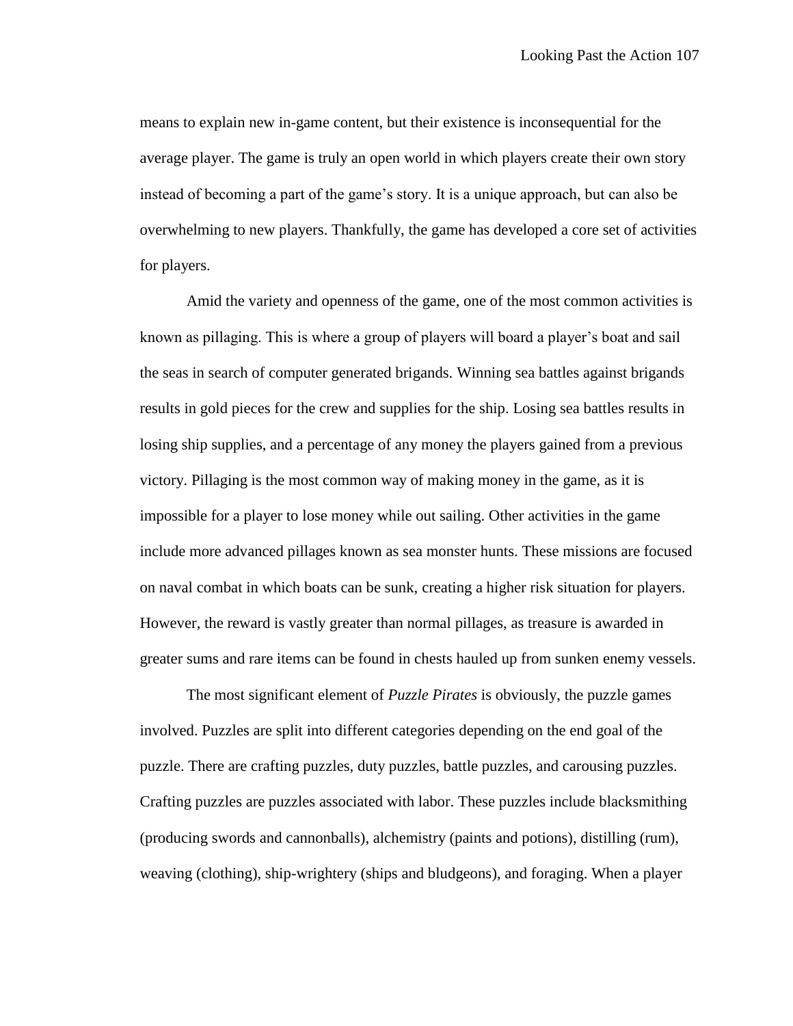means to explain new in-game content, but their existence is inconsequential for the average player. The game is truly an open world in which players create their own story instead of becoming a part of the game's story. It is a unique approach, but can also be overwhelming to new players. Thankfully, the game has developed a core set of activities for players.

Amid the variety and openness of the game, one of the most common activities is known as pillaging. This is where a group of players will board a player's boat and sail the seas in search of computer generated brigands. Winning sea battles against brigands results in gold pieces for the crew and supplies for the ship. Losing sea battles results in losing ship supplies, and a percentage of any money the players gained from a previous victory. Pillaging is the most common way of making money in the game, as it is impossible for a player to lose money while out sailing. Other activities in the game include more advanced pillages known as sea monster hunts. These missions are focused on naval combat in which boats can be sunk, creating a higher risk situation for players. However, the reward is vastly greater than normal pillages, as treasure is awarded in greater sums and rare items can be found in chests hauled up from sunken enemy vessels.

The most significant element of *Puzzle Pirates* is obviously, the puzzle games involved. Puzzles are split into different categories depending on the end goal of the puzzle. There are crafting puzzles, duty puzzles, battle puzzles, and carousing puzzles. Crafting puzzles are puzzles associated with labor. These puzzles include blacksmithing (producing swords and cannonballs), alchemistry (paints and potions), distilling (rum), weaving (clothing), ship-wrightery (ships and bludgeons), and foraging. When a player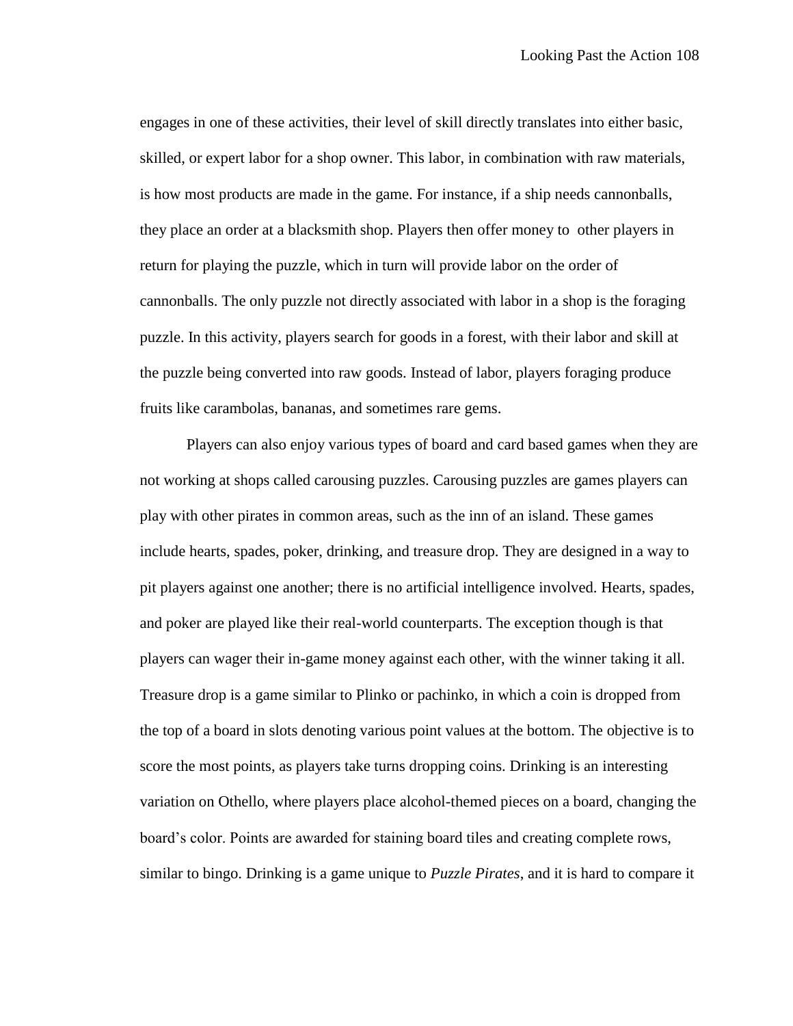engages in one of these activities, their level of skill directly translates into either basic, skilled, or expert labor for a shop owner. This labor, in combination with raw materials, is how most products are made in the game. For instance, if a ship needs cannonballs, they place an order at a blacksmith shop. Players then offer money to other players in return for playing the puzzle, which in turn will provide labor on the order of cannonballs. The only puzzle not directly associated with labor in a shop is the foraging puzzle. In this activity, players search for goods in a forest, with their labor and skill at the puzzle being converted into raw goods. Instead of labor, players foraging produce fruits like carambolas, bananas, and sometimes rare gems.

Players can also enjoy various types of board and card based games when they are not working at shops called carousing puzzles. Carousing puzzles are games players can play with other pirates in common areas, such as the inn of an island. These games include hearts, spades, poker, drinking, and treasure drop. They are designed in a way to pit players against one another; there is no artificial intelligence involved. Hearts, spades, and poker are played like their real-world counterparts. The exception though is that players can wager their in-game money against each other, with the winner taking it all. Treasure drop is a game similar to Plinko or pachinko, in which a coin is dropped from the top of a board in slots denoting various point values at the bottom. The objective is to score the most points, as players take turns dropping coins. Drinking is an interesting variation on Othello, where players place alcohol-themed pieces on a board, changing the board's color. Points are awarded for staining board tiles and creating complete rows, similar to bingo. Drinking is a game unique to *Puzzle Pirates*, and it is hard to compare it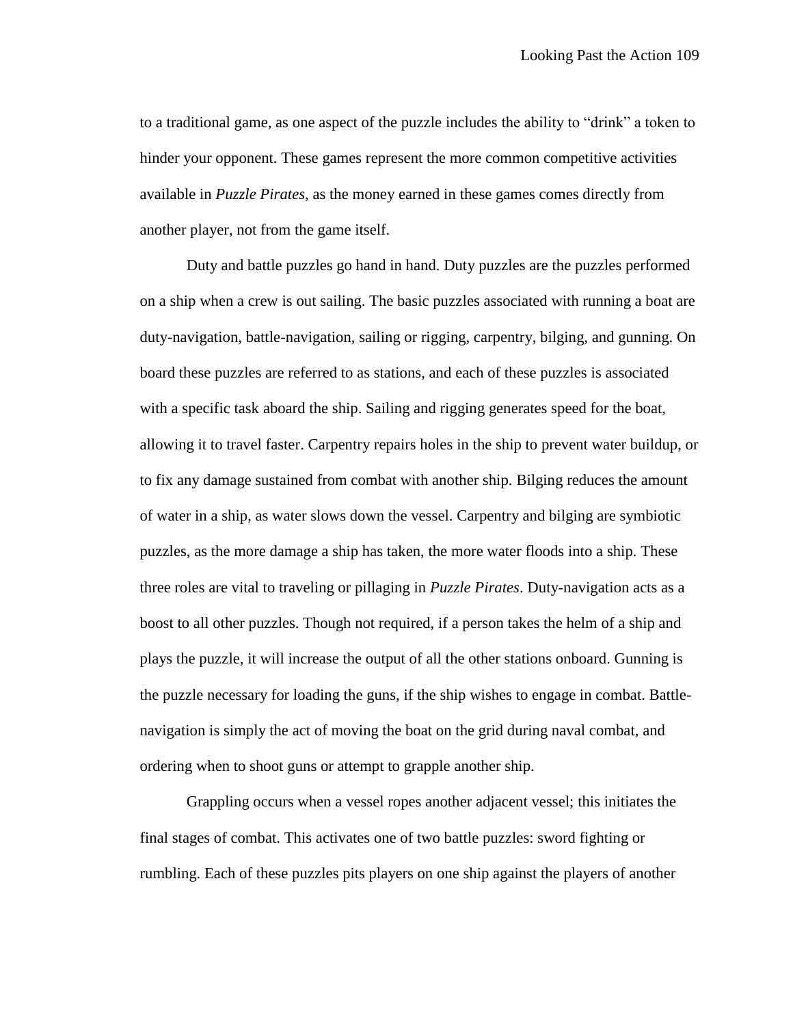to a traditional game, as one aspect of the puzzle includes the ability to "drink" a token to hinder your opponent. These games represent the more common competitive activities available in *Puzzle Pirates*, as the money earned in these games comes directly from another player, not from the game itself.

Duty and battle puzzles go hand in hand. Duty puzzles are the puzzles performed on a ship when a crew is out sailing. The basic puzzles associated with running a boat are duty-navigation, battle-navigation, sailing or rigging, carpentry, bilging, and gunning. On board these puzzles are referred to as stations, and each of these puzzles is associated with a specific task aboard the ship. Sailing and rigging generates speed for the boat, allowing it to travel faster. Carpentry repairs holes in the ship to prevent water buildup, or to fix any damage sustained from combat with another ship. Bilging reduces the amount of water in a ship, as water slows down the vessel. Carpentry and bilging are symbiotic puzzles, as the more damage a ship has taken, the more water floods into a ship. These three roles are vital to traveling or pillaging in *Puzzle Pirates*. Duty-navigation acts as a boost to all other puzzles. Though not required, if a person takes the helm of a ship and plays the puzzle, it will increase the output of all the other stations onboard. Gunning is the puzzle necessary for loading the guns, if the ship wishes to engage in combat. Battlenavigation is simply the act of moving the boat on the grid during naval combat, and ordering when to shoot guns or attempt to grapple another ship.

Grappling occurs when a vessel ropes another adjacent vessel; this initiates the final stages of combat. This activates one of two battle puzzles: sword fighting or rumbling. Each of these puzzles pits players on one ship against the players of another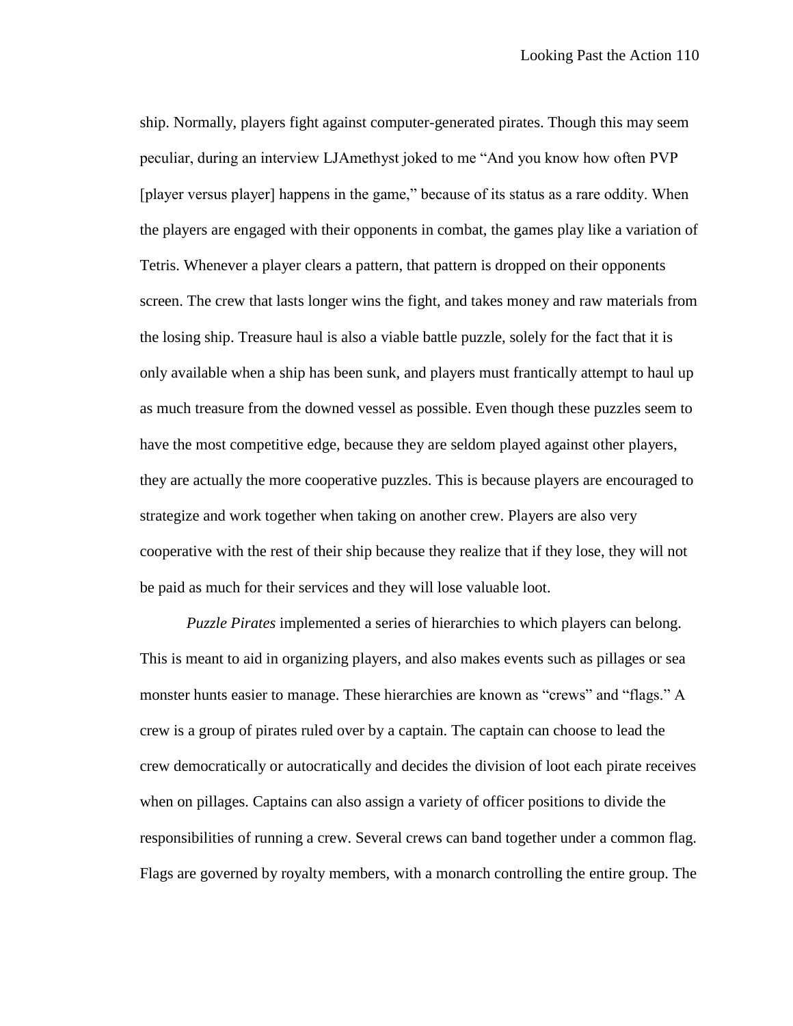ship. Normally, players fight against computer-generated pirates. Though this may seem peculiar, during an interview LJAmethyst joked to me "And you know how often PVP [player versus player] happens in the game," because of its status as a rare oddity. When the players are engaged with their opponents in combat, the games play like a variation of Tetris. Whenever a player clears a pattern, that pattern is dropped on their opponents screen. The crew that lasts longer wins the fight, and takes money and raw materials from the losing ship. Treasure haul is also a viable battle puzzle, solely for the fact that it is only available when a ship has been sunk, and players must frantically attempt to haul up as much treasure from the downed vessel as possible. Even though these puzzles seem to have the most competitive edge, because they are seldom played against other players, they are actually the more cooperative puzzles. This is because players are encouraged to strategize and work together when taking on another crew. Players are also very cooperative with the rest of their ship because they realize that if they lose, they will not be paid as much for their services and they will lose valuable loot.

*Puzzle Pirates* implemented a series of hierarchies to which players can belong. This is meant to aid in organizing players, and also makes events such as pillages or sea monster hunts easier to manage. These hierarchies are known as "crews" and "flags." A crew is a group of pirates ruled over by a captain. The captain can choose to lead the crew democratically or autocratically and decides the division of loot each pirate receives when on pillages. Captains can also assign a variety of officer positions to divide the responsibilities of running a crew. Several crews can band together under a common flag. Flags are governed by royalty members, with a monarch controlling the entire group. The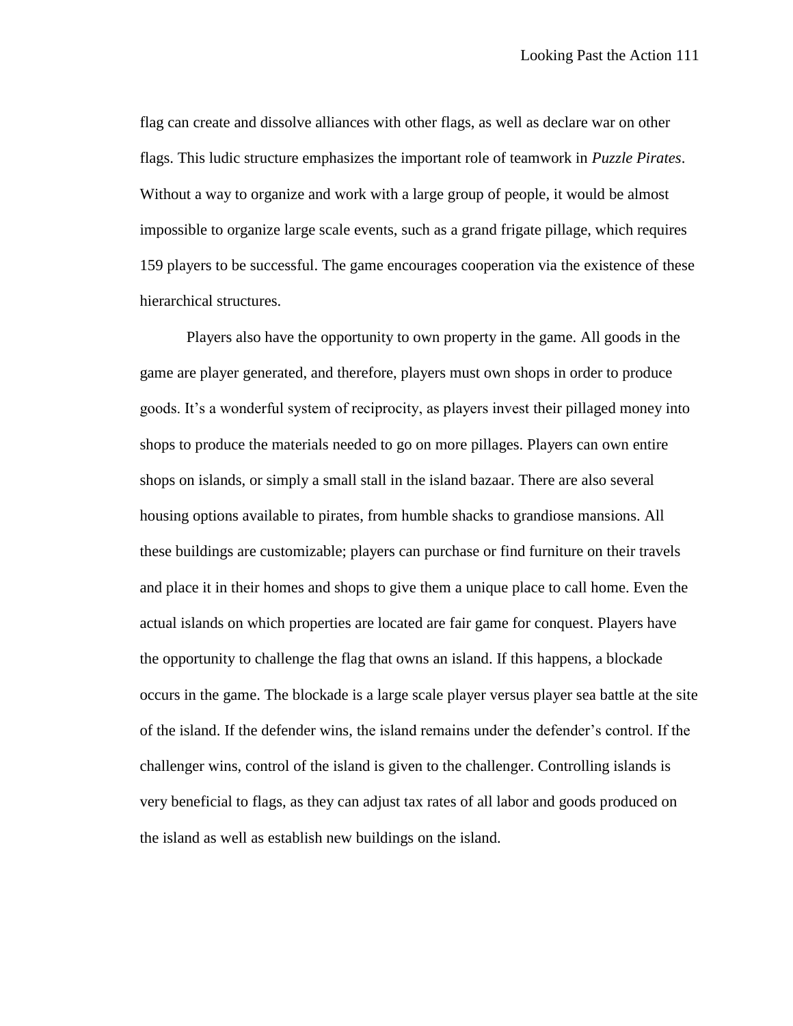flag can create and dissolve alliances with other flags, as well as declare war on other flags. This ludic structure emphasizes the important role of teamwork in *Puzzle Pirates*. Without a way to organize and work with a large group of people, it would be almost impossible to organize large scale events, such as a grand frigate pillage, which requires 159 players to be successful. The game encourages cooperation via the existence of these hierarchical structures.

Players also have the opportunity to own property in the game. All goods in the game are player generated, and therefore, players must own shops in order to produce goods. It's a wonderful system of reciprocity, as players invest their pillaged money into shops to produce the materials needed to go on more pillages. Players can own entire shops on islands, or simply a small stall in the island bazaar. There are also several housing options available to pirates, from humble shacks to grandiose mansions. All these buildings are customizable; players can purchase or find furniture on their travels and place it in their homes and shops to give them a unique place to call home. Even the actual islands on which properties are located are fair game for conquest. Players have the opportunity to challenge the flag that owns an island. If this happens, a blockade occurs in the game. The blockade is a large scale player versus player sea battle at the site of the island. If the defender wins, the island remains under the defender's control. If the challenger wins, control of the island is given to the challenger. Controlling islands is very beneficial to flags, as they can adjust tax rates of all labor and goods produced on the island as well as establish new buildings on the island.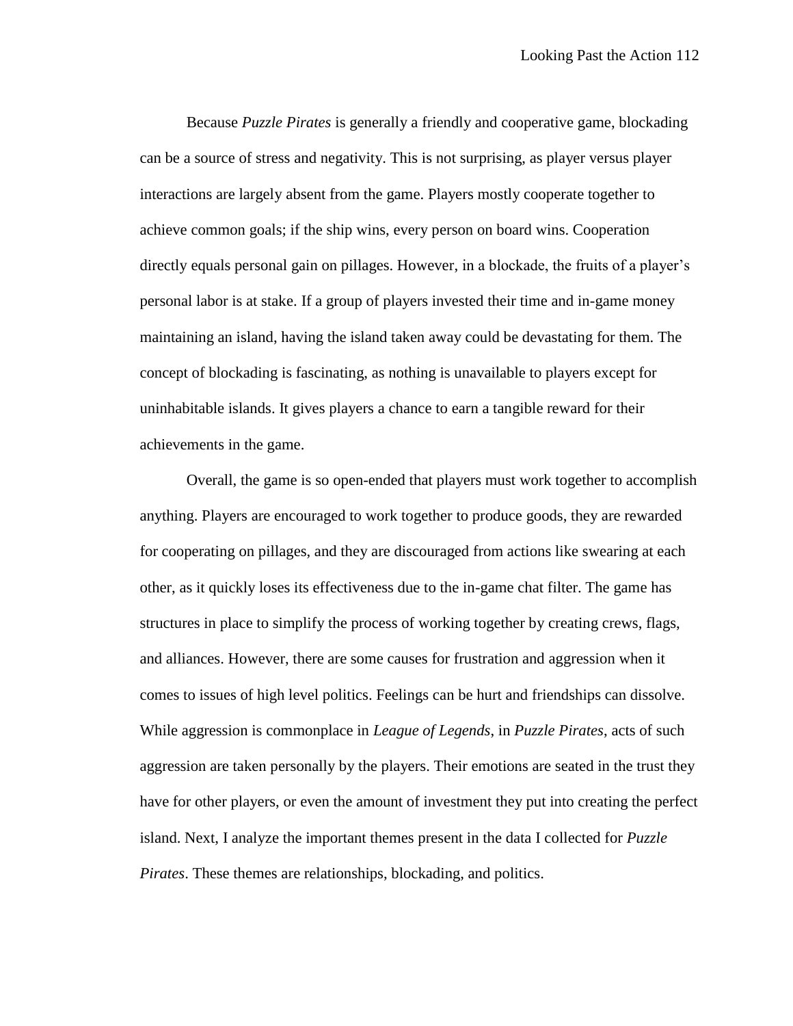Because *Puzzle Pirates* is generally a friendly and cooperative game, blockading can be a source of stress and negativity. This is not surprising, as player versus player interactions are largely absent from the game. Players mostly cooperate together to achieve common goals; if the ship wins, every person on board wins. Cooperation directly equals personal gain on pillages. However, in a blockade, the fruits of a player's personal labor is at stake. If a group of players invested their time and in-game money maintaining an island, having the island taken away could be devastating for them. The concept of blockading is fascinating, as nothing is unavailable to players except for uninhabitable islands. It gives players a chance to earn a tangible reward for their achievements in the game.

Overall, the game is so open-ended that players must work together to accomplish anything. Players are encouraged to work together to produce goods, they are rewarded for cooperating on pillages, and they are discouraged from actions like swearing at each other, as it quickly loses its effectiveness due to the in-game chat filter. The game has structures in place to simplify the process of working together by creating crews, flags, and alliances. However, there are some causes for frustration and aggression when it comes to issues of high level politics. Feelings can be hurt and friendships can dissolve. While aggression is commonplace in *League of Legends*, in *Puzzle Pirates*, acts of such aggression are taken personally by the players. Their emotions are seated in the trust they have for other players, or even the amount of investment they put into creating the perfect island. Next, I analyze the important themes present in the data I collected for *Puzzle Pirates*. These themes are relationships, blockading, and politics.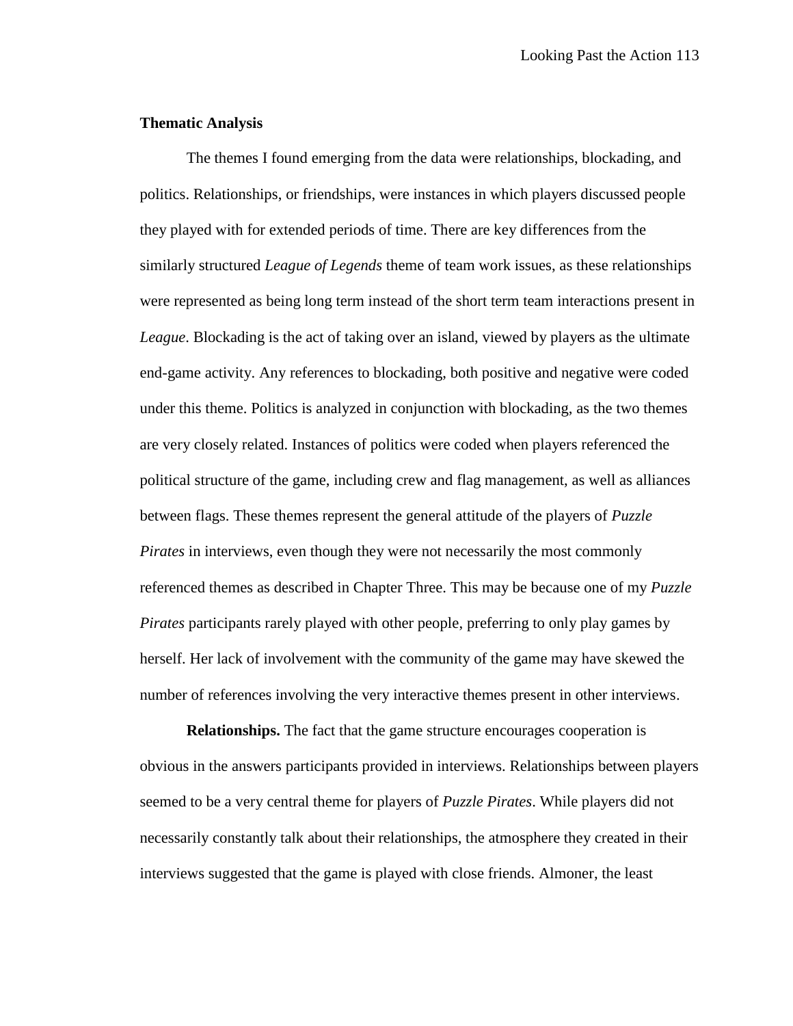## **Thematic Analysis**

The themes I found emerging from the data were relationships, blockading, and politics. Relationships, or friendships, were instances in which players discussed people they played with for extended periods of time. There are key differences from the similarly structured *League of Legends* theme of team work issues, as these relationships were represented as being long term instead of the short term team interactions present in *League*. Blockading is the act of taking over an island, viewed by players as the ultimate end-game activity. Any references to blockading, both positive and negative were coded under this theme. Politics is analyzed in conjunction with blockading, as the two themes are very closely related. Instances of politics were coded when players referenced the political structure of the game, including crew and flag management, as well as alliances between flags. These themes represent the general attitude of the players of *Puzzle Pirates* in interviews, even though they were not necessarily the most commonly referenced themes as described in Chapter Three. This may be because one of my *Puzzle Pirates* participants rarely played with other people, preferring to only play games by herself. Her lack of involvement with the community of the game may have skewed the number of references involving the very interactive themes present in other interviews.

**Relationships.** The fact that the game structure encourages cooperation is obvious in the answers participants provided in interviews. Relationships between players seemed to be a very central theme for players of *Puzzle Pirates*. While players did not necessarily constantly talk about their relationships, the atmosphere they created in their interviews suggested that the game is played with close friends. Almoner, the least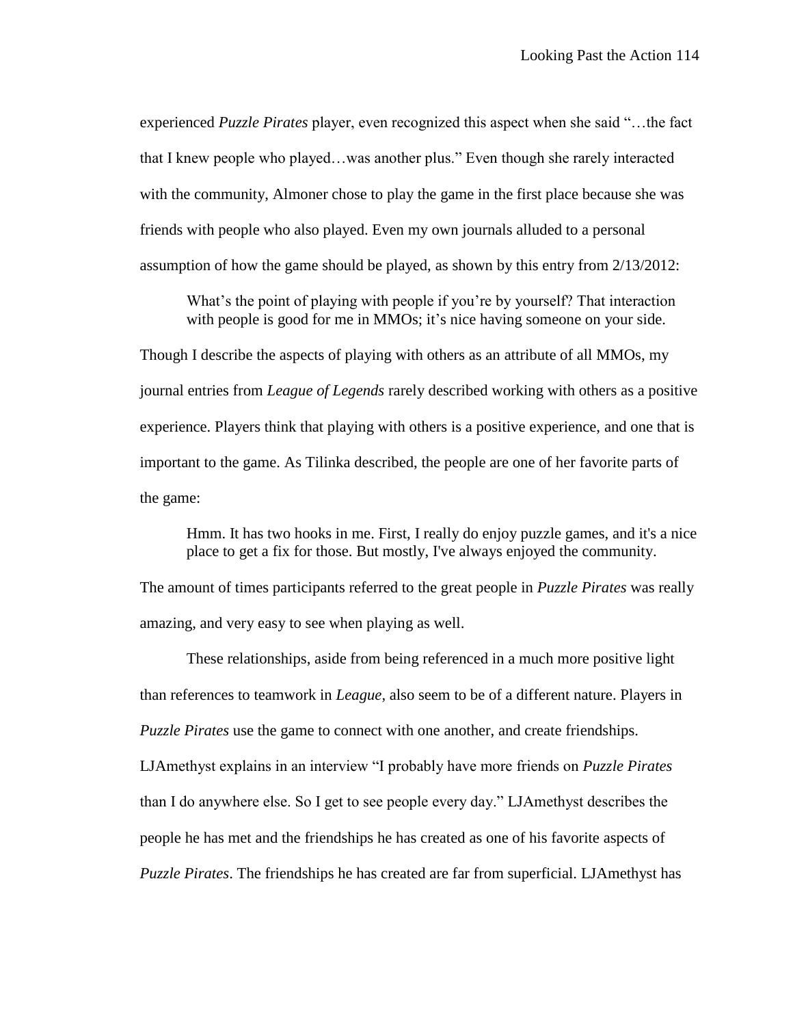experienced *Puzzle Pirates* player, even recognized this aspect when she said "…the fact that I knew people who played…was another plus." Even though she rarely interacted with the community, Almoner chose to play the game in the first place because she was friends with people who also played. Even my own journals alluded to a personal assumption of how the game should be played, as shown by this entry from 2/13/2012:

What's the point of playing with people if you're by yourself? That interaction with people is good for me in MMOs; it's nice having someone on your side.

Though I describe the aspects of playing with others as an attribute of all MMOs, my journal entries from *League of Legends* rarely described working with others as a positive experience. Players think that playing with others is a positive experience, and one that is important to the game. As Tilinka described, the people are one of her favorite parts of the game:

Hmm. It has two hooks in me. First, I really do enjoy puzzle games, and it's a nice place to get a fix for those. But mostly, I've always enjoyed the community.

The amount of times participants referred to the great people in *Puzzle Pirates* was really amazing, and very easy to see when playing as well.

These relationships, aside from being referenced in a much more positive light than references to teamwork in *League*, also seem to be of a different nature. Players in *Puzzle Pirates* use the game to connect with one another, and create friendships. LJAmethyst explains in an interview "I probably have more friends on *Puzzle Pirates* than I do anywhere else. So I get to see people every day." LJAmethyst describes the people he has met and the friendships he has created as one of his favorite aspects of *Puzzle Pirates*. The friendships he has created are far from superficial. LJAmethyst has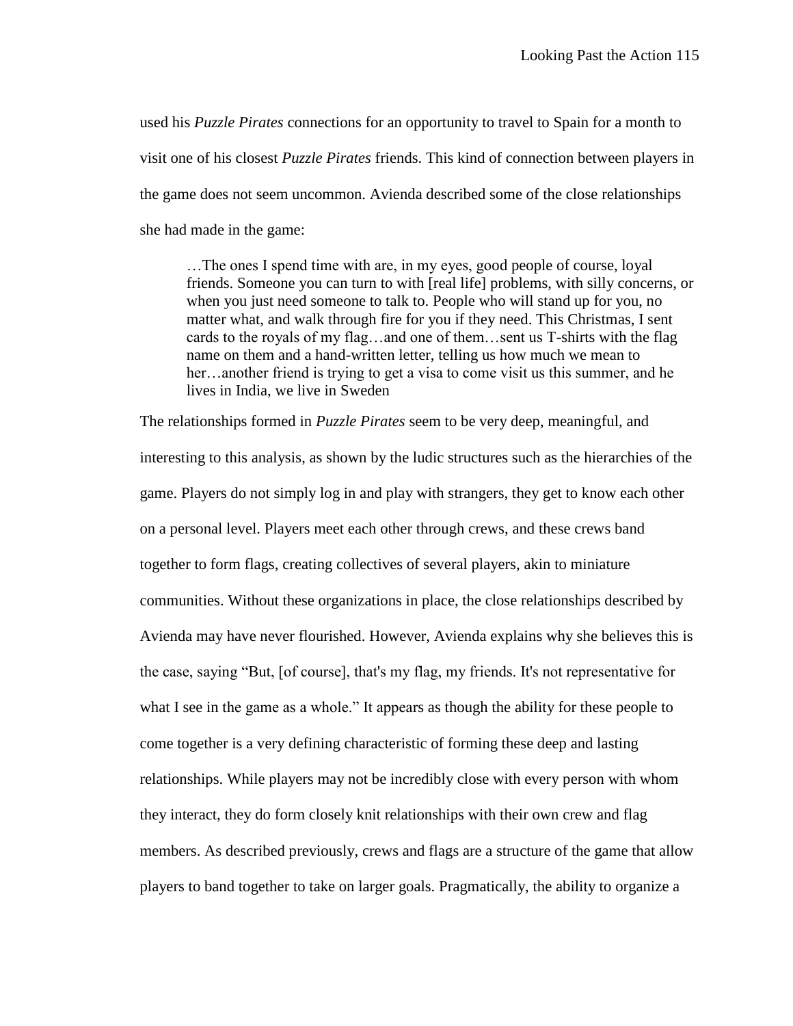used his *Puzzle Pirates* connections for an opportunity to travel to Spain for a month to visit one of his closest *Puzzle Pirates* friends. This kind of connection between players in the game does not seem uncommon. Avienda described some of the close relationships she had made in the game:

…The ones I spend time with are, in my eyes, good people of course, loyal friends. Someone you can turn to with [real life] problems, with silly concerns, or when you just need someone to talk to. People who will stand up for you, no matter what, and walk through fire for you if they need. This Christmas, I sent cards to the royals of my flag…and one of them…sent us T-shirts with the flag name on them and a hand-written letter, telling us how much we mean to her…another friend is trying to get a visa to come visit us this summer, and he lives in India, we live in Sweden

The relationships formed in *Puzzle Pirates* seem to be very deep, meaningful, and interesting to this analysis, as shown by the ludic structures such as the hierarchies of the game. Players do not simply log in and play with strangers, they get to know each other on a personal level. Players meet each other through crews, and these crews band together to form flags, creating collectives of several players, akin to miniature communities. Without these organizations in place, the close relationships described by Avienda may have never flourished. However, Avienda explains why she believes this is the case, saying "But, [of course], that's my flag, my friends. It's not representative for what I see in the game as a whole." It appears as though the ability for these people to come together is a very defining characteristic of forming these deep and lasting relationships. While players may not be incredibly close with every person with whom they interact, they do form closely knit relationships with their own crew and flag members. As described previously, crews and flags are a structure of the game that allow players to band together to take on larger goals. Pragmatically, the ability to organize a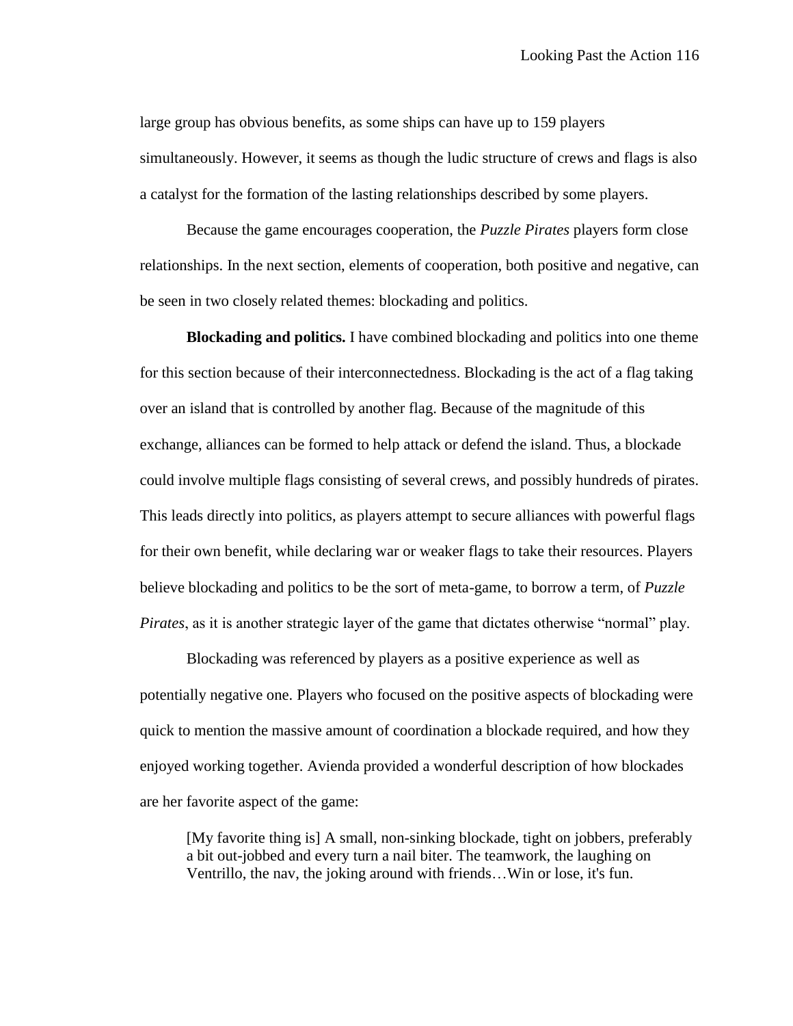large group has obvious benefits, as some ships can have up to 159 players simultaneously. However, it seems as though the ludic structure of crews and flags is also a catalyst for the formation of the lasting relationships described by some players.

Because the game encourages cooperation, the *Puzzle Pirates* players form close relationships. In the next section, elements of cooperation, both positive and negative, can be seen in two closely related themes: blockading and politics.

**Blockading and politics.** I have combined blockading and politics into one theme for this section because of their interconnectedness. Blockading is the act of a flag taking over an island that is controlled by another flag. Because of the magnitude of this exchange, alliances can be formed to help attack or defend the island. Thus, a blockade could involve multiple flags consisting of several crews, and possibly hundreds of pirates. This leads directly into politics, as players attempt to secure alliances with powerful flags for their own benefit, while declaring war or weaker flags to take their resources. Players believe blockading and politics to be the sort of meta-game, to borrow a term, of *Puzzle Pirates*, as it is another strategic layer of the game that dictates otherwise "normal" play.

Blockading was referenced by players as a positive experience as well as potentially negative one. Players who focused on the positive aspects of blockading were quick to mention the massive amount of coordination a blockade required, and how they enjoyed working together. Avienda provided a wonderful description of how blockades are her favorite aspect of the game:

[My favorite thing is] A small, non-sinking blockade, tight on jobbers, preferably a bit out-jobbed and every turn a nail biter. The teamwork, the laughing on Ventrillo, the nav, the joking around with friends…Win or lose, it's fun.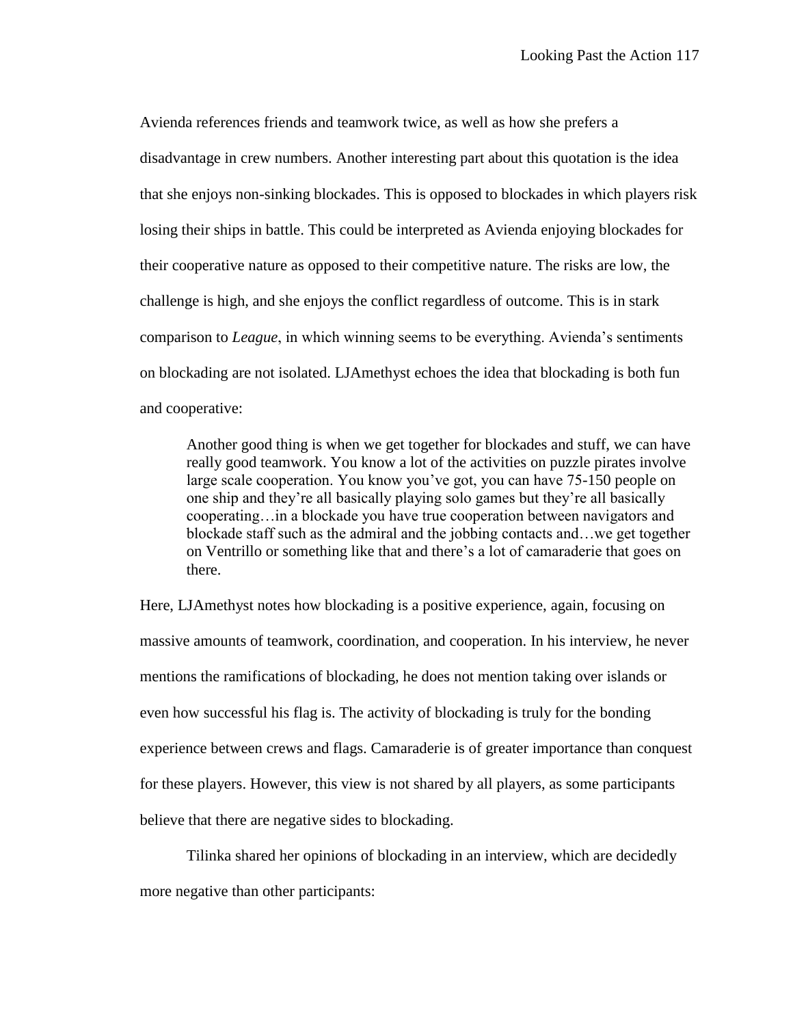Avienda references friends and teamwork twice, as well as how she prefers a disadvantage in crew numbers. Another interesting part about this quotation is the idea that she enjoys non-sinking blockades. This is opposed to blockades in which players risk losing their ships in battle. This could be interpreted as Avienda enjoying blockades for their cooperative nature as opposed to their competitive nature. The risks are low, the challenge is high, and she enjoys the conflict regardless of outcome. This is in stark comparison to *League*, in which winning seems to be everything. Avienda's sentiments on blockading are not isolated. LJAmethyst echoes the idea that blockading is both fun and cooperative:

Another good thing is when we get together for blockades and stuff, we can have really good teamwork. You know a lot of the activities on puzzle pirates involve large scale cooperation. You know you've got, you can have 75-150 people on one ship and they're all basically playing solo games but they're all basically cooperating…in a blockade you have true cooperation between navigators and blockade staff such as the admiral and the jobbing contacts and…we get together on Ventrillo or something like that and there's a lot of camaraderie that goes on there.

Here, LJAmethyst notes how blockading is a positive experience, again, focusing on massive amounts of teamwork, coordination, and cooperation. In his interview, he never mentions the ramifications of blockading, he does not mention taking over islands or even how successful his flag is. The activity of blockading is truly for the bonding experience between crews and flags. Camaraderie is of greater importance than conquest for these players. However, this view is not shared by all players, as some participants believe that there are negative sides to blockading.

Tilinka shared her opinions of blockading in an interview, which are decidedly more negative than other participants: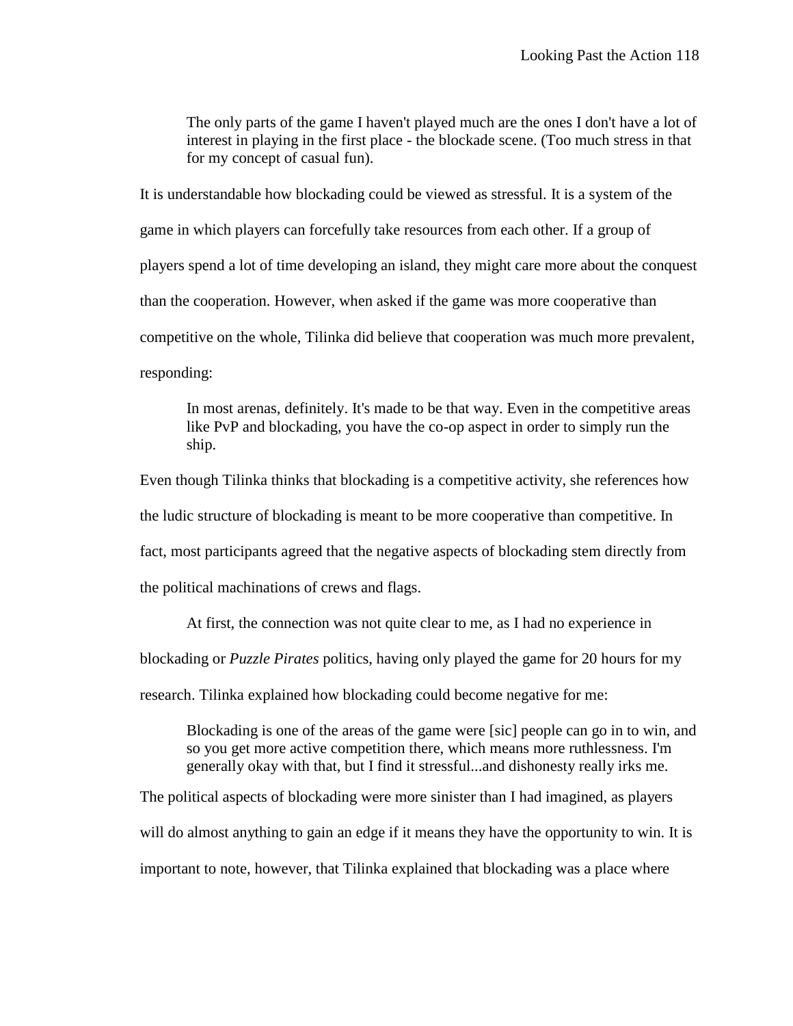The only parts of the game I haven't played much are the ones I don't have a lot of interest in playing in the first place - the blockade scene. (Too much stress in that for my concept of casual fun).

It is understandable how blockading could be viewed as stressful. It is a system of the game in which players can forcefully take resources from each other. If a group of players spend a lot of time developing an island, they might care more about the conquest than the cooperation. However, when asked if the game was more cooperative than competitive on the whole, Tilinka did believe that cooperation was much more prevalent, responding:

In most arenas, definitely. It's made to be that way. Even in the competitive areas like PvP and blockading, you have the co-op aspect in order to simply run the ship.

Even though Tilinka thinks that blockading is a competitive activity, she references how the ludic structure of blockading is meant to be more cooperative than competitive. In fact, most participants agreed that the negative aspects of blockading stem directly from the political machinations of crews and flags.

At first, the connection was not quite clear to me, as I had no experience in blockading or *Puzzle Pirates* politics, having only played the game for 20 hours for my research. Tilinka explained how blockading could become negative for me:

Blockading is one of the areas of the game were [sic] people can go in to win, and so you get more active competition there, which means more ruthlessness. I'm generally okay with that, but I find it stressful...and dishonesty really irks me.

The political aspects of blockading were more sinister than I had imagined, as players

will do almost anything to gain an edge if it means they have the opportunity to win. It is

important to note, however, that Tilinka explained that blockading was a place where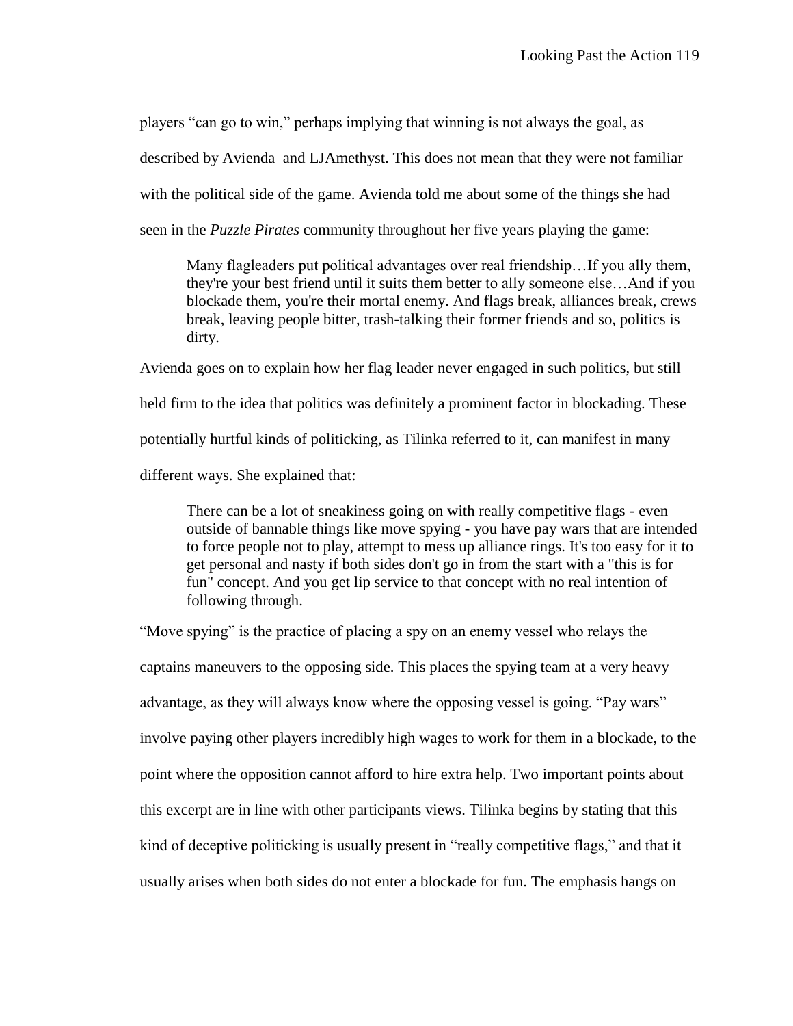players "can go to win," perhaps implying that winning is not always the goal, as

described by Avienda and LJAmethyst. This does not mean that they were not familiar

with the political side of the game. Avienda told me about some of the things she had

seen in the *Puzzle Pirates* community throughout her five years playing the game:

Many flagleaders put political advantages over real friendship…If you ally them, they're your best friend until it suits them better to ally someone else…And if you blockade them, you're their mortal enemy. And flags break, alliances break, crews break, leaving people bitter, trash-talking their former friends and so, politics is dirty.

Avienda goes on to explain how her flag leader never engaged in such politics, but still held firm to the idea that politics was definitely a prominent factor in blockading. These potentially hurtful kinds of politicking, as Tilinka referred to it, can manifest in many different ways. She explained that:

There can be a lot of sneakiness going on with really competitive flags - even outside of bannable things like move spying - you have pay wars that are intended to force people not to play, attempt to mess up alliance rings. It's too easy for it to get personal and nasty if both sides don't go in from the start with a "this is for fun" concept. And you get lip service to that concept with no real intention of following through.

"Move spying" is the practice of placing a spy on an enemy vessel who relays the captains maneuvers to the opposing side. This places the spying team at a very heavy advantage, as they will always know where the opposing vessel is going. "Pay wars" involve paying other players incredibly high wages to work for them in a blockade, to the point where the opposition cannot afford to hire extra help. Two important points about this excerpt are in line with other participants views. Tilinka begins by stating that this kind of deceptive politicking is usually present in "really competitive flags," and that it usually arises when both sides do not enter a blockade for fun. The emphasis hangs on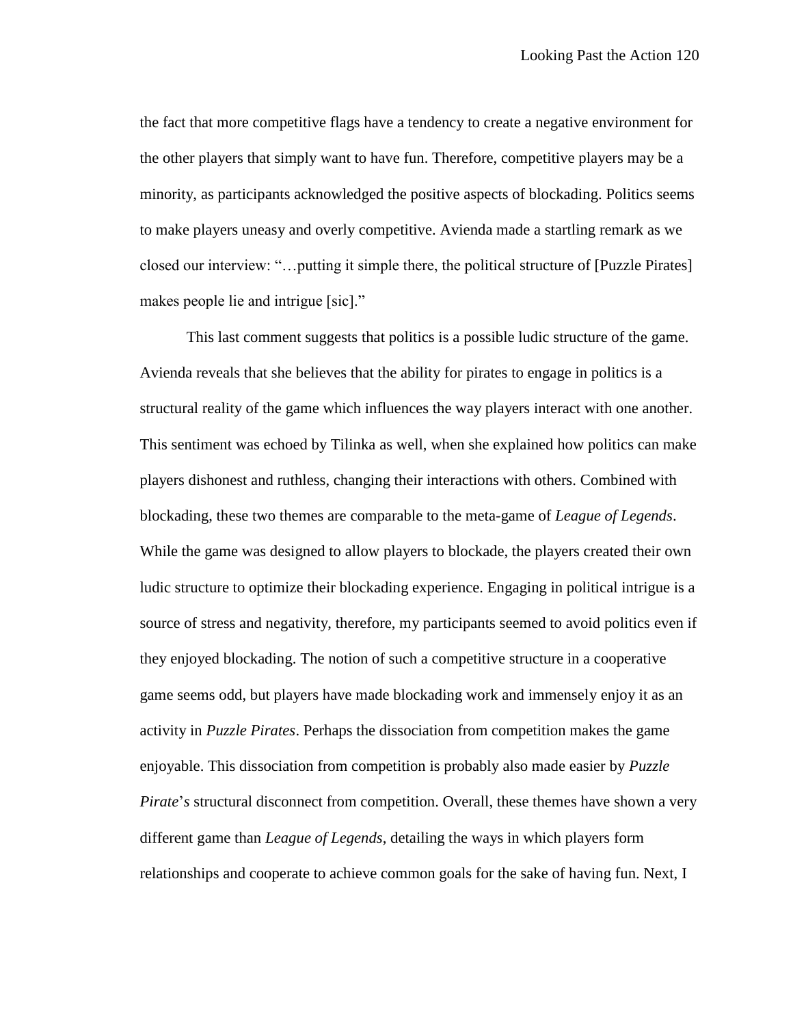the fact that more competitive flags have a tendency to create a negative environment for the other players that simply want to have fun. Therefore, competitive players may be a minority, as participants acknowledged the positive aspects of blockading. Politics seems to make players uneasy and overly competitive. Avienda made a startling remark as we closed our interview: "…putting it simple there, the political structure of [Puzzle Pirates] makes people lie and intrigue [sic]."

This last comment suggests that politics is a possible ludic structure of the game. Avienda reveals that she believes that the ability for pirates to engage in politics is a structural reality of the game which influences the way players interact with one another. This sentiment was echoed by Tilinka as well, when she explained how politics can make players dishonest and ruthless, changing their interactions with others. Combined with blockading, these two themes are comparable to the meta-game of *League of Legends*. While the game was designed to allow players to blockade, the players created their own ludic structure to optimize their blockading experience. Engaging in political intrigue is a source of stress and negativity, therefore, my participants seemed to avoid politics even if they enjoyed blockading. The notion of such a competitive structure in a cooperative game seems odd, but players have made blockading work and immensely enjoy it as an activity in *Puzzle Pirates*. Perhaps the dissociation from competition makes the game enjoyable. This dissociation from competition is probably also made easier by *Puzzle Pirate*'*s* structural disconnect from competition. Overall, these themes have shown a very different game than *League of Legends*, detailing the ways in which players form relationships and cooperate to achieve common goals for the sake of having fun. Next, I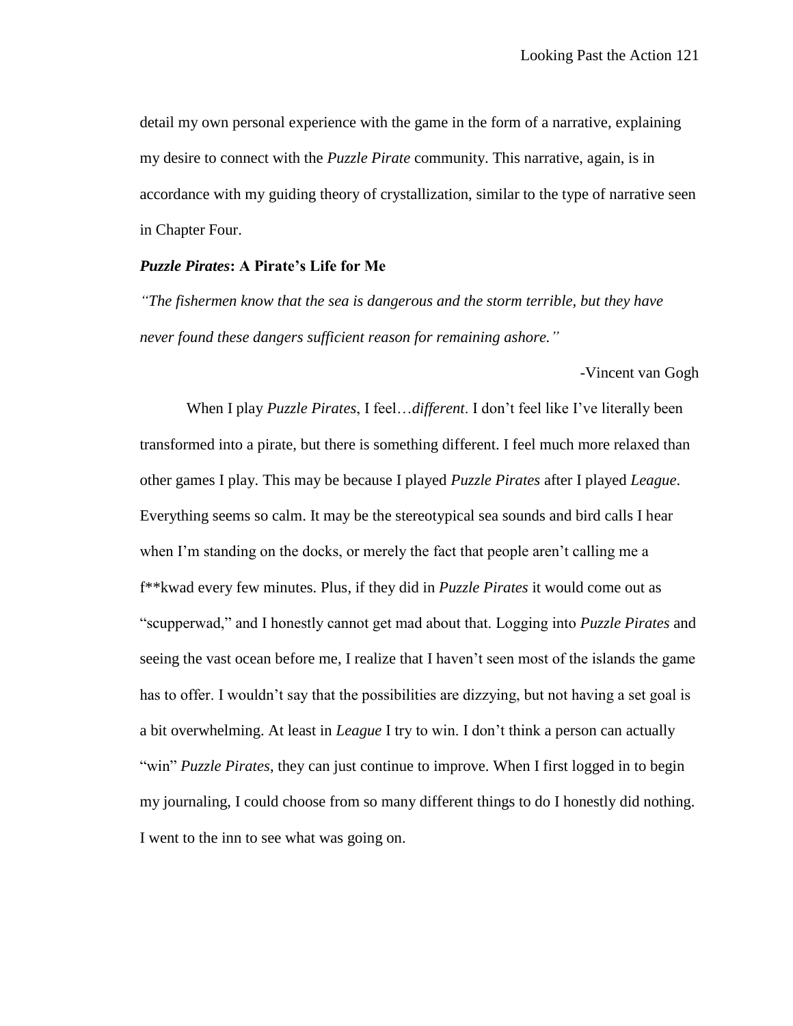detail my own personal experience with the game in the form of a narrative, explaining my desire to connect with the *Puzzle Pirate* community. This narrative, again, is in accordance with my guiding theory of crystallization, similar to the type of narrative seen in Chapter Four.

# *Puzzle Pirates***: A Pirate's Life for Me**

*"The fishermen know that the sea is dangerous and the storm terrible, but they have never found these dangers sufficient reason for remaining ashore."*

-Vincent van Gogh

When I play *Puzzle Pirates*, I feel…*different*. I don't feel like I've literally been transformed into a pirate, but there is something different. I feel much more relaxed than other games I play. This may be because I played *Puzzle Pirates* after I played *League*. Everything seems so calm. It may be the stereotypical sea sounds and bird calls I hear when I'm standing on the docks, or merely the fact that people aren't calling me a f\*\*kwad every few minutes. Plus, if they did in *Puzzle Pirates* it would come out as "scupperwad," and I honestly cannot get mad about that. Logging into *Puzzle Pirates* and seeing the vast ocean before me, I realize that I haven't seen most of the islands the game has to offer. I wouldn't say that the possibilities are dizzying, but not having a set goal is a bit overwhelming. At least in *League* I try to win. I don't think a person can actually "win" *Puzzle Pirates*, they can just continue to improve. When I first logged in to begin my journaling, I could choose from so many different things to do I honestly did nothing. I went to the inn to see what was going on.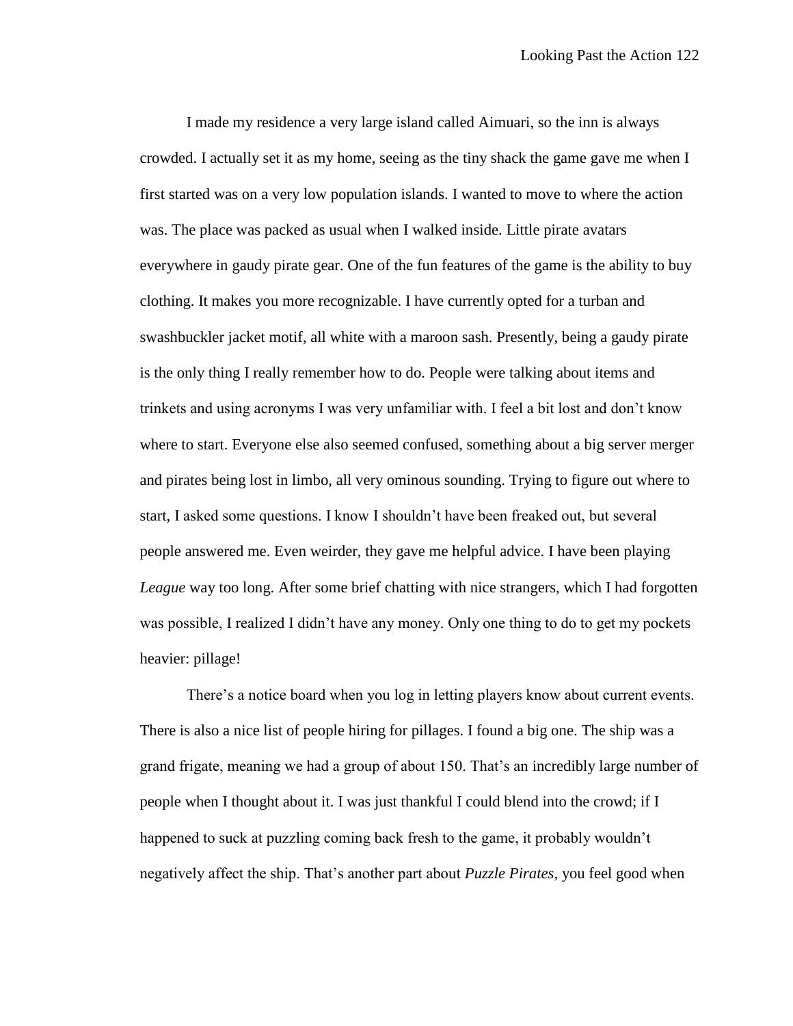I made my residence a very large island called Aimuari, so the inn is always crowded. I actually set it as my home, seeing as the tiny shack the game gave me when I first started was on a very low population islands. I wanted to move to where the action was. The place was packed as usual when I walked inside. Little pirate avatars everywhere in gaudy pirate gear. One of the fun features of the game is the ability to buy clothing. It makes you more recognizable. I have currently opted for a turban and swashbuckler jacket motif, all white with a maroon sash. Presently, being a gaudy pirate is the only thing I really remember how to do. People were talking about items and trinkets and using acronyms I was very unfamiliar with. I feel a bit lost and don't know where to start. Everyone else also seemed confused, something about a big server merger and pirates being lost in limbo, all very ominous sounding. Trying to figure out where to start, I asked some questions. I know I shouldn't have been freaked out, but several people answered me. Even weirder, they gave me helpful advice. I have been playing *League* way too long. After some brief chatting with nice strangers, which I had forgotten was possible, I realized I didn't have any money. Only one thing to do to get my pockets heavier: pillage!

There's a notice board when you log in letting players know about current events. There is also a nice list of people hiring for pillages. I found a big one. The ship was a grand frigate, meaning we had a group of about 150. That's an incredibly large number of people when I thought about it. I was just thankful I could blend into the crowd; if I happened to suck at puzzling coming back fresh to the game, it probably wouldn't negatively affect the ship. That's another part about *Puzzle Pirates*, you feel good when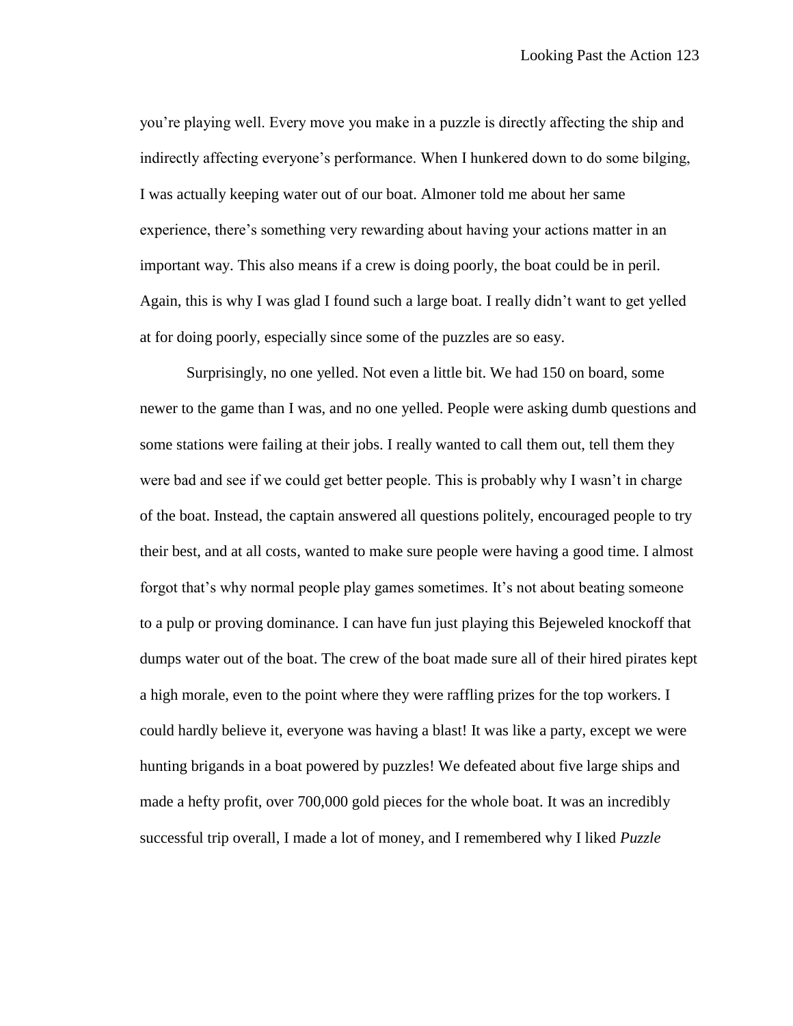you're playing well. Every move you make in a puzzle is directly affecting the ship and indirectly affecting everyone's performance. When I hunkered down to do some bilging, I was actually keeping water out of our boat. Almoner told me about her same experience, there's something very rewarding about having your actions matter in an important way. This also means if a crew is doing poorly, the boat could be in peril. Again, this is why I was glad I found such a large boat. I really didn't want to get yelled at for doing poorly, especially since some of the puzzles are so easy.

Surprisingly, no one yelled. Not even a little bit. We had 150 on board, some newer to the game than I was, and no one yelled. People were asking dumb questions and some stations were failing at their jobs. I really wanted to call them out, tell them they were bad and see if we could get better people. This is probably why I wasn't in charge of the boat. Instead, the captain answered all questions politely, encouraged people to try their best, and at all costs, wanted to make sure people were having a good time. I almost forgot that's why normal people play games sometimes. It's not about beating someone to a pulp or proving dominance. I can have fun just playing this Bejeweled knockoff that dumps water out of the boat. The crew of the boat made sure all of their hired pirates kept a high morale, even to the point where they were raffling prizes for the top workers. I could hardly believe it, everyone was having a blast! It was like a party, except we were hunting brigands in a boat powered by puzzles! We defeated about five large ships and made a hefty profit, over 700,000 gold pieces for the whole boat. It was an incredibly successful trip overall, I made a lot of money, and I remembered why I liked *Puzzle*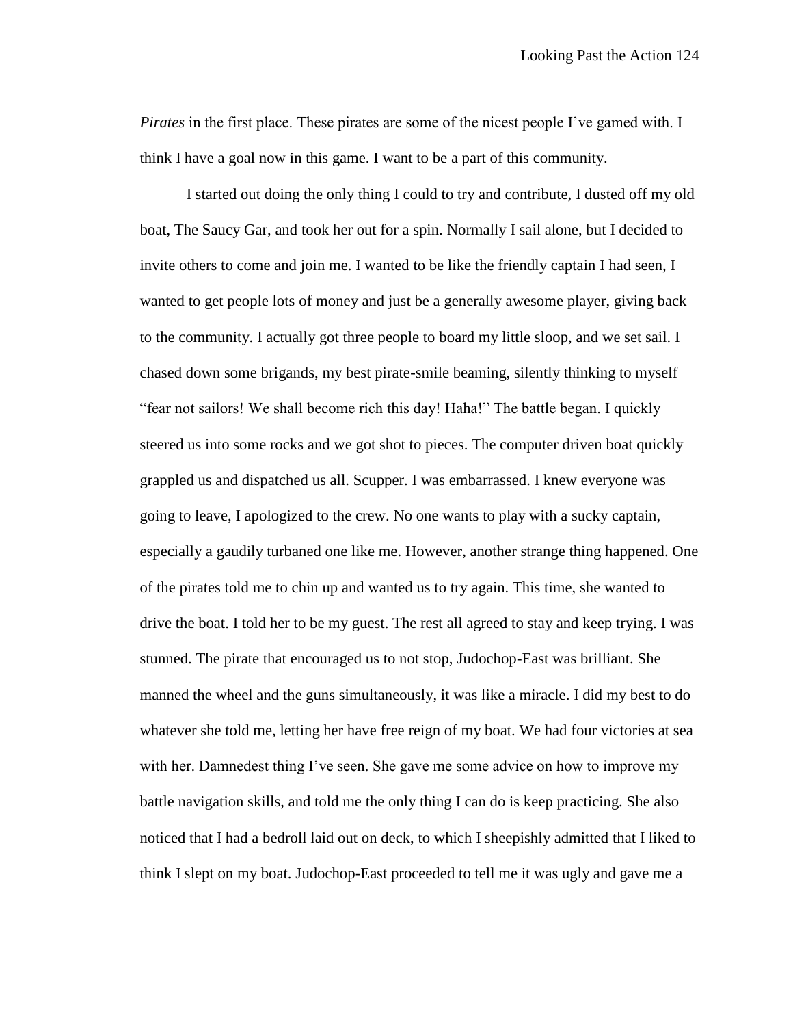*Pirates* in the first place. These pirates are some of the nicest people I've gamed with. I think I have a goal now in this game. I want to be a part of this community.

I started out doing the only thing I could to try and contribute, I dusted off my old boat, The Saucy Gar, and took her out for a spin. Normally I sail alone, but I decided to invite others to come and join me. I wanted to be like the friendly captain I had seen, I wanted to get people lots of money and just be a generally awesome player, giving back to the community. I actually got three people to board my little sloop, and we set sail. I chased down some brigands, my best pirate-smile beaming, silently thinking to myself "fear not sailors! We shall become rich this day! Haha!" The battle began. I quickly steered us into some rocks and we got shot to pieces. The computer driven boat quickly grappled us and dispatched us all. Scupper. I was embarrassed. I knew everyone was going to leave, I apologized to the crew. No one wants to play with a sucky captain, especially a gaudily turbaned one like me. However, another strange thing happened. One of the pirates told me to chin up and wanted us to try again. This time, she wanted to drive the boat. I told her to be my guest. The rest all agreed to stay and keep trying. I was stunned. The pirate that encouraged us to not stop, Judochop-East was brilliant. She manned the wheel and the guns simultaneously, it was like a miracle. I did my best to do whatever she told me, letting her have free reign of my boat. We had four victories at sea with her. Damnedest thing I've seen. She gave me some advice on how to improve my battle navigation skills, and told me the only thing I can do is keep practicing. She also noticed that I had a bedroll laid out on deck, to which I sheepishly admitted that I liked to think I slept on my boat. Judochop-East proceeded to tell me it was ugly and gave me a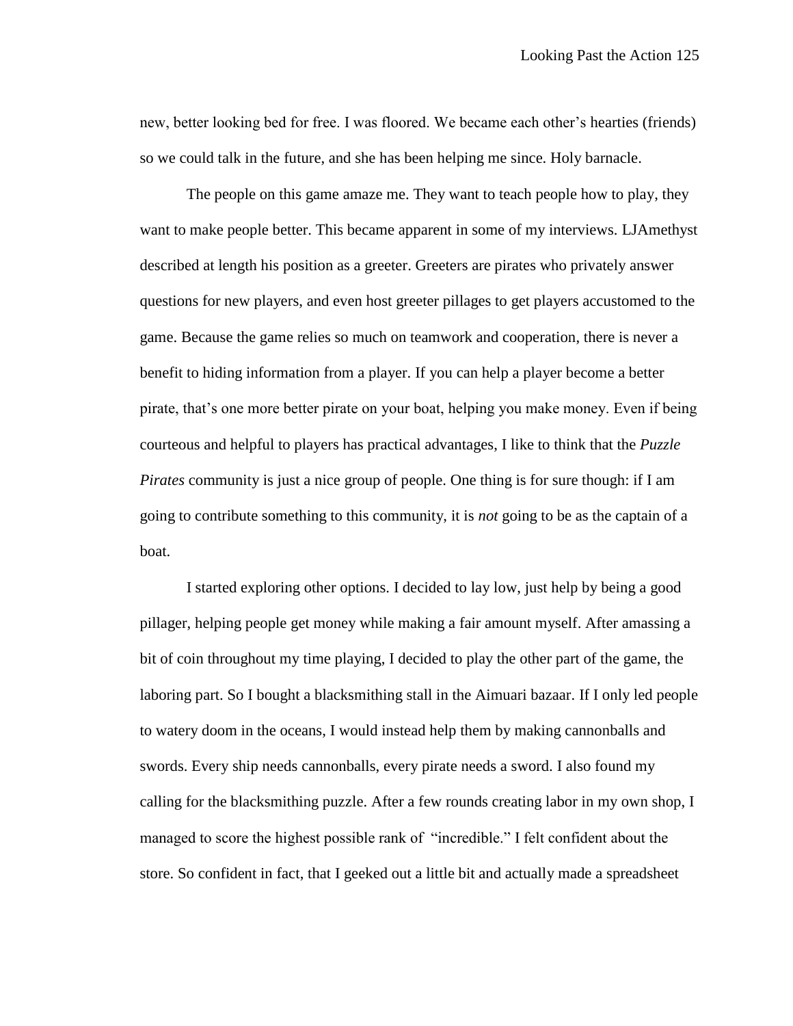new, better looking bed for free. I was floored. We became each other's hearties (friends) so we could talk in the future, and she has been helping me since. Holy barnacle.

The people on this game amaze me. They want to teach people how to play, they want to make people better. This became apparent in some of my interviews. LJAmethyst described at length his position as a greeter. Greeters are pirates who privately answer questions for new players, and even host greeter pillages to get players accustomed to the game. Because the game relies so much on teamwork and cooperation, there is never a benefit to hiding information from a player. If you can help a player become a better pirate, that's one more better pirate on your boat, helping you make money. Even if being courteous and helpful to players has practical advantages, I like to think that the *Puzzle Pirates* community is just a nice group of people. One thing is for sure though: if I am going to contribute something to this community, it is *not* going to be as the captain of a boat.

I started exploring other options. I decided to lay low, just help by being a good pillager, helping people get money while making a fair amount myself. After amassing a bit of coin throughout my time playing, I decided to play the other part of the game, the laboring part. So I bought a blacksmithing stall in the Aimuari bazaar. If I only led people to watery doom in the oceans, I would instead help them by making cannonballs and swords. Every ship needs cannonballs, every pirate needs a sword. I also found my calling for the blacksmithing puzzle. After a few rounds creating labor in my own shop, I managed to score the highest possible rank of "incredible." I felt confident about the store. So confident in fact, that I geeked out a little bit and actually made a spreadsheet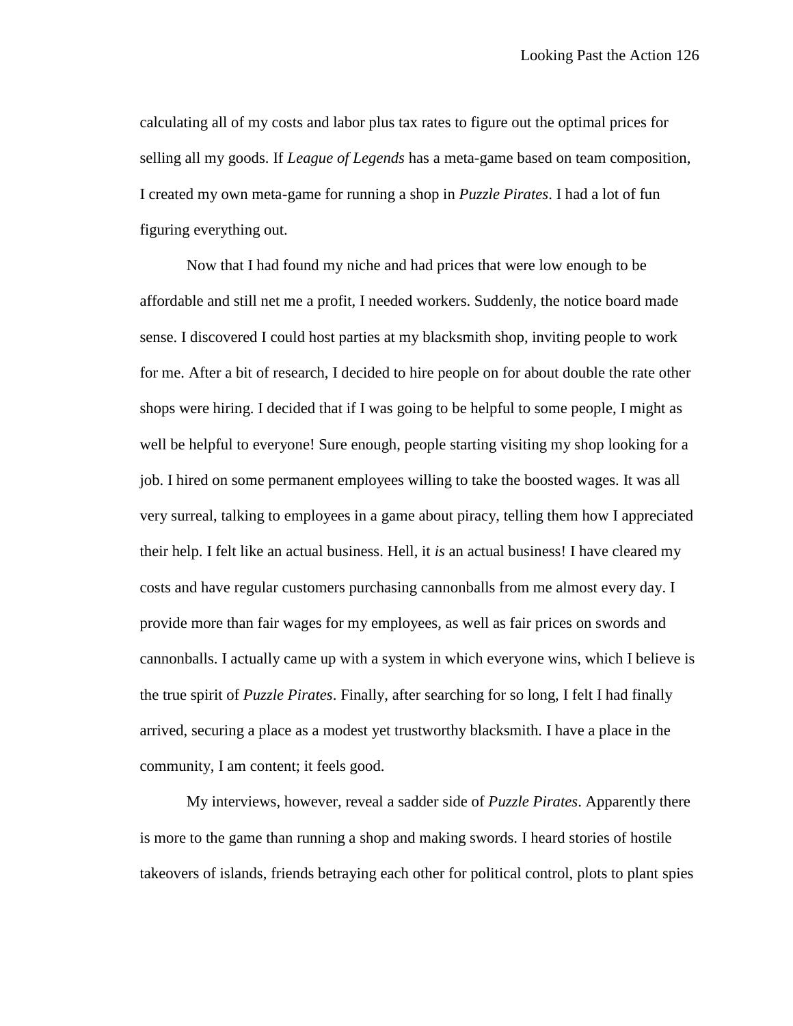calculating all of my costs and labor plus tax rates to figure out the optimal prices for selling all my goods. If *League of Legends* has a meta-game based on team composition, I created my own meta-game for running a shop in *Puzzle Pirates*. I had a lot of fun figuring everything out.

Now that I had found my niche and had prices that were low enough to be affordable and still net me a profit, I needed workers. Suddenly, the notice board made sense. I discovered I could host parties at my blacksmith shop, inviting people to work for me. After a bit of research, I decided to hire people on for about double the rate other shops were hiring. I decided that if I was going to be helpful to some people, I might as well be helpful to everyone! Sure enough, people starting visiting my shop looking for a job. I hired on some permanent employees willing to take the boosted wages. It was all very surreal, talking to employees in a game about piracy, telling them how I appreciated their help. I felt like an actual business. Hell, it *is* an actual business! I have cleared my costs and have regular customers purchasing cannonballs from me almost every day. I provide more than fair wages for my employees, as well as fair prices on swords and cannonballs. I actually came up with a system in which everyone wins, which I believe is the true spirit of *Puzzle Pirates*. Finally, after searching for so long, I felt I had finally arrived, securing a place as a modest yet trustworthy blacksmith. I have a place in the community, I am content; it feels good.

My interviews, however, reveal a sadder side of *Puzzle Pirates*. Apparently there is more to the game than running a shop and making swords. I heard stories of hostile takeovers of islands, friends betraying each other for political control, plots to plant spies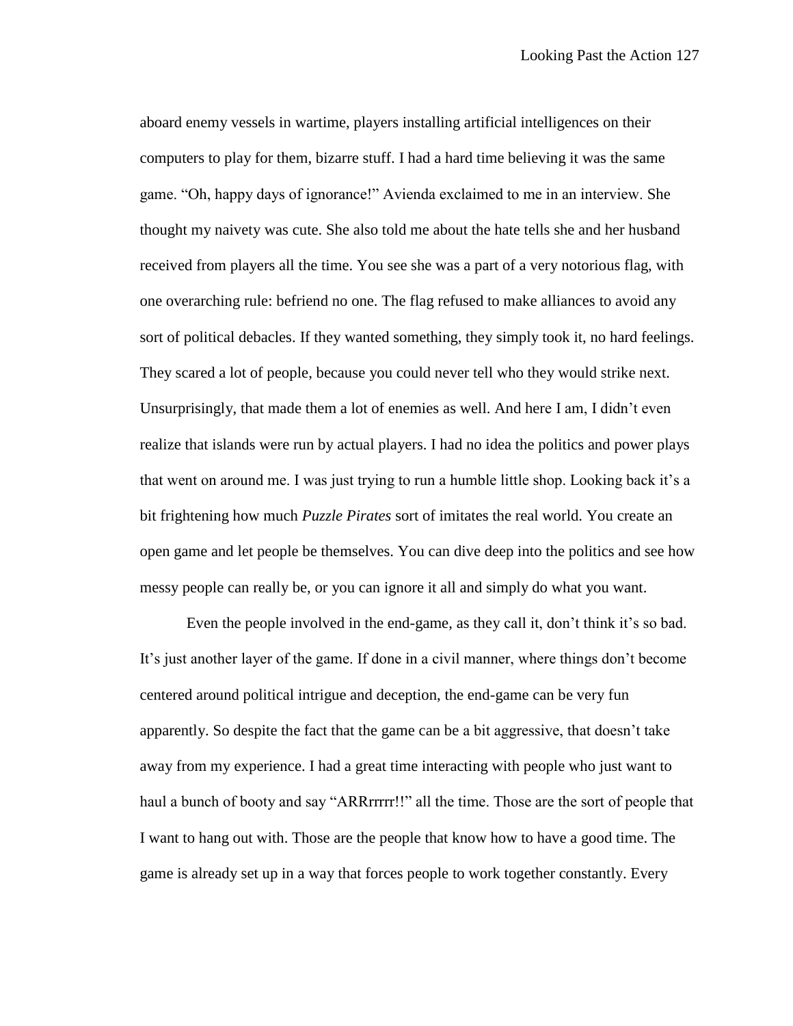aboard enemy vessels in wartime, players installing artificial intelligences on their computers to play for them, bizarre stuff. I had a hard time believing it was the same game. "Oh, happy days of ignorance!" Avienda exclaimed to me in an interview. She thought my naivety was cute. She also told me about the hate tells she and her husband received from players all the time. You see she was a part of a very notorious flag, with one overarching rule: befriend no one. The flag refused to make alliances to avoid any sort of political debacles. If they wanted something, they simply took it, no hard feelings. They scared a lot of people, because you could never tell who they would strike next. Unsurprisingly, that made them a lot of enemies as well. And here I am, I didn't even realize that islands were run by actual players. I had no idea the politics and power plays that went on around me. I was just trying to run a humble little shop. Looking back it's a bit frightening how much *Puzzle Pirates* sort of imitates the real world. You create an open game and let people be themselves. You can dive deep into the politics and see how messy people can really be, or you can ignore it all and simply do what you want.

Even the people involved in the end-game, as they call it, don't think it's so bad. It's just another layer of the game. If done in a civil manner, where things don't become centered around political intrigue and deception, the end-game can be very fun apparently. So despite the fact that the game can be a bit aggressive, that doesn't take away from my experience. I had a great time interacting with people who just want to haul a bunch of booty and say "ARRrrrrr!!" all the time. Those are the sort of people that I want to hang out with. Those are the people that know how to have a good time. The game is already set up in a way that forces people to work together constantly. Every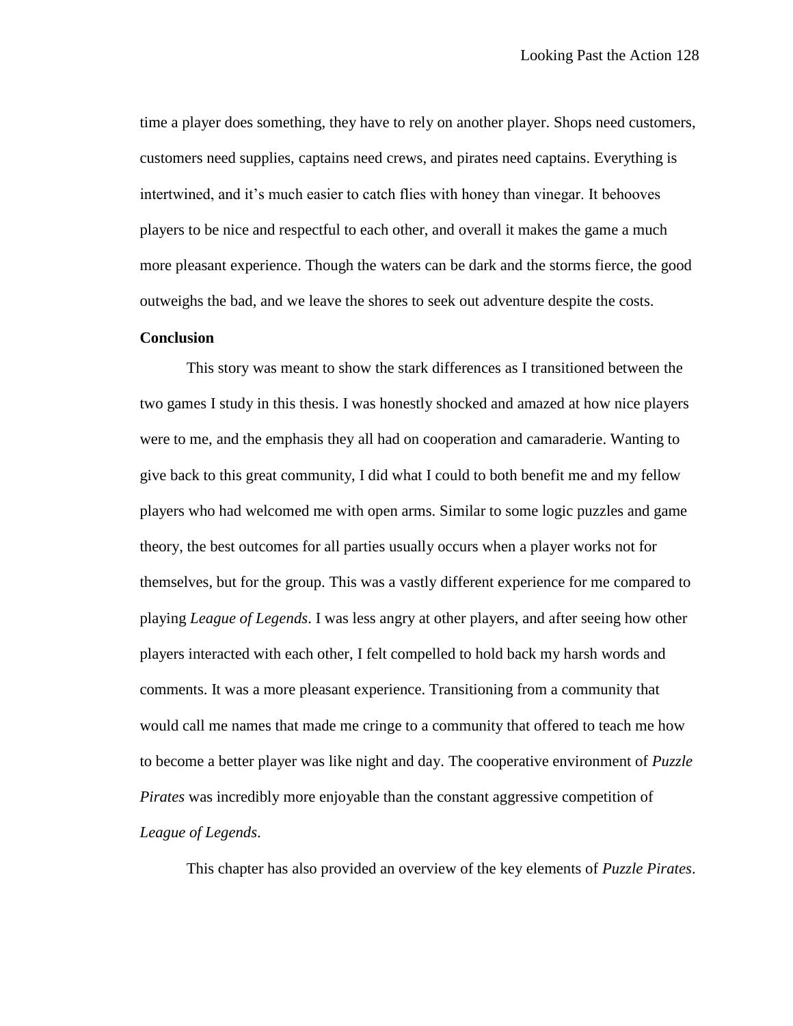time a player does something, they have to rely on another player. Shops need customers, customers need supplies, captains need crews, and pirates need captains. Everything is intertwined, and it's much easier to catch flies with honey than vinegar. It behooves players to be nice and respectful to each other, and overall it makes the game a much more pleasant experience. Though the waters can be dark and the storms fierce, the good outweighs the bad, and we leave the shores to seek out adventure despite the costs.

## **Conclusion**

This story was meant to show the stark differences as I transitioned between the two games I study in this thesis. I was honestly shocked and amazed at how nice players were to me, and the emphasis they all had on cooperation and camaraderie. Wanting to give back to this great community, I did what I could to both benefit me and my fellow players who had welcomed me with open arms. Similar to some logic puzzles and game theory, the best outcomes for all parties usually occurs when a player works not for themselves, but for the group. This was a vastly different experience for me compared to playing *League of Legends*. I was less angry at other players, and after seeing how other players interacted with each other, I felt compelled to hold back my harsh words and comments. It was a more pleasant experience. Transitioning from a community that would call me names that made me cringe to a community that offered to teach me how to become a better player was like night and day. The cooperative environment of *Puzzle Pirates* was incredibly more enjoyable than the constant aggressive competition of *League of Legends*.

This chapter has also provided an overview of the key elements of *Puzzle Pirates*.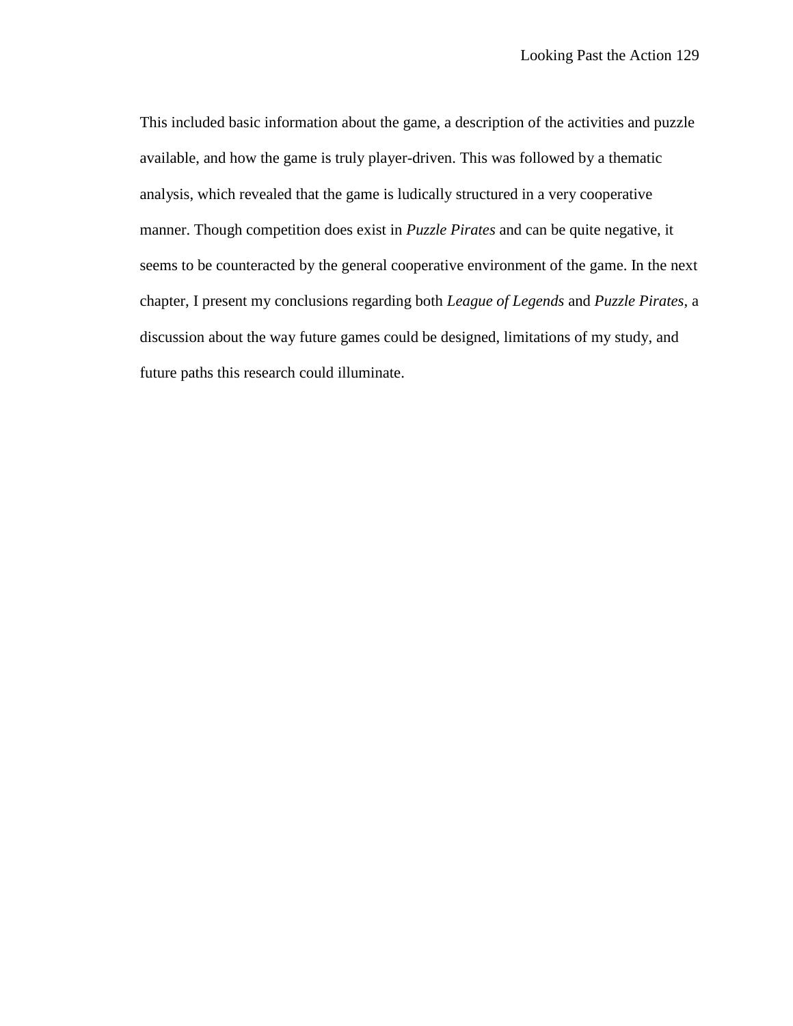This included basic information about the game, a description of the activities and puzzle available, and how the game is truly player-driven. This was followed by a thematic analysis, which revealed that the game is ludically structured in a very cooperative manner. Though competition does exist in *Puzzle Pirates* and can be quite negative, it seems to be counteracted by the general cooperative environment of the game. In the next chapter, I present my conclusions regarding both *League of Legends* and *Puzzle Pirates*, a discussion about the way future games could be designed, limitations of my study, and future paths this research could illuminate.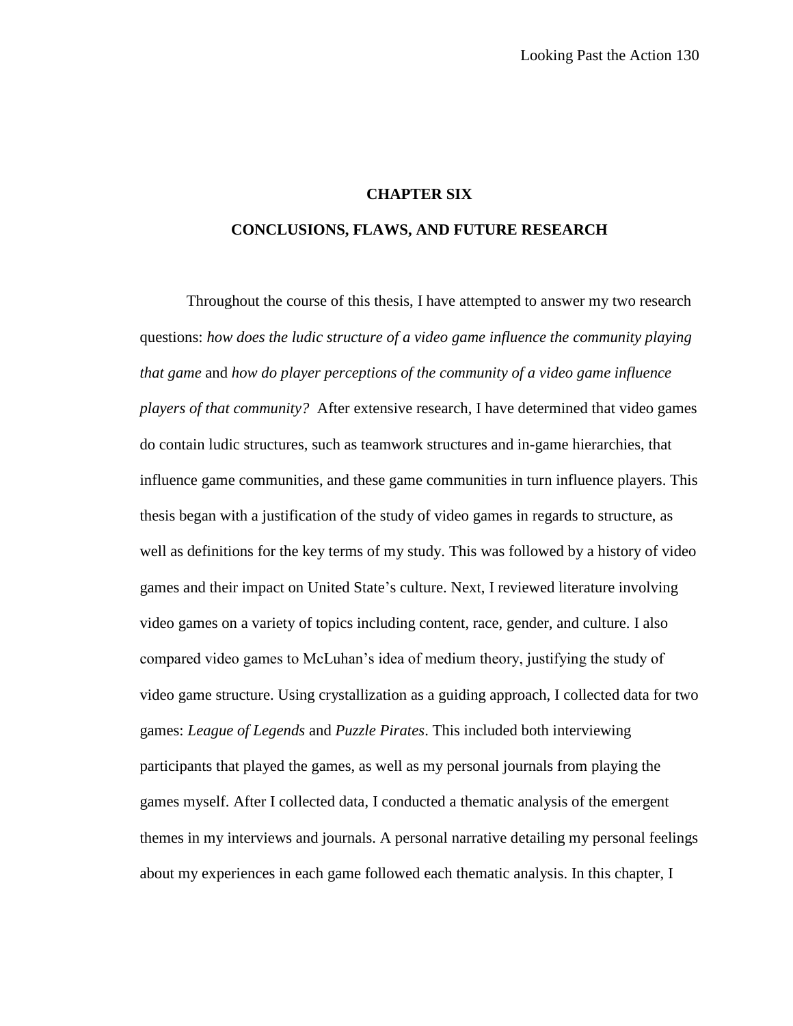# **CHAPTER SIX**

#### **CONCLUSIONS, FLAWS, AND FUTURE RESEARCH**

Throughout the course of this thesis, I have attempted to answer my two research questions: *how does the ludic structure of a video game influence the community playing that game* and *how do player perceptions of the community of a video game influence players of that community?* After extensive research, I have determined that video games do contain ludic structures, such as teamwork structures and in-game hierarchies, that influence game communities, and these game communities in turn influence players. This thesis began with a justification of the study of video games in regards to structure, as well as definitions for the key terms of my study. This was followed by a history of video games and their impact on United State's culture. Next, I reviewed literature involving video games on a variety of topics including content, race, gender, and culture. I also compared video games to McLuhan's idea of medium theory, justifying the study of video game structure. Using crystallization as a guiding approach, I collected data for two games: *League of Legends* and *Puzzle Pirates*. This included both interviewing participants that played the games, as well as my personal journals from playing the games myself. After I collected data, I conducted a thematic analysis of the emergent themes in my interviews and journals. A personal narrative detailing my personal feelings about my experiences in each game followed each thematic analysis. In this chapter, I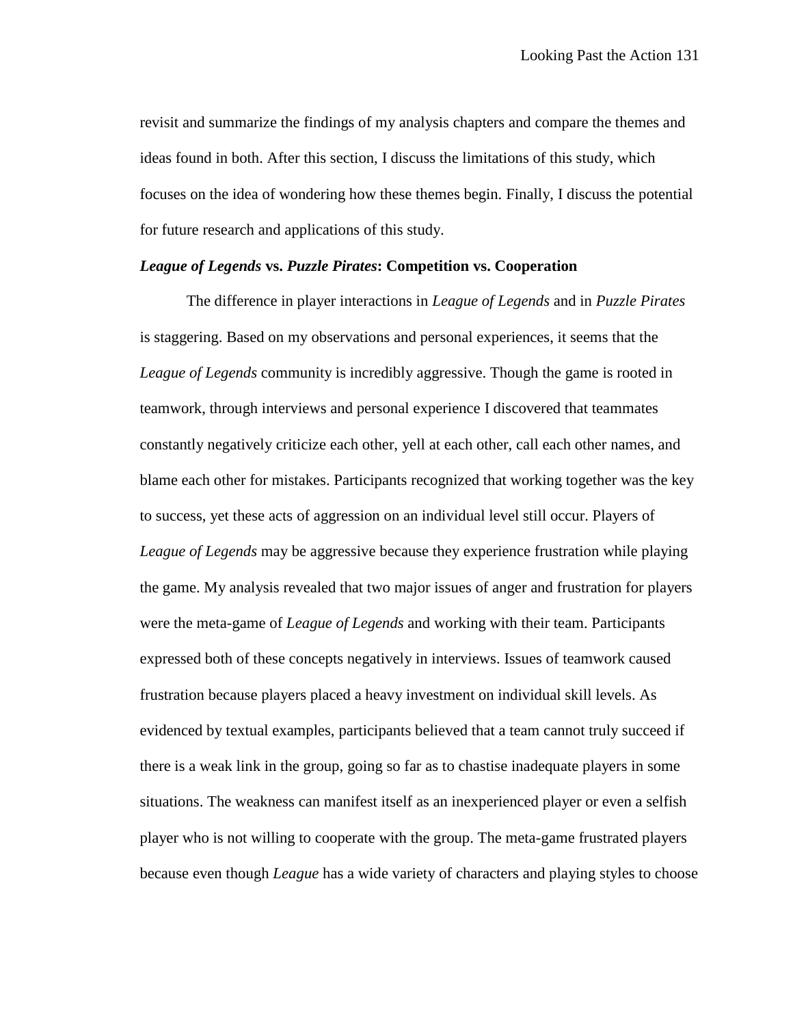revisit and summarize the findings of my analysis chapters and compare the themes and ideas found in both. After this section, I discuss the limitations of this study, which focuses on the idea of wondering how these themes begin. Finally, I discuss the potential for future research and applications of this study.

# *League of Legends* **vs.** *Puzzle Pirates***: Competition vs. Cooperation**

The difference in player interactions in *League of Legends* and in *Puzzle Pirates* is staggering. Based on my observations and personal experiences, it seems that the *League of Legends* community is incredibly aggressive. Though the game is rooted in teamwork, through interviews and personal experience I discovered that teammates constantly negatively criticize each other, yell at each other, call each other names, and blame each other for mistakes. Participants recognized that working together was the key to success, yet these acts of aggression on an individual level still occur. Players of *League of Legends* may be aggressive because they experience frustration while playing the game. My analysis revealed that two major issues of anger and frustration for players were the meta-game of *League of Legends* and working with their team. Participants expressed both of these concepts negatively in interviews. Issues of teamwork caused frustration because players placed a heavy investment on individual skill levels. As evidenced by textual examples, participants believed that a team cannot truly succeed if there is a weak link in the group, going so far as to chastise inadequate players in some situations. The weakness can manifest itself as an inexperienced player or even a selfish player who is not willing to cooperate with the group. The meta-game frustrated players because even though *League* has a wide variety of characters and playing styles to choose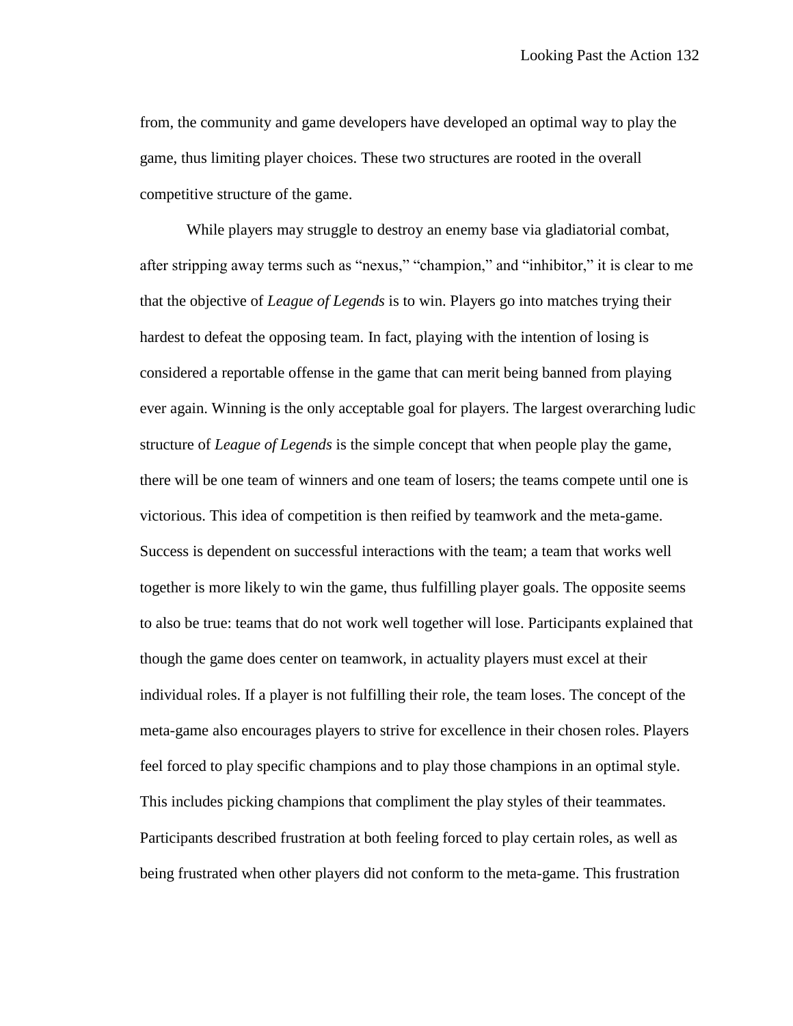from, the community and game developers have developed an optimal way to play the game, thus limiting player choices. These two structures are rooted in the overall competitive structure of the game.

While players may struggle to destroy an enemy base via gladiatorial combat, after stripping away terms such as "nexus," "champion," and "inhibitor," it is clear to me that the objective of *League of Legends* is to win. Players go into matches trying their hardest to defeat the opposing team. In fact, playing with the intention of losing is considered a reportable offense in the game that can merit being banned from playing ever again. Winning is the only acceptable goal for players. The largest overarching ludic structure of *League of Legends* is the simple concept that when people play the game, there will be one team of winners and one team of losers; the teams compete until one is victorious. This idea of competition is then reified by teamwork and the meta-game. Success is dependent on successful interactions with the team; a team that works well together is more likely to win the game, thus fulfilling player goals. The opposite seems to also be true: teams that do not work well together will lose. Participants explained that though the game does center on teamwork, in actuality players must excel at their individual roles. If a player is not fulfilling their role, the team loses. The concept of the meta-game also encourages players to strive for excellence in their chosen roles. Players feel forced to play specific champions and to play those champions in an optimal style. This includes picking champions that compliment the play styles of their teammates. Participants described frustration at both feeling forced to play certain roles, as well as being frustrated when other players did not conform to the meta-game. This frustration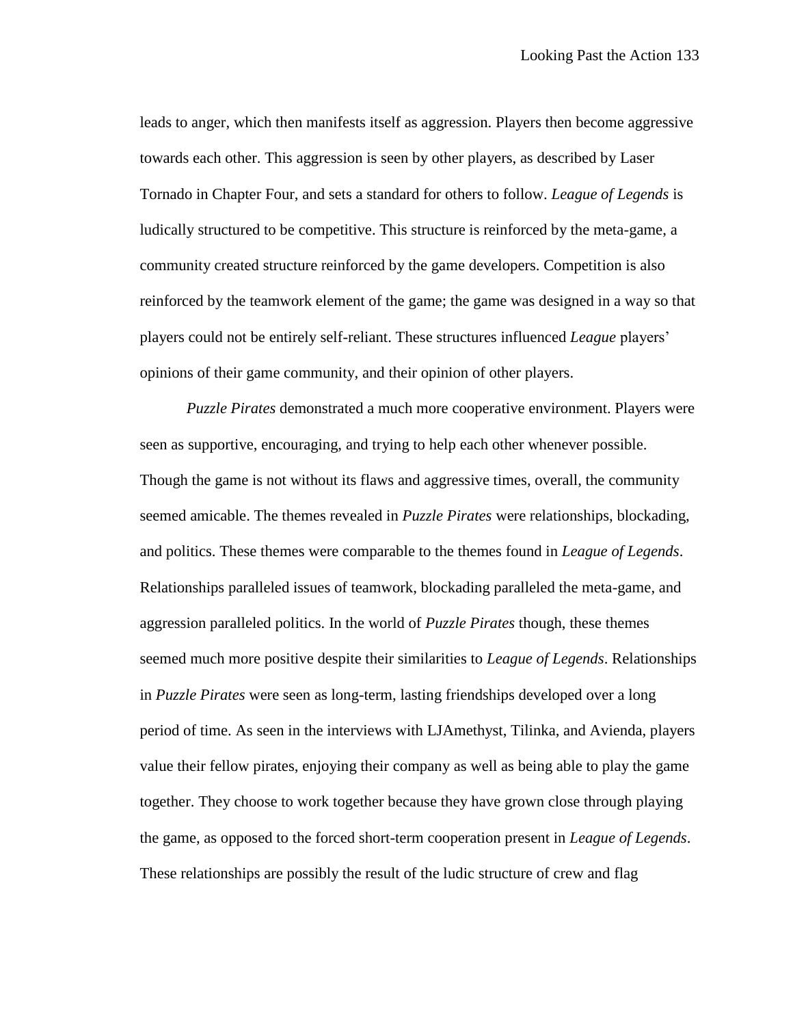leads to anger, which then manifests itself as aggression. Players then become aggressive towards each other. This aggression is seen by other players, as described by Laser Tornado in Chapter Four, and sets a standard for others to follow. *League of Legends* is ludically structured to be competitive. This structure is reinforced by the meta-game, a community created structure reinforced by the game developers. Competition is also reinforced by the teamwork element of the game; the game was designed in a way so that players could not be entirely self-reliant. These structures influenced *League* players' opinions of their game community, and their opinion of other players.

*Puzzle Pirates* demonstrated a much more cooperative environment. Players were seen as supportive, encouraging, and trying to help each other whenever possible. Though the game is not without its flaws and aggressive times, overall, the community seemed amicable. The themes revealed in *Puzzle Pirates* were relationships, blockading, and politics. These themes were comparable to the themes found in *League of Legends*. Relationships paralleled issues of teamwork, blockading paralleled the meta-game, and aggression paralleled politics. In the world of *Puzzle Pirates* though, these themes seemed much more positive despite their similarities to *League of Legends*. Relationships in *Puzzle Pirates* were seen as long-term, lasting friendships developed over a long period of time. As seen in the interviews with LJAmethyst, Tilinka, and Avienda, players value their fellow pirates, enjoying their company as well as being able to play the game together. They choose to work together because they have grown close through playing the game, as opposed to the forced short-term cooperation present in *League of Legends*. These relationships are possibly the result of the ludic structure of crew and flag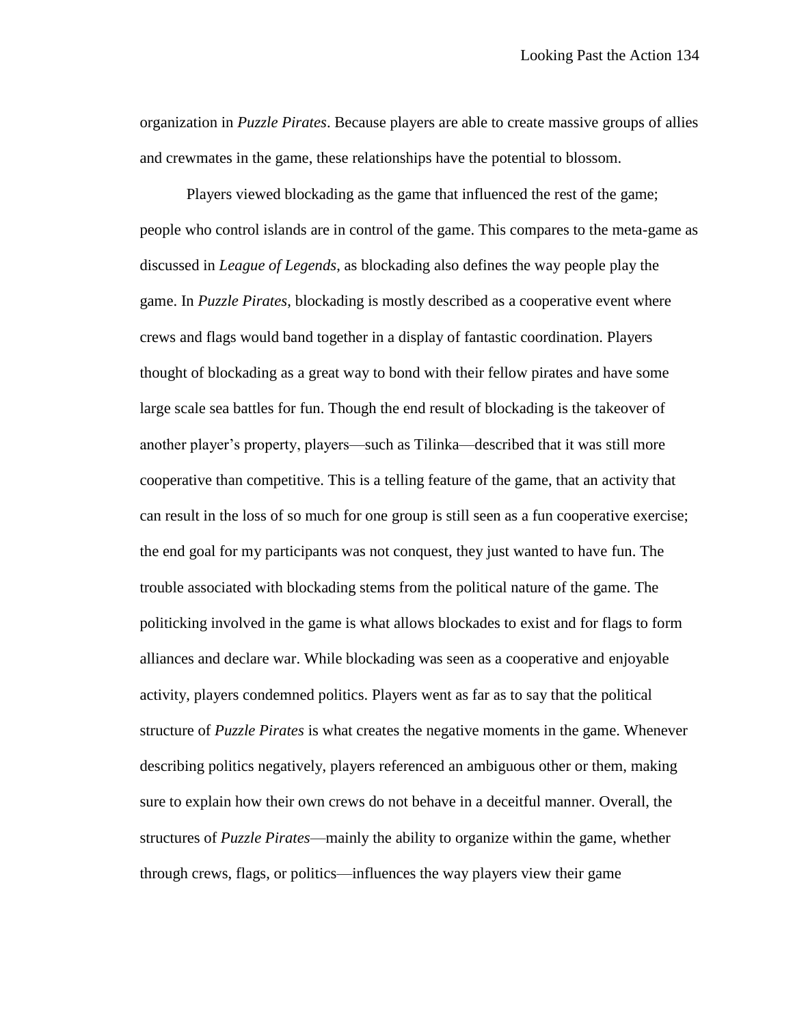organization in *Puzzle Pirates*. Because players are able to create massive groups of allies and crewmates in the game, these relationships have the potential to blossom.

Players viewed blockading as the game that influenced the rest of the game; people who control islands are in control of the game. This compares to the meta-game as discussed in *League of Legends*, as blockading also defines the way people play the game. In *Puzzle Pirates*, blockading is mostly described as a cooperative event where crews and flags would band together in a display of fantastic coordination. Players thought of blockading as a great way to bond with their fellow pirates and have some large scale sea battles for fun. Though the end result of blockading is the takeover of another player's property, players—such as Tilinka—described that it was still more cooperative than competitive. This is a telling feature of the game, that an activity that can result in the loss of so much for one group is still seen as a fun cooperative exercise; the end goal for my participants was not conquest, they just wanted to have fun. The trouble associated with blockading stems from the political nature of the game. The politicking involved in the game is what allows blockades to exist and for flags to form alliances and declare war. While blockading was seen as a cooperative and enjoyable activity, players condemned politics. Players went as far as to say that the political structure of *Puzzle Pirates* is what creates the negative moments in the game. Whenever describing politics negatively, players referenced an ambiguous other or them, making sure to explain how their own crews do not behave in a deceitful manner. Overall, the structures of *Puzzle Pirates*—mainly the ability to organize within the game, whether through crews, flags, or politics—influences the way players view their game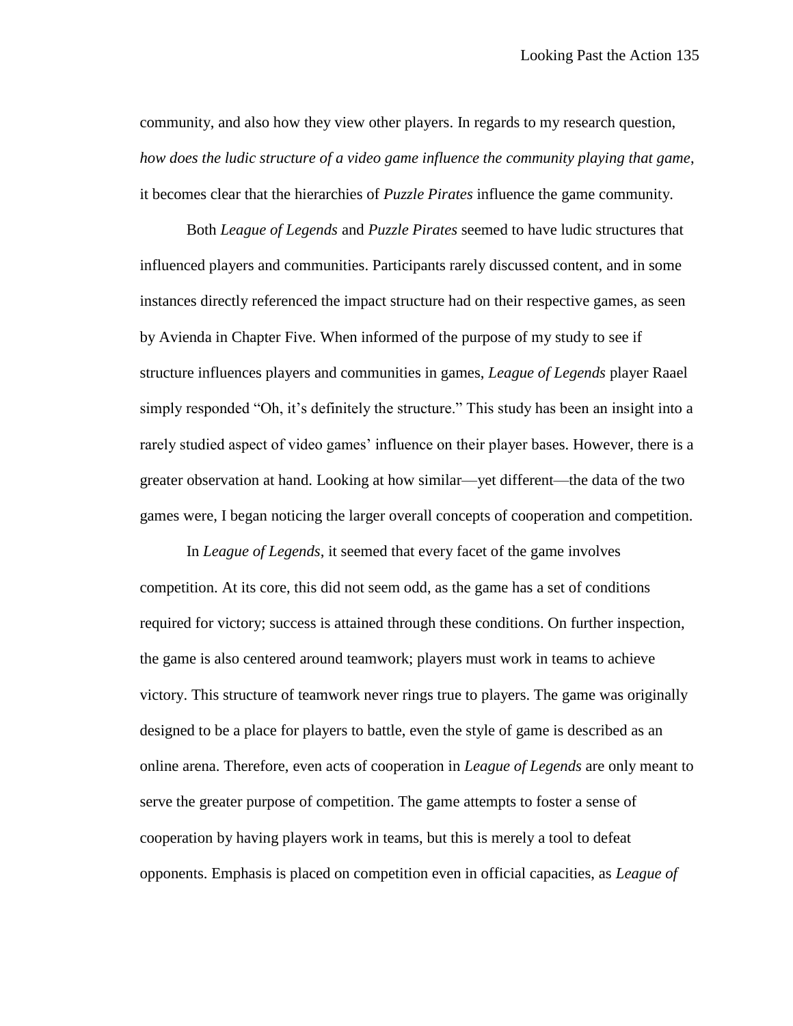community, and also how they view other players. In regards to my research question, *how does the ludic structure of a video game influence the community playing that game*, it becomes clear that the hierarchies of *Puzzle Pirates* influence the game community.

Both *League of Legends* and *Puzzle Pirates* seemed to have ludic structures that influenced players and communities. Participants rarely discussed content, and in some instances directly referenced the impact structure had on their respective games, as seen by Avienda in Chapter Five. When informed of the purpose of my study to see if structure influences players and communities in games, *League of Legends* player Raael simply responded "Oh, it's definitely the structure." This study has been an insight into a rarely studied aspect of video games' influence on their player bases. However, there is a greater observation at hand. Looking at how similar—yet different—the data of the two games were, I began noticing the larger overall concepts of cooperation and competition.

In *League of Legends*, it seemed that every facet of the game involves competition. At its core, this did not seem odd, as the game has a set of conditions required for victory; success is attained through these conditions. On further inspection, the game is also centered around teamwork; players must work in teams to achieve victory. This structure of teamwork never rings true to players. The game was originally designed to be a place for players to battle, even the style of game is described as an online arena. Therefore, even acts of cooperation in *League of Legends* are only meant to serve the greater purpose of competition. The game attempts to foster a sense of cooperation by having players work in teams, but this is merely a tool to defeat opponents. Emphasis is placed on competition even in official capacities, as *League of*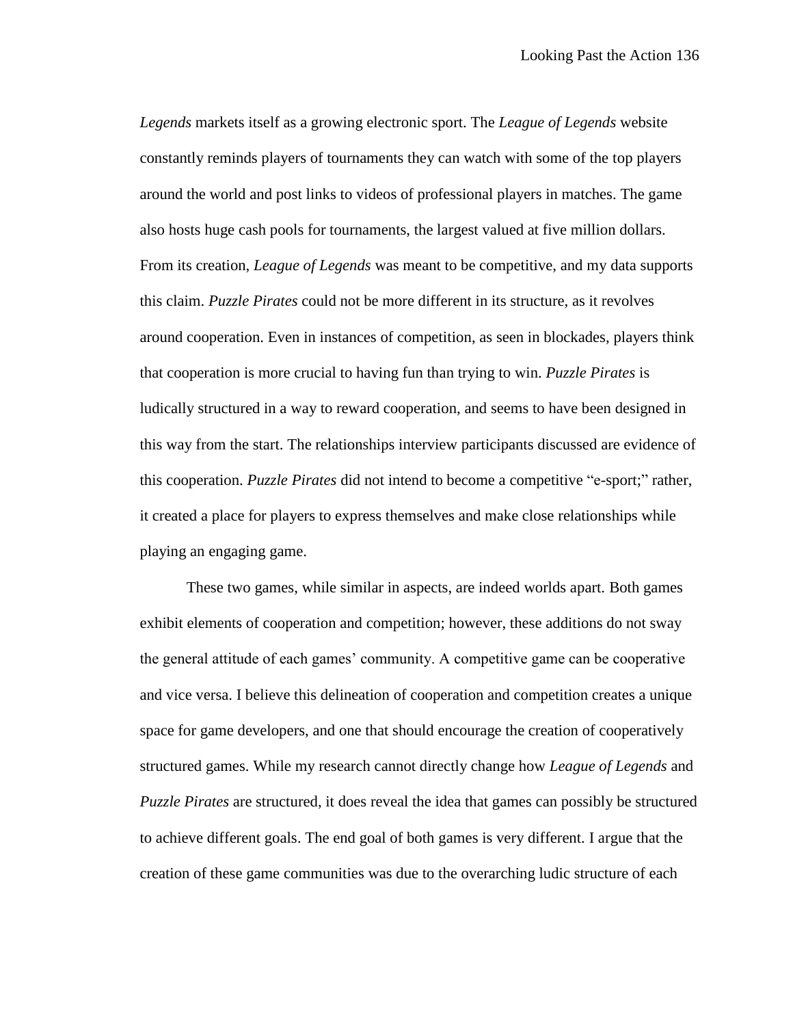*Legends* markets itself as a growing electronic sport. The *League of Legends* website constantly reminds players of tournaments they can watch with some of the top players around the world and post links to videos of professional players in matches. The game also hosts huge cash pools for tournaments, the largest valued at five million dollars. From its creation, *League of Legends* was meant to be competitive, and my data supports this claim. *Puzzle Pirates* could not be more different in its structure, as it revolves around cooperation. Even in instances of competition, as seen in blockades, players think that cooperation is more crucial to having fun than trying to win. *Puzzle Pirates* is ludically structured in a way to reward cooperation, and seems to have been designed in this way from the start. The relationships interview participants discussed are evidence of this cooperation. *Puzzle Pirates* did not intend to become a competitive "e-sport;" rather, it created a place for players to express themselves and make close relationships while playing an engaging game.

These two games, while similar in aspects, are indeed worlds apart. Both games exhibit elements of cooperation and competition; however, these additions do not sway the general attitude of each games' community. A competitive game can be cooperative and vice versa. I believe this delineation of cooperation and competition creates a unique space for game developers, and one that should encourage the creation of cooperatively structured games. While my research cannot directly change how *League of Legends* and *Puzzle Pirates* are structured, it does reveal the idea that games can possibly be structured to achieve different goals. The end goal of both games is very different. I argue that the creation of these game communities was due to the overarching ludic structure of each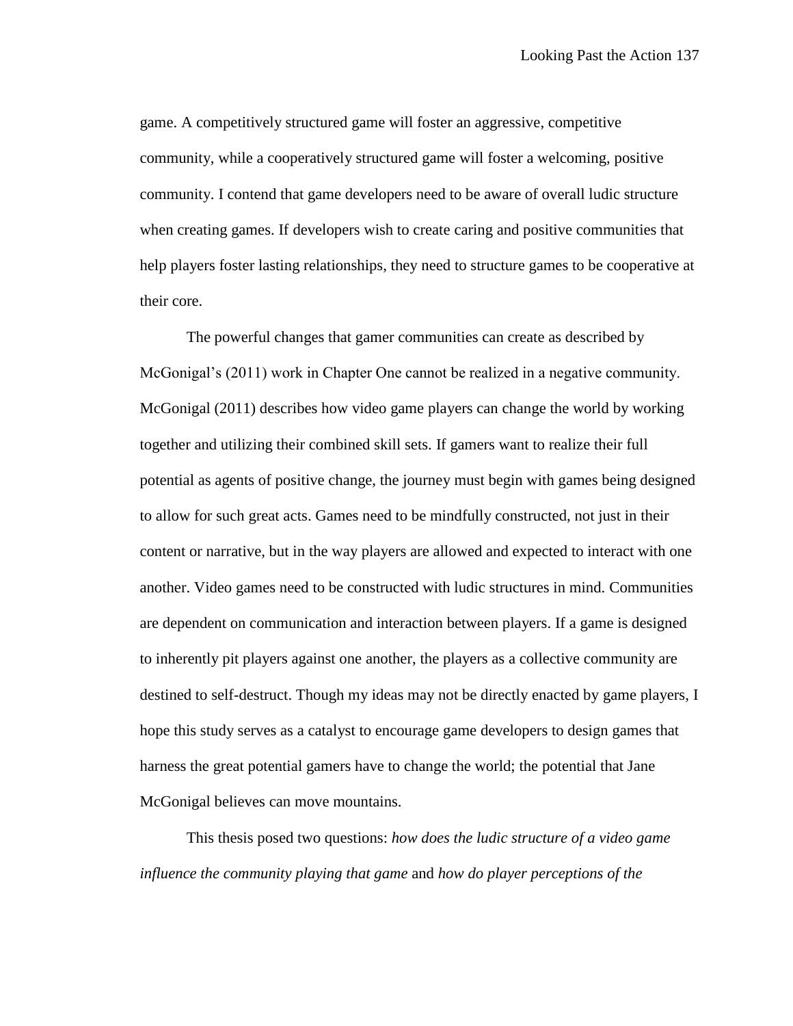game. A competitively structured game will foster an aggressive, competitive community, while a cooperatively structured game will foster a welcoming, positive community. I contend that game developers need to be aware of overall ludic structure when creating games. If developers wish to create caring and positive communities that help players foster lasting relationships, they need to structure games to be cooperative at their core.

The powerful changes that gamer communities can create as described by McGonigal's (2011) work in Chapter One cannot be realized in a negative community. McGonigal (2011) describes how video game players can change the world by working together and utilizing their combined skill sets. If gamers want to realize their full potential as agents of positive change, the journey must begin with games being designed to allow for such great acts. Games need to be mindfully constructed, not just in their content or narrative, but in the way players are allowed and expected to interact with one another. Video games need to be constructed with ludic structures in mind. Communities are dependent on communication and interaction between players. If a game is designed to inherently pit players against one another, the players as a collective community are destined to self-destruct. Though my ideas may not be directly enacted by game players, I hope this study serves as a catalyst to encourage game developers to design games that harness the great potential gamers have to change the world; the potential that Jane McGonigal believes can move mountains.

This thesis posed two questions: *how does the ludic structure of a video game influence the community playing that game* and *how do player perceptions of the*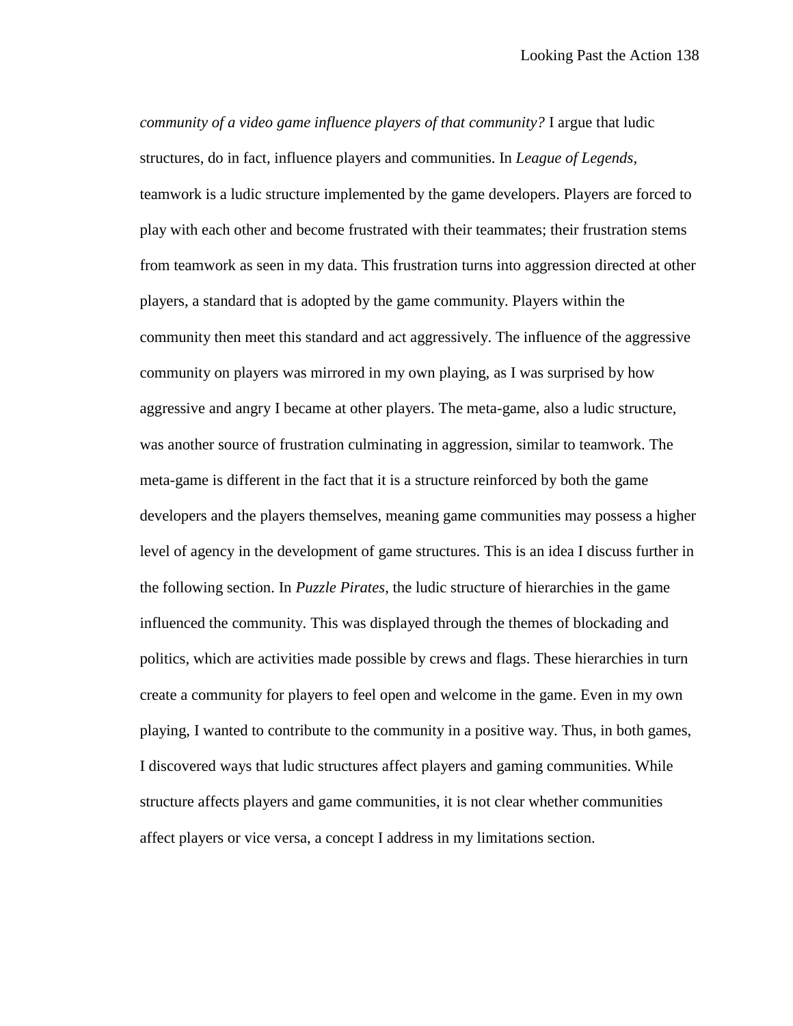*community of a video game influence players of that community?* I argue that ludic structures, do in fact, influence players and communities. In *League of Legends*, teamwork is a ludic structure implemented by the game developers. Players are forced to play with each other and become frustrated with their teammates; their frustration stems from teamwork as seen in my data. This frustration turns into aggression directed at other players, a standard that is adopted by the game community. Players within the community then meet this standard and act aggressively. The influence of the aggressive community on players was mirrored in my own playing, as I was surprised by how aggressive and angry I became at other players. The meta-game, also a ludic structure, was another source of frustration culminating in aggression, similar to teamwork. The meta-game is different in the fact that it is a structure reinforced by both the game developers and the players themselves, meaning game communities may possess a higher level of agency in the development of game structures. This is an idea I discuss further in the following section. In *Puzzle Pirates*, the ludic structure of hierarchies in the game influenced the community. This was displayed through the themes of blockading and politics, which are activities made possible by crews and flags. These hierarchies in turn create a community for players to feel open and welcome in the game. Even in my own playing, I wanted to contribute to the community in a positive way. Thus, in both games, I discovered ways that ludic structures affect players and gaming communities. While structure affects players and game communities, it is not clear whether communities affect players or vice versa, a concept I address in my limitations section.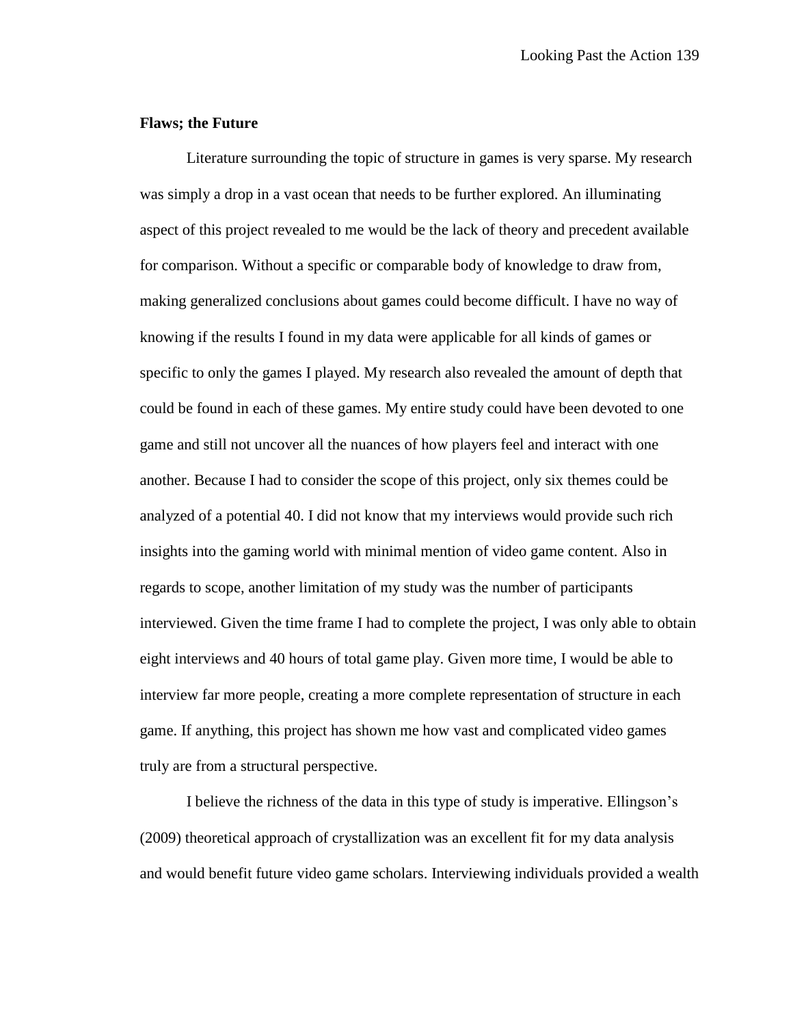## **Flaws; the Future**

Literature surrounding the topic of structure in games is very sparse. My research was simply a drop in a vast ocean that needs to be further explored. An illuminating aspect of this project revealed to me would be the lack of theory and precedent available for comparison. Without a specific or comparable body of knowledge to draw from, making generalized conclusions about games could become difficult. I have no way of knowing if the results I found in my data were applicable for all kinds of games or specific to only the games I played. My research also revealed the amount of depth that could be found in each of these games. My entire study could have been devoted to one game and still not uncover all the nuances of how players feel and interact with one another. Because I had to consider the scope of this project, only six themes could be analyzed of a potential 40. I did not know that my interviews would provide such rich insights into the gaming world with minimal mention of video game content. Also in regards to scope, another limitation of my study was the number of participants interviewed. Given the time frame I had to complete the project, I was only able to obtain eight interviews and 40 hours of total game play. Given more time, I would be able to interview far more people, creating a more complete representation of structure in each game. If anything, this project has shown me how vast and complicated video games truly are from a structural perspective.

I believe the richness of the data in this type of study is imperative. Ellingson's (2009) theoretical approach of crystallization was an excellent fit for my data analysis and would benefit future video game scholars. Interviewing individuals provided a wealth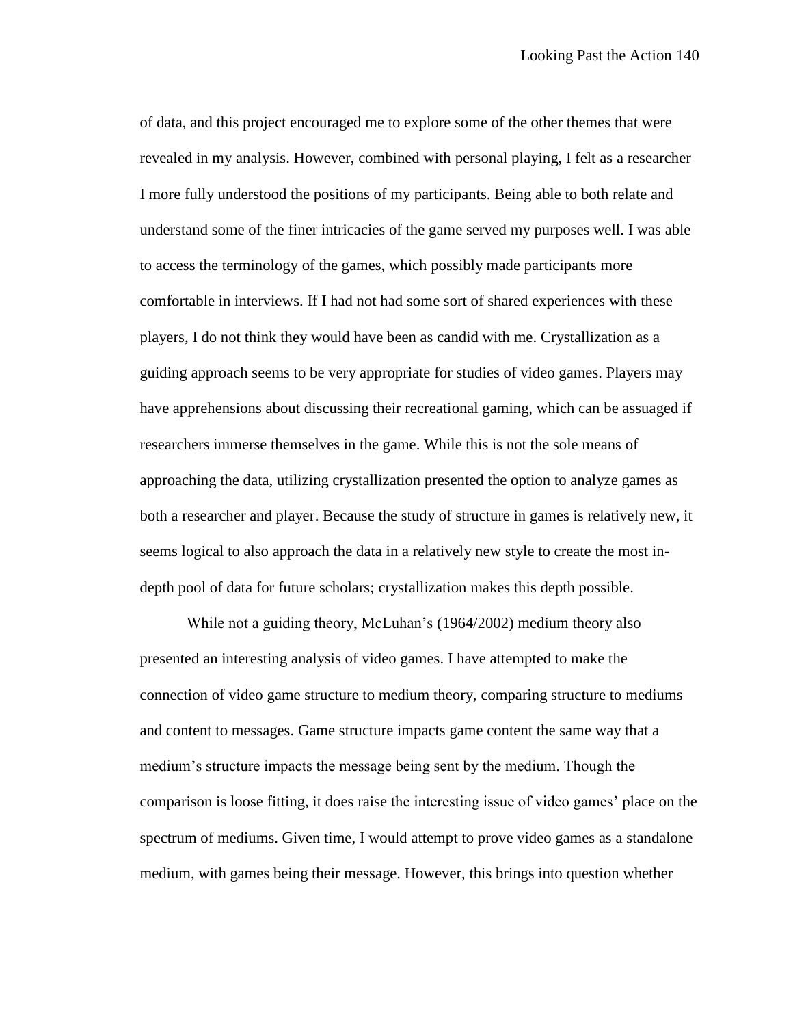of data, and this project encouraged me to explore some of the other themes that were revealed in my analysis. However, combined with personal playing, I felt as a researcher I more fully understood the positions of my participants. Being able to both relate and understand some of the finer intricacies of the game served my purposes well. I was able to access the terminology of the games, which possibly made participants more comfortable in interviews. If I had not had some sort of shared experiences with these players, I do not think they would have been as candid with me. Crystallization as a guiding approach seems to be very appropriate for studies of video games. Players may have apprehensions about discussing their recreational gaming, which can be assuaged if researchers immerse themselves in the game. While this is not the sole means of approaching the data, utilizing crystallization presented the option to analyze games as both a researcher and player. Because the study of structure in games is relatively new, it seems logical to also approach the data in a relatively new style to create the most indepth pool of data for future scholars; crystallization makes this depth possible.

While not a guiding theory, McLuhan's (1964/2002) medium theory also presented an interesting analysis of video games. I have attempted to make the connection of video game structure to medium theory, comparing structure to mediums and content to messages. Game structure impacts game content the same way that a medium's structure impacts the message being sent by the medium. Though the comparison is loose fitting, it does raise the interesting issue of video games' place on the spectrum of mediums. Given time, I would attempt to prove video games as a standalone medium, with games being their message. However, this brings into question whether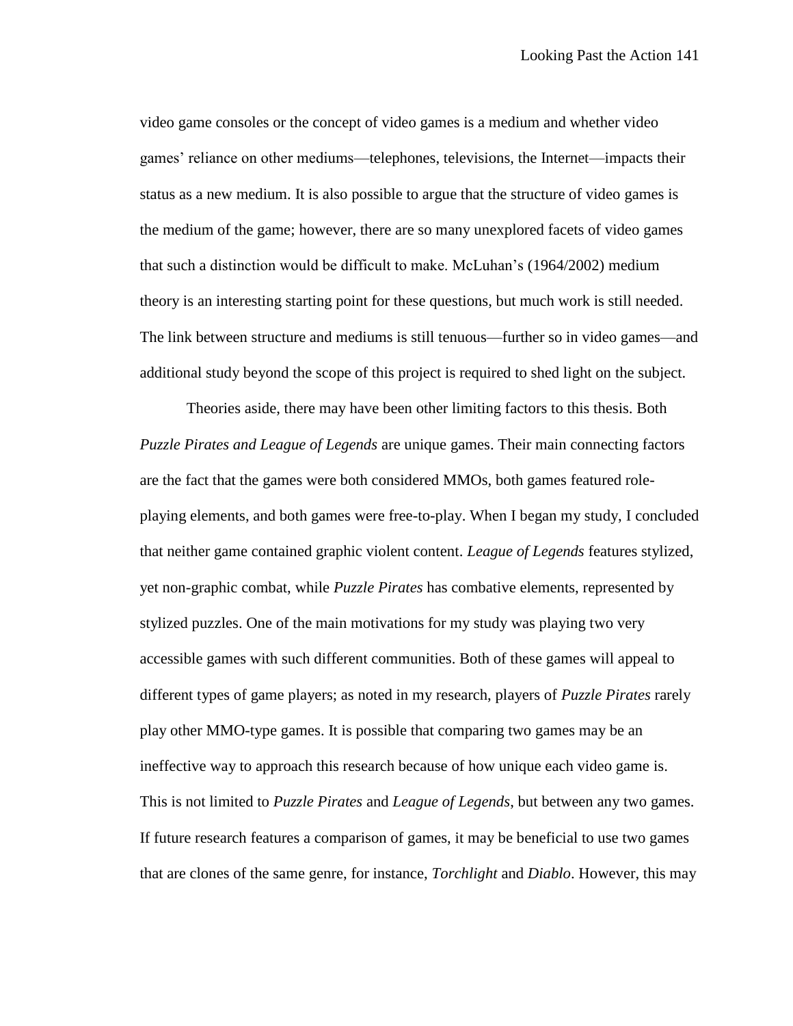video game consoles or the concept of video games is a medium and whether video games' reliance on other mediums—telephones, televisions, the Internet—impacts their status as a new medium. It is also possible to argue that the structure of video games is the medium of the game; however, there are so many unexplored facets of video games that such a distinction would be difficult to make. McLuhan's (1964/2002) medium theory is an interesting starting point for these questions, but much work is still needed. The link between structure and mediums is still tenuous—further so in video games—and additional study beyond the scope of this project is required to shed light on the subject.

Theories aside, there may have been other limiting factors to this thesis. Both *Puzzle Pirates and League of Legends* are unique games. Their main connecting factors are the fact that the games were both considered MMOs, both games featured roleplaying elements, and both games were free-to-play. When I began my study, I concluded that neither game contained graphic violent content. *League of Legends* features stylized, yet non-graphic combat, while *Puzzle Pirates* has combative elements, represented by stylized puzzles. One of the main motivations for my study was playing two very accessible games with such different communities. Both of these games will appeal to different types of game players; as noted in my research, players of *Puzzle Pirates* rarely play other MMO-type games. It is possible that comparing two games may be an ineffective way to approach this research because of how unique each video game is. This is not limited to *Puzzle Pirates* and *League of Legends*, but between any two games. If future research features a comparison of games, it may be beneficial to use two games that are clones of the same genre, for instance, *Torchlight* and *Diablo*. However, this may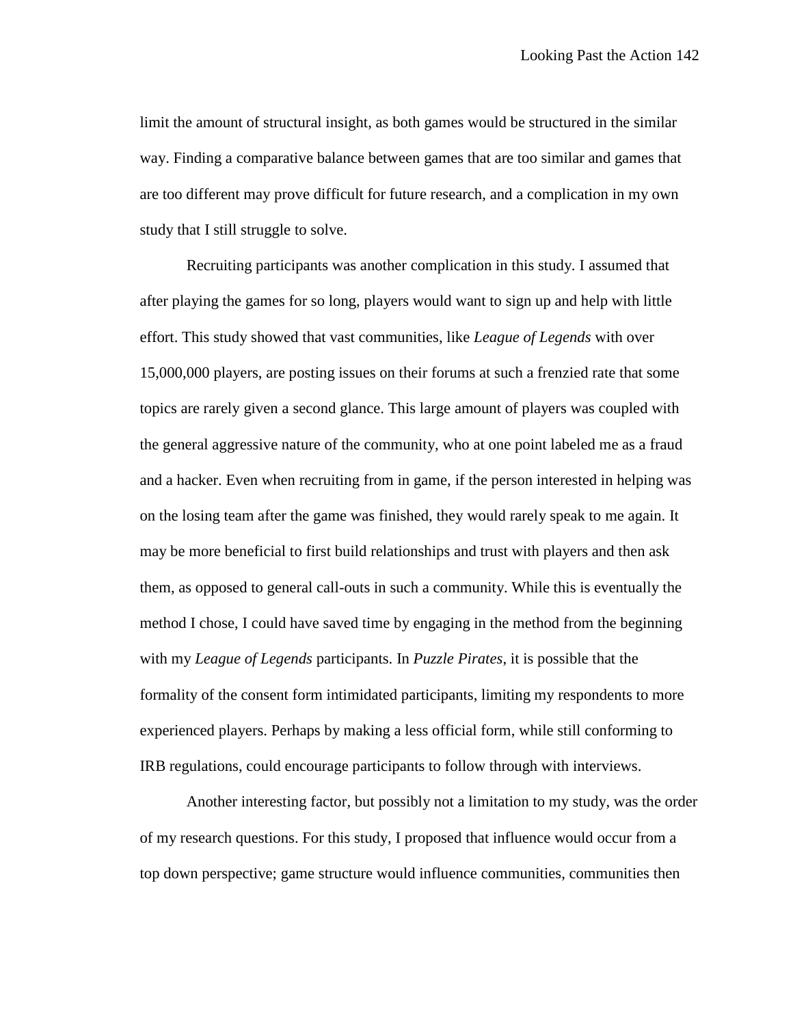limit the amount of structural insight, as both games would be structured in the similar way. Finding a comparative balance between games that are too similar and games that are too different may prove difficult for future research, and a complication in my own study that I still struggle to solve.

Recruiting participants was another complication in this study. I assumed that after playing the games for so long, players would want to sign up and help with little effort. This study showed that vast communities, like *League of Legends* with over 15,000,000 players, are posting issues on their forums at such a frenzied rate that some topics are rarely given a second glance. This large amount of players was coupled with the general aggressive nature of the community, who at one point labeled me as a fraud and a hacker. Even when recruiting from in game, if the person interested in helping was on the losing team after the game was finished, they would rarely speak to me again. It may be more beneficial to first build relationships and trust with players and then ask them, as opposed to general call-outs in such a community. While this is eventually the method I chose, I could have saved time by engaging in the method from the beginning with my *League of Legends* participants. In *Puzzle Pirates*, it is possible that the formality of the consent form intimidated participants, limiting my respondents to more experienced players. Perhaps by making a less official form, while still conforming to IRB regulations, could encourage participants to follow through with interviews.

Another interesting factor, but possibly not a limitation to my study, was the order of my research questions. For this study, I proposed that influence would occur from a top down perspective; game structure would influence communities, communities then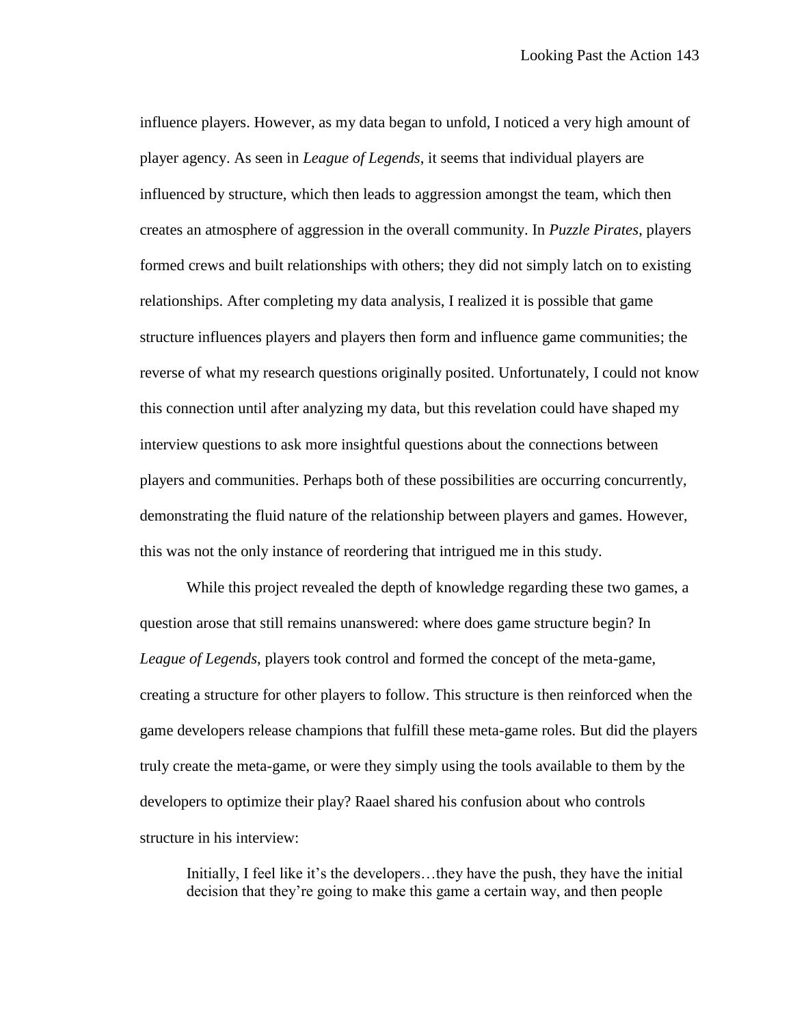influence players. However, as my data began to unfold, I noticed a very high amount of player agency. As seen in *League of Legends*, it seems that individual players are influenced by structure, which then leads to aggression amongst the team, which then creates an atmosphere of aggression in the overall community. In *Puzzle Pirates*, players formed crews and built relationships with others; they did not simply latch on to existing relationships. After completing my data analysis, I realized it is possible that game structure influences players and players then form and influence game communities; the reverse of what my research questions originally posited. Unfortunately, I could not know this connection until after analyzing my data, but this revelation could have shaped my interview questions to ask more insightful questions about the connections between players and communities. Perhaps both of these possibilities are occurring concurrently, demonstrating the fluid nature of the relationship between players and games. However, this was not the only instance of reordering that intrigued me in this study.

While this project revealed the depth of knowledge regarding these two games, a question arose that still remains unanswered: where does game structure begin? In *League of Legends*, players took control and formed the concept of the meta-game, creating a structure for other players to follow. This structure is then reinforced when the game developers release champions that fulfill these meta-game roles. But did the players truly create the meta-game, or were they simply using the tools available to them by the developers to optimize their play? Raael shared his confusion about who controls structure in his interview:

Initially, I feel like it's the developers…they have the push, they have the initial decision that they're going to make this game a certain way, and then people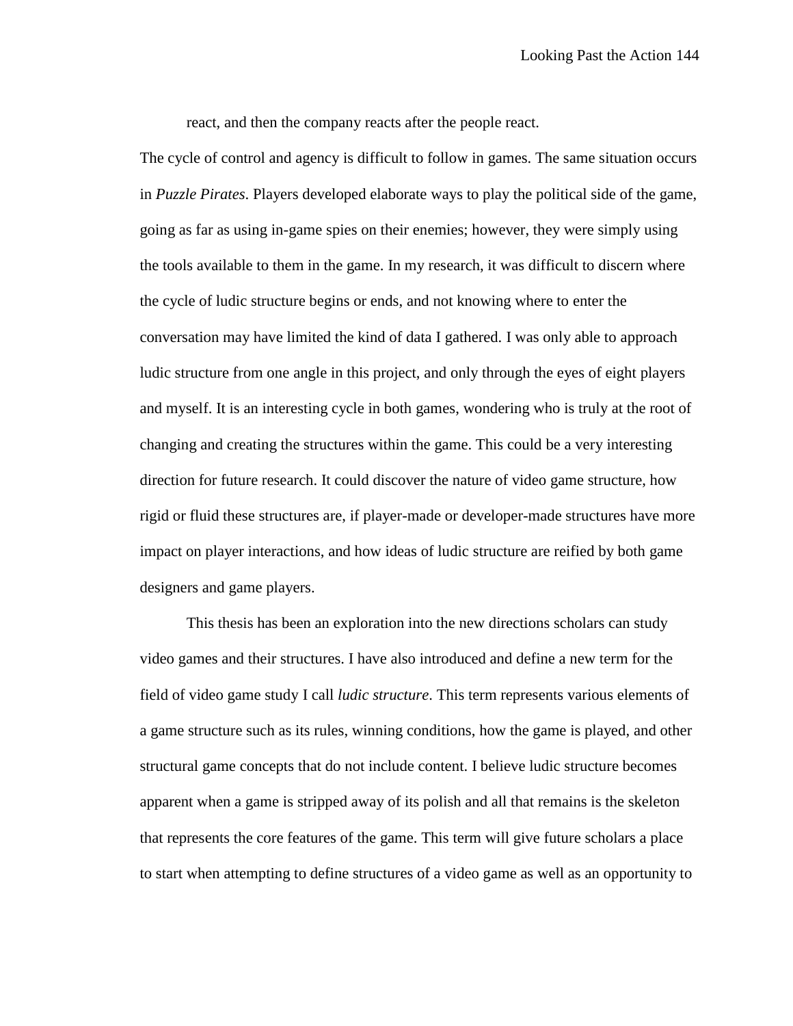react, and then the company reacts after the people react.

The cycle of control and agency is difficult to follow in games. The same situation occurs in *Puzzle Pirates*. Players developed elaborate ways to play the political side of the game, going as far as using in-game spies on their enemies; however, they were simply using the tools available to them in the game. In my research, it was difficult to discern where the cycle of ludic structure begins or ends, and not knowing where to enter the conversation may have limited the kind of data I gathered. I was only able to approach ludic structure from one angle in this project, and only through the eyes of eight players and myself. It is an interesting cycle in both games, wondering who is truly at the root of changing and creating the structures within the game. This could be a very interesting direction for future research. It could discover the nature of video game structure, how rigid or fluid these structures are, if player-made or developer-made structures have more impact on player interactions, and how ideas of ludic structure are reified by both game designers and game players.

This thesis has been an exploration into the new directions scholars can study video games and their structures. I have also introduced and define a new term for the field of video game study I call *ludic structure*. This term represents various elements of a game structure such as its rules, winning conditions, how the game is played, and other structural game concepts that do not include content. I believe ludic structure becomes apparent when a game is stripped away of its polish and all that remains is the skeleton that represents the core features of the game. This term will give future scholars a place to start when attempting to define structures of a video game as well as an opportunity to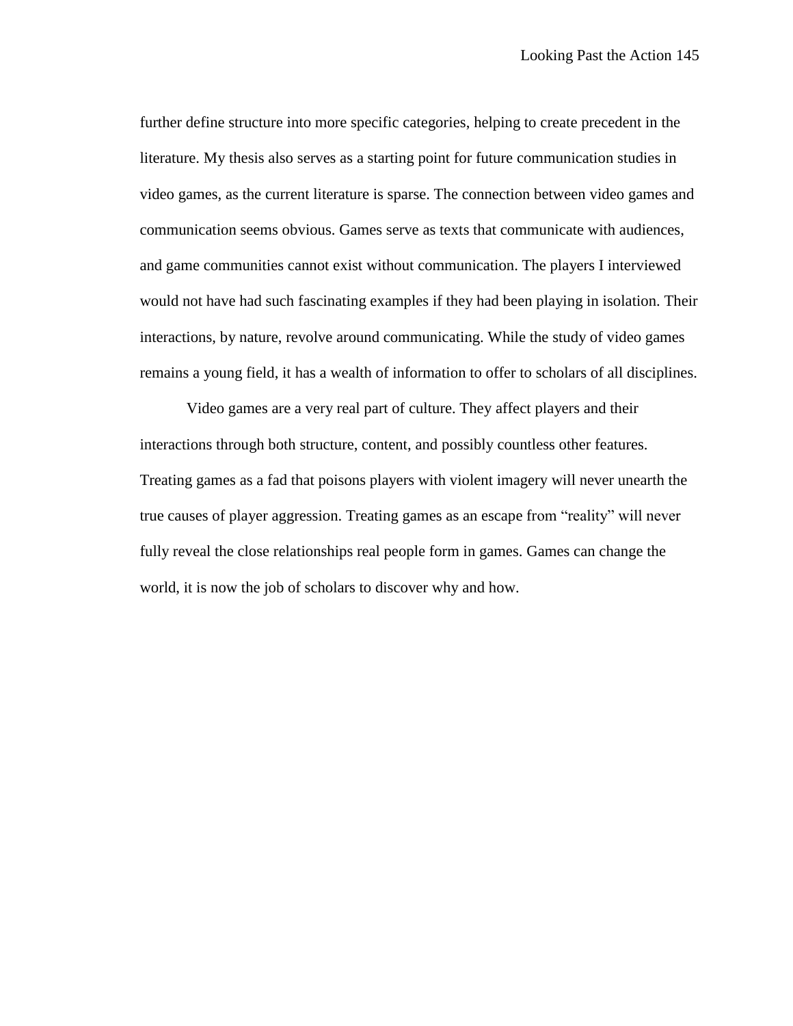further define structure into more specific categories, helping to create precedent in the literature. My thesis also serves as a starting point for future communication studies in video games, as the current literature is sparse. The connection between video games and communication seems obvious. Games serve as texts that communicate with audiences, and game communities cannot exist without communication. The players I interviewed would not have had such fascinating examples if they had been playing in isolation. Their interactions, by nature, revolve around communicating. While the study of video games remains a young field, it has a wealth of information to offer to scholars of all disciplines.

Video games are a very real part of culture. They affect players and their interactions through both structure, content, and possibly countless other features. Treating games as a fad that poisons players with violent imagery will never unearth the true causes of player aggression. Treating games as an escape from "reality" will never fully reveal the close relationships real people form in games. Games can change the world, it is now the job of scholars to discover why and how.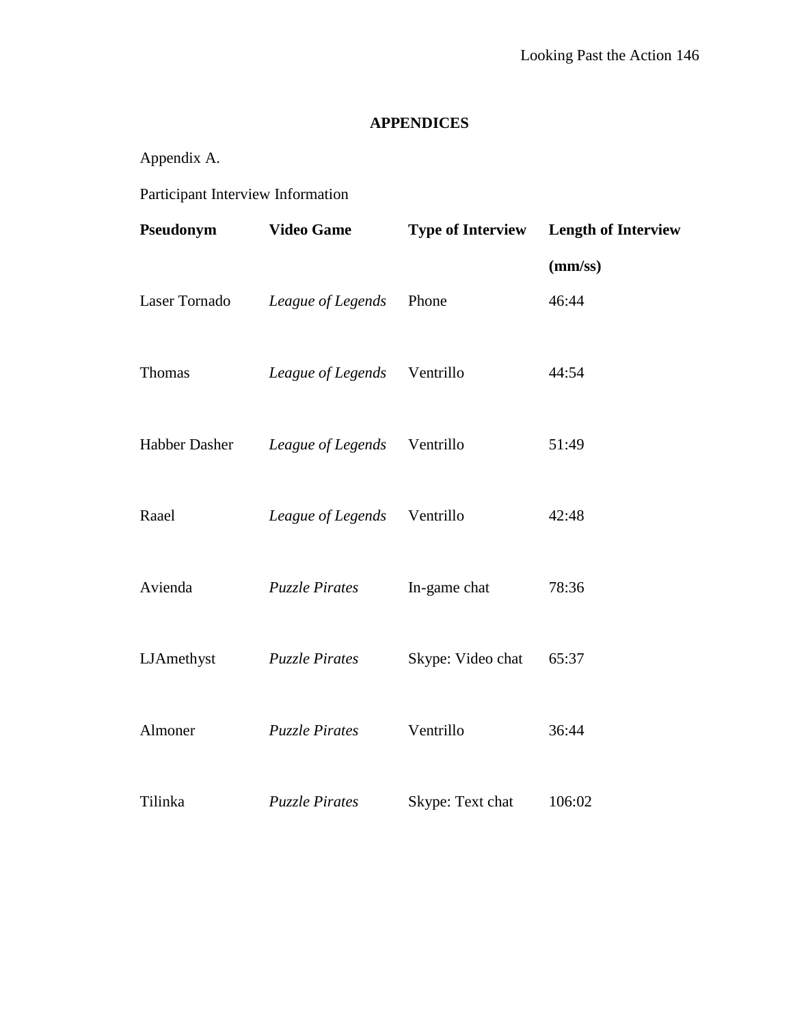# **APPENDICES**

Appendix A.

Participant Interview Information

| Pseudonym     | <b>Video Game</b>     | <b>Type of Interview</b> | <b>Length of Interview</b> |
|---------------|-----------------------|--------------------------|----------------------------|
|               |                       |                          | (mm/ss)                    |
| Laser Tornado | League of Legends     | Phone                    | 46:44                      |
| Thomas        | League of Legends     | Ventrillo                | 44:54                      |
| Habber Dasher | League of Legends     | Ventrillo                | 51:49                      |
| Raael         | League of Legends     | Ventrillo                | 42:48                      |
| Avienda       | <b>Puzzle Pirates</b> | In-game chat             | 78:36                      |
| LJAmethyst    | <b>Puzzle Pirates</b> | Skype: Video chat        | 65:37                      |
| Almoner       | <b>Puzzle Pirates</b> | Ventrillo                | 36:44                      |
| Tilinka       | <b>Puzzle Pirates</b> | Skype: Text chat         | 106:02                     |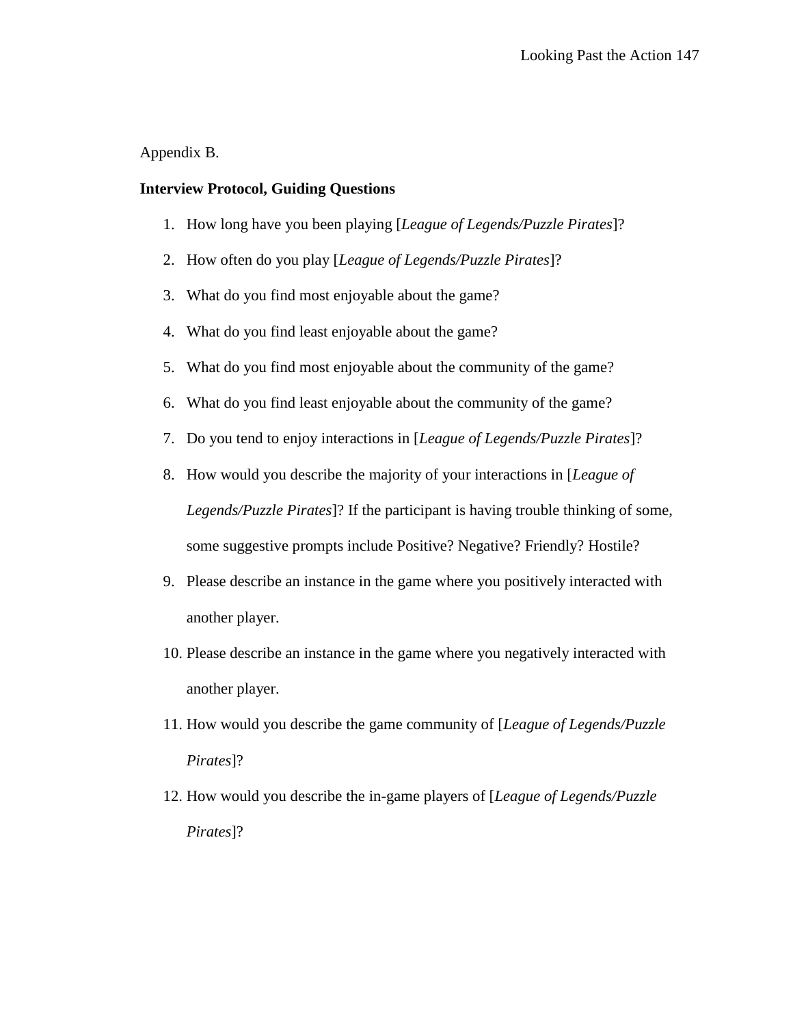Appendix B.

### **Interview Protocol, Guiding Questions**

- 1. How long have you been playing [*League of Legends/Puzzle Pirates*]?
- 2. How often do you play [*League of Legends/Puzzle Pirates*]?
- 3. What do you find most enjoyable about the game?
- 4. What do you find least enjoyable about the game?
- 5. What do you find most enjoyable about the community of the game?
- 6. What do you find least enjoyable about the community of the game?
- 7. Do you tend to enjoy interactions in [*League of Legends/Puzzle Pirates*]?
- 8. How would you describe the majority of your interactions in [*League of Legends/Puzzle Pirates*]? If the participant is having trouble thinking of some, some suggestive prompts include Positive? Negative? Friendly? Hostile?
- 9. Please describe an instance in the game where you positively interacted with another player.
- 10. Please describe an instance in the game where you negatively interacted with another player.
- 11. How would you describe the game community of [*League of Legends/Puzzle Pirates*]?
- 12. How would you describe the in-game players of [*League of Legends/Puzzle Pirates*]?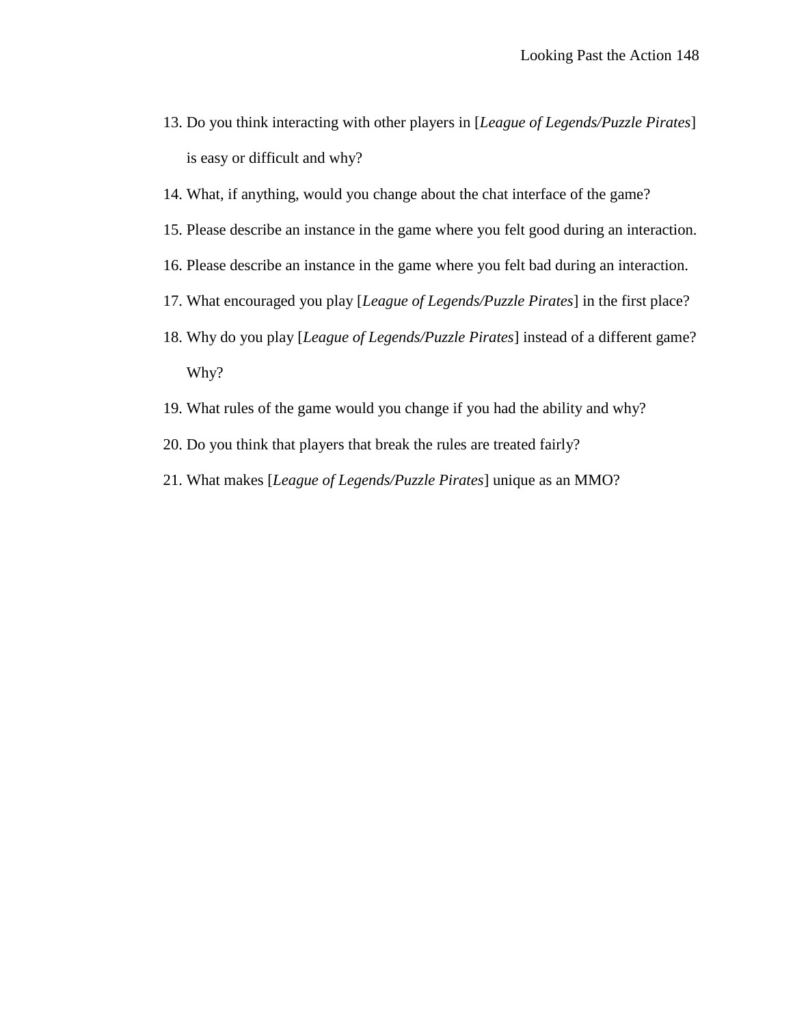- 13. Do you think interacting with other players in [*League of Legends/Puzzle Pirates*] is easy or difficult and why?
- 14. What, if anything, would you change about the chat interface of the game?
- 15. Please describe an instance in the game where you felt good during an interaction.
- 16. Please describe an instance in the game where you felt bad during an interaction.
- 17. What encouraged you play [*League of Legends/Puzzle Pirates*] in the first place?
- 18. Why do you play [*League of Legends/Puzzle Pirates*] instead of a different game? Why?
- 19. What rules of the game would you change if you had the ability and why?
- 20. Do you think that players that break the rules are treated fairly?
- 21. What makes [*League of Legends/Puzzle Pirates*] unique as an MMO?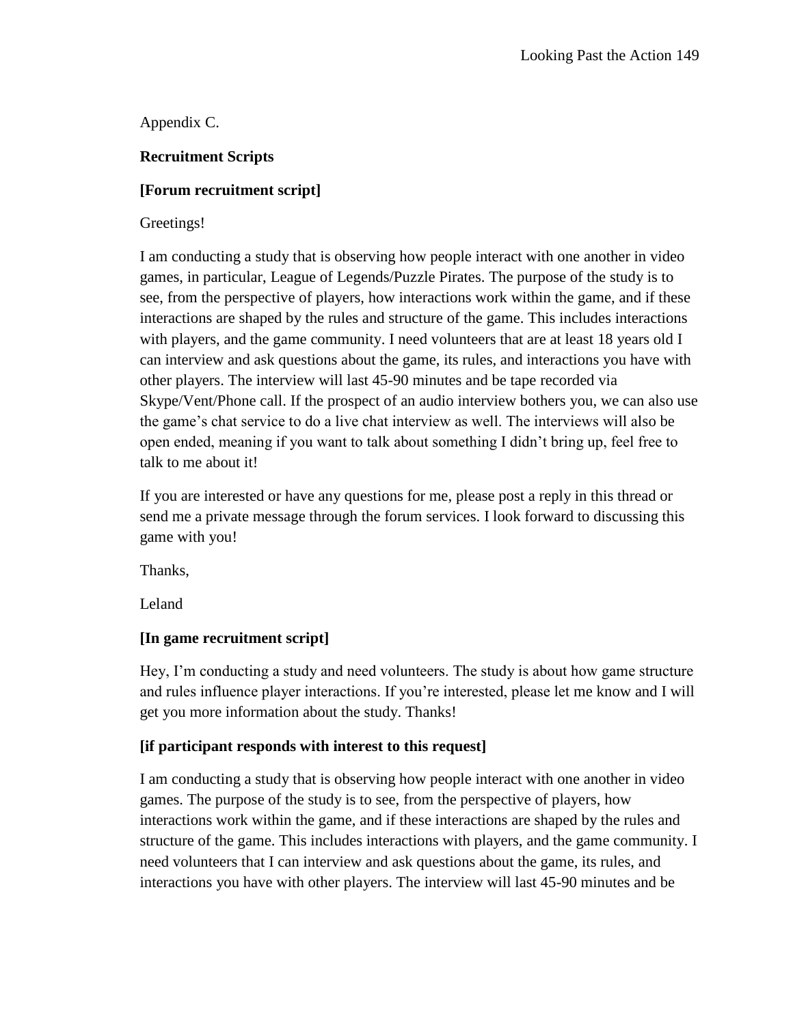Appendix C.

## **Recruitment Scripts**

### **[Forum recruitment script]**

### Greetings!

I am conducting a study that is observing how people interact with one another in video games, in particular, League of Legends/Puzzle Pirates. The purpose of the study is to see, from the perspective of players, how interactions work within the game, and if these interactions are shaped by the rules and structure of the game. This includes interactions with players, and the game community. I need volunteers that are at least 18 years old I can interview and ask questions about the game, its rules, and interactions you have with other players. The interview will last 45-90 minutes and be tape recorded via Skype/Vent/Phone call. If the prospect of an audio interview bothers you, we can also use the game's chat service to do a live chat interview as well. The interviews will also be open ended, meaning if you want to talk about something I didn't bring up, feel free to talk to me about it!

If you are interested or have any questions for me, please post a reply in this thread or send me a private message through the forum services. I look forward to discussing this game with you!

Thanks,

Leland

## **[In game recruitment script]**

Hey, I'm conducting a study and need volunteers. The study is about how game structure and rules influence player interactions. If you're interested, please let me know and I will get you more information about the study. Thanks!

## **[if participant responds with interest to this request]**

I am conducting a study that is observing how people interact with one another in video games. The purpose of the study is to see, from the perspective of players, how interactions work within the game, and if these interactions are shaped by the rules and structure of the game. This includes interactions with players, and the game community. I need volunteers that I can interview and ask questions about the game, its rules, and interactions you have with other players. The interview will last 45-90 minutes and be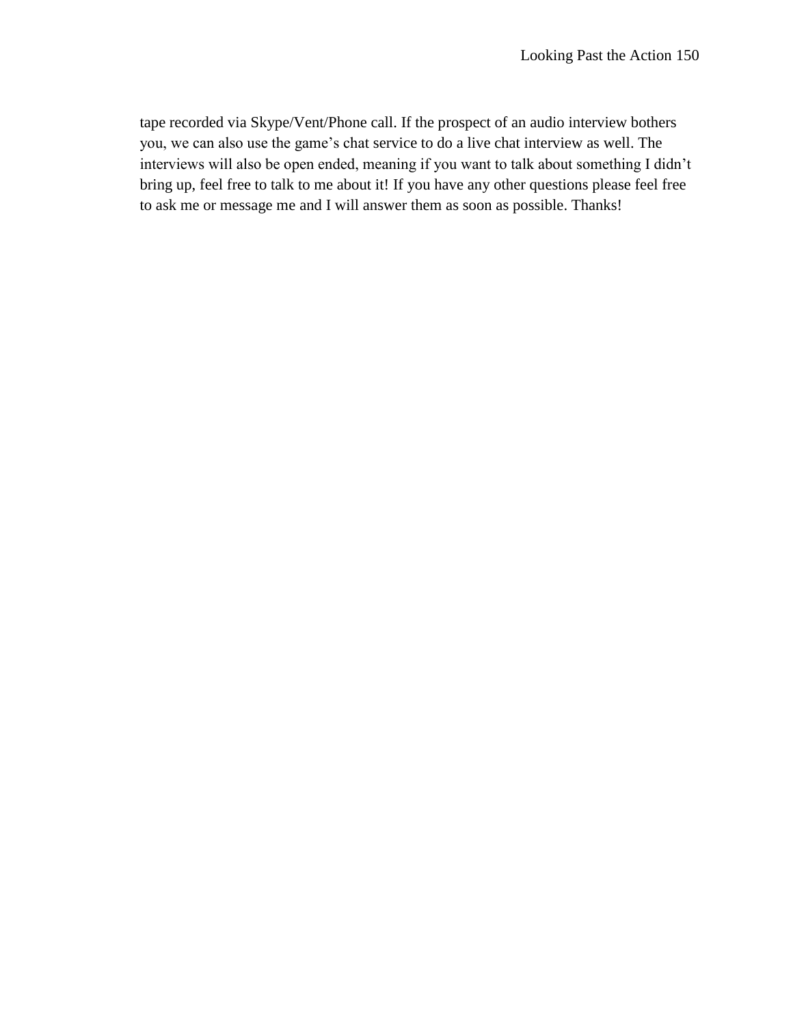tape recorded via Skype/Vent/Phone call. If the prospect of an audio interview bothers you, we can also use the game's chat service to do a live chat interview as well. The interviews will also be open ended, meaning if you want to talk about something I didn't bring up, feel free to talk to me about it! If you have any other questions please feel free to ask me or message me and I will answer them as soon as possible. Thanks!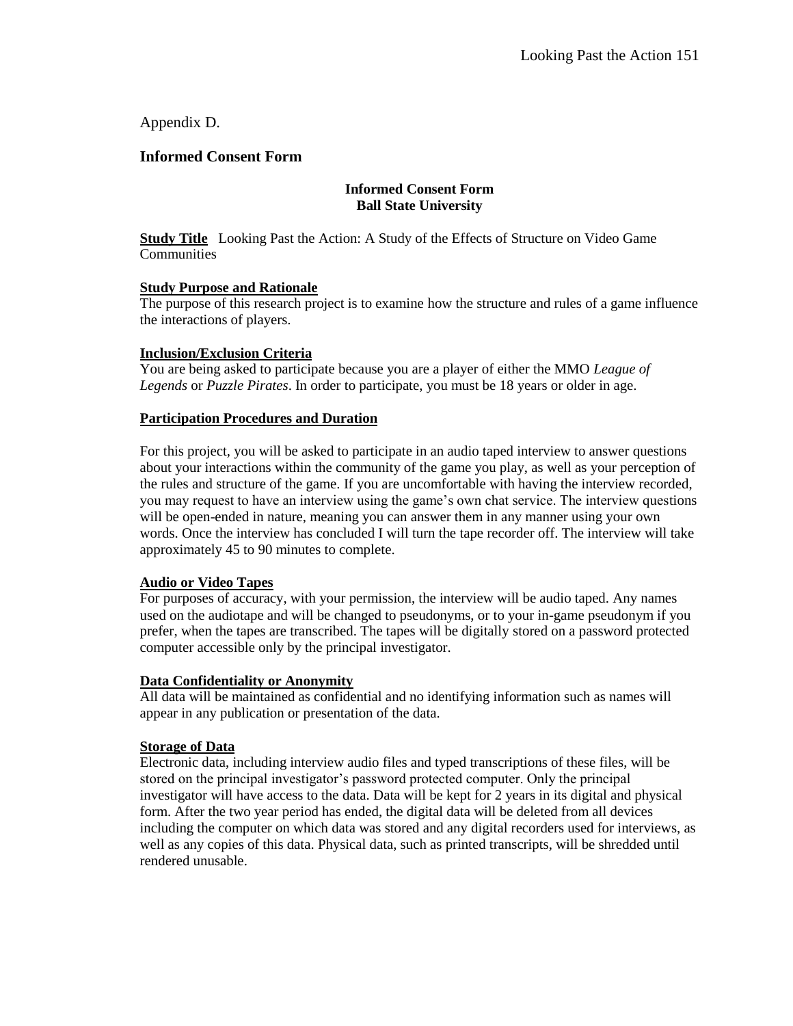### Appendix D.

### **Informed Consent Form**

#### **Informed Consent Form Ball State University**

**Study Title** Looking Past the Action: A Study of the Effects of Structure on Video Game **Communities** 

#### **Study Purpose and Rationale**

The purpose of this research project is to examine how the structure and rules of a game influence the interactions of players.

#### **Inclusion/Exclusion Criteria**

You are being asked to participate because you are a player of either the MMO *League of Legends* or *Puzzle Pirates*. In order to participate, you must be 18 years or older in age.

#### **Participation Procedures and Duration**

For this project, you will be asked to participate in an audio taped interview to answer questions about your interactions within the community of the game you play, as well as your perception of the rules and structure of the game. If you are uncomfortable with having the interview recorded, you may request to have an interview using the game's own chat service. The interview questions will be open-ended in nature, meaning you can answer them in any manner using your own words. Once the interview has concluded I will turn the tape recorder off. The interview will take approximately 45 to 90 minutes to complete.

#### **Audio or Video Tapes**

For purposes of accuracy, with your permission, the interview will be audio taped. Any names used on the audiotape and will be changed to pseudonyms, or to your in-game pseudonym if you prefer, when the tapes are transcribed. The tapes will be digitally stored on a password protected computer accessible only by the principal investigator.

#### **Data Confidentiality or Anonymity**

All data will be maintained as confidential and no identifying information such as names will appear in any publication or presentation of the data.

#### **Storage of Data**

Electronic data, including interview audio files and typed transcriptions of these files, will be stored on the principal investigator's password protected computer. Only the principal investigator will have access to the data. Data will be kept for 2 years in its digital and physical form. After the two year period has ended, the digital data will be deleted from all devices including the computer on which data was stored and any digital recorders used for interviews, as well as any copies of this data. Physical data, such as printed transcripts, will be shredded until rendered unusable.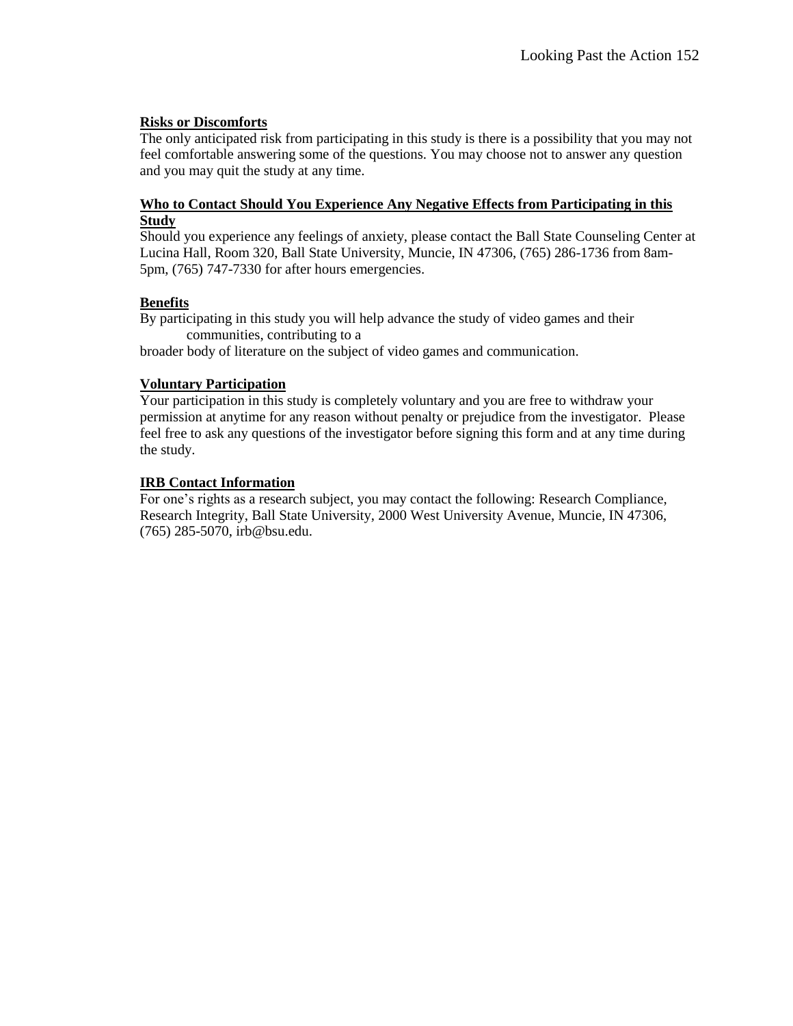#### **Risks or Discomforts**

The only anticipated risk from participating in this study is there is a possibility that you may not feel comfortable answering some of the questions. You may choose not to answer any question and you may quit the study at any time.

#### **Who to Contact Should You Experience Any Negative Effects from Participating in this Study**

Should you experience any feelings of anxiety, please contact the Ball State Counseling Center at Lucina Hall, Room 320, Ball State University, Muncie, IN 47306, (765) 286-1736 from 8am-5pm, (765) 747-7330 for after hours emergencies.

### **Benefits**

By participating in this study you will help advance the study of video games and their communities, contributing to a

broader body of literature on the subject of video games and communication.

#### **Voluntary Participation**

Your participation in this study is completely voluntary and you are free to withdraw your permission at anytime for any reason without penalty or prejudice from the investigator. Please feel free to ask any questions of the investigator before signing this form and at any time during the study.

### **IRB Contact Information**

For one's rights as a research subject, you may contact the following: Research Compliance, Research Integrity, Ball State University, 2000 West University Avenue, Muncie, IN 47306, (765) 285-5070, irb@bsu.edu.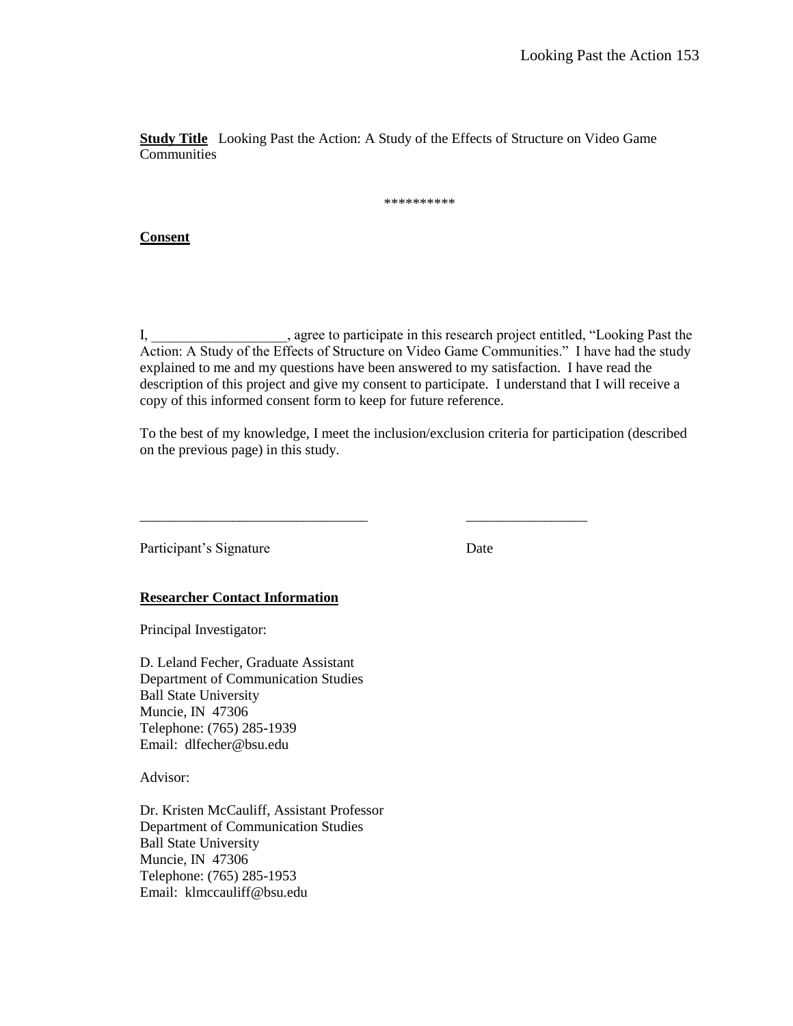**Study Title** Looking Past the Action: A Study of the Effects of Structure on Video Game **Communities** 

\*\*\*\*\*\*\*\*\*\*

#### **Consent**

I, agree to participate in this research project entitled, "Looking Past the Action: A Study of the Effects of Structure on Video Game Communities." I have had the study explained to me and my questions have been answered to my satisfaction. I have read the description of this project and give my consent to participate. I understand that I will receive a copy of this informed consent form to keep for future reference.

To the best of my knowledge, I meet the inclusion/exclusion criteria for participation (described on the previous page) in this study.

\_\_\_\_\_\_\_\_\_\_\_\_\_\_\_\_\_\_\_\_\_\_\_\_\_\_\_\_\_\_\_\_ \_\_\_\_\_\_\_\_\_\_\_\_\_\_\_\_\_

Participant's Signature Date

#### **Researcher Contact Information**

Principal Investigator:

D. Leland Fecher, Graduate Assistant Department of Communication Studies Ball State University Muncie, IN 47306 Telephone: (765) 285-1939 Email: dlfecher@bsu.edu

Advisor:

Dr. Kristen McCauliff, Assistant Professor Department of Communication Studies Ball State University Muncie, IN 47306 Telephone: (765) 285-1953 Email: klmccauliff@bsu.edu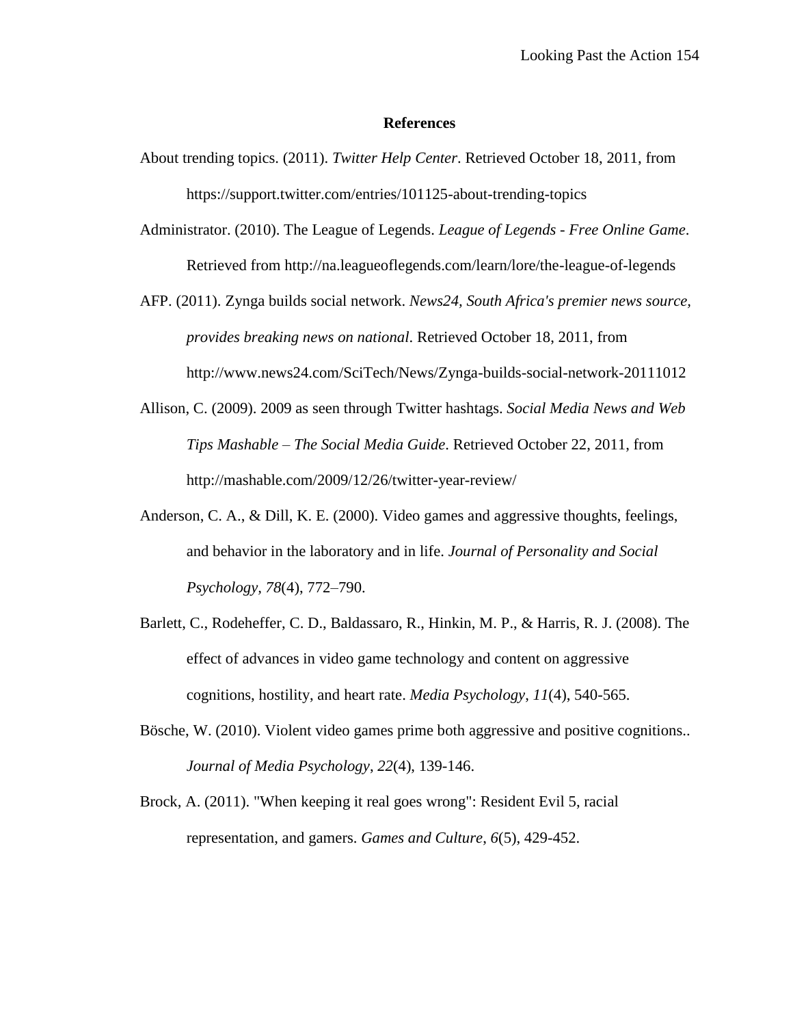#### **References**

- About trending topics. (2011). *Twitter Help Center*. Retrieved October 18, 2011, from https://support.twitter.com/entries/101125-about-trending-topics
- Administrator. (2010). The League of Legends. *League of Legends - Free Online Game*. Retrieved from http://na.leagueoflegends.com/learn/lore/the-league-of-legends
- AFP. (2011). Zynga builds social network. *News24, South Africa's premier news source, provides breaking news on national*. Retrieved October 18, 2011, from http://www.news24.com/SciTech/News/Zynga-builds-social-network-20111012
- Allison, C. (2009). 2009 as seen through Twitter hashtags. *Social Media News and Web Tips Mashable – The Social Media Guide*. Retrieved October 22, 2011, from http://mashable.com/2009/12/26/twitter-year-review/
- Anderson, C. A., & Dill, K. E. (2000). Video games and aggressive thoughts, feelings, and behavior in the laboratory and in life. *Journal of Personality and Social Psychology, 78*(4), 772–790.
- Barlett, C., Rodeheffer, C. D., Baldassaro, R., Hinkin, M. P., & Harris, R. J. (2008). The effect of advances in video game technology and content on aggressive cognitions, hostility, and heart rate. *Media Psychology*, *11*(4), 540-565.
- Bösche, W. (2010). Violent video games prime both aggressive and positive cognitions.. *Journal of Media Psychology*, *22*(4), 139-146.
- Brock, A. (2011). "When keeping it real goes wrong": Resident Evil 5, racial representation, and gamers. *Games and Culture*, *6*(5), 429-452.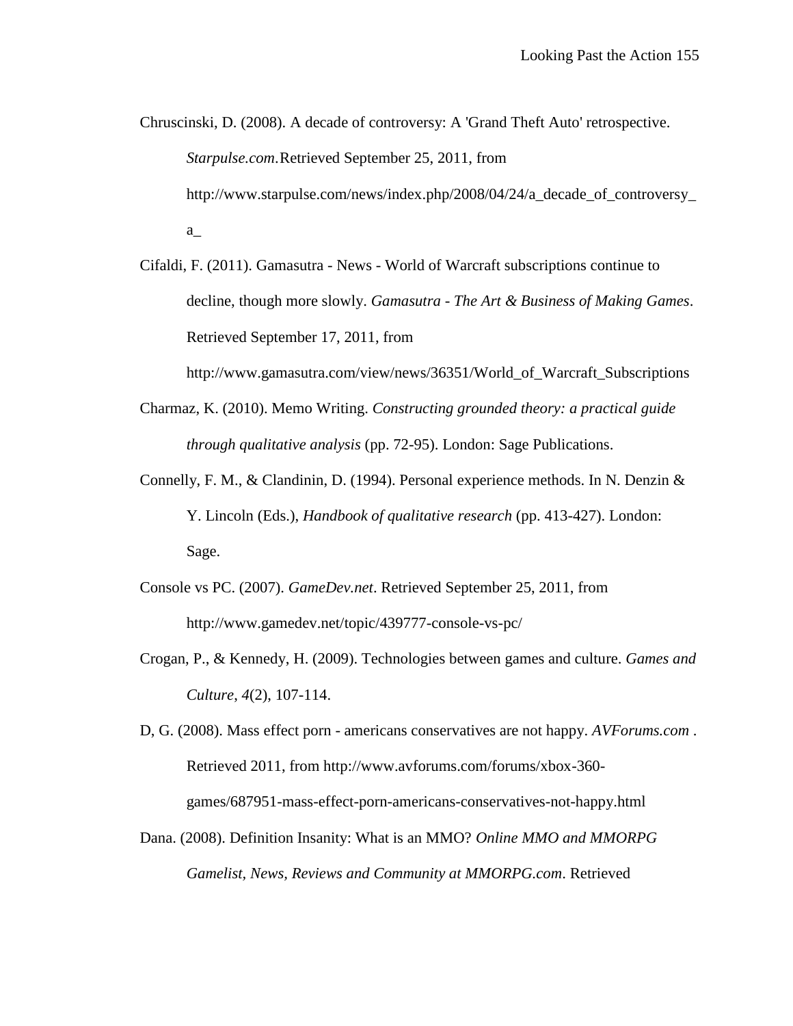- Chruscinski, D. (2008). A decade of controversy: A 'Grand Theft Auto' retrospective. *Starpulse.com*.Retrieved September 25, 2011, from http://www.starpulse.com/news/index.php/2008/04/24/a\_decade\_of\_controversy a\_
- Cifaldi, F. (2011). Gamasutra News World of Warcraft subscriptions continue to decline, though more slowly. *Gamasutra - The Art & Business of Making Games*. Retrieved September 17, 2011, from

http://www.gamasutra.com/view/news/36351/World\_of\_Warcraft\_Subscriptions

- Charmaz, K. (2010). Memo Writing. *Constructing grounded theory: a practical guide through qualitative analysis* (pp. 72-95). London: Sage Publications.
- Connelly, F. M., & Clandinin, D. (1994). Personal experience methods. In N. Denzin & Y. Lincoln (Eds.), *Handbook of qualitative research* (pp. 413-427). London: Sage.
- Console vs PC. (2007). *GameDev.net*. Retrieved September 25, 2011, from http://www.gamedev.net/topic/439777-console-vs-pc/
- Crogan, P., & Kennedy, H. (2009). Technologies between games and culture. *Games and Culture*, *4*(2), 107-114.
- D, G. (2008). Mass effect porn americans conservatives are not happy. *AVForums.com* . Retrieved 2011, from http://www.avforums.com/forums/xbox-360 games/687951-mass-effect-porn-americans-conservatives-not-happy.html
- Dana. (2008). Definition Insanity: What is an MMO? *Online MMO and MMORPG Gamelist, News, Reviews and Community at MMORPG.com*. Retrieved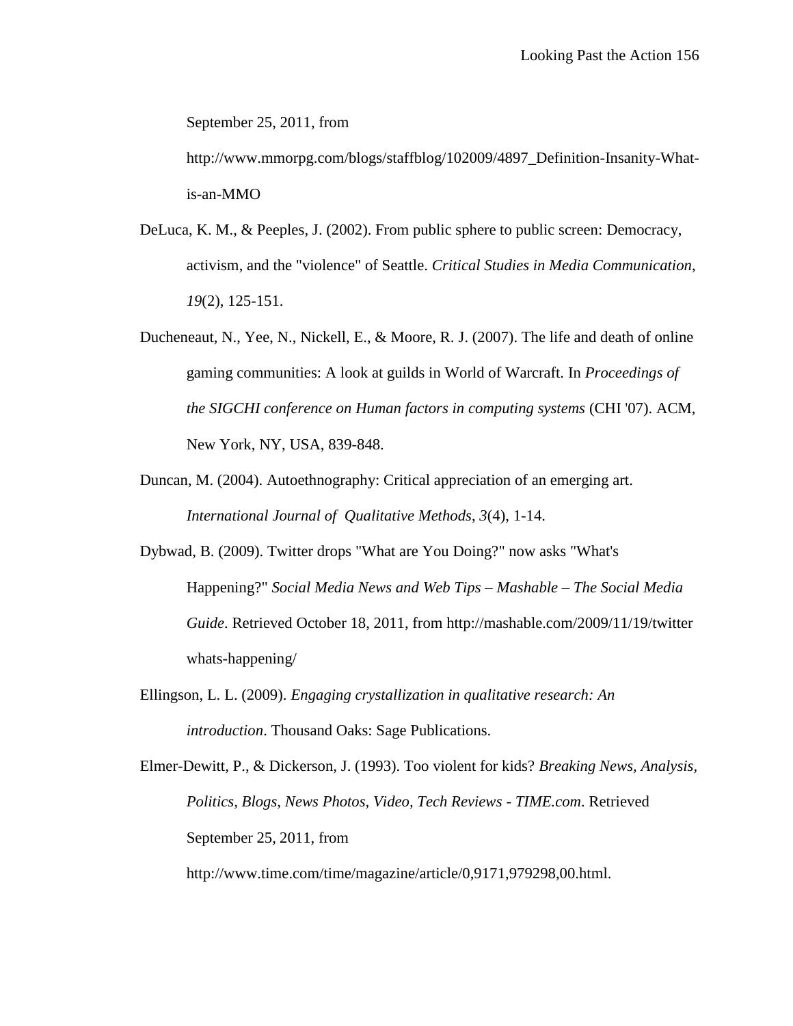September 25, 2011, from

http://www.mmorpg.com/blogs/staffblog/102009/4897\_Definition-Insanity-Whatis-an-MMO

- DeLuca, K. M., & Peeples, J. (2002). From public sphere to public screen: Democracy, activism, and the "violence" of Seattle. *Critical Studies in Media Communication*, *19*(2), 125-151.
- Ducheneaut, N., Yee, N., Nickell, E., & Moore, R. J. (2007). The life and death of online gaming communities: A look at guilds in World of Warcraft. In *Proceedings of the SIGCHI conference on Human factors in computing systems* (CHI '07). ACM, New York, NY, USA, 839-848.
- Duncan, M. (2004). Autoethnography: Critical appreciation of an emerging art. *International Journal of Qualitative Methods*, *3*(4), 1-14.
- Dybwad, B. (2009). Twitter drops "What are You Doing?" now asks "What's Happening?" *Social Media News and Web Tips – Mashable – The Social Media Guide*. Retrieved October 18, 2011, from http://mashable.com/2009/11/19/twitter whats-happening/
- Ellingson, L. L. (2009). *Engaging crystallization in qualitative research: An introduction*. Thousand Oaks: Sage Publications.

Elmer-Dewitt, P., & Dickerson, J. (1993). Too violent for kids? *Breaking News, Analysis, Politics, Blogs, News Photos, Video, Tech Reviews - TIME.com*. Retrieved September 25, 2011, from

http://www.time.com/time/magazine/article/0,9171,979298,00.html.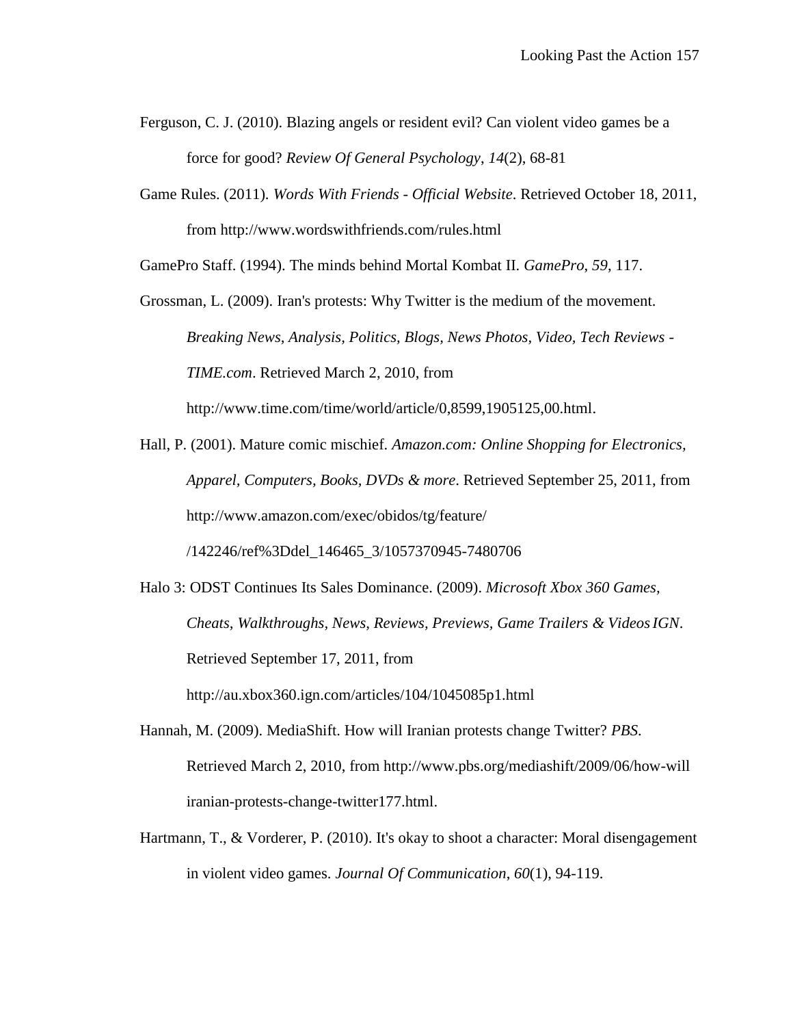Ferguson, C. J. (2010). Blazing angels or resident evil? Can violent video games be a force for good? *Review Of General Psychology*, *14*(2), 68-81

Game Rules. (2011). *Words With Friends - Official Website*. Retrieved October 18, 2011, from http://www.wordswithfriends.com/rules.html

GamePro Staff. (1994). The minds behind Mortal Kombat II. *GamePro*, *59*, 117.

- Grossman, L. (2009). Iran's protests: Why Twitter is the medium of the movement. *Breaking News, Analysis, Politics, Blogs, News Photos, Video, Tech Reviews - TIME.com*. Retrieved March 2, 2010, from http://www.time.com/time/world/article/0,8599,1905125,00.html.
- Hall, P. (2001). Mature comic mischief. *Amazon.com: Online Shopping for Electronics, Apparel, Computers, Books, DVDs & more*. Retrieved September 25, 2011, from http://www.amazon.com/exec/obidos/tg/feature/

/142246/ref%3Ddel\_146465\_3/1057370945-7480706

Halo 3: ODST Continues Its Sales Dominance. (2009). *Microsoft Xbox 360 Games, Cheats, Walkthroughs, News, Reviews, Previews, Game Trailers & VideosIGN*. Retrieved September 17, 2011, from http://au.xbox360.ign.com/articles/104/1045085p1.html

Hannah, M. (2009). MediaShift. How will Iranian protests change Twitter? *PBS*.

Retrieved March 2, 2010, from http://www.pbs.org/mediashift/2009/06/how-will iranian-protests-change-twitter177.html.

Hartmann, T., & Vorderer, P. (2010). It's okay to shoot a character: Moral disengagement in violent video games. *Journal Of Communication*, *60*(1), 94-119.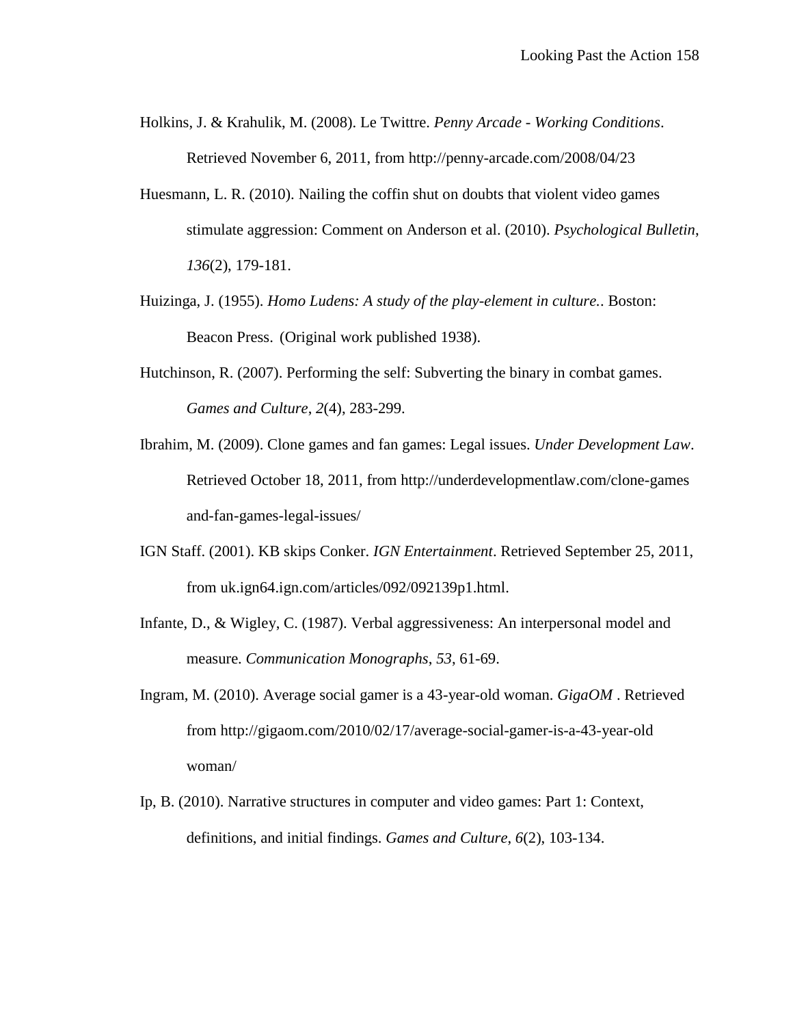Holkins, J. & Krahulik, M. (2008). Le Twittre. *Penny Arcade - Working Conditions*. Retrieved November 6, 2011, from http://penny-arcade.com/2008/04/23

- Huesmann, L. R. (2010). Nailing the coffin shut on doubts that violent video games stimulate aggression: Comment on Anderson et al. (2010). *Psychological Bulletin*, *136*(2), 179-181.
- Huizinga, J. (1955). *Homo Ludens: A study of the play-element in culture.*. Boston: Beacon Press. (Original work published 1938).
- Hutchinson, R. (2007). Performing the self: Subverting the binary in combat games. *Games and Culture*, *2*(4), 283-299.
- Ibrahim, M. (2009). Clone games and fan games: Legal issues. *Under Development Law*. Retrieved October 18, 2011, from http://underdevelopmentlaw.com/clone-games and-fan-games-legal-issues/
- IGN Staff. (2001). KB skips Conker. *IGN Entertainment*. Retrieved September 25, 2011, from uk.ign64.ign.com/articles/092/092139p1.html.
- Infante, D., & Wigley, C. (1987). Verbal aggressiveness: An interpersonal model and measure. *Communication Monographs*, *53*, 61-69.
- Ingram, M. (2010). Average social gamer is a 43-year-old woman. *GigaOM* . Retrieved from http://gigaom.com/2010/02/17/average-social-gamer-is-a-43-year-old woman/
- Ip, B. (2010). Narrative structures in computer and video games: Part 1: Context, definitions, and initial findings. *Games and Culture*, *6*(2), 103-134.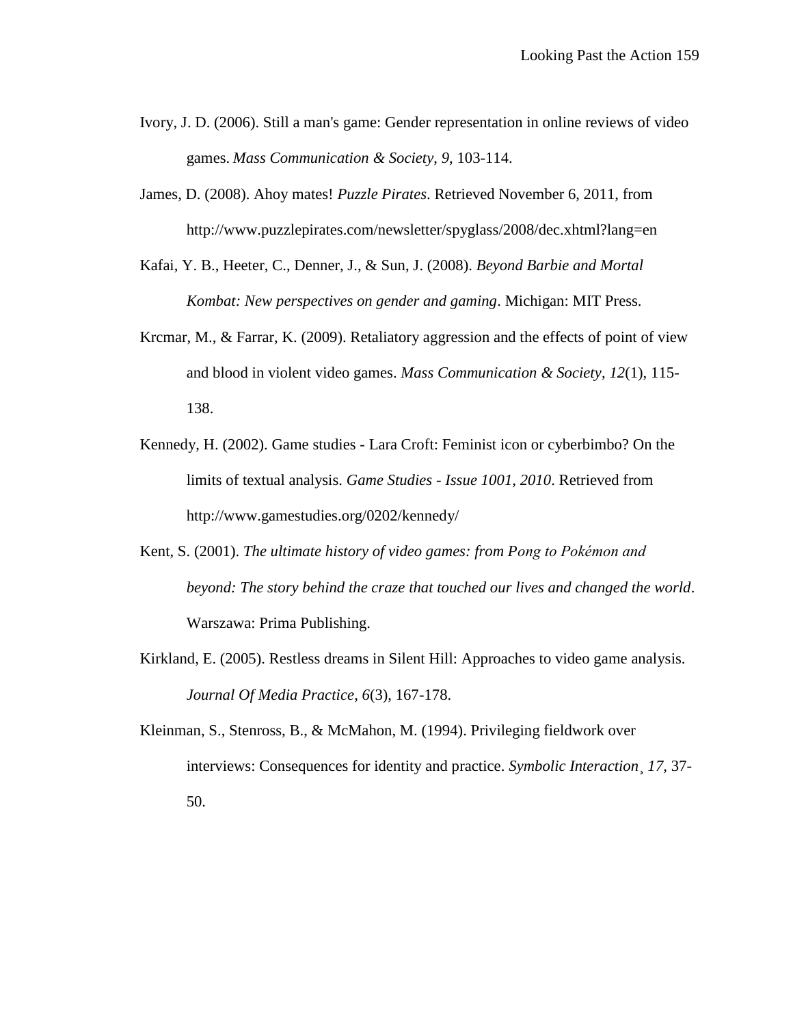- Ivory, J. D. (2006). Still a man's game: Gender representation in online reviews of video games. *Mass Communication & Society*, *9*, 103-114.
- James, D. (2008). Ahoy mates! *Puzzle Pirates*. Retrieved November 6, 2011, from http://www.puzzlepirates.com/newsletter/spyglass/2008/dec.xhtml?lang=en
- Kafai, Y. B., Heeter, C., Denner, J., & Sun, J. (2008). *Beyond Barbie and Mortal Kombat: New perspectives on gender and gaming*. Michigan: MIT Press.
- Krcmar, M., & Farrar, K. (2009). Retaliatory aggression and the effects of point of view and blood in violent video games. *Mass Communication & Society*, *12*(1), 115- 138.
- Kennedy, H. (2002). Game studies Lara Croft: Feminist icon or cyberbimbo? On the limits of textual analysis. *Game Studies - Issue 1001, 2010*. Retrieved from http://www.gamestudies.org/0202/kennedy/
- Kent, S. (2001). *The ultimate history of video games: from Pong to Pokémon and beyond: The story behind the craze that touched our lives and changed the world*. Warszawa: Prima Publishing.
- Kirkland, E. (2005). Restless dreams in Silent Hill: Approaches to video game analysis. *Journal Of Media Practice*, *6*(3), 167-178.
- Kleinman, S., Stenross, B., & McMahon, M. (1994). Privileging fieldwork over interviews: Consequences for identity and practice. *Symbolic Interaction*¸ *17,* 37- 50.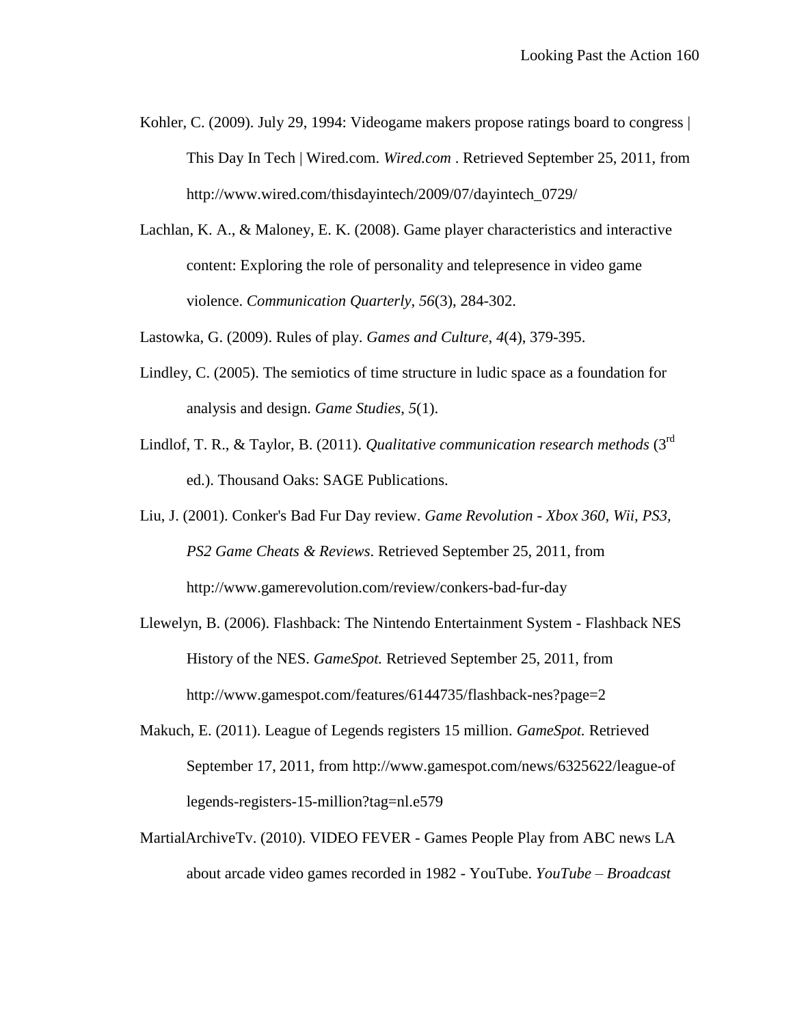- Kohler, C. (2009). July 29, 1994: Videogame makers propose ratings board to congress  $\vert$ This Day In Tech | Wired.com. *Wired.com* . Retrieved September 25, 2011, from http://www.wired.com/thisdayintech/2009/07/dayintech\_0729/
- Lachlan, K. A., & Maloney, E. K. (2008). Game player characteristics and interactive content: Exploring the role of personality and telepresence in video game violence. *Communication Quarterly*, *56*(3), 284-302.
- Lastowka, G. (2009). Rules of play. *Games and Culture*, *4*(4), 379-395.
- Lindley, C. (2005). The semiotics of time structure in ludic space as a foundation for analysis and design. *Game Studies*, *5*(1).
- Lindlof, T. R., & Taylor, B. (2011). *Qualitative communication research methods* (3rd ed.). Thousand Oaks: SAGE Publications.
- Liu, J. (2001). Conker's Bad Fur Day review. *Game Revolution - Xbox 360, Wii, PS3, PS2 Game Cheats & Reviews*. Retrieved September 25, 2011, from http://www.gamerevolution.com/review/conkers-bad-fur-day
- Llewelyn, B. (2006). Flashback: The Nintendo Entertainment System Flashback NES History of the NES. *GameSpot.* Retrieved September 25, 2011, from http://www.gamespot.com/features/6144735/flashback-nes?page=2
- Makuch, E. (2011). League of Legends registers 15 million. *GameSpot.* Retrieved September 17, 2011, from http://www.gamespot.com/news/6325622/league-of legends-registers-15-million?tag=nl.e579
- MartialArchiveTv. (2010). VIDEO FEVER Games People Play from ABC news LA about arcade video games recorded in 1982 - YouTube. *YouTube – Broadcast*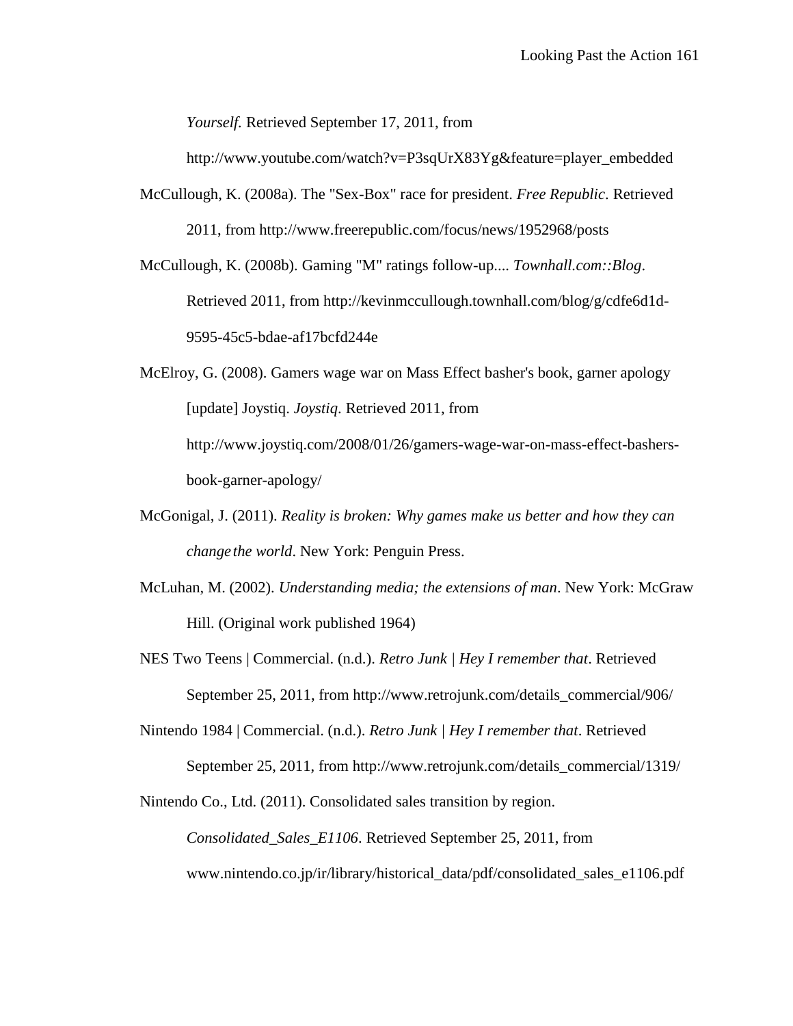*Yourself.* Retrieved September 17, 2011, from

http://www.youtube.com/watch?v=P3sqUrX83Yg&feature=player\_embedded

McCullough, K. (2008a). The "Sex-Box" race for president. *Free Republic*. Retrieved 2011, from http://www.freerepublic.com/focus/news/1952968/posts

McCullough, K. (2008b). Gaming "M" ratings follow-up.... *Townhall.com::Blog*. Retrieved 2011, from http://kevinmccullough.townhall.com/blog/g/cdfe6d1d-9595-45c5-bdae-af17bcfd244e

McElroy, G. (2008). Gamers wage war on Mass Effect basher's book, garner apology [update] Joystiq. *Joystiq*. Retrieved 2011, from http://www.joystiq.com/2008/01/26/gamers-wage-war-on-mass-effect-bashersbook-garner-apology/

- McGonigal, J. (2011). *Reality is broken: Why games make us better and how they can change the world*. New York: Penguin Press.
- McLuhan, M. (2002). *Understanding media; the extensions of man*. New York: McGraw Hill. (Original work published 1964)
- NES Two Teens | Commercial. (n.d.). *Retro Junk | Hey I remember that*. Retrieved September 25, 2011, from http://www.retrojunk.com/details\_commercial/906/

Nintendo 1984 | Commercial. (n.d.). *Retro Junk | Hey I remember that*. Retrieved September 25, 2011, from http://www.retrojunk.com/details\_commercial/1319/

Nintendo Co., Ltd. (2011). Consolidated sales transition by region.

*Consolidated\_Sales\_E1106*. Retrieved September 25, 2011, from www.nintendo.co.jp/ir/library/historical\_data/pdf/consolidated\_sales\_e1106.pdf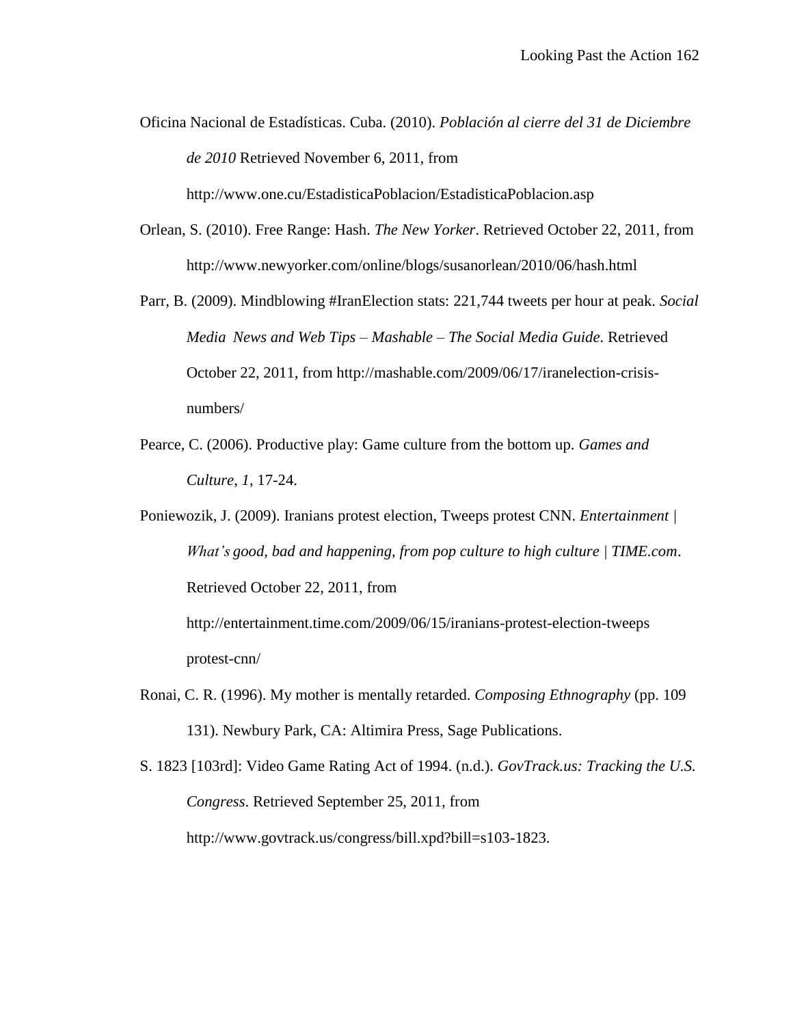Oficina Nacional de Estadísticas. Cuba. (2010). *Población al cierre del 31 de Diciembre de 2010* Retrieved November 6, 2011, from

http://www.one.cu/EstadisticaPoblacion/EstadisticaPoblacion.asp

- Orlean, S. (2010). Free Range: Hash. *The New Yorker*. Retrieved October 22, 2011, from http://www.newyorker.com/online/blogs/susanorlean/2010/06/hash.html
- Parr, B. (2009). Mindblowing #IranElection stats: 221,744 tweets per hour at peak. *Social Media News and Web Tips – Mashable – The Social Media Guide*. Retrieved October 22, 2011, from http://mashable.com/2009/06/17/iranelection-crisisnumbers/
- Pearce, C. (2006). Productive play: Game culture from the bottom up. *Games and Culture*, *1*, 17-24.
- Poniewozik, J. (2009). Iranians protest election, Tweeps protest CNN. *Entertainment | What's good, bad and happening, from pop culture to high culture | TIME.com*. Retrieved October 22, 2011, from http://entertainment.time.com/2009/06/15/iranians-protest-election-tweeps

protest-cnn/

- Ronai, C. R. (1996). My mother is mentally retarded. *Composing Ethnography* (pp. 109 131). Newbury Park, CA: Altimira Press, Sage Publications.
- S. 1823 [103rd]: Video Game Rating Act of 1994. (n.d.). *GovTrack.us: Tracking the U.S. Congress*. Retrieved September 25, 2011, from http://www.govtrack.us/congress/bill.xpd?bill=s103-1823.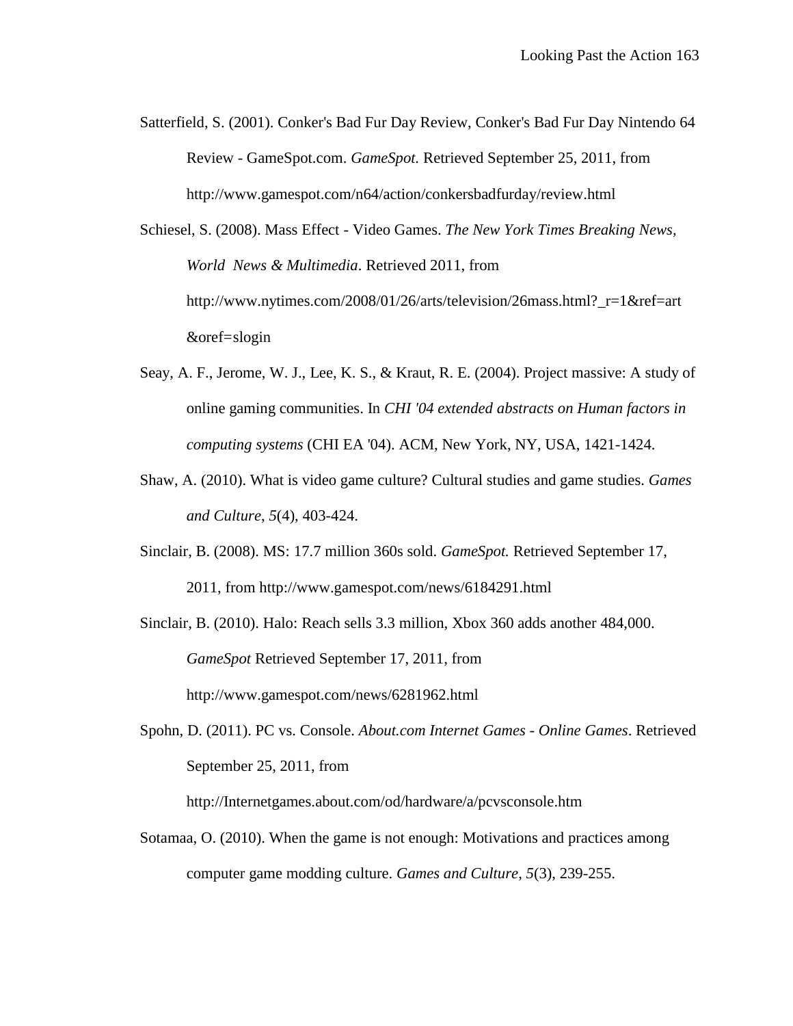Satterfield, S. (2001). Conker's Bad Fur Day Review, Conker's Bad Fur Day Nintendo 64 Review - GameSpot.com. *GameSpot.* Retrieved September 25, 2011, from http://www.gamespot.com/n64/action/conkersbadfurday/review.html

Schiesel, S. (2008). Mass Effect - Video Games. *The New York Times Breaking News, World News & Multimedia*. Retrieved 2011, from http://www.nytimes.com/2008/01/26/arts/television/26mass.html?\_r=1&ref=art &oref=slogin

- Seay, A. F., Jerome, W. J., Lee, K. S., & Kraut, R. E. (2004). Project massive: A study of online gaming communities. In *CHI '04 extended abstracts on Human factors in computing systems* (CHI EA '04). ACM, New York, NY, USA, 1421-1424.
- Shaw, A. (2010). What is video game culture? Cultural studies and game studies. *Games and Culture*, *5*(4), 403-424.
- Sinclair, B. (2008). MS: 17.7 million 360s sold. *GameSpot.* Retrieved September 17, 2011, from http://www.gamespot.com/news/6184291.html

Sinclair, B. (2010). Halo: Reach sells 3.3 million, Xbox 360 adds another 484,000. *GameSpot* Retrieved September 17, 2011, from http://www.gamespot.com/news/6281962.html

Spohn, D. (2011). PC vs. Console. *About.com Internet Games - Online Games*. Retrieved September 25, 2011, from

http://Internetgames.about.com/od/hardware/a/pcvsconsole.htm

Sotamaa, O. (2010). When the game is not enough: Motivations and practices among computer game modding culture. *Games and Culture*, *5*(3), 239-255.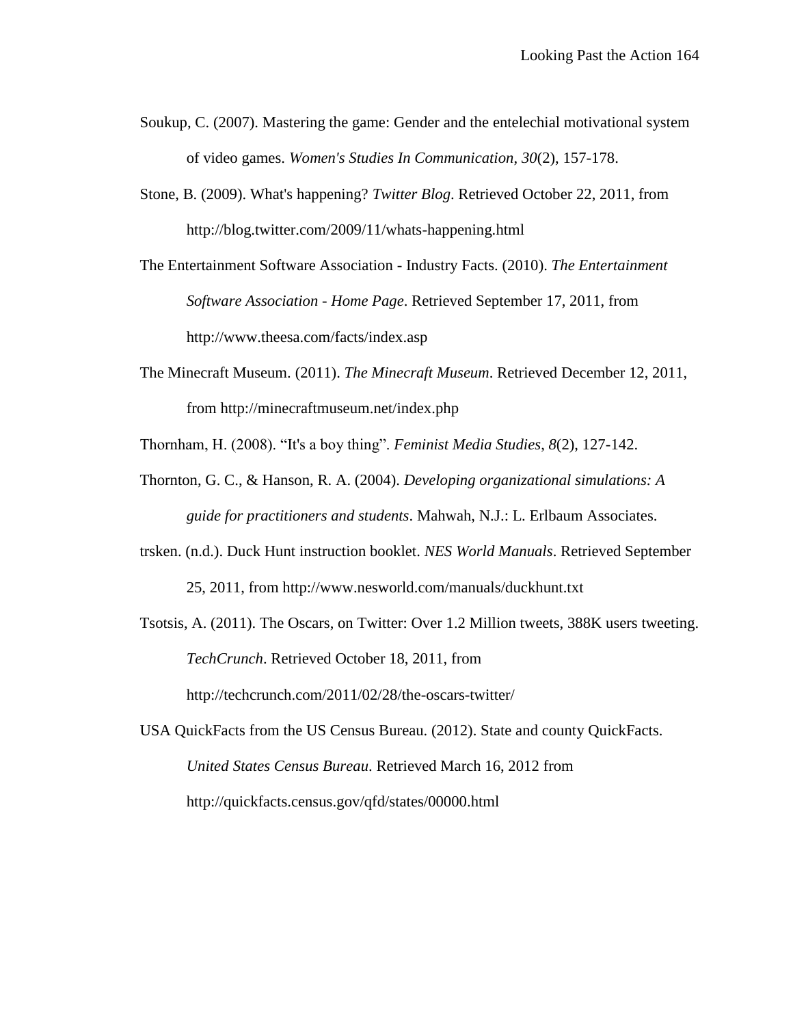- Soukup, C. (2007). Mastering the game: Gender and the entelechial motivational system of video games. *Women's Studies In Communication*, *30*(2), 157-178.
- Stone, B. (2009). What's happening? *Twitter Blog*. Retrieved October 22, 2011, from http://blog.twitter.com/2009/11/whats-happening.html

The Entertainment Software Association - Industry Facts. (2010). *The Entertainment Software Association - Home Page*. Retrieved September 17, 2011, from http://www.theesa.com/facts/index.asp

The Minecraft Museum. (2011). *The Minecraft Museum*. Retrieved December 12, 2011, from http://minecraftmuseum.net/index.php

Thornham, H. (2008). "It's a boy thing". *Feminist Media Studies*, *8*(2), 127-142.

- Thornton, G. C., & Hanson, R. A. (2004). *Developing organizational simulations: A guide for practitioners and students*. Mahwah, N.J.: L. Erlbaum Associates.
- trsken. (n.d.). Duck Hunt instruction booklet. *NES World Manuals*. Retrieved September 25, 2011, from http://www.nesworld.com/manuals/duckhunt.txt
- Tsotsis, A. (2011). The Oscars, on Twitter: Over 1.2 Million tweets, 388K users tweeting. *TechCrunch*. Retrieved October 18, 2011, from http://techcrunch.com/2011/02/28/the-oscars-twitter/

USA QuickFacts from the US Census Bureau. (2012). State and county QuickFacts. *United States Census Bureau*. Retrieved March 16, 2012 from http://quickfacts.census.gov/qfd/states/00000.html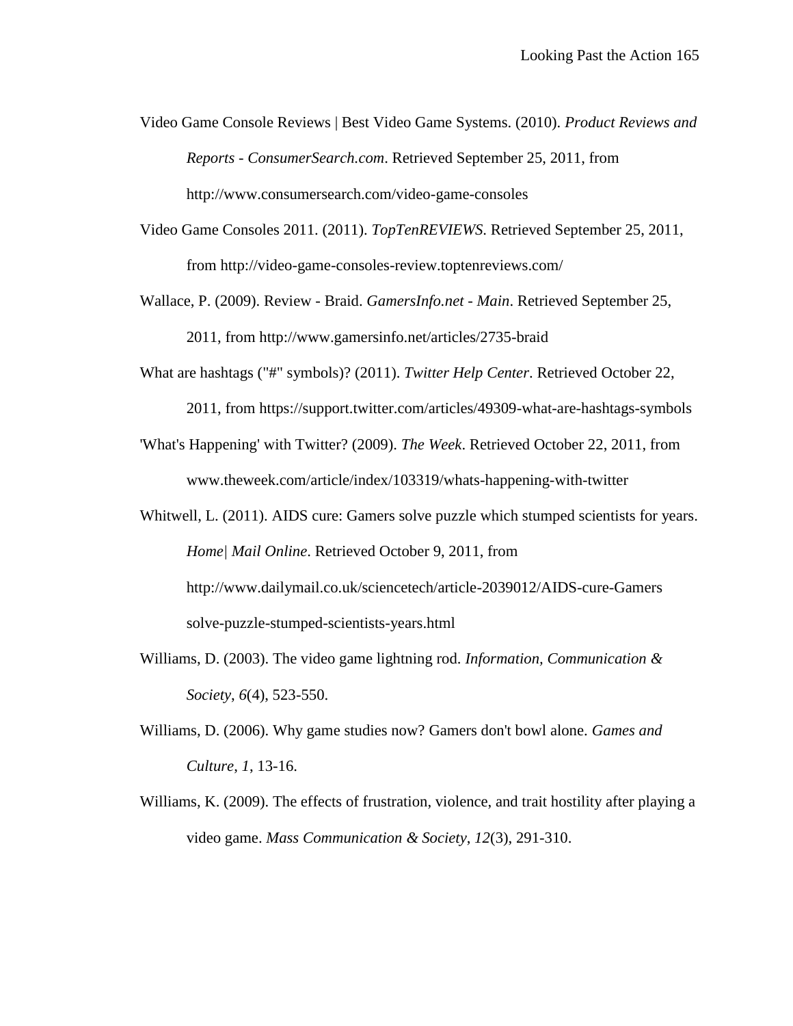- Video Game Console Reviews | Best Video Game Systems. (2010). *Product Reviews and Reports - ConsumerSearch.com*. Retrieved September 25, 2011, from http://www.consumersearch.com/video-game-consoles
- Video Game Consoles 2011. (2011). *TopTenREVIEWS*. Retrieved September 25, 2011, from http://video-game-consoles-review.toptenreviews.com/
- Wallace, P. (2009). Review Braid. *GamersInfo.net - Main*. Retrieved September 25, 2011, from http://www.gamersinfo.net/articles/2735-braid
- What are hashtags ("#" symbols)? (2011). *Twitter Help Center*. Retrieved October 22,
	- 2011, from https://support.twitter.com/articles/49309-what-are-hashtags-symbols
- 'What's Happening' with Twitter? (2009). *The Week*. Retrieved October 22, 2011, from www.theweek.com/article/index/103319/whats-happening-with-twitter
- Whitwell, L. (2011). AIDS cure: Gamers solve puzzle which stumped scientists for years. *Home| Mail Online*. Retrieved October 9, 2011, from http://www.dailymail.co.uk/sciencetech/article-2039012/AIDS-cure-Gamers solve-puzzle-stumped-scientists-years.html
- Williams, D. (2003). The video game lightning rod. *Information, Communication & Society*, *6*(4), 523-550.
- Williams, D. (2006). Why game studies now? Gamers don't bowl alone. *Games and Culture*, *1*, 13-16.
- Williams, K. (2009). The effects of frustration, violence, and trait hostility after playing a video game. *Mass Communication & Society*, *12*(3), 291-310.